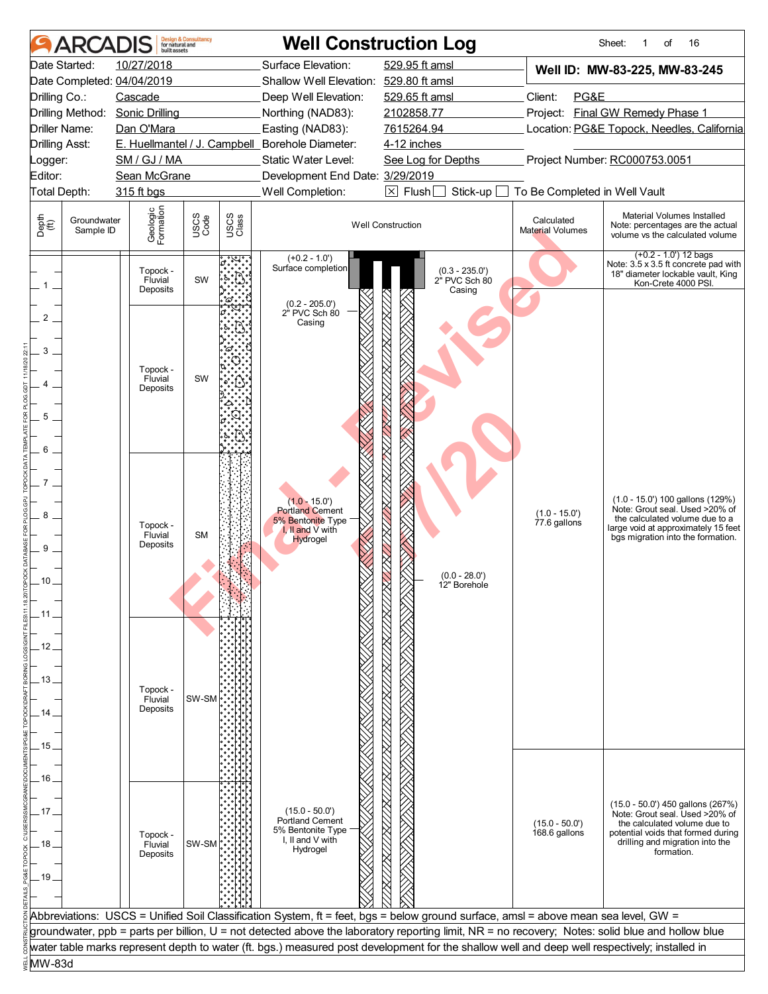|                       | ARCADIS                  | built assets                    | <b>Design &amp; Consultancy</b><br>for natural and |               |                                                        | <b>Well Construction Log</b>                                                                                                                     |                                       | Sheet:<br>16<br>of<br>1                                                                                                     |
|-----------------------|--------------------------|---------------------------------|----------------------------------------------------|---------------|--------------------------------------------------------|--------------------------------------------------------------------------------------------------------------------------------------------------|---------------------------------------|-----------------------------------------------------------------------------------------------------------------------------|
|                       | Date Started:            | 10/27/2018                      |                                                    |               | Surface Elevation:                                     | 529.95 ft amsl                                                                                                                                   |                                       | Well ID: MW-83-225, MW-83-245                                                                                               |
|                       |                          | Date Completed: 04/04/2019      |                                                    |               | Shallow Well Elevation: 529.80 ft amsl                 |                                                                                                                                                  |                                       |                                                                                                                             |
| Drilling Co.:         |                          | Cascade                         |                                                    |               | Deep Well Elevation:                                   | 529.65 ft amsl                                                                                                                                   | Client:<br>PG&E                       |                                                                                                                             |
|                       |                          | Drilling Method: Sonic Drilling |                                                    |               | Northing (NAD83):                                      | 2102858.77                                                                                                                                       |                                       | Project: Final GW Remedy Phase 1                                                                                            |
|                       | Driller Name:            | Dan O'Mara                      |                                                    |               | Easting (NAD83):                                       | 7615264.94                                                                                                                                       |                                       | Location: PG&E Topock, Needles, California                                                                                  |
| <b>Drilling Asst:</b> |                          |                                 |                                                    |               | E. Huellmantel / J. Campbell_Borehole Diameter:        | 4-12 inches                                                                                                                                      |                                       | Project Number: RC000753.0051                                                                                               |
| Logger:<br>Editor:    |                          | SM / GJ / MA<br>Sean McGrane    |                                                    |               | Static Water Level:<br>Development End Date: 3/29/2019 | See Log for Depths                                                                                                                               |                                       |                                                                                                                             |
| Total Depth:          |                          | 315 ft bgs                      |                                                    |               | Well Completion:                                       | $\boxtimes$ Flush<br>Stick-up                                                                                                                    | To Be Completed in Well Vault         |                                                                                                                             |
|                       |                          |                                 |                                                    |               |                                                        |                                                                                                                                                  |                                       |                                                                                                                             |
| Depth<br>(ff)         | Groundwater<br>Sample ID | Geologic<br>Formation           | USCS<br>Code                                       | USCS<br>Class |                                                        | <b>Well Construction</b>                                                                                                                         | Calculated<br><b>Material Volumes</b> | Material Volumes Installed<br>Note: percentages are the actual<br>volume vs the calculated volume                           |
|                       |                          | Topock -<br>Fluvial<br>Deposits | SW                                                 |               | $(+0.2 - 1.0')$<br>Surface completion                  | (0.3 - 235.0')<br>2" PVC Sch 80<br>Casing                                                                                                        |                                       | $(+0.2 - 1.0')$ 12 bags<br>Note: 3.5 x 3.5 ft concrete pad with<br>18" diameter lockable vault, King<br>Kon-Crete 4000 PSI. |
| 2                     |                          |                                 |                                                    |               | (0.2 - 205.0')<br>2" PVC Sch 80                        |                                                                                                                                                  |                                       |                                                                                                                             |
|                       |                          |                                 |                                                    |               | Casing                                                 |                                                                                                                                                  |                                       |                                                                                                                             |
| 3                     |                          |                                 |                                                    |               |                                                        |                                                                                                                                                  |                                       |                                                                                                                             |
|                       |                          | Topock -                        | SW                                                 |               |                                                        |                                                                                                                                                  |                                       |                                                                                                                             |
|                       |                          | Fluvial<br>Deposits             |                                                    |               |                                                        |                                                                                                                                                  |                                       |                                                                                                                             |
|                       |                          |                                 |                                                    |               |                                                        |                                                                                                                                                  |                                       |                                                                                                                             |
| 5                     |                          |                                 |                                                    |               |                                                        |                                                                                                                                                  |                                       |                                                                                                                             |
|                       |                          |                                 |                                                    |               |                                                        |                                                                                                                                                  |                                       |                                                                                                                             |
| 6                     |                          |                                 |                                                    |               |                                                        |                                                                                                                                                  |                                       |                                                                                                                             |
|                       |                          |                                 |                                                    |               |                                                        |                                                                                                                                                  |                                       |                                                                                                                             |
|                       |                          |                                 |                                                    |               |                                                        |                                                                                                                                                  |                                       | (1.0 - 15.0') 100 gallons (129%)                                                                                            |
| 8                     |                          |                                 |                                                    |               | $(1.0 - 15.0)$<br><b>Portland Cement</b>               |                                                                                                                                                  | $(1.0 - 15.0')$                       | Note: Grout seal. Used >20% of<br>the calculated volume due to a                                                            |
|                       |                          | Topock -<br>Fluvial             | <b>SM</b>                                          |               | 5% Bentonite Type<br>I, II and V with                  |                                                                                                                                                  | 77.6 gallons                          | large void at approximately 15 feet                                                                                         |
| 9                     |                          | Deposits                        |                                                    |               | <b>Hydrogel</b>                                        |                                                                                                                                                  |                                       | bgs migration into the formation.                                                                                           |
|                       |                          |                                 |                                                    |               |                                                        |                                                                                                                                                  |                                       |                                                                                                                             |
| 10                    |                          |                                 |                                                    |               |                                                        | $(0.0 - 28.0')$<br>12" Borehole                                                                                                                  |                                       |                                                                                                                             |
|                       |                          |                                 |                                                    |               |                                                        |                                                                                                                                                  |                                       |                                                                                                                             |
| . 11                  |                          |                                 |                                                    |               |                                                        |                                                                                                                                                  |                                       |                                                                                                                             |
|                       |                          |                                 |                                                    |               |                                                        |                                                                                                                                                  |                                       |                                                                                                                             |
| 12                    |                          |                                 |                                                    |               |                                                        |                                                                                                                                                  |                                       |                                                                                                                             |
|                       |                          |                                 |                                                    |               |                                                        |                                                                                                                                                  |                                       |                                                                                                                             |
| 13 <sub>1</sub>       |                          | Topock -                        |                                                    |               |                                                        |                                                                                                                                                  |                                       |                                                                                                                             |
|                       |                          | Fluvial<br>Deposits             | SW-SM                                              |               |                                                        |                                                                                                                                                  |                                       |                                                                                                                             |
| 14                    |                          |                                 |                                                    |               |                                                        |                                                                                                                                                  |                                       |                                                                                                                             |
| 15                    |                          |                                 |                                                    |               |                                                        |                                                                                                                                                  |                                       |                                                                                                                             |
|                       |                          |                                 |                                                    |               |                                                        |                                                                                                                                                  |                                       |                                                                                                                             |
| 16                    |                          |                                 |                                                    |               |                                                        |                                                                                                                                                  |                                       |                                                                                                                             |
|                       |                          |                                 |                                                    |               |                                                        |                                                                                                                                                  |                                       |                                                                                                                             |
| . 17.                 |                          |                                 |                                                    |               | $(15.0 - 50.0)$                                        |                                                                                                                                                  |                                       | (15.0 - 50.0') 450 gallons (267%)<br>Note: Grout seal. Used >20% of                                                         |
|                       |                          |                                 |                                                    |               | <b>Portland Cement</b><br>5% Bentonite Type            |                                                                                                                                                  | $(15.0 - 50.0)$<br>168.6 gallons      | the calculated volume due to<br>potential voids that formed during                                                          |
| 18                    |                          | Topock -<br>Fluvial             | SW-SM                                              |               | I, II and V with<br>Hydrogel                           |                                                                                                                                                  |                                       | drilling and migration into the                                                                                             |
|                       |                          | Deposits                        |                                                    |               |                                                        |                                                                                                                                                  |                                       | formation.                                                                                                                  |
| .19                   |                          |                                 |                                                    |               |                                                        |                                                                                                                                                  |                                       |                                                                                                                             |
|                       |                          |                                 |                                                    |               |                                                        |                                                                                                                                                  |                                       |                                                                                                                             |
|                       |                          |                                 |                                                    |               |                                                        | Abbreviations: USCS = Unified Soil Classification System, ft = feet, bgs = below ground surface, amsl = above mean sea level, GW =               |                                       |                                                                                                                             |
|                       |                          |                                 |                                                    |               |                                                        | groundwater, ppb = parts per billion, U = not detected above the laboratory reporting limit, NR = no recovery; Notes: solid blue and hollow blue |                                       |                                                                                                                             |
|                       |                          |                                 |                                                    |               |                                                        | water table marks represent depth to water (ft. bgs.) measured post development for the shallow well and deep well respectively; installed in    |                                       |                                                                                                                             |
| MW-83d                |                          |                                 |                                                    |               |                                                        |                                                                                                                                                  |                                       |                                                                                                                             |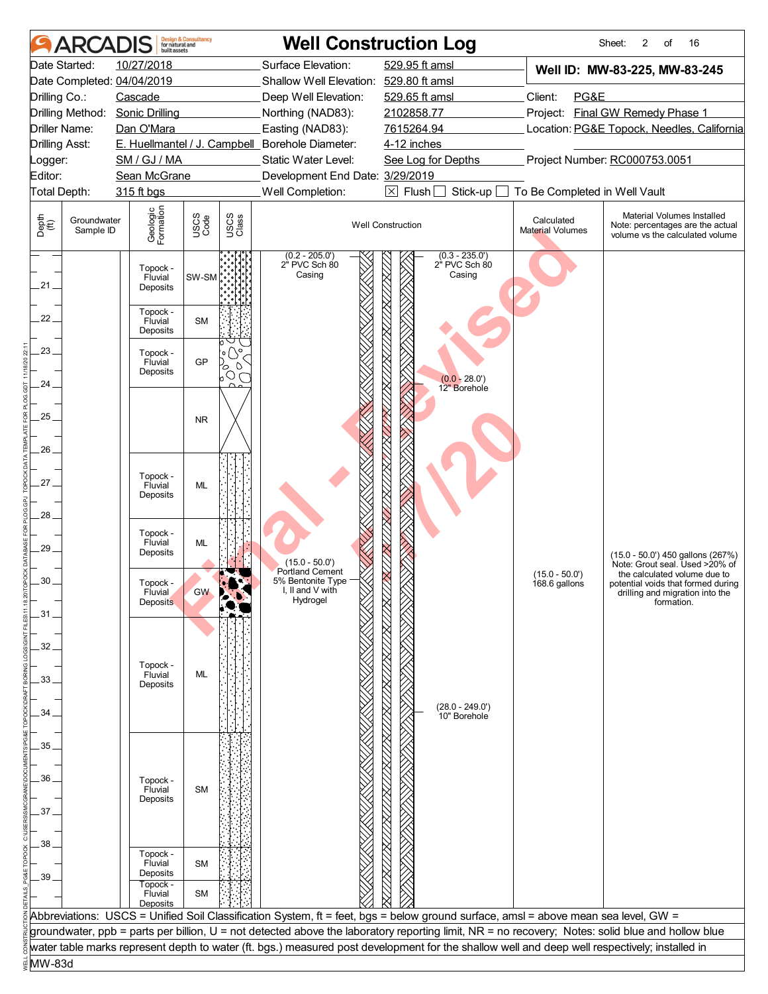| Surface Elevation:<br>Date Started:<br>10/27/2018<br>529.95 ft amsl<br>Well ID: MW-83-225, MW-83-245<br>Date Completed: 04/04/2019<br>Shallow Well Elevation: 529.80 ft amsl<br>Drilling Co.:<br>Client:<br>PG&E<br>Cascade<br>Deep Well Elevation:<br>529.65 ft amsl<br>Project: Final GW Remedy Phase 1<br>Drilling Method:<br><b>Sonic Drilling</b><br>Northing (NAD83):<br>2102858.77<br>Easting (NAD83):<br>7615264.94<br>Location: PG&E Topock, Needles, California<br>Driller Name:<br>Dan O'Mara<br>E. Huellmantel / J. Campbell_Borehole Diameter:<br><b>Drilling Asst:</b><br>4-12 inches<br>Project Number: RC000753.0051<br>SM / GJ / MA<br>Static Water Level:<br>See Log for Depths<br>Logger:<br>Editor:<br>Sean McGrane<br>Development End Date: 3/29/2019<br>$\boxtimes$ Flush<br>Well Completion:<br>Stick-up<br>To Be Completed in Well Vault<br>Total Depth:<br>315 ft bgs<br>Geologic<br>Formation<br>Material Volumes Installed<br>USCS<br>Code<br>USCS<br>Class<br>Depth<br>(ff)<br>Groundwater<br>Calculated<br><b>Well Construction</b><br>Note: percentages are the actual<br>Sample ID<br>Material Volumes<br>volume vs the calculated volume<br>$(0.3 - 235.0')$<br>$(0.2 - 205.0')$<br>2" PVC Sch 80<br>2" PVC Sch 80<br>Topock -<br>Casing<br>Casing<br>SW-SM<br>Fluvial<br>.21.<br>Deposits<br>Topock -<br>22<br><b>SM</b><br>Fluvial<br>Deposits<br>23.<br>$\circ$ $\circ$<br>Topock -<br>Fluvial<br>GP<br>$\circ$<br>0<br>Deposits<br>bO<br>$(0.0 - 28.0)$<br>24.<br>12" Borehole<br>$25 -$<br><b>NR</b><br>26.<br>Topock -<br>27.<br>ML<br>Fluvial<br>Deposits<br>28.<br>Topock -<br>Fluvial<br><b>ML</b><br>29<br>Deposits<br>(15.0 - 50.0') 450 gallons (267%)<br>$(15.0 - 50.0)$<br>Note: Grout seal. Used >20% of<br><b>Portland Cement</b><br>$(15.0 - 50.0)$<br>the calculated volume due to<br>5% Bentonite Type<br>30<br>Topock -<br>168.6 gallons<br>potential voids that formed during<br>I, II and V with<br>Huvial<br>GW<br>drilling and migration into the<br>Hydrogel<br><b>Deposits</b><br>formation.<br>.31.<br>32<br>Topock -<br>Fluvial<br>ML<br>33.<br>Deposits<br>$(28.0 - 249.0')$<br>34<br>10" Borehole<br>35<br>36<br>Topock -<br><b>SM</b><br>Fluvial<br>Deposits<br>37.<br>38<br>Topock -<br>Fluvial<br><b>SM</b><br>Deposits<br>39.<br>Topock -<br>Fluvial<br><b>SM</b><br>Deposits<br>Abbreviations: USCS = Unified Soil Classification System, ft = feet, bgs = below ground surface, amsl = above mean sea level, GW =<br>groundwater, ppb = parts per billion, U = not detected above the laboratory reporting limit, NR = no recovery; Notes: solid blue and hollow blue<br>water table marks represent depth to water (ft. bgs.) measured post development for the shallow well and deep well respectively; installed in<br>MW-83d | <b>ARCADIS</b> | <b>Design &amp; Consultancy</b><br>for natural and |  | <b>Well Construction Log</b> | Sheet:<br>2<br>16<br>of |
|------------------------------------------------------------------------------------------------------------------------------------------------------------------------------------------------------------------------------------------------------------------------------------------------------------------------------------------------------------------------------------------------------------------------------------------------------------------------------------------------------------------------------------------------------------------------------------------------------------------------------------------------------------------------------------------------------------------------------------------------------------------------------------------------------------------------------------------------------------------------------------------------------------------------------------------------------------------------------------------------------------------------------------------------------------------------------------------------------------------------------------------------------------------------------------------------------------------------------------------------------------------------------------------------------------------------------------------------------------------------------------------------------------------------------------------------------------------------------------------------------------------------------------------------------------------------------------------------------------------------------------------------------------------------------------------------------------------------------------------------------------------------------------------------------------------------------------------------------------------------------------------------------------------------------------------------------------------------------------------------------------------------------------------------------------------------------------------------------------------------------------------------------------------------------------------------------------------------------------------------------------------------------------------------------------------------------------------------------------------------------------------------------------------------------------------------------------------------------------------------------------------------------------------------------------------------------------------------------------------------------------------------------------------------------------------------------------------------------------------------------------------------------------------------------|----------------|----------------------------------------------------|--|------------------------------|-------------------------|
|                                                                                                                                                                                                                                                                                                                                                                                                                                                                                                                                                                                                                                                                                                                                                                                                                                                                                                                                                                                                                                                                                                                                                                                                                                                                                                                                                                                                                                                                                                                                                                                                                                                                                                                                                                                                                                                                                                                                                                                                                                                                                                                                                                                                                                                                                                                                                                                                                                                                                                                                                                                                                                                                                                                                                                                                      |                |                                                    |  |                              |                         |
|                                                                                                                                                                                                                                                                                                                                                                                                                                                                                                                                                                                                                                                                                                                                                                                                                                                                                                                                                                                                                                                                                                                                                                                                                                                                                                                                                                                                                                                                                                                                                                                                                                                                                                                                                                                                                                                                                                                                                                                                                                                                                                                                                                                                                                                                                                                                                                                                                                                                                                                                                                                                                                                                                                                                                                                                      |                |                                                    |  |                              |                         |
|                                                                                                                                                                                                                                                                                                                                                                                                                                                                                                                                                                                                                                                                                                                                                                                                                                                                                                                                                                                                                                                                                                                                                                                                                                                                                                                                                                                                                                                                                                                                                                                                                                                                                                                                                                                                                                                                                                                                                                                                                                                                                                                                                                                                                                                                                                                                                                                                                                                                                                                                                                                                                                                                                                                                                                                                      |                |                                                    |  |                              |                         |
|                                                                                                                                                                                                                                                                                                                                                                                                                                                                                                                                                                                                                                                                                                                                                                                                                                                                                                                                                                                                                                                                                                                                                                                                                                                                                                                                                                                                                                                                                                                                                                                                                                                                                                                                                                                                                                                                                                                                                                                                                                                                                                                                                                                                                                                                                                                                                                                                                                                                                                                                                                                                                                                                                                                                                                                                      |                |                                                    |  |                              |                         |
|                                                                                                                                                                                                                                                                                                                                                                                                                                                                                                                                                                                                                                                                                                                                                                                                                                                                                                                                                                                                                                                                                                                                                                                                                                                                                                                                                                                                                                                                                                                                                                                                                                                                                                                                                                                                                                                                                                                                                                                                                                                                                                                                                                                                                                                                                                                                                                                                                                                                                                                                                                                                                                                                                                                                                                                                      |                |                                                    |  |                              |                         |
|                                                                                                                                                                                                                                                                                                                                                                                                                                                                                                                                                                                                                                                                                                                                                                                                                                                                                                                                                                                                                                                                                                                                                                                                                                                                                                                                                                                                                                                                                                                                                                                                                                                                                                                                                                                                                                                                                                                                                                                                                                                                                                                                                                                                                                                                                                                                                                                                                                                                                                                                                                                                                                                                                                                                                                                                      |                |                                                    |  |                              |                         |
|                                                                                                                                                                                                                                                                                                                                                                                                                                                                                                                                                                                                                                                                                                                                                                                                                                                                                                                                                                                                                                                                                                                                                                                                                                                                                                                                                                                                                                                                                                                                                                                                                                                                                                                                                                                                                                                                                                                                                                                                                                                                                                                                                                                                                                                                                                                                                                                                                                                                                                                                                                                                                                                                                                                                                                                                      |                |                                                    |  |                              |                         |
|                                                                                                                                                                                                                                                                                                                                                                                                                                                                                                                                                                                                                                                                                                                                                                                                                                                                                                                                                                                                                                                                                                                                                                                                                                                                                                                                                                                                                                                                                                                                                                                                                                                                                                                                                                                                                                                                                                                                                                                                                                                                                                                                                                                                                                                                                                                                                                                                                                                                                                                                                                                                                                                                                                                                                                                                      |                |                                                    |  |                              |                         |
|                                                                                                                                                                                                                                                                                                                                                                                                                                                                                                                                                                                                                                                                                                                                                                                                                                                                                                                                                                                                                                                                                                                                                                                                                                                                                                                                                                                                                                                                                                                                                                                                                                                                                                                                                                                                                                                                                                                                                                                                                                                                                                                                                                                                                                                                                                                                                                                                                                                                                                                                                                                                                                                                                                                                                                                                      |                |                                                    |  |                              |                         |
|                                                                                                                                                                                                                                                                                                                                                                                                                                                                                                                                                                                                                                                                                                                                                                                                                                                                                                                                                                                                                                                                                                                                                                                                                                                                                                                                                                                                                                                                                                                                                                                                                                                                                                                                                                                                                                                                                                                                                                                                                                                                                                                                                                                                                                                                                                                                                                                                                                                                                                                                                                                                                                                                                                                                                                                                      |                |                                                    |  |                              |                         |
|                                                                                                                                                                                                                                                                                                                                                                                                                                                                                                                                                                                                                                                                                                                                                                                                                                                                                                                                                                                                                                                                                                                                                                                                                                                                                                                                                                                                                                                                                                                                                                                                                                                                                                                                                                                                                                                                                                                                                                                                                                                                                                                                                                                                                                                                                                                                                                                                                                                                                                                                                                                                                                                                                                                                                                                                      |                |                                                    |  |                              |                         |
|                                                                                                                                                                                                                                                                                                                                                                                                                                                                                                                                                                                                                                                                                                                                                                                                                                                                                                                                                                                                                                                                                                                                                                                                                                                                                                                                                                                                                                                                                                                                                                                                                                                                                                                                                                                                                                                                                                                                                                                                                                                                                                                                                                                                                                                                                                                                                                                                                                                                                                                                                                                                                                                                                                                                                                                                      |                |                                                    |  |                              |                         |
|                                                                                                                                                                                                                                                                                                                                                                                                                                                                                                                                                                                                                                                                                                                                                                                                                                                                                                                                                                                                                                                                                                                                                                                                                                                                                                                                                                                                                                                                                                                                                                                                                                                                                                                                                                                                                                                                                                                                                                                                                                                                                                                                                                                                                                                                                                                                                                                                                                                                                                                                                                                                                                                                                                                                                                                                      |                |                                                    |  |                              |                         |
|                                                                                                                                                                                                                                                                                                                                                                                                                                                                                                                                                                                                                                                                                                                                                                                                                                                                                                                                                                                                                                                                                                                                                                                                                                                                                                                                                                                                                                                                                                                                                                                                                                                                                                                                                                                                                                                                                                                                                                                                                                                                                                                                                                                                                                                                                                                                                                                                                                                                                                                                                                                                                                                                                                                                                                                                      |                |                                                    |  |                              |                         |
|                                                                                                                                                                                                                                                                                                                                                                                                                                                                                                                                                                                                                                                                                                                                                                                                                                                                                                                                                                                                                                                                                                                                                                                                                                                                                                                                                                                                                                                                                                                                                                                                                                                                                                                                                                                                                                                                                                                                                                                                                                                                                                                                                                                                                                                                                                                                                                                                                                                                                                                                                                                                                                                                                                                                                                                                      |                |                                                    |  |                              |                         |
|                                                                                                                                                                                                                                                                                                                                                                                                                                                                                                                                                                                                                                                                                                                                                                                                                                                                                                                                                                                                                                                                                                                                                                                                                                                                                                                                                                                                                                                                                                                                                                                                                                                                                                                                                                                                                                                                                                                                                                                                                                                                                                                                                                                                                                                                                                                                                                                                                                                                                                                                                                                                                                                                                                                                                                                                      |                |                                                    |  |                              |                         |
|                                                                                                                                                                                                                                                                                                                                                                                                                                                                                                                                                                                                                                                                                                                                                                                                                                                                                                                                                                                                                                                                                                                                                                                                                                                                                                                                                                                                                                                                                                                                                                                                                                                                                                                                                                                                                                                                                                                                                                                                                                                                                                                                                                                                                                                                                                                                                                                                                                                                                                                                                                                                                                                                                                                                                                                                      |                |                                                    |  |                              |                         |
|                                                                                                                                                                                                                                                                                                                                                                                                                                                                                                                                                                                                                                                                                                                                                                                                                                                                                                                                                                                                                                                                                                                                                                                                                                                                                                                                                                                                                                                                                                                                                                                                                                                                                                                                                                                                                                                                                                                                                                                                                                                                                                                                                                                                                                                                                                                                                                                                                                                                                                                                                                                                                                                                                                                                                                                                      |                |                                                    |  |                              |                         |
|                                                                                                                                                                                                                                                                                                                                                                                                                                                                                                                                                                                                                                                                                                                                                                                                                                                                                                                                                                                                                                                                                                                                                                                                                                                                                                                                                                                                                                                                                                                                                                                                                                                                                                                                                                                                                                                                                                                                                                                                                                                                                                                                                                                                                                                                                                                                                                                                                                                                                                                                                                                                                                                                                                                                                                                                      |                |                                                    |  |                              |                         |
|                                                                                                                                                                                                                                                                                                                                                                                                                                                                                                                                                                                                                                                                                                                                                                                                                                                                                                                                                                                                                                                                                                                                                                                                                                                                                                                                                                                                                                                                                                                                                                                                                                                                                                                                                                                                                                                                                                                                                                                                                                                                                                                                                                                                                                                                                                                                                                                                                                                                                                                                                                                                                                                                                                                                                                                                      |                |                                                    |  |                              |                         |
|                                                                                                                                                                                                                                                                                                                                                                                                                                                                                                                                                                                                                                                                                                                                                                                                                                                                                                                                                                                                                                                                                                                                                                                                                                                                                                                                                                                                                                                                                                                                                                                                                                                                                                                                                                                                                                                                                                                                                                                                                                                                                                                                                                                                                                                                                                                                                                                                                                                                                                                                                                                                                                                                                                                                                                                                      |                |                                                    |  |                              |                         |
|                                                                                                                                                                                                                                                                                                                                                                                                                                                                                                                                                                                                                                                                                                                                                                                                                                                                                                                                                                                                                                                                                                                                                                                                                                                                                                                                                                                                                                                                                                                                                                                                                                                                                                                                                                                                                                                                                                                                                                                                                                                                                                                                                                                                                                                                                                                                                                                                                                                                                                                                                                                                                                                                                                                                                                                                      |                |                                                    |  |                              |                         |
|                                                                                                                                                                                                                                                                                                                                                                                                                                                                                                                                                                                                                                                                                                                                                                                                                                                                                                                                                                                                                                                                                                                                                                                                                                                                                                                                                                                                                                                                                                                                                                                                                                                                                                                                                                                                                                                                                                                                                                                                                                                                                                                                                                                                                                                                                                                                                                                                                                                                                                                                                                                                                                                                                                                                                                                                      |                |                                                    |  |                              |                         |
|                                                                                                                                                                                                                                                                                                                                                                                                                                                                                                                                                                                                                                                                                                                                                                                                                                                                                                                                                                                                                                                                                                                                                                                                                                                                                                                                                                                                                                                                                                                                                                                                                                                                                                                                                                                                                                                                                                                                                                                                                                                                                                                                                                                                                                                                                                                                                                                                                                                                                                                                                                                                                                                                                                                                                                                                      |                |                                                    |  |                              |                         |
|                                                                                                                                                                                                                                                                                                                                                                                                                                                                                                                                                                                                                                                                                                                                                                                                                                                                                                                                                                                                                                                                                                                                                                                                                                                                                                                                                                                                                                                                                                                                                                                                                                                                                                                                                                                                                                                                                                                                                                                                                                                                                                                                                                                                                                                                                                                                                                                                                                                                                                                                                                                                                                                                                                                                                                                                      |                |                                                    |  |                              |                         |
|                                                                                                                                                                                                                                                                                                                                                                                                                                                                                                                                                                                                                                                                                                                                                                                                                                                                                                                                                                                                                                                                                                                                                                                                                                                                                                                                                                                                                                                                                                                                                                                                                                                                                                                                                                                                                                                                                                                                                                                                                                                                                                                                                                                                                                                                                                                                                                                                                                                                                                                                                                                                                                                                                                                                                                                                      |                |                                                    |  |                              |                         |
|                                                                                                                                                                                                                                                                                                                                                                                                                                                                                                                                                                                                                                                                                                                                                                                                                                                                                                                                                                                                                                                                                                                                                                                                                                                                                                                                                                                                                                                                                                                                                                                                                                                                                                                                                                                                                                                                                                                                                                                                                                                                                                                                                                                                                                                                                                                                                                                                                                                                                                                                                                                                                                                                                                                                                                                                      |                |                                                    |  |                              |                         |
|                                                                                                                                                                                                                                                                                                                                                                                                                                                                                                                                                                                                                                                                                                                                                                                                                                                                                                                                                                                                                                                                                                                                                                                                                                                                                                                                                                                                                                                                                                                                                                                                                                                                                                                                                                                                                                                                                                                                                                                                                                                                                                                                                                                                                                                                                                                                                                                                                                                                                                                                                                                                                                                                                                                                                                                                      |                |                                                    |  |                              |                         |
|                                                                                                                                                                                                                                                                                                                                                                                                                                                                                                                                                                                                                                                                                                                                                                                                                                                                                                                                                                                                                                                                                                                                                                                                                                                                                                                                                                                                                                                                                                                                                                                                                                                                                                                                                                                                                                                                                                                                                                                                                                                                                                                                                                                                                                                                                                                                                                                                                                                                                                                                                                                                                                                                                                                                                                                                      |                |                                                    |  |                              |                         |
|                                                                                                                                                                                                                                                                                                                                                                                                                                                                                                                                                                                                                                                                                                                                                                                                                                                                                                                                                                                                                                                                                                                                                                                                                                                                                                                                                                                                                                                                                                                                                                                                                                                                                                                                                                                                                                                                                                                                                                                                                                                                                                                                                                                                                                                                                                                                                                                                                                                                                                                                                                                                                                                                                                                                                                                                      |                |                                                    |  |                              |                         |
|                                                                                                                                                                                                                                                                                                                                                                                                                                                                                                                                                                                                                                                                                                                                                                                                                                                                                                                                                                                                                                                                                                                                                                                                                                                                                                                                                                                                                                                                                                                                                                                                                                                                                                                                                                                                                                                                                                                                                                                                                                                                                                                                                                                                                                                                                                                                                                                                                                                                                                                                                                                                                                                                                                                                                                                                      |                |                                                    |  |                              |                         |
|                                                                                                                                                                                                                                                                                                                                                                                                                                                                                                                                                                                                                                                                                                                                                                                                                                                                                                                                                                                                                                                                                                                                                                                                                                                                                                                                                                                                                                                                                                                                                                                                                                                                                                                                                                                                                                                                                                                                                                                                                                                                                                                                                                                                                                                                                                                                                                                                                                                                                                                                                                                                                                                                                                                                                                                                      |                |                                                    |  |                              |                         |
|                                                                                                                                                                                                                                                                                                                                                                                                                                                                                                                                                                                                                                                                                                                                                                                                                                                                                                                                                                                                                                                                                                                                                                                                                                                                                                                                                                                                                                                                                                                                                                                                                                                                                                                                                                                                                                                                                                                                                                                                                                                                                                                                                                                                                                                                                                                                                                                                                                                                                                                                                                                                                                                                                                                                                                                                      |                |                                                    |  |                              |                         |
|                                                                                                                                                                                                                                                                                                                                                                                                                                                                                                                                                                                                                                                                                                                                                                                                                                                                                                                                                                                                                                                                                                                                                                                                                                                                                                                                                                                                                                                                                                                                                                                                                                                                                                                                                                                                                                                                                                                                                                                                                                                                                                                                                                                                                                                                                                                                                                                                                                                                                                                                                                                                                                                                                                                                                                                                      |                |                                                    |  |                              |                         |
|                                                                                                                                                                                                                                                                                                                                                                                                                                                                                                                                                                                                                                                                                                                                                                                                                                                                                                                                                                                                                                                                                                                                                                                                                                                                                                                                                                                                                                                                                                                                                                                                                                                                                                                                                                                                                                                                                                                                                                                                                                                                                                                                                                                                                                                                                                                                                                                                                                                                                                                                                                                                                                                                                                                                                                                                      |                |                                                    |  |                              |                         |
|                                                                                                                                                                                                                                                                                                                                                                                                                                                                                                                                                                                                                                                                                                                                                                                                                                                                                                                                                                                                                                                                                                                                                                                                                                                                                                                                                                                                                                                                                                                                                                                                                                                                                                                                                                                                                                                                                                                                                                                                                                                                                                                                                                                                                                                                                                                                                                                                                                                                                                                                                                                                                                                                                                                                                                                                      |                |                                                    |  |                              |                         |
|                                                                                                                                                                                                                                                                                                                                                                                                                                                                                                                                                                                                                                                                                                                                                                                                                                                                                                                                                                                                                                                                                                                                                                                                                                                                                                                                                                                                                                                                                                                                                                                                                                                                                                                                                                                                                                                                                                                                                                                                                                                                                                                                                                                                                                                                                                                                                                                                                                                                                                                                                                                                                                                                                                                                                                                                      |                |                                                    |  |                              |                         |
|                                                                                                                                                                                                                                                                                                                                                                                                                                                                                                                                                                                                                                                                                                                                                                                                                                                                                                                                                                                                                                                                                                                                                                                                                                                                                                                                                                                                                                                                                                                                                                                                                                                                                                                                                                                                                                                                                                                                                                                                                                                                                                                                                                                                                                                                                                                                                                                                                                                                                                                                                                                                                                                                                                                                                                                                      |                |                                                    |  |                              |                         |
|                                                                                                                                                                                                                                                                                                                                                                                                                                                                                                                                                                                                                                                                                                                                                                                                                                                                                                                                                                                                                                                                                                                                                                                                                                                                                                                                                                                                                                                                                                                                                                                                                                                                                                                                                                                                                                                                                                                                                                                                                                                                                                                                                                                                                                                                                                                                                                                                                                                                                                                                                                                                                                                                                                                                                                                                      |                |                                                    |  |                              |                         |
|                                                                                                                                                                                                                                                                                                                                                                                                                                                                                                                                                                                                                                                                                                                                                                                                                                                                                                                                                                                                                                                                                                                                                                                                                                                                                                                                                                                                                                                                                                                                                                                                                                                                                                                                                                                                                                                                                                                                                                                                                                                                                                                                                                                                                                                                                                                                                                                                                                                                                                                                                                                                                                                                                                                                                                                                      |                |                                                    |  |                              |                         |
|                                                                                                                                                                                                                                                                                                                                                                                                                                                                                                                                                                                                                                                                                                                                                                                                                                                                                                                                                                                                                                                                                                                                                                                                                                                                                                                                                                                                                                                                                                                                                                                                                                                                                                                                                                                                                                                                                                                                                                                                                                                                                                                                                                                                                                                                                                                                                                                                                                                                                                                                                                                                                                                                                                                                                                                                      |                |                                                    |  |                              |                         |
|                                                                                                                                                                                                                                                                                                                                                                                                                                                                                                                                                                                                                                                                                                                                                                                                                                                                                                                                                                                                                                                                                                                                                                                                                                                                                                                                                                                                                                                                                                                                                                                                                                                                                                                                                                                                                                                                                                                                                                                                                                                                                                                                                                                                                                                                                                                                                                                                                                                                                                                                                                                                                                                                                                                                                                                                      |                |                                                    |  |                              |                         |
|                                                                                                                                                                                                                                                                                                                                                                                                                                                                                                                                                                                                                                                                                                                                                                                                                                                                                                                                                                                                                                                                                                                                                                                                                                                                                                                                                                                                                                                                                                                                                                                                                                                                                                                                                                                                                                                                                                                                                                                                                                                                                                                                                                                                                                                                                                                                                                                                                                                                                                                                                                                                                                                                                                                                                                                                      |                |                                                    |  |                              |                         |
|                                                                                                                                                                                                                                                                                                                                                                                                                                                                                                                                                                                                                                                                                                                                                                                                                                                                                                                                                                                                                                                                                                                                                                                                                                                                                                                                                                                                                                                                                                                                                                                                                                                                                                                                                                                                                                                                                                                                                                                                                                                                                                                                                                                                                                                                                                                                                                                                                                                                                                                                                                                                                                                                                                                                                                                                      |                |                                                    |  |                              |                         |
|                                                                                                                                                                                                                                                                                                                                                                                                                                                                                                                                                                                                                                                                                                                                                                                                                                                                                                                                                                                                                                                                                                                                                                                                                                                                                                                                                                                                                                                                                                                                                                                                                                                                                                                                                                                                                                                                                                                                                                                                                                                                                                                                                                                                                                                                                                                                                                                                                                                                                                                                                                                                                                                                                                                                                                                                      |                |                                                    |  |                              |                         |
|                                                                                                                                                                                                                                                                                                                                                                                                                                                                                                                                                                                                                                                                                                                                                                                                                                                                                                                                                                                                                                                                                                                                                                                                                                                                                                                                                                                                                                                                                                                                                                                                                                                                                                                                                                                                                                                                                                                                                                                                                                                                                                                                                                                                                                                                                                                                                                                                                                                                                                                                                                                                                                                                                                                                                                                                      |                |                                                    |  |                              |                         |
|                                                                                                                                                                                                                                                                                                                                                                                                                                                                                                                                                                                                                                                                                                                                                                                                                                                                                                                                                                                                                                                                                                                                                                                                                                                                                                                                                                                                                                                                                                                                                                                                                                                                                                                                                                                                                                                                                                                                                                                                                                                                                                                                                                                                                                                                                                                                                                                                                                                                                                                                                                                                                                                                                                                                                                                                      |                |                                                    |  |                              |                         |
|                                                                                                                                                                                                                                                                                                                                                                                                                                                                                                                                                                                                                                                                                                                                                                                                                                                                                                                                                                                                                                                                                                                                                                                                                                                                                                                                                                                                                                                                                                                                                                                                                                                                                                                                                                                                                                                                                                                                                                                                                                                                                                                                                                                                                                                                                                                                                                                                                                                                                                                                                                                                                                                                                                                                                                                                      |                |                                                    |  |                              |                         |
|                                                                                                                                                                                                                                                                                                                                                                                                                                                                                                                                                                                                                                                                                                                                                                                                                                                                                                                                                                                                                                                                                                                                                                                                                                                                                                                                                                                                                                                                                                                                                                                                                                                                                                                                                                                                                                                                                                                                                                                                                                                                                                                                                                                                                                                                                                                                                                                                                                                                                                                                                                                                                                                                                                                                                                                                      |                |                                                    |  |                              |                         |
|                                                                                                                                                                                                                                                                                                                                                                                                                                                                                                                                                                                                                                                                                                                                                                                                                                                                                                                                                                                                                                                                                                                                                                                                                                                                                                                                                                                                                                                                                                                                                                                                                                                                                                                                                                                                                                                                                                                                                                                                                                                                                                                                                                                                                                                                                                                                                                                                                                                                                                                                                                                                                                                                                                                                                                                                      |                |                                                    |  |                              |                         |
|                                                                                                                                                                                                                                                                                                                                                                                                                                                                                                                                                                                                                                                                                                                                                                                                                                                                                                                                                                                                                                                                                                                                                                                                                                                                                                                                                                                                                                                                                                                                                                                                                                                                                                                                                                                                                                                                                                                                                                                                                                                                                                                                                                                                                                                                                                                                                                                                                                                                                                                                                                                                                                                                                                                                                                                                      |                |                                                    |  |                              |                         |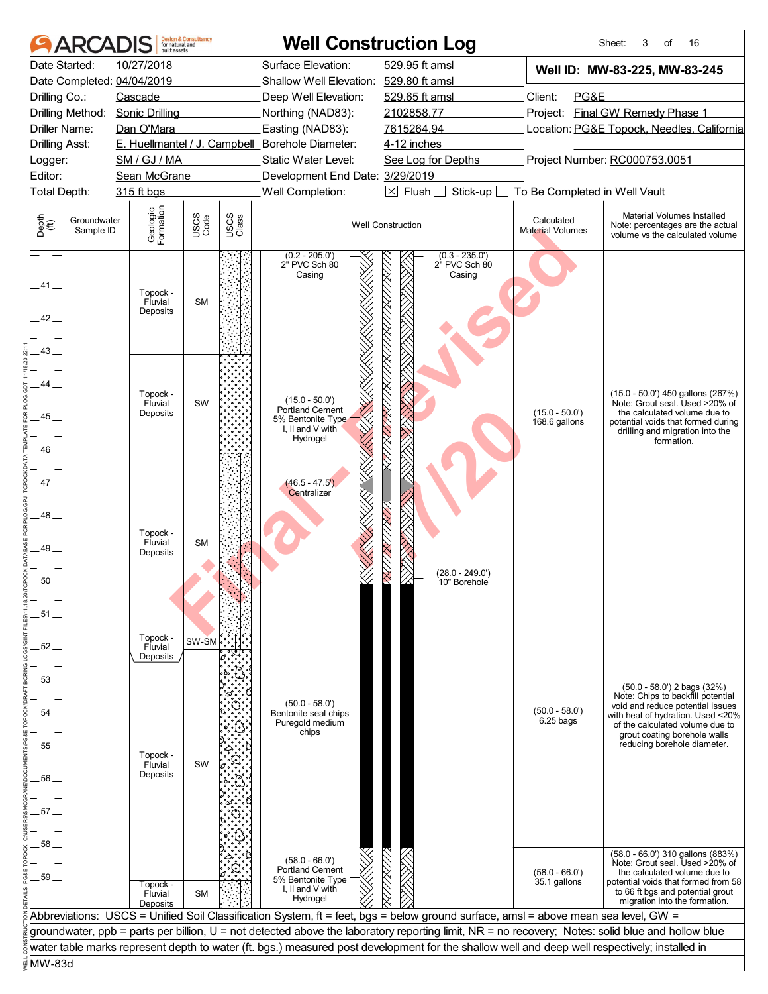| <b>ARCADIS</b>                                             | built assets                    | <b>Design &amp; Consultancy</b><br>for natural and |               |                                                                 | <b>Well Construction Log</b>                                                                                                                     |                                       | 16<br>Sheet:<br>3<br>οf                                                                                                                    |
|------------------------------------------------------------|---------------------------------|----------------------------------------------------|---------------|-----------------------------------------------------------------|--------------------------------------------------------------------------------------------------------------------------------------------------|---------------------------------------|--------------------------------------------------------------------------------------------------------------------------------------------|
| Date Started:                                              | 10/27/2018                      |                                                    |               | Surface Elevation:                                              | 529.95 ft amsl                                                                                                                                   |                                       | Well ID: MW-83-225, MW-83-245                                                                                                              |
| Date Completed: 04/04/2019                                 |                                 |                                                    |               | Shallow Well Elevation: 529.80 ft amsl                          |                                                                                                                                                  |                                       |                                                                                                                                            |
| Drilling Co.:                                              | Cascade                         |                                                    |               | Deep Well Elevation:                                            | 529.65 ft amsl                                                                                                                                   | PG&E<br>Client:                       |                                                                                                                                            |
| Drilling Method:                                           | <b>Sonic Drilling</b>           |                                                    |               | Northing (NAD83):                                               | 2102858.77                                                                                                                                       |                                       | Project: Final GW Remedy Phase 1                                                                                                           |
| Driller Name:                                              | Dan O'Mara                      |                                                    |               | Easting (NAD83):                                                | 7615264.94                                                                                                                                       |                                       | Location: PG&E Topock, Needles, California                                                                                                 |
| <b>Drilling Asst:</b>                                      |                                 |                                                    |               | E. Huellmantel / J. Campbell_Borehole Diameter:                 | 4-12 inches                                                                                                                                      |                                       |                                                                                                                                            |
| _ogger:                                                    | SM / GJ / MA                    |                                                    |               | Static Water Level:                                             | See Log for Depths                                                                                                                               |                                       | Project Number: RC000753.0051                                                                                                              |
| Editor:                                                    | Sean McGrane                    |                                                    |               | Development End Date: 3/29/2019                                 |                                                                                                                                                  |                                       |                                                                                                                                            |
| Total Depth:                                               | 315 ft bgs                      |                                                    |               | Well Completion:                                                | $\boxtimes$ Flush<br>Stick-up                                                                                                                    | To Be Completed in Well Vault         |                                                                                                                                            |
| Depth<br>$\bigoplus_{i=1}^{n}$<br>Groundwater<br>Sample ID | Geologic<br>Formation           | USCS<br>Code                                       | USCS<br>Class |                                                                 | <b>Well Construction</b>                                                                                                                         | Calculated<br><b>Material Volumes</b> | Material Volumes Installed<br>Note: percentages are the actual<br>volume vs the calculated volume                                          |
|                                                            |                                 |                                                    |               | $(0.2 - 205.0)$<br>2 <sup>"</sup> PVC Sch 80                    | $(0.3 - 235.0')$<br>2" PVC Sch 80                                                                                                                |                                       |                                                                                                                                            |
| 41.                                                        | Topock -<br>Fluvial<br>Deposits | <b>SM</b>                                          |               | Casing                                                          | XXIIXXIIXXIIXXIIXXIIXXIIXXIIXX<br>Casing                                                                                                         |                                       |                                                                                                                                            |
| 42.<br>43.                                                 |                                 |                                                    |               |                                                                 |                                                                                                                                                  |                                       |                                                                                                                                            |
|                                                            |                                 |                                                    |               |                                                                 |                                                                                                                                                  |                                       |                                                                                                                                            |
| 44.                                                        |                                 |                                                    |               |                                                                 |                                                                                                                                                  |                                       |                                                                                                                                            |
|                                                            | Topock -<br>Fluvial             | SW                                                 |               | $(15.0 - 50.0')$                                                |                                                                                                                                                  |                                       | (15.0 - 50.0') 450 gallons (267%)<br>Note: Grout seal. Used >20% of                                                                        |
| 45                                                         | Deposits                        |                                                    |               | Portland Cement<br>5% Bentonite Type                            |                                                                                                                                                  | $(15.0 - 50.0)$<br>168.6 gallons      | the calculated volume due to<br>potential voids that formed during                                                                         |
|                                                            |                                 |                                                    |               | I, II and V with<br>Hydrogel                                    |                                                                                                                                                  |                                       | drilling and migration into the                                                                                                            |
| 46                                                         |                                 |                                                    |               |                                                                 |                                                                                                                                                  |                                       | formation.                                                                                                                                 |
|                                                            |                                 |                                                    |               |                                                                 |                                                                                                                                                  |                                       |                                                                                                                                            |
| 47                                                         |                                 |                                                    |               | $(46.5 - 47.5')$                                                |                                                                                                                                                  |                                       |                                                                                                                                            |
|                                                            |                                 |                                                    |               | Centralizer                                                     |                                                                                                                                                  |                                       |                                                                                                                                            |
| 48.                                                        |                                 |                                                    |               |                                                                 |                                                                                                                                                  |                                       |                                                                                                                                            |
|                                                            | Topock -                        |                                                    |               |                                                                 |                                                                                                                                                  |                                       |                                                                                                                                            |
| 49                                                         | Fluvial<br>Deposits             | <b>SM</b>                                          |               |                                                                 |                                                                                                                                                  |                                       |                                                                                                                                            |
|                                                            |                                 |                                                    |               |                                                                 | $(28.0 - 249.0')$                                                                                                                                |                                       |                                                                                                                                            |
| 50                                                         |                                 |                                                    |               |                                                                 | 10" Borehole                                                                                                                                     |                                       |                                                                                                                                            |
|                                                            |                                 |                                                    |               |                                                                 |                                                                                                                                                  |                                       |                                                                                                                                            |
| 51                                                         |                                 |                                                    |               |                                                                 |                                                                                                                                                  |                                       |                                                                                                                                            |
|                                                            | Topock -                        | SW-SM                                              |               |                                                                 |                                                                                                                                                  |                                       |                                                                                                                                            |
| 52                                                         | Fluvial<br>Deposits             |                                                    |               |                                                                 |                                                                                                                                                  |                                       |                                                                                                                                            |
|                                                            |                                 |                                                    |               |                                                                 |                                                                                                                                                  |                                       |                                                                                                                                            |
| 53.                                                        |                                 |                                                    |               |                                                                 |                                                                                                                                                  |                                       | $(50.0 - 58.0')$ 2 bags $(32%)$                                                                                                            |
|                                                            |                                 |                                                    |               | $(50.0 - 58.0')$                                                |                                                                                                                                                  |                                       | Note: Chips to backfill potential<br>void and reduce potential issues                                                                      |
| 54.                                                        |                                 |                                                    |               | Bentonite seal chips_<br>Puregold medium                        |                                                                                                                                                  | $(50.0 - 58.0)$<br>$6.25$ bags        | with heat of hydration. Used <20%                                                                                                          |
|                                                            |                                 |                                                    |               | chips                                                           |                                                                                                                                                  |                                       | of the calculated volume due to<br>grout coating borehole walls                                                                            |
| 55                                                         | Topock -                        |                                                    |               |                                                                 |                                                                                                                                                  |                                       | reducing borehole diameter.                                                                                                                |
|                                                            | Fluvial<br>Deposits             | SW                                                 |               |                                                                 |                                                                                                                                                  |                                       |                                                                                                                                            |
| 56                                                         |                                 |                                                    |               |                                                                 |                                                                                                                                                  |                                       |                                                                                                                                            |
|                                                            |                                 |                                                    |               |                                                                 |                                                                                                                                                  |                                       |                                                                                                                                            |
| 57.                                                        |                                 |                                                    |               |                                                                 |                                                                                                                                                  |                                       |                                                                                                                                            |
|                                                            |                                 |                                                    |               |                                                                 |                                                                                                                                                  |                                       |                                                                                                                                            |
| 58<br>59                                                   | Topock -                        |                                                    |               | $(58.0 - 66.0')$<br><b>Portland Cement</b><br>5% Bentonite Type | 77 X 77 7                                                                                                                                        | $(58.0 - 66.0')$<br>35.1 gallons      | (58.0 - 66.0') 310 gallons (883%)<br>Note: Grout seal. Used >20% of<br>the calculated volume due to<br>potential voids that formed from 58 |
|                                                            | Fluvial                         | <b>SM</b>                                          |               | I, II and V with<br>Hydrogel                                    |                                                                                                                                                  |                                       | to 66 ft bgs and potential grout<br>migration into the formation.                                                                          |
|                                                            | Deposits                        |                                                    |               |                                                                 | Abbreviations: USCS = Unified Soil Classification System, ft = feet, bgs = below ground surface, amsl = above mean sea level, GW =               |                                       |                                                                                                                                            |
|                                                            |                                 |                                                    |               |                                                                 | groundwater, ppb = parts per billion, U = not detected above the laboratory reporting limit, NR = no recovery; Notes: solid blue and hollow blue |                                       |                                                                                                                                            |
|                                                            |                                 |                                                    |               |                                                                 | water table marks represent depth to water (ft. bgs.) measured post development for the shallow well and deep well respectively; installed in    |                                       |                                                                                                                                            |
| MW-83d                                                     |                                 |                                                    |               |                                                                 |                                                                                                                                                  |                                       |                                                                                                                                            |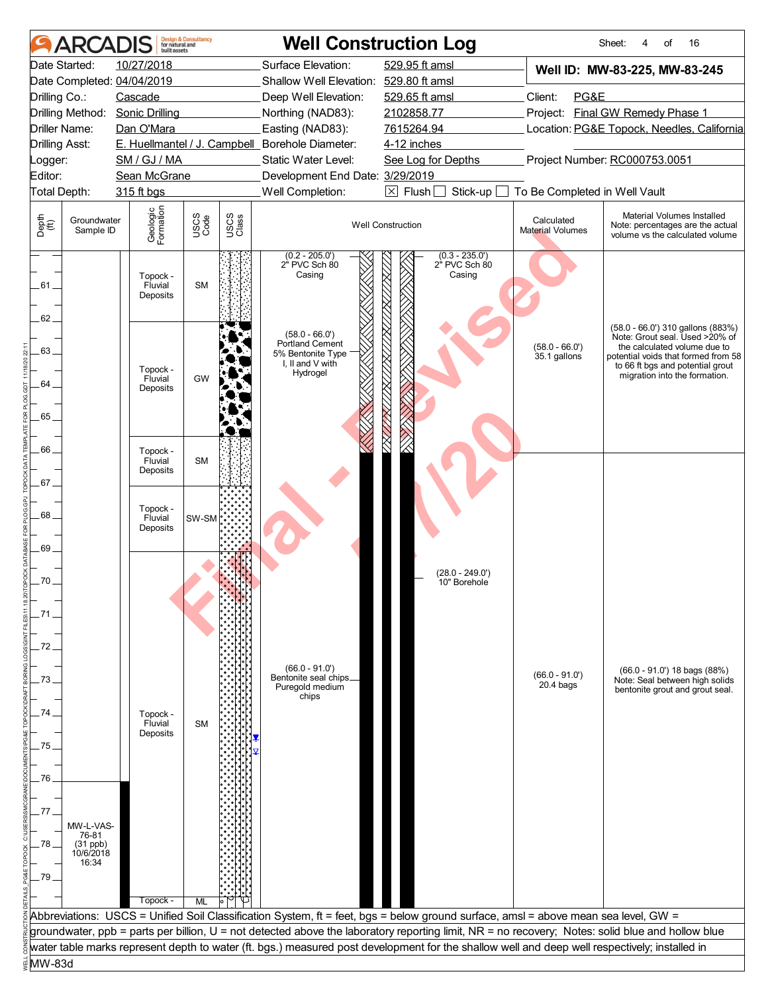| <b>ARCAI</b>                                    | huilt assets                    | <b>Design &amp; Consultancy</b><br>for natural and |               |                                                                                          | <b>Well Construction Log</b>                                                                                                                     |                                            | 16<br>Sheet:<br>οf                                                                                                                                                                                              |
|-------------------------------------------------|---------------------------------|----------------------------------------------------|---------------|------------------------------------------------------------------------------------------|--------------------------------------------------------------------------------------------------------------------------------------------------|--------------------------------------------|-----------------------------------------------------------------------------------------------------------------------------------------------------------------------------------------------------------------|
| Date Started:                                   | 10/27/2018                      |                                                    |               | Surface Elevation:                                                                       | 529.95 ft amsl                                                                                                                                   |                                            | Well ID: MW-83-225, MW-83-245                                                                                                                                                                                   |
| Date Completed: 04/04/2019                      |                                 |                                                    |               | Shallow Well Elevation: 529.80 ft amsl                                                   |                                                                                                                                                  |                                            |                                                                                                                                                                                                                 |
| Drilling Co.:                                   | Cascade                         |                                                    |               | Deep Well Elevation:                                                                     | 529.65 ft amsl                                                                                                                                   | Client:<br>PG&E                            |                                                                                                                                                                                                                 |
| Drilling Method:                                | <b>Sonic Drilling</b>           |                                                    |               | Northing (NAD83):                                                                        | 2102858.77                                                                                                                                       |                                            | Project: Final GW Remedy Phase 1                                                                                                                                                                                |
| Driller Name:                                   | Dan O'Mara                      |                                                    |               | Easting (NAD83):                                                                         | 7615264.94                                                                                                                                       | Location: PG&E Topock, Needles, California |                                                                                                                                                                                                                 |
| <b>Drilling Asst:</b>                           |                                 |                                                    |               | E. Huellmantel / J. Campbell Borehole Diameter:                                          | 4-12 inches                                                                                                                                      |                                            |                                                                                                                                                                                                                 |
| Logger:                                         | SM / GJ / MA                    |                                                    |               | Static Water Level:                                                                      | See Log for Depths                                                                                                                               |                                            | Project Number: RC000753.0051                                                                                                                                                                                   |
| Editor:                                         | Sean McGrane                    |                                                    |               | Development End Date: 3/29/2019                                                          |                                                                                                                                                  |                                            |                                                                                                                                                                                                                 |
| Total Depth:                                    | 315 ft bgs                      |                                                    |               | Well Completion:                                                                         | $\boxtimes$ Flush<br>Stick-up                                                                                                                    | To Be Completed in Well Vault              |                                                                                                                                                                                                                 |
| Depth<br>(ff)<br>Groundwater<br>Sample ID       | Geologic<br>Formation           | USCS<br>Code                                       | USCS<br>Class |                                                                                          | <b>Well Construction</b>                                                                                                                         | Calculated<br><b>Material Volumes</b>      | Material Volumes Installed<br>Note: percentages are the actual<br>volume vs the calculated volume                                                                                                               |
| .61.<br>62.                                     | Topock -<br>Fluvial<br>Deposits | <b>SM</b>                                          |               | $(0.2 - 205.0')$<br>2" PVC Sch 80<br>Casing                                              | $(0.3 - 235.0')$<br>2 <sup>"</sup> PVC Sch 80<br>Casing                                                                                          |                                            |                                                                                                                                                                                                                 |
| 63.<br>64                                       | Topock -<br>Fluvial             | GW                                                 |               | $(58.0 - 66.0')$<br>Portland Cement<br>5% Bentonite Type<br>I, II and V with<br>Hydrogel |                                                                                                                                                  | $(58.0 - 66.0')$<br>35.1 gallons           | (58.0 - 66.0') 310 gallons (883%)<br>Note: Grout seal. Used >20% of<br>the calculated volume due to<br>potential voids that formed from 58<br>to 66 ft bgs and potential grout<br>migration into the formation. |
| 65                                              | Deposits                        |                                                    |               |                                                                                          |                                                                                                                                                  |                                            |                                                                                                                                                                                                                 |
| 66<br>.67.                                      | Topock -<br>Fluvial<br>Deposits | <b>SM</b>                                          |               |                                                                                          |                                                                                                                                                  |                                            |                                                                                                                                                                                                                 |
| 68.<br>.69                                      | Topock -<br>Fluvial<br>Deposits | SW-SM                                              |               |                                                                                          |                                                                                                                                                  |                                            |                                                                                                                                                                                                                 |
|                                                 |                                 |                                                    |               |                                                                                          |                                                                                                                                                  |                                            |                                                                                                                                                                                                                 |
| 70.                                             |                                 |                                                    |               |                                                                                          | (28.0 - 249.0')                                                                                                                                  |                                            |                                                                                                                                                                                                                 |
|                                                 |                                 |                                                    |               |                                                                                          | 10" Borehole                                                                                                                                     |                                            |                                                                                                                                                                                                                 |
| .71                                             |                                 |                                                    |               |                                                                                          |                                                                                                                                                  |                                            |                                                                                                                                                                                                                 |
| 72                                              |                                 |                                                    |               |                                                                                          |                                                                                                                                                  |                                            |                                                                                                                                                                                                                 |
|                                                 |                                 |                                                    |               |                                                                                          |                                                                                                                                                  |                                            |                                                                                                                                                                                                                 |
| 73                                              |                                 |                                                    |               | $(66.0 - 91.0')$<br>Bentonite seal chips_<br>Puregold medium<br>chips                    |                                                                                                                                                  | $(66.0 - 91.0')$<br>$20.4$ bags            | $(66.0 - 91.0')$ 18 bags $(88%)$<br>Note: Seal between high solids<br>bentonite grout and grout seal.                                                                                                           |
| 74                                              | Topock -                        |                                                    |               |                                                                                          |                                                                                                                                                  |                                            |                                                                                                                                                                                                                 |
|                                                 | Fluvial<br>Deposits             | <b>SM</b>                                          |               |                                                                                          |                                                                                                                                                  |                                            |                                                                                                                                                                                                                 |
| 75                                              |                                 |                                                    |               |                                                                                          |                                                                                                                                                  |                                            |                                                                                                                                                                                                                 |
|                                                 |                                 |                                                    |               |                                                                                          |                                                                                                                                                  |                                            |                                                                                                                                                                                                                 |
| 76                                              |                                 |                                                    |               |                                                                                          |                                                                                                                                                  |                                            |                                                                                                                                                                                                                 |
|                                                 |                                 |                                                    |               |                                                                                          |                                                                                                                                                  |                                            |                                                                                                                                                                                                                 |
| 77                                              |                                 |                                                    |               |                                                                                          |                                                                                                                                                  |                                            |                                                                                                                                                                                                                 |
| MW-L-VAS-                                       |                                 |                                                    |               |                                                                                          |                                                                                                                                                  |                                            |                                                                                                                                                                                                                 |
| 76-81<br>78<br>$(31$ ppb)<br>10/6/2018<br>16:34 |                                 |                                                    |               |                                                                                          |                                                                                                                                                  |                                            |                                                                                                                                                                                                                 |
| .79.                                            |                                 |                                                    |               |                                                                                          |                                                                                                                                                  |                                            |                                                                                                                                                                                                                 |
|                                                 |                                 |                                                    |               |                                                                                          |                                                                                                                                                  |                                            |                                                                                                                                                                                                                 |
|                                                 | Topock -                        | ML                                                 |               |                                                                                          | Abbreviations: USCS = Unified Soil Classification System, ft = feet, bgs = below ground surface, amsl = above mean sea level, GW =               |                                            |                                                                                                                                                                                                                 |
|                                                 |                                 |                                                    |               |                                                                                          | groundwater, ppb = parts per billion, U = not detected above the laboratory reporting limit, NR = no recovery; Notes: solid blue and hollow blue |                                            |                                                                                                                                                                                                                 |
|                                                 |                                 |                                                    |               |                                                                                          | water table marks represent depth to water (ft. bgs.) measured post development for the shallow well and deep well respectively; installed in    |                                            |                                                                                                                                                                                                                 |
| MW-83d                                          |                                 |                                                    |               |                                                                                          |                                                                                                                                                  |                                            |                                                                                                                                                                                                                 |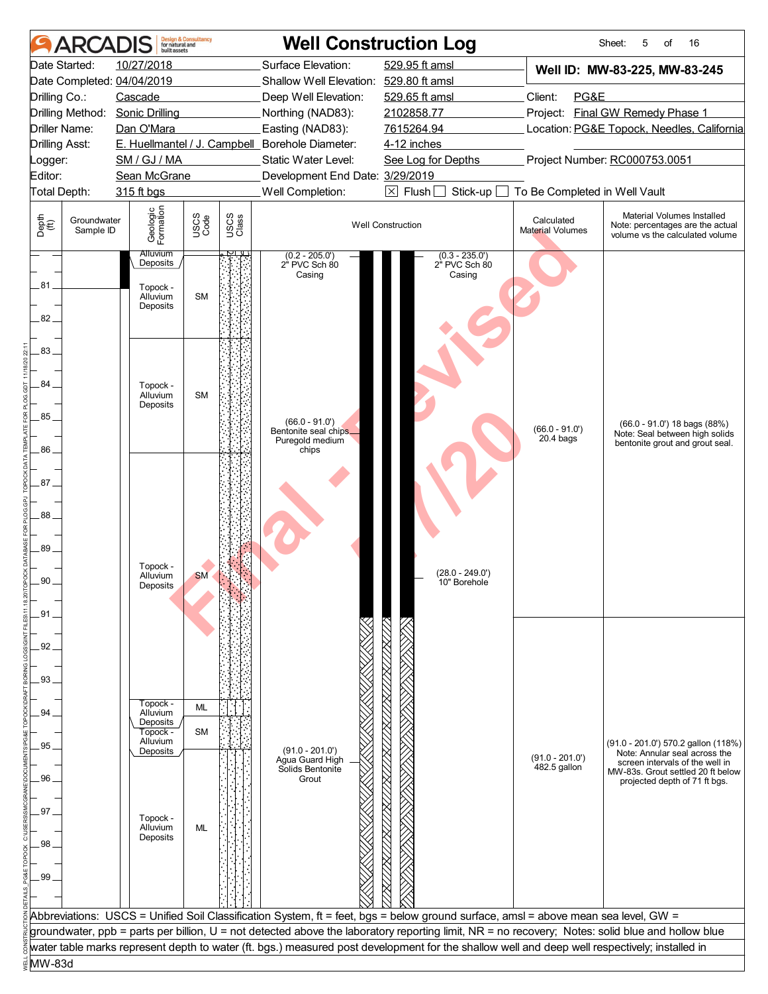| ARCADIS                                                    | built assets                     | <b>Design &amp; Consultancy</b><br>for natural and |               |                                                              | <b>Well Construction Log</b>                                                                                                                     |                                   | Sheet:<br>16<br>5<br>οf                                                                           |
|------------------------------------------------------------|----------------------------------|----------------------------------------------------|---------------|--------------------------------------------------------------|--------------------------------------------------------------------------------------------------------------------------------------------------|-----------------------------------|---------------------------------------------------------------------------------------------------|
| Date Started:<br>Date Completed: 04/04/2019                | 10/27/2018                       |                                                    |               | Surface Elevation:<br>Shallow Well Elevation: 529.80 ft amsl | 529.95 ft amsl                                                                                                                                   |                                   | Well ID: MW-83-225, MW-83-245                                                                     |
| Drilling Co.:                                              | Cascade                          |                                                    |               | Deep Well Elevation:                                         | 529.65 ft amsl                                                                                                                                   | Client:<br>PG&E                   |                                                                                                   |
| Drilling Method:                                           | <b>Sonic Drilling</b>            |                                                    |               | Northing (NAD83):                                            | 2102858.77                                                                                                                                       |                                   | Project: Final GW Remedy Phase 1                                                                  |
| Driller Name:                                              | Dan O'Mara                       |                                                    |               | Easting (NAD83):                                             | 7615264.94                                                                                                                                       |                                   | Location: PG&E Topock, Needles, California                                                        |
|                                                            |                                  |                                                    |               |                                                              |                                                                                                                                                  |                                   |                                                                                                   |
| <b>Drilling Asst:</b>                                      |                                  |                                                    |               | E. Huellmantel / J. Campbell_Borehole Diameter:              | 4-12 inches                                                                                                                                      |                                   |                                                                                                   |
| _ogger:                                                    | SM / GJ / MA                     |                                                    |               | Static Water Level:                                          | See Log for Depths                                                                                                                               |                                   | Project Number: RC000753.0051                                                                     |
| Editor:                                                    | Sean McGrane                     |                                                    |               | Development End Date: 3/29/2019                              |                                                                                                                                                  |                                   |                                                                                                   |
| Total Depth:                                               | 315 ft bgs                       |                                                    |               | Well Completion:                                             | $\boxtimes$ Flush<br>Stick-up                                                                                                                    | To Be Completed in Well Vault     |                                                                                                   |
| Depth<br>$\bigoplus_{i=1}^{n}$<br>Groundwater<br>Sample ID | Geologic<br>Formation            | USCS<br>Code                                       | USCS<br>Class |                                                              | <b>Well Construction</b>                                                                                                                         | Calculated<br>Material Volumes    | Material Volumes Installed<br>Note: percentages are the actual<br>volume vs the calculated volume |
|                                                            | <b>Alluvium</b><br>Deposits      |                                                    |               | $(0.2 - 205.0')$<br>2" PVC Sch 80                            | $(0.3 - 235.0')$<br>2" PVC Sch 80                                                                                                                |                                   |                                                                                                   |
|                                                            |                                  |                                                    |               | Casing                                                       | Casing                                                                                                                                           |                                   |                                                                                                   |
| .81<br>82.                                                 | Topock -<br>Alluvium<br>Deposits | <b>SM</b>                                          |               |                                                              |                                                                                                                                                  |                                   |                                                                                                   |
| 83                                                         |                                  |                                                    |               |                                                              |                                                                                                                                                  |                                   |                                                                                                   |
|                                                            |                                  |                                                    |               |                                                              |                                                                                                                                                  |                                   |                                                                                                   |
| 84                                                         | Topock -                         |                                                    |               |                                                              |                                                                                                                                                  |                                   |                                                                                                   |
|                                                            | Alluvium                         | <b>SM</b>                                          |               |                                                              |                                                                                                                                                  |                                   |                                                                                                   |
| 85                                                         | Deposits                         |                                                    |               |                                                              |                                                                                                                                                  |                                   |                                                                                                   |
|                                                            |                                  |                                                    |               | $(66.0 - 91.0)$<br>Bentonite seal chips_                     |                                                                                                                                                  | $(66.0 - 91.0')$                  | (66.0 - 91.0') 18 bags (88%)<br>Note: Seal between high solids                                    |
|                                                            |                                  |                                                    |               | Puregold medium                                              |                                                                                                                                                  | $20.4$ bags                       | bentonite grout and grout seal.                                                                   |
| 86                                                         |                                  |                                                    |               | chips                                                        |                                                                                                                                                  |                                   |                                                                                                   |
|                                                            |                                  |                                                    |               |                                                              |                                                                                                                                                  |                                   |                                                                                                   |
| 87.                                                        |                                  |                                                    |               |                                                              |                                                                                                                                                  |                                   |                                                                                                   |
|                                                            |                                  |                                                    |               |                                                              |                                                                                                                                                  |                                   |                                                                                                   |
| 88                                                         |                                  |                                                    |               |                                                              |                                                                                                                                                  |                                   |                                                                                                   |
|                                                            |                                  |                                                    |               |                                                              |                                                                                                                                                  |                                   |                                                                                                   |
| 89                                                         |                                  |                                                    |               |                                                              |                                                                                                                                                  |                                   |                                                                                                   |
|                                                            | Topock -<br>Alluvium             | <b>SM</b>                                          |               |                                                              | (28.0 - 249.0')                                                                                                                                  |                                   |                                                                                                   |
| 90.                                                        | Deposits                         |                                                    |               |                                                              | 10" Borehole                                                                                                                                     |                                   |                                                                                                   |
|                                                            |                                  |                                                    |               |                                                              |                                                                                                                                                  |                                   |                                                                                                   |
| .91                                                        |                                  |                                                    |               |                                                              |                                                                                                                                                  |                                   |                                                                                                   |
|                                                            |                                  |                                                    |               |                                                              |                                                                                                                                                  |                                   |                                                                                                   |
| 92                                                         |                                  |                                                    |               |                                                              |                                                                                                                                                  |                                   |                                                                                                   |
|                                                            |                                  |                                                    |               |                                                              |                                                                                                                                                  |                                   |                                                                                                   |
| 93.                                                        |                                  |                                                    |               |                                                              |                                                                                                                                                  |                                   |                                                                                                   |
|                                                            | Topock -                         |                                                    |               |                                                              |                                                                                                                                                  |                                   |                                                                                                   |
| 94                                                         | Alluvium                         | ML                                                 |               |                                                              |                                                                                                                                                  |                                   |                                                                                                   |
|                                                            | Deposits<br>Topock -             | <b>SM</b>                                          |               |                                                              |                                                                                                                                                  |                                   |                                                                                                   |
| 95                                                         | Alluvium<br>Deposits             |                                                    |               | $(91.0 - 201.0')$                                            |                                                                                                                                                  |                                   | (91.0 - 201.0') 570.2 gallon (118%)                                                               |
|                                                            |                                  |                                                    |               | Agua Guard High                                              |                                                                                                                                                  | $(91.0 - 201.0')$<br>482.5 gallon | Note: Annular seal across the<br>screen intervals of the well in                                  |
| 96                                                         |                                  |                                                    |               | Solids Bentonite<br>Grout                                    |                                                                                                                                                  |                                   | MW-83s. Grout settled 20 ft below<br>projected depth of 71 ft bgs.                                |
|                                                            |                                  |                                                    |               |                                                              |                                                                                                                                                  |                                   |                                                                                                   |
| .97                                                        |                                  |                                                    |               |                                                              |                                                                                                                                                  |                                   |                                                                                                   |
|                                                            | Topock -<br>Alluvium             | ML                                                 |               |                                                              |                                                                                                                                                  |                                   |                                                                                                   |
| 98                                                         | Deposits                         |                                                    |               |                                                              |                                                                                                                                                  |                                   |                                                                                                   |
|                                                            |                                  |                                                    |               |                                                              |                                                                                                                                                  |                                   |                                                                                                   |
|                                                            |                                  |                                                    |               |                                                              |                                                                                                                                                  |                                   |                                                                                                   |
| 99                                                         |                                  |                                                    |               |                                                              |                                                                                                                                                  |                                   |                                                                                                   |
|                                                            |                                  |                                                    |               |                                                              |                                                                                                                                                  |                                   |                                                                                                   |
|                                                            |                                  |                                                    |               |                                                              | Abbreviations: USCS = Unified Soil Classification System, ft = feet, bgs = below ground surface, amsl = above mean sea level, GW =               |                                   |                                                                                                   |
|                                                            |                                  |                                                    |               |                                                              | groundwater, ppb = parts per billion, U = not detected above the laboratory reporting limit, NR = no recovery; Notes: solid blue and hollow blue |                                   |                                                                                                   |
|                                                            |                                  |                                                    |               |                                                              | water table marks represent depth to water (ft. bgs.) measured post development for the shallow well and deep well respectively; installed in    |                                   |                                                                                                   |
| MW-83d                                                     |                                  |                                                    |               |                                                              |                                                                                                                                                  |                                   |                                                                                                   |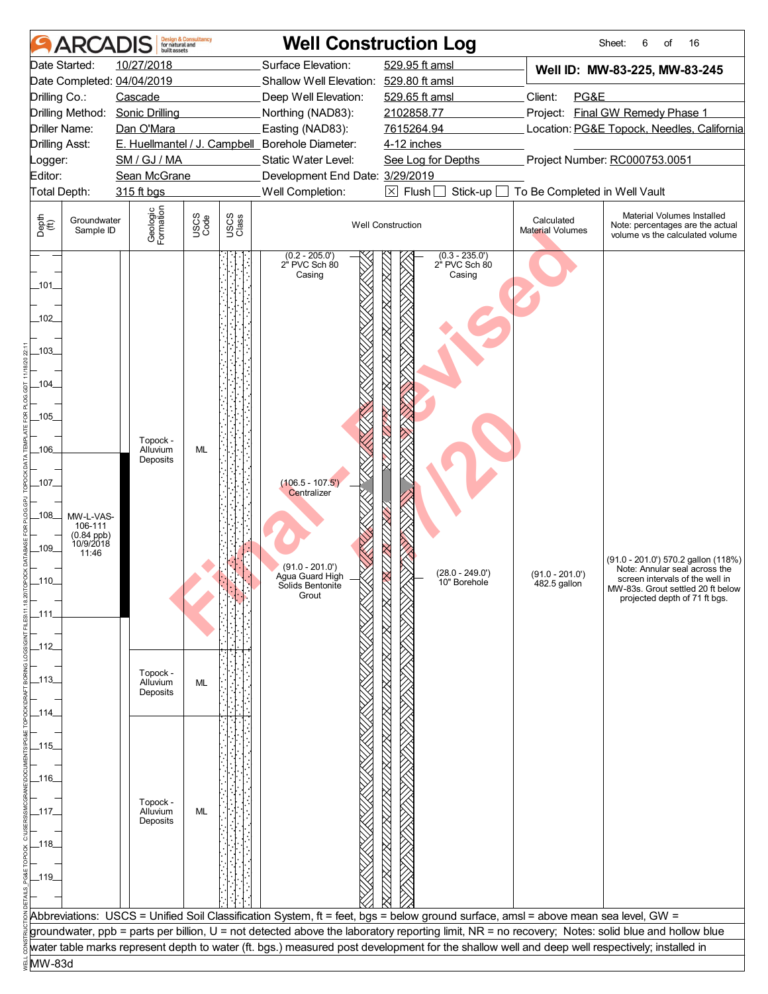| <b>ARCAI</b>                                                                                                                                                                                                                                             | <b>Design &amp; Consultancy</b><br>for natural and<br>huilt assets                                                                  |                               | <b>Well Construction Log</b>                                                                                                                                                                                                                                   |                                                                                                                                                                                                                                                                                                   |                                                                                                                                                                                                                                                                                                          | 16<br>Sheet:<br>6<br>of                                                                                                                                                                                          |
|----------------------------------------------------------------------------------------------------------------------------------------------------------------------------------------------------------------------------------------------------------|-------------------------------------------------------------------------------------------------------------------------------------|-------------------------------|----------------------------------------------------------------------------------------------------------------------------------------------------------------------------------------------------------------------------------------------------------------|---------------------------------------------------------------------------------------------------------------------------------------------------------------------------------------------------------------------------------------------------------------------------------------------------|----------------------------------------------------------------------------------------------------------------------------------------------------------------------------------------------------------------------------------------------------------------------------------------------------------|------------------------------------------------------------------------------------------------------------------------------------------------------------------------------------------------------------------|
| Date Started:<br>Date Completed: 04/04/2019<br>Drilling Co.:<br>Drilling Method:<br>Driller Name:<br><b>Drilling Asst:</b><br>_ogger:<br>Editor:<br>Total Depth:<br>Depth<br>(ff)<br>Groundwater<br>Sample ID                                            | 10/27/2018<br>Cascade<br><b>Sonic Drilling</b><br>Dan O'Mara<br>SM / GJ / MA<br>Sean McGrane<br>315 ft bgs<br>Geologic<br>Formation | USCS<br>Code<br>USCS<br>Class | Surface Elevation:<br>Shallow Well Elevation: 529.80 ft amsl<br>Deep Well Elevation:<br>Northing (NAD83):<br>Easting (NAD83):<br>E. Huellmantel / J. Campbell Borehole Diameter:<br>Static Water Level:<br>Development End Date: 3/29/2019<br>Well Completion: | 529.95 ft amsl<br>529.65 ft amsl<br>2102858.77<br>7615264.94<br>4-12 inches<br>See Log for Depths<br>$\boxtimes$ Flush<br>Stick-up<br><b>Well Construction</b>                                                                                                                                    | Well ID: MW-83-225, MW-83-245<br>Client:<br>PG&E<br>Project: Final GW Remedy Phase 1<br>Location: PG&E Topock, Needles, California<br>Project Number: RC000753.0051<br>To Be Completed in Well Vault<br>Material Volumes Installed<br>Calculated<br>Note: percentages are the actual<br>Material Volumes |                                                                                                                                                                                                                  |
| _101_<br>$-102$<br>_103_<br>$-104$<br>$105$ <sub>-</sub><br>$-106$<br>_107_<br>$-108$<br>MW-L-VAS-<br>106-111<br>$(0.84$ ppb)<br>10/9/2018<br>$-109$<br>11:46<br>$-110$<br>_111<br>_112_<br>_113_<br>_114_<br>_115_<br>_116_<br>_117_<br>_118_<br>$-119$ | Topock -<br>Alluvium<br>Deposits<br>Topock -<br>Alluvium<br>Deposits<br>Topock -<br>Alluvium<br>Deposits                            | <b>ML</b><br><b>ML</b><br>ML  | $(0.2 - 205.0')$<br>2" PVC Sch 80<br>Casing<br>$(106.5 - 107.5')$<br>Centralizer<br>$(91.0 - 201.0')$<br>Agua Guard High<br>Solids Bentonite<br>Grout                                                                                                          | $(0.3 - 235.0')$<br>2 <sup>"</sup> PVC Sch 80<br>Casing<br>$(28.0 - 249.0')$<br>10" Borehole<br>Abbreviations: USCS = Unified Soil Classification System, ft = feet, bgs = below ground surface, amsl = above mean sea level, GW =                                                                | $(91.0 - 201.0')$<br>482.5 gallon                                                                                                                                                                                                                                                                        | volume vs the calculated volume<br>(91.0 - 201.0') 570.2 gallon (118%)<br>Note: Annular seal across the<br>screen intervals of the well in<br>MW-83s. Grout settled 20 ft belov<br>projected depth of 71 ft bgs. |
| MW-83d                                                                                                                                                                                                                                                   |                                                                                                                                     |                               |                                                                                                                                                                                                                                                                | groundwater, ppb = parts per billion, U = not detected above the laboratory reporting limit, NR = no recovery; Notes: solid blue and hollow blue<br>water table marks represent depth to water (ft. bgs.) measured post development for the shallow well and deep well respectively; installed in |                                                                                                                                                                                                                                                                                                          |                                                                                                                                                                                                                  |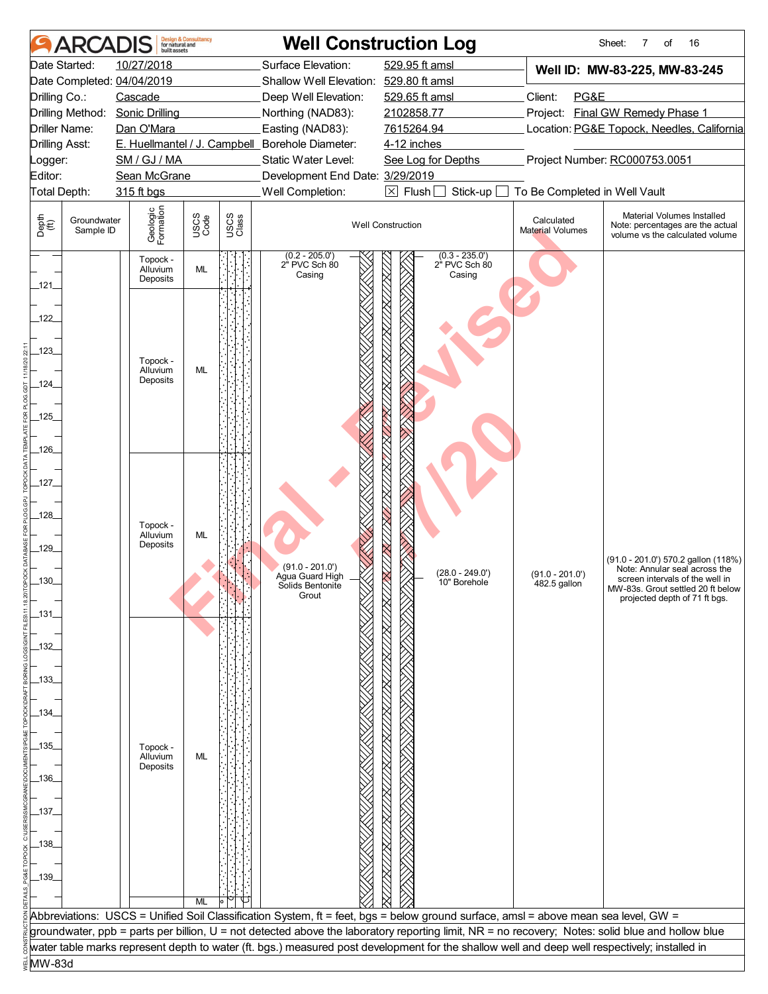|                       | <b>ARCADIS</b>           | built assets                     | <b>Design &amp; Consultancy</b><br>for natural and |                                                                                                             |                                             | <b>Well Construction Log</b>                                                                                                                     |                                       | Sheet:<br>16<br>7<br>of                                              |
|-----------------------|--------------------------|----------------------------------|----------------------------------------------------|-------------------------------------------------------------------------------------------------------------|---------------------------------------------|--------------------------------------------------------------------------------------------------------------------------------------------------|---------------------------------------|----------------------------------------------------------------------|
|                       | Date Started:            | 10/27/2018                       |                                                    |                                                                                                             | Surface Elevation:                          | 529.95 ft amsl                                                                                                                                   |                                       | Well ID: MW-83-225, MW-83-245                                        |
|                       |                          | Date Completed: 04/04/2019       |                                                    |                                                                                                             | Shallow Well Elevation: 529.80 ft amsl      |                                                                                                                                                  |                                       |                                                                      |
| Drilling Co.:         |                          | Cascade                          |                                                    |                                                                                                             | Deep Well Elevation:                        | 529.65 ft amsl                                                                                                                                   | Client:<br>PG&E                       |                                                                      |
|                       | Drilling Method:         | <b>Sonic Drilling</b>            |                                                    | Northing (NAD83):                                                                                           |                                             | 2102858.77                                                                                                                                       |                                       | Project: Final GW Remedy Phase 1                                     |
| Driller Name:         |                          | Dan O'Mara                       |                                                    |                                                                                                             | Easting (NAD83):                            | 7615264.94                                                                                                                                       |                                       | Location: PG&E Topock, Needles, California                           |
| <b>Drilling Asst:</b> |                          | SM / GJ / MA                     |                                                    | E. Huellmantel / J. Campbell Borehole Diameter:<br>4-12 inches<br>Static Water Level:<br>See Log for Depths |                                             |                                                                                                                                                  | Project Number: RC000753.0051         |                                                                      |
| Logger:<br>Editor:    |                          | Sean McGrane                     |                                                    |                                                                                                             | Development End Date: 3/29/2019             |                                                                                                                                                  |                                       |                                                                      |
| Total Depth:          |                          | 315 ft bgs                       |                                                    |                                                                                                             | Well Completion:                            | $\boxtimes$ Flush [<br>Stick-up                                                                                                                  | To Be Completed in Well Vault         |                                                                      |
|                       |                          |                                  |                                                    |                                                                                                             |                                             |                                                                                                                                                  |                                       | Material Volumes Installed                                           |
| Depth<br>(ff)         | Groundwater<br>Sample ID | Geologic<br>Formation            | USCS<br>Code                                       | USCS<br>Class                                                                                               |                                             | <b>Well Construction</b>                                                                                                                         | Calculated<br><b>Material Volumes</b> | Note: percentages are the actual<br>volume vs the calculated volume  |
| _121_                 |                          | Topock -<br>Alluvium<br>Deposits | ML                                                 |                                                                                                             | $(0.2 - 205.0')$<br>2" PVC Sch 80<br>Casing | $(0.3 - 235.0')$<br>2" PVC Sch 80<br>Casing                                                                                                      |                                       |                                                                      |
| $-122$                |                          |                                  |                                                    |                                                                                                             |                                             |                                                                                                                                                  |                                       |                                                                      |
| $-123$                |                          |                                  |                                                    |                                                                                                             |                                             |                                                                                                                                                  |                                       |                                                                      |
|                       |                          | Topock -<br>Alluvium             | ML                                                 |                                                                                                             |                                             |                                                                                                                                                  |                                       |                                                                      |
| $-124$                |                          | Deposits                         |                                                    |                                                                                                             |                                             |                                                                                                                                                  |                                       |                                                                      |
|                       |                          |                                  |                                                    |                                                                                                             |                                             |                                                                                                                                                  |                                       |                                                                      |
| $-125$                |                          |                                  |                                                    |                                                                                                             |                                             |                                                                                                                                                  |                                       |                                                                      |
|                       |                          |                                  |                                                    |                                                                                                             |                                             |                                                                                                                                                  |                                       |                                                                      |
| $-126$                |                          |                                  |                                                    |                                                                                                             |                                             |                                                                                                                                                  |                                       |                                                                      |
|                       |                          |                                  |                                                    |                                                                                                             |                                             |                                                                                                                                                  |                                       |                                                                      |
| _127_                 |                          |                                  |                                                    |                                                                                                             |                                             |                                                                                                                                                  |                                       |                                                                      |
| $-128$                |                          |                                  |                                                    |                                                                                                             |                                             |                                                                                                                                                  |                                       |                                                                      |
|                       |                          | Topock -<br>Alluvium             | ML                                                 |                                                                                                             |                                             |                                                                                                                                                  |                                       |                                                                      |
| $-129$                |                          | Deposits                         |                                                    |                                                                                                             |                                             |                                                                                                                                                  |                                       |                                                                      |
|                       |                          |                                  |                                                    |                                                                                                             | $(91.0 - 201.0')$                           |                                                                                                                                                  |                                       | (91.0 - 201.0') 570.2 gallon (118%)<br>Note: Annular seal across the |
| $.130 -$              |                          |                                  |                                                    |                                                                                                             | Agua Guard High<br>Solids Bentonite         | $(28.0 - 249.0')$<br>10" Borehole                                                                                                                | $(91.0 - 201.0')$<br>482.5 gallon     | screen intervals of the well in<br>MW-83s. Grout settled 20 ft below |
|                       |                          |                                  |                                                    |                                                                                                             | Grout                                       |                                                                                                                                                  |                                       | projected depth of 71 ft bgs.                                        |
| $\_131$               |                          |                                  |                                                    |                                                                                                             |                                             |                                                                                                                                                  |                                       |                                                                      |
|                       |                          |                                  |                                                    |                                                                                                             |                                             |                                                                                                                                                  |                                       |                                                                      |
| _132_                 |                          |                                  |                                                    |                                                                                                             |                                             |                                                                                                                                                  |                                       |                                                                      |
|                       |                          |                                  |                                                    |                                                                                                             |                                             |                                                                                                                                                  |                                       |                                                                      |
| _133_                 |                          |                                  |                                                    |                                                                                                             |                                             |                                                                                                                                                  |                                       |                                                                      |
|                       |                          |                                  |                                                    |                                                                                                             |                                             |                                                                                                                                                  |                                       |                                                                      |
| _134_                 |                          |                                  |                                                    |                                                                                                             |                                             |                                                                                                                                                  |                                       |                                                                      |
| _135_                 |                          |                                  |                                                    |                                                                                                             |                                             |                                                                                                                                                  |                                       |                                                                      |
|                       |                          | Topock -<br>Alluvium             | ML                                                 |                                                                                                             |                                             |                                                                                                                                                  |                                       |                                                                      |
| _136_                 |                          | Deposits                         |                                                    |                                                                                                             |                                             |                                                                                                                                                  |                                       |                                                                      |
|                       |                          |                                  |                                                    |                                                                                                             |                                             |                                                                                                                                                  |                                       |                                                                      |
| _137_                 |                          |                                  |                                                    |                                                                                                             |                                             |                                                                                                                                                  |                                       |                                                                      |
|                       |                          |                                  |                                                    |                                                                                                             |                                             |                                                                                                                                                  |                                       |                                                                      |
| _138_                 |                          |                                  |                                                    |                                                                                                             |                                             |                                                                                                                                                  |                                       |                                                                      |
|                       |                          |                                  |                                                    |                                                                                                             |                                             |                                                                                                                                                  |                                       |                                                                      |
| _139_                 |                          |                                  |                                                    |                                                                                                             |                                             |                                                                                                                                                  |                                       |                                                                      |
|                       |                          |                                  |                                                    |                                                                                                             |                                             |                                                                                                                                                  |                                       |                                                                      |
|                       |                          |                                  | ML                                                 |                                                                                                             |                                             | Abbreviations: USCS = Unified Soil Classification System, ft = feet, bgs = below ground surface, amsl = above mean sea level, GW =               |                                       |                                                                      |
|                       |                          |                                  |                                                    |                                                                                                             |                                             | groundwater, ppb = parts per billion, U = not detected above the laboratory reporting limit, NR = no recovery; Notes: solid blue and hollow blue |                                       |                                                                      |
|                       |                          |                                  |                                                    |                                                                                                             |                                             | water table marks represent depth to water (ft. bgs.) measured post development for the shallow well and deep well respectively; installed in    |                                       |                                                                      |
| MW-83d                |                          |                                  |                                                    |                                                                                                             |                                             |                                                                                                                                                  |                                       |                                                                      |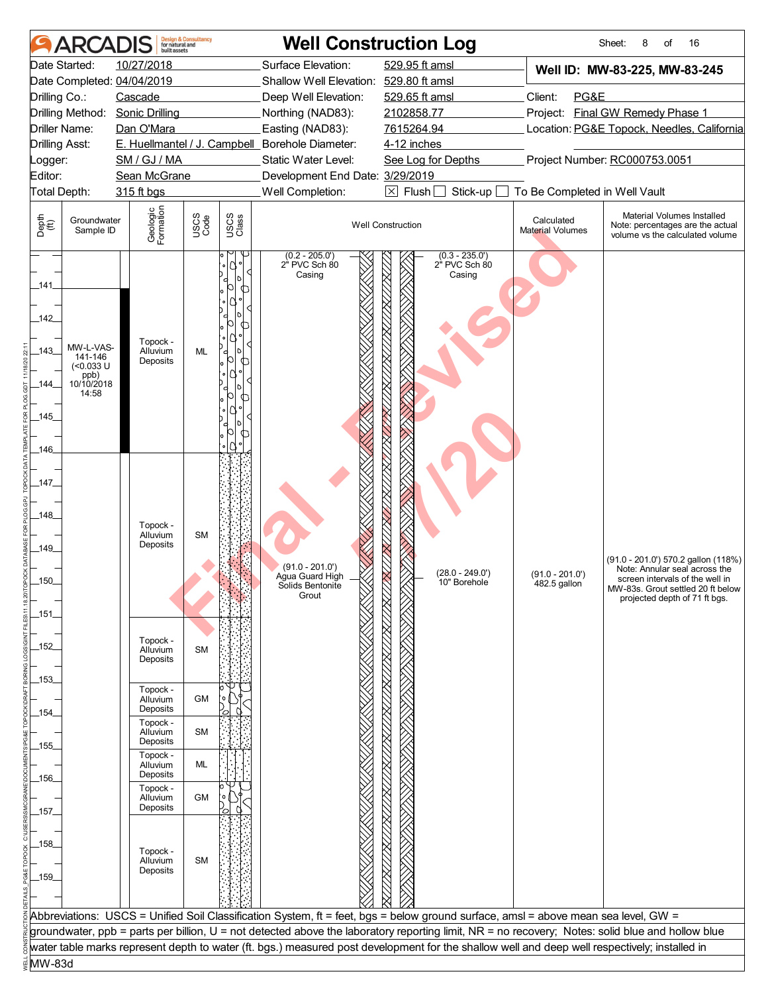|                       | <b>ARCADIS</b>           | built assets               | <b>Design &amp; Consultancy</b><br>for natural and |               |                                                                        | <b>Well Construction Log</b>                                                                                                                     |                                       | Sheet:<br>16<br>8<br>of                                                                           |
|-----------------------|--------------------------|----------------------------|----------------------------------------------------|---------------|------------------------------------------------------------------------|--------------------------------------------------------------------------------------------------------------------------------------------------|---------------------------------------|---------------------------------------------------------------------------------------------------|
|                       | Date Started:            | 10/27/2018                 |                                                    |               | Surface Elevation:                                                     | 529.95 ft amsl                                                                                                                                   |                                       | Well ID: MW-83-225, MW-83-245                                                                     |
|                       |                          | Date Completed: 04/04/2019 |                                                    |               | Shallow Well Elevation: 529.80 ft amsl                                 |                                                                                                                                                  |                                       |                                                                                                   |
| Drilling Co.:         |                          | Cascade                    |                                                    |               | Deep Well Elevation:                                                   | 529.65 ft amsl                                                                                                                                   | Client:<br>PG&E                       |                                                                                                   |
|                       | Drilling Method:         | <b>Sonic Drilling</b>      |                                                    |               | Northing (NAD83):                                                      | 2102858.77                                                                                                                                       |                                       | Project: Final GW Remedy Phase 1                                                                  |
|                       | Driller Name:            | Dan O'Mara                 |                                                    |               | Easting (NAD83):                                                       | 7615264.94                                                                                                                                       |                                       | Location: PG&E Topock, Needles, California                                                        |
| <b>Drilling Asst:</b> |                          | SM / GJ / MA               |                                                    |               | E. Huellmantel / J. Campbell_Borehole Diameter:<br>Static Water Level: | 4-12 inches                                                                                                                                      |                                       | Project Number: RC000753.0051                                                                     |
| Logger:<br>Editor:    |                          | Sean McGrane               |                                                    |               | Development End Date: 3/29/2019                                        | See Log for Depths                                                                                                                               |                                       |                                                                                                   |
| Total Depth:          |                          | 315 ft bgs                 |                                                    |               | Well Completion:                                                       | $\boxtimes$ Flush [<br>Stick-up                                                                                                                  | To Be Completed in Well Vault         |                                                                                                   |
|                       |                          |                            |                                                    |               |                                                                        |                                                                                                                                                  |                                       |                                                                                                   |
| Depth<br>(ff)         | Groundwater<br>Sample ID | Geologic<br>Formation      | USCS<br>Code                                       | USCS<br>Class |                                                                        | <b>Well Construction</b>                                                                                                                         | Calculated<br><b>Material Volumes</b> | Material Volumes Installed<br>Note: percentages are the actual<br>volume vs the calculated volume |
|                       |                          |                            |                                                    | 7             | $(0.2 - 205.0')$<br>2" PVC Sch 80<br>Casing                            | $(0.3 - 235.0')$<br>2" PVC Sch 80<br>Casing                                                                                                      |                                       |                                                                                                   |
| _141.                 |                          |                            |                                                    | ╓             |                                                                        |                                                                                                                                                  |                                       |                                                                                                   |
|                       |                          |                            |                                                    |               |                                                                        |                                                                                                                                                  |                                       |                                                                                                   |
| $-142$                |                          |                            |                                                    | ∩             |                                                                        |                                                                                                                                                  |                                       |                                                                                                   |
|                       | MW-L-VAS-                | Topock -<br>Alluvium       |                                                    |               |                                                                        |                                                                                                                                                  |                                       |                                                                                                   |
| 143                   | 141-146<br>$(0.033 \cup$ | Deposits                   | ML                                                 | d<br>⋂        |                                                                        |                                                                                                                                                  |                                       |                                                                                                   |
|                       | ppb)<br>10/10/2018       |                            |                                                    |               |                                                                        |                                                                                                                                                  |                                       |                                                                                                   |
| _144_                 | 14:58                    |                            |                                                    | Œ             |                                                                        |                                                                                                                                                  |                                       |                                                                                                   |
| $145$ <sub>-</sub>    |                          |                            |                                                    |               |                                                                        |                                                                                                                                                  |                                       |                                                                                                   |
|                       |                          |                            |                                                    | Œ.            |                                                                        |                                                                                                                                                  |                                       |                                                                                                   |
| $-146$                |                          |                            |                                                    |               |                                                                        |                                                                                                                                                  |                                       |                                                                                                   |
|                       |                          |                            |                                                    |               |                                                                        |                                                                                                                                                  |                                       |                                                                                                   |
| 147                   |                          |                            |                                                    |               |                                                                        |                                                                                                                                                  |                                       |                                                                                                   |
|                       |                          |                            |                                                    |               |                                                                        |                                                                                                                                                  |                                       |                                                                                                   |
| $-148$                |                          |                            |                                                    |               |                                                                        |                                                                                                                                                  |                                       |                                                                                                   |
|                       |                          | Topock -<br>Alluvium       | <b>SM</b>                                          |               |                                                                        |                                                                                                                                                  |                                       |                                                                                                   |
| _149_                 |                          | Deposits                   |                                                    |               |                                                                        |                                                                                                                                                  |                                       |                                                                                                   |
|                       |                          |                            |                                                    |               | $(91.0 - 201.0')$                                                      |                                                                                                                                                  |                                       | (91.0 - 201.0') 570.2 gallon (118%)<br>Note: Annular seal across the                              |
| $.150 -$              |                          |                            |                                                    |               | Agua Guard High<br>Solids Bentonite                                    | $(28.0 - 249.0')$<br>10" Borehole                                                                                                                | $(91.0 - 201.0')$<br>482.5 gallon     | screen intervals of the well in                                                                   |
|                       |                          |                            |                                                    |               | Grout                                                                  |                                                                                                                                                  |                                       | MW-83s. Grout settled 20 ft below<br>projected depth of 71 ft bgs.                                |
| _151_                 |                          |                            |                                                    |               |                                                                        |                                                                                                                                                  |                                       |                                                                                                   |
|                       |                          |                            |                                                    |               |                                                                        |                                                                                                                                                  |                                       |                                                                                                   |
| _152_                 |                          | Topock -<br>Alluvium       | <b>SM</b>                                          |               |                                                                        |                                                                                                                                                  |                                       |                                                                                                   |
|                       |                          | Deposits                   |                                                    |               |                                                                        |                                                                                                                                                  |                                       |                                                                                                   |
| _153_                 |                          |                            |                                                    |               |                                                                        |                                                                                                                                                  |                                       |                                                                                                   |
|                       |                          | Topock -<br>Alluvium       | GM                                                 |               |                                                                        |                                                                                                                                                  |                                       |                                                                                                   |
| _154_                 |                          | Deposits                   |                                                    |               |                                                                        |                                                                                                                                                  |                                       |                                                                                                   |
|                       |                          | Topock -<br>Alluvium       | <b>SM</b>                                          |               |                                                                        |                                                                                                                                                  |                                       |                                                                                                   |
| _155_                 |                          | Deposits                   |                                                    |               |                                                                        |                                                                                                                                                  |                                       |                                                                                                   |
|                       |                          | Topock -<br>Alluvium       | ML                                                 |               |                                                                        |                                                                                                                                                  |                                       |                                                                                                   |
| _156_                 |                          | Deposits                   |                                                    |               |                                                                        |                                                                                                                                                  |                                       |                                                                                                   |
|                       |                          | Topock -<br>Alluvium       | GM                                                 |               |                                                                        |                                                                                                                                                  |                                       |                                                                                                   |
| _157_                 |                          | Deposits                   |                                                    |               |                                                                        |                                                                                                                                                  |                                       |                                                                                                   |
|                       |                          |                            |                                                    |               |                                                                        |                                                                                                                                                  |                                       |                                                                                                   |
| _158_                 |                          | Topock -                   |                                                    |               |                                                                        |                                                                                                                                                  |                                       |                                                                                                   |
|                       |                          | Alluvium                   | <b>SM</b>                                          |               |                                                                        |                                                                                                                                                  |                                       |                                                                                                   |
| _159_                 |                          | Deposits                   |                                                    |               |                                                                        |                                                                                                                                                  |                                       |                                                                                                   |
|                       |                          |                            |                                                    |               |                                                                        |                                                                                                                                                  |                                       |                                                                                                   |
|                       |                          |                            |                                                    |               |                                                                        | Abbreviations: USCS = Unified Soil Classification System, ft = feet, bgs = below ground surface, amsl = above mean sea level, GW =               |                                       |                                                                                                   |
|                       |                          |                            |                                                    |               |                                                                        | groundwater, ppb = parts per billion, U = not detected above the laboratory reporting limit, NR = no recovery; Notes: solid blue and hollow blue |                                       |                                                                                                   |
|                       |                          |                            |                                                    |               |                                                                        | water table marks represent depth to water (ft. bgs.) measured post development for the shallow well and deep well respectively; installed in    |                                       |                                                                                                   |
| MW-83d                |                          |                            |                                                    |               |                                                                        |                                                                                                                                                  |                                       |                                                                                                   |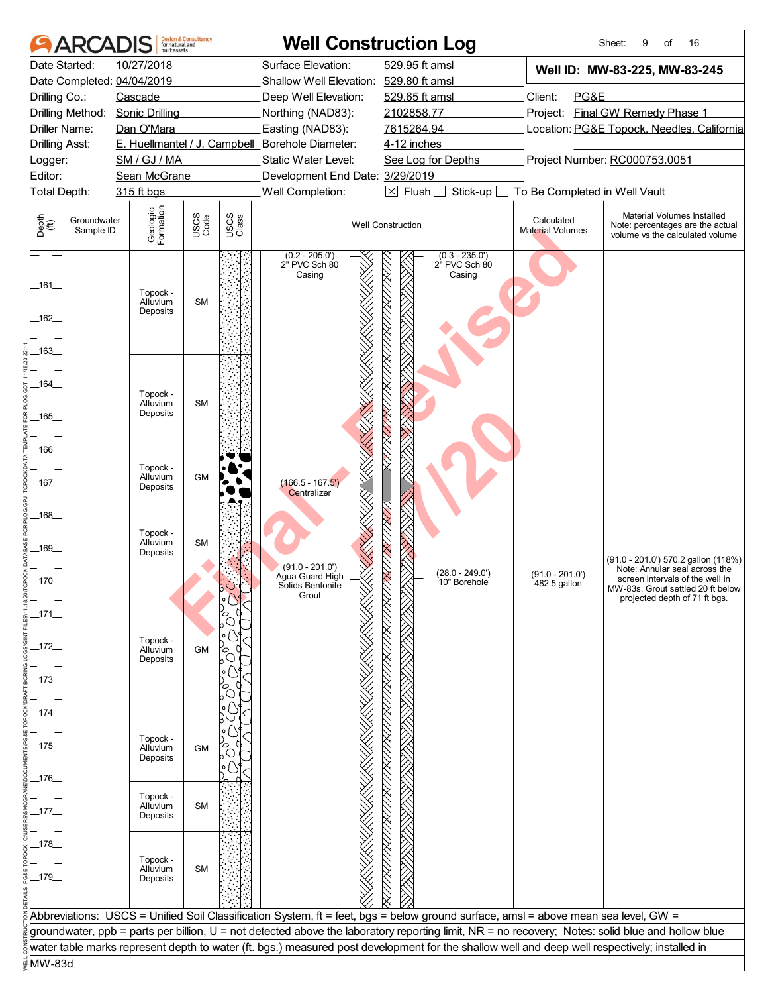|                                                            | <b>ARCADIS</b>                   | <b>Design &amp; Consultancy</b><br>for natural and<br>built assets |               | <b>Well Construction Log</b>                    |                                                                                                                                                     |                                       | 16<br>Sheet:<br>9<br>of                                                                                 |
|------------------------------------------------------------|----------------------------------|--------------------------------------------------------------------|---------------|-------------------------------------------------|-----------------------------------------------------------------------------------------------------------------------------------------------------|---------------------------------------|---------------------------------------------------------------------------------------------------------|
| Date Started:                                              | 10/27/2018                       |                                                                    |               | Surface Elevation:                              | 529.95 ft amsl                                                                                                                                      |                                       | Well ID: MW-83-225, MW-83-245                                                                           |
| Date Completed: 04/04/2019                                 |                                  |                                                                    |               | Shallow Well Elevation:                         | 529.80 ft amsl                                                                                                                                      |                                       |                                                                                                         |
| Drilling Co.:                                              | Cascade                          |                                                                    |               | Deep Well Elevation:                            | 529.65 ft amsl                                                                                                                                      | Client:<br>PG&E                       |                                                                                                         |
| Drilling Method:                                           | Sonic Drilling                   |                                                                    |               | Northing (NAD83):                               | 2102858.77                                                                                                                                          |                                       | Project: Final GW Remedy Phase 1                                                                        |
| Driller Name:                                              | Dan O'Mara                       |                                                                    |               | Easting (NAD83):                                | 7615264.94                                                                                                                                          |                                       | Location: PG&E Topock, Needles, California                                                              |
| Drilling Asst:                                             |                                  |                                                                    |               | E. Huellmantel / J. Campbell_Borehole Diameter: | 4-12 inches                                                                                                                                         |                                       |                                                                                                         |
| .ogger:                                                    | SM / GJ / MA                     |                                                                    |               | Static Water Level:                             | See Log for Depths                                                                                                                                  |                                       | Project Number: RC000753.0051                                                                           |
| Editor:                                                    | Sean McGrane                     |                                                                    |               | Development End Date: 3/29/2019                 |                                                                                                                                                     |                                       |                                                                                                         |
| Total Depth:                                               | 315 ft bgs                       |                                                                    |               | Well Completion:                                | $\boxtimes$ Flush<br>Stick-up                                                                                                                       | To Be Completed in Well Vault         |                                                                                                         |
| Depth<br>$\bigoplus_{i=1}^{n}$<br>Groundwater<br>Sample ID | Geologic<br>Formation            | USCS<br>Code                                                       | USCS<br>Class |                                                 | <b>Well Construction</b>                                                                                                                            | Calculated<br><b>Material Volumes</b> | Material Volumes Installed<br>Note: percentages are the actual<br>volume vs the calculated volume       |
| _161_<br>162<br>$-163$                                     | Topock -<br>Alluvium<br>Deposits | <b>SM</b>                                                          |               | $(0.2 - 205.0')$<br>2" PVC Sch 80<br>Casing     | $(0.3 - 235.0')$<br>2" PVC Sch 80<br>Casing                                                                                                         |                                       |                                                                                                         |
| _164_<br>165<br>166.                                       | Topock -<br>Alluvium<br>Deposits | <b>SM</b>                                                          |               |                                                 |                                                                                                                                                     |                                       |                                                                                                         |
| 167.                                                       | Topock -<br>Alluvium<br>Deposits | <b>GM</b>                                                          |               | $(166.5 - 167.5')$<br>Centralizer               |                                                                                                                                                     |                                       |                                                                                                         |
| 168<br>_169_<br>$-170-$                                    | Topock -<br>Alluvium<br>Deposits | <b>SM</b>                                                          |               | $(91.0 - 201.0')$<br>Agua Guard High            | $(28.0 - 249.0')$<br>10" Borehole                                                                                                                   | $(91.0 - 201.0')$<br>482.5 gallon     | (91.0 - 201.0') 570.2 gallon (118%)<br>Note: Annular seal across the<br>screen intervals of the well in |
| $-171$<br>_172<br>_173_                                    | Topock -<br>Alluvium<br>Deposits | <b>GM</b>                                                          | с             | Solids Bentonite<br>Grout                       |                                                                                                                                                     |                                       | MW-83s. Grout settled 20 ft below<br>projected depth of 71 ft bgs.                                      |
| _174_<br>_175_<br>176.                                     | Topock -<br>Alluvium<br>Deposits | <b>GM</b>                                                          |               |                                                 |                                                                                                                                                     |                                       |                                                                                                         |
| _177_                                                      | Topock -<br>Alluvium<br>Deposits | <b>SM</b>                                                          |               |                                                 |                                                                                                                                                     |                                       |                                                                                                         |
| _178_<br>_179_                                             | Topock -<br>Alluvium<br>Deposits | <b>SM</b>                                                          |               |                                                 |                                                                                                                                                     |                                       |                                                                                                         |
|                                                            |                                  |                                                                    |               |                                                 | Abbreviations: USCS = Unified Soil Classification System, ft = feet, bgs = below ground surface, amsl = above mean sea level, GW =                  |                                       |                                                                                                         |
|                                                            |                                  |                                                                    |               |                                                 |                                                                                                                                                     |                                       |                                                                                                         |
|                                                            |                                  |                                                                    |               |                                                 | groundwater, ppb = parts per billion, U = not detected above the laboratory reporting limit, NR = no recovery; Notes: solid blue and hollow blue    |                                       |                                                                                                         |
|                                                            |                                  |                                                                    |               |                                                 | $\H[$ water table marks represent depth to water (ft. bgs.) measured post development for the shallow well and deep well respectively; installed in |                                       |                                                                                                         |
| ⊌MW-83d                                                    |                                  |                                                                    |               |                                                 |                                                                                                                                                     |                                       |                                                                                                         |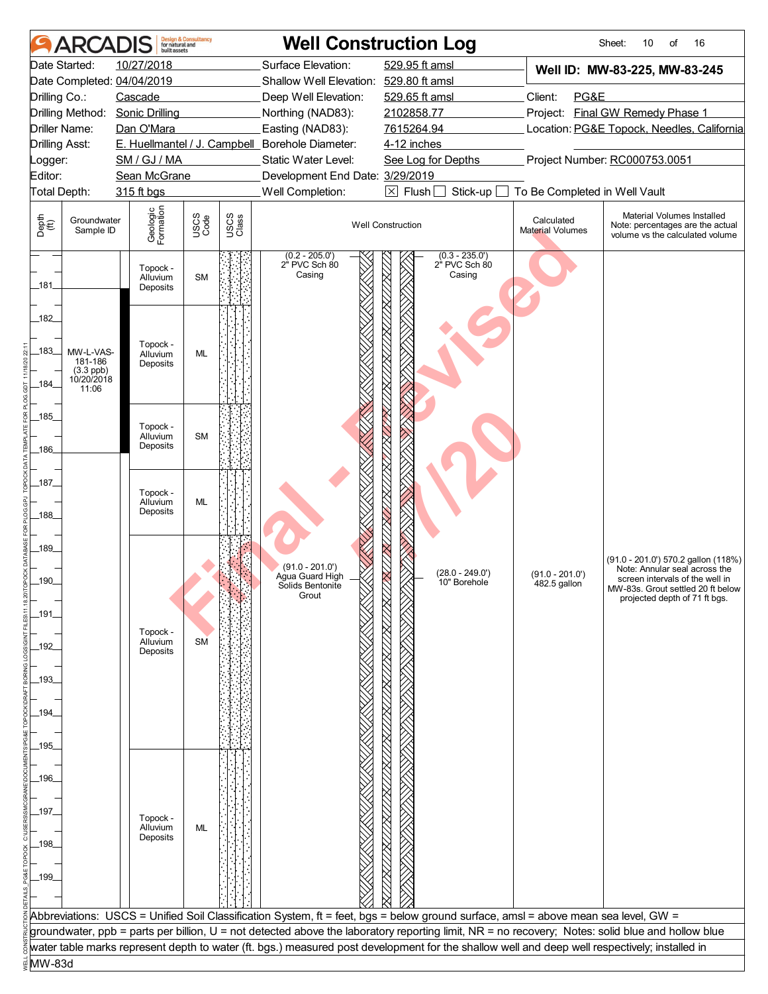|                                | <b>ARCADIS</b>              | built assets               | <b>Design &amp; Consultancy</b><br>for natural and |               |                                                                        | <b>Well Construction Log</b>                                                                                                                     |                                       | Sheet:<br>16<br>10<br>of                                                                          |
|--------------------------------|-----------------------------|----------------------------|----------------------------------------------------|---------------|------------------------------------------------------------------------|--------------------------------------------------------------------------------------------------------------------------------------------------|---------------------------------------|---------------------------------------------------------------------------------------------------|
|                                | Date Started:               | 10/27/2018                 |                                                    |               | Surface Elevation:                                                     | 529.95 ft amsl                                                                                                                                   |                                       | Well ID: MW-83-225, MW-83-245                                                                     |
|                                |                             | Date Completed: 04/04/2019 |                                                    |               | Shallow Well Elevation: 529.80 ft amsl                                 |                                                                                                                                                  |                                       |                                                                                                   |
| Drilling Co.:                  |                             | Cascade                    |                                                    |               | Deep Well Elevation:                                                   | 529.65 ft amsl                                                                                                                                   | Client:<br>PG&E                       |                                                                                                   |
|                                | Drilling Method:            | <b>Sonic Drilling</b>      |                                                    |               | Northing (NAD83):                                                      | 2102858.77                                                                                                                                       |                                       | Project: Final GW Remedy Phase 1                                                                  |
|                                | Driller Name:               | Dan O'Mara                 |                                                    |               | Easting (NAD83):                                                       | 7615264.94                                                                                                                                       |                                       | Location: PG&E Topock, Needles, California                                                        |
| <b>Drilling Asst:</b>          |                             | SM / GJ / MA               |                                                    |               | E. Huellmantel / J. Campbell_Borehole Diameter:<br>Static Water Level: | 4-12 inches                                                                                                                                      |                                       | Project Number: RC000753.0051                                                                     |
| Logger:<br>Editor:             |                             | Sean McGrane               |                                                    |               | Development End Date: 3/29/2019                                        | See Log for Depths                                                                                                                               |                                       |                                                                                                   |
|                                | Total Depth:                | 315 ft bgs                 |                                                    |               | Well Completion:                                                       | $\boxtimes$ Flush [<br>Stick-up                                                                                                                  | To Be Completed in Well Vault         |                                                                                                   |
|                                |                             |                            |                                                    |               |                                                                        |                                                                                                                                                  |                                       |                                                                                                   |
| Depth<br>$\bigoplus_{i=1}^{n}$ | Groundwater<br>Sample ID    | Geologic<br>Formation      | USCS<br>Code                                       | USCS<br>Class |                                                                        | <b>Well Construction</b>                                                                                                                         | Calculated<br><b>Material Volumes</b> | Material Volumes Installed<br>Note: percentages are the actual<br>volume vs the calculated volume |
|                                |                             | Topock -<br>Alluvium       | <b>SM</b>                                          |               | $(0.2 - 205.0')$<br>2" PVC Sch 80<br>Casing                            | $(0.3 - 235.0')$<br>2" PVC Sch 80<br>Casing                                                                                                      |                                       |                                                                                                   |
| _181_                          |                             | Deposits                   |                                                    |               |                                                                        |                                                                                                                                                  |                                       |                                                                                                   |
| 182                            |                             | Topock -                   |                                                    |               |                                                                        |                                                                                                                                                  |                                       |                                                                                                   |
| $-183$                         | MW-L-VAS-<br>181-186        | Alluvium<br>Deposits       | <b>ML</b>                                          |               |                                                                        |                                                                                                                                                  |                                       |                                                                                                   |
| 184                            | $(3.3$ ppb)<br>$10/20/2018$ |                            |                                                    |               |                                                                        |                                                                                                                                                  |                                       |                                                                                                   |
|                                | 11:06                       |                            |                                                    |               |                                                                        |                                                                                                                                                  |                                       |                                                                                                   |
| $185$ <sub>-</sub>             |                             |                            |                                                    |               |                                                                        |                                                                                                                                                  |                                       |                                                                                                   |
|                                |                             | Topock -<br>Alluvium       | <b>SM</b>                                          |               |                                                                        |                                                                                                                                                  |                                       |                                                                                                   |
| $-186$                         |                             | Deposits                   |                                                    |               |                                                                        |                                                                                                                                                  |                                       |                                                                                                   |
|                                |                             |                            |                                                    |               |                                                                        |                                                                                                                                                  |                                       |                                                                                                   |
| _187_                          |                             |                            |                                                    |               |                                                                        |                                                                                                                                                  |                                       |                                                                                                   |
|                                |                             | Topock -<br>Alluvium       | <b>ML</b>                                          |               |                                                                        |                                                                                                                                                  |                                       |                                                                                                   |
| $-188$                         |                             | Deposits                   |                                                    |               |                                                                        |                                                                                                                                                  |                                       |                                                                                                   |
|                                |                             |                            |                                                    |               |                                                                        |                                                                                                                                                  |                                       |                                                                                                   |
| 189_                           |                             |                            |                                                    |               |                                                                        |                                                                                                                                                  |                                       |                                                                                                   |
|                                |                             |                            |                                                    |               | $(91.0 - 201.0')$<br>Agua Guard High                                   | $(28.0 - 249.0')$                                                                                                                                | $(91.0 - 201.0')$                     | (91.0 - 201.0') 570.2 gallon (118%)<br>Note: Annular seal across the                              |
| 190                            |                             |                            |                                                    |               | Solids Bentonite                                                       | 10" Borehole                                                                                                                                     | 482.5 gallon                          | screen intervals of the well in<br>MW-83s. Grout settled 20 ft below                              |
|                                |                             |                            |                                                    |               | Grout                                                                  |                                                                                                                                                  |                                       | projected depth of 71 ft bgs.                                                                     |
| $-191$                         |                             |                            |                                                    |               |                                                                        |                                                                                                                                                  |                                       |                                                                                                   |
|                                |                             | Topock -<br>Alluvium       | <b>SM</b>                                          |               |                                                                        |                                                                                                                                                  |                                       |                                                                                                   |
| _192_                          |                             | Deposits                   |                                                    |               |                                                                        |                                                                                                                                                  |                                       |                                                                                                   |
| _193_                          |                             |                            |                                                    |               |                                                                        |                                                                                                                                                  |                                       |                                                                                                   |
|                                |                             |                            |                                                    |               |                                                                        |                                                                                                                                                  |                                       |                                                                                                   |
| _194_                          |                             |                            |                                                    |               |                                                                        |                                                                                                                                                  |                                       |                                                                                                   |
|                                |                             |                            |                                                    |               |                                                                        |                                                                                                                                                  |                                       |                                                                                                   |
| _195_                          |                             |                            |                                                    |               |                                                                        |                                                                                                                                                  |                                       |                                                                                                   |
|                                |                             |                            |                                                    |               |                                                                        |                                                                                                                                                  |                                       |                                                                                                   |
| _196_                          |                             |                            |                                                    |               |                                                                        |                                                                                                                                                  |                                       |                                                                                                   |
|                                |                             |                            |                                                    |               |                                                                        |                                                                                                                                                  |                                       |                                                                                                   |
| _197_                          |                             |                            |                                                    |               |                                                                        |                                                                                                                                                  |                                       |                                                                                                   |
|                                |                             | Topock -<br>Alluvium       | ML                                                 |               |                                                                        |                                                                                                                                                  |                                       |                                                                                                   |
| _198_                          |                             | Deposits                   |                                                    |               |                                                                        |                                                                                                                                                  |                                       |                                                                                                   |
|                                |                             |                            |                                                    |               |                                                                        |                                                                                                                                                  |                                       |                                                                                                   |
| _199_                          |                             |                            |                                                    |               |                                                                        |                                                                                                                                                  |                                       |                                                                                                   |
|                                |                             |                            |                                                    |               |                                                                        |                                                                                                                                                  |                                       |                                                                                                   |
|                                |                             |                            |                                                    |               |                                                                        | Abbreviations: USCS = Unified Soil Classification System, ft = feet, bgs = below ground surface, amsl = above mean sea level, GW =               |                                       |                                                                                                   |
|                                |                             |                            |                                                    |               |                                                                        | groundwater, ppb = parts per billion, U = not detected above the laboratory reporting limit, NR = no recovery; Notes: solid blue and hollow blue |                                       |                                                                                                   |
|                                |                             |                            |                                                    |               |                                                                        | water table marks represent depth to water (ft. bgs.) measured post development for the shallow well and deep well respectively; installed in    |                                       |                                                                                                   |
| MW-83d                         |                             |                            |                                                    |               |                                                                        |                                                                                                                                                  |                                       |                                                                                                   |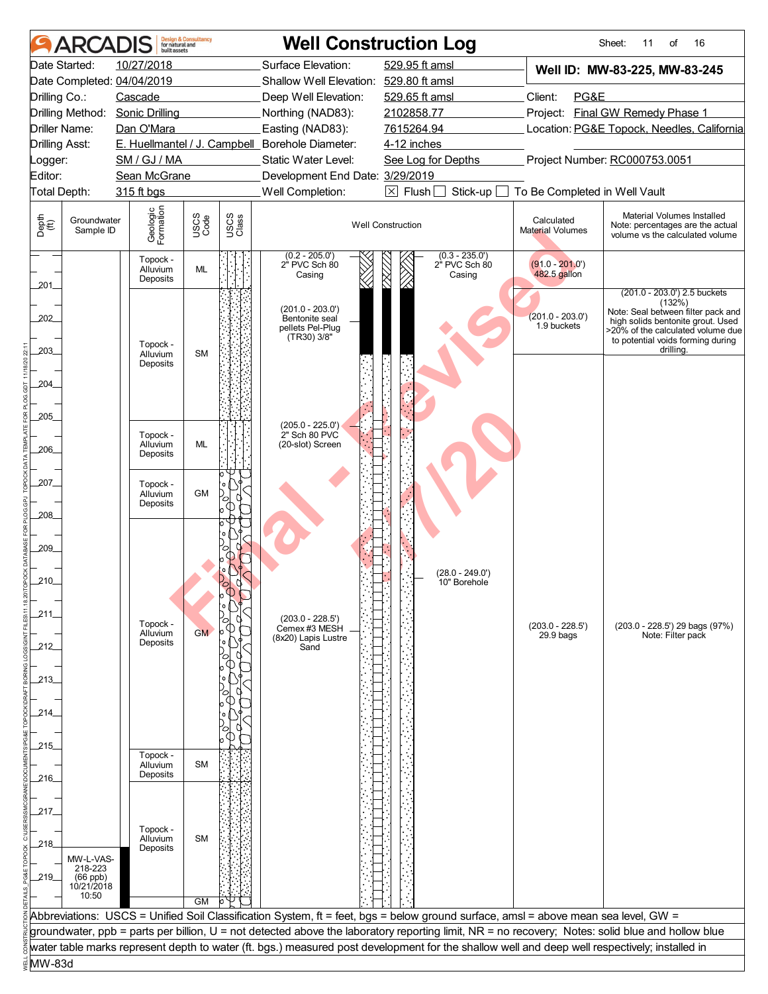|                                | <b>ARCADIS</b>           | huilt assets                     | <b>Design &amp; Consultancy</b><br>for natural and |               |                                                                         | <b>Well Construction Log</b>                                                                                                                     |                                   | Sheet:<br>16<br>11<br>of                                                                                                                                                                                 |
|--------------------------------|--------------------------|----------------------------------|----------------------------------------------------|---------------|-------------------------------------------------------------------------|--------------------------------------------------------------------------------------------------------------------------------------------------|-----------------------------------|----------------------------------------------------------------------------------------------------------------------------------------------------------------------------------------------------------|
|                                | Date Started:            | 10/27/2018                       |                                                    |               | Surface Elevation:                                                      | 529.95 ft amsl                                                                                                                                   |                                   | Well ID: MW-83-225, MW-83-245                                                                                                                                                                            |
|                                |                          | Date Completed: 04/04/2019       |                                                    |               | Shallow Well Elevation: 529.80 ft amsl                                  |                                                                                                                                                  |                                   |                                                                                                                                                                                                          |
| Drilling Co.:                  |                          | Cascade                          |                                                    |               | Deep Well Elevation:                                                    | 529.65 ft amsl                                                                                                                                   | Client:<br>PG&E                   |                                                                                                                                                                                                          |
|                                | Drilling Method:         | <b>Sonic Drilling</b>            |                                                    |               | Northing (NAD83):                                                       | 2102858.77                                                                                                                                       |                                   | Project: Final GW Remedy Phase 1                                                                                                                                                                         |
| Driller Name:                  |                          | Dan O'Mara                       |                                                    |               | Easting (NAD83):                                                        | 7615264.94                                                                                                                                       |                                   | Location: PG&E Topock, Needles, California                                                                                                                                                               |
| <b>Drilling Asst:</b>          |                          |                                  |                                                    |               | E. Huellmantel / J. Campbell_Borehole Diameter:                         | 4-12 inches                                                                                                                                      |                                   |                                                                                                                                                                                                          |
| _ogger:                        |                          | SM / GJ / MA                     |                                                    |               | Static Water Level:                                                     | See Log for Depths                                                                                                                               |                                   | Project Number: RC000753.0051                                                                                                                                                                            |
| Editor:                        |                          | Sean McGrane                     |                                                    |               | Development End Date: 3/29/2019                                         |                                                                                                                                                  |                                   |                                                                                                                                                                                                          |
| Total Depth:                   |                          | 315 ft bgs                       |                                                    |               | Well Completion:                                                        | $\boxtimes$ Flush<br>Stick-up                                                                                                                    | To Be Completed in Well Vault     |                                                                                                                                                                                                          |
| Depth<br>$\bigoplus_{i=1}^{n}$ | Groundwater<br>Sample ID | Geologic<br>Formation            | USCS<br>Code                                       | USCS<br>Class |                                                                         | <b>Well Construction</b>                                                                                                                         | Calculated<br>Material Volumes    | Material Volumes Installed<br>Note: percentages are the actual<br>volume vs the calculated volume                                                                                                        |
| 201                            |                          | Topock -<br>Alluvium<br>Deposits | ML                                                 |               | $(0.2 - 205.0')$<br>2" PVC Sch 80<br>Casing                             | $(0.3 - 235.0')$<br>2" PVC Sch 80<br>Casing                                                                                                      | $(91.0 - 201.0')$<br>482.5 gallon |                                                                                                                                                                                                          |
| 202<br>203                     |                          | Topock -<br>Alluvium             | <b>SM</b>                                          |               | $(201.0 - 203.0')$<br>Bentonite seal<br>pellets Pel-Plug<br>(TR30) 3/8" |                                                                                                                                                  | $(201.0 - 203.0')$<br>1.9 buckets | (201.0 - 203.0') 2.5 buckets<br>(132%)<br>Note: Seal between filter pack and<br>high solids bentonite grout. Used<br>>20% of the calculated volume due<br>to potential voids forming during<br>drilling. |
| 204<br>205                     |                          | Deposits                         |                                                    |               |                                                                         |                                                                                                                                                  |                                   |                                                                                                                                                                                                          |
| 206                            |                          | Topock -<br>Alluvium<br>Deposits | <b>ML</b>                                          |               | (205.0 - 225.0')<br>2" Sch 80 PVC<br>(20-slot) Screen                   |                                                                                                                                                  |                                   |                                                                                                                                                                                                          |
| 207_<br>208                    |                          | Topock -<br>Alluvium<br>Deposits | <b>GM</b>                                          |               |                                                                         |                                                                                                                                                  |                                   |                                                                                                                                                                                                          |
| 209                            |                          |                                  |                                                    |               |                                                                         | (28.0 - 249.0')                                                                                                                                  |                                   |                                                                                                                                                                                                          |
| $210$ <sub>-</sub>             |                          |                                  |                                                    |               |                                                                         | 10" Borehole                                                                                                                                     |                                   |                                                                                                                                                                                                          |
|                                |                          |                                  |                                                    |               |                                                                         |                                                                                                                                                  |                                   |                                                                                                                                                                                                          |
| 211                            |                          | Topock -                         |                                                    |               | $(203.0 - 228.5')$                                                      |                                                                                                                                                  | $(203.0 - 228.5')$                | (203.0 - 228.5') 29 bags (97%)                                                                                                                                                                           |
|                                |                          | Alluvium                         | <b>GM</b>                                          |               | Cemex #3 MESH<br>(8x20) Lapis Lustre                                    |                                                                                                                                                  | $29.9$ bags                       | Note: Filter pack                                                                                                                                                                                        |
| 212_                           |                          | Deposits                         |                                                    |               | Sand                                                                    |                                                                                                                                                  |                                   |                                                                                                                                                                                                          |
|                                |                          |                                  |                                                    |               |                                                                         |                                                                                                                                                  |                                   |                                                                                                                                                                                                          |
| _213_                          |                          |                                  |                                                    |               |                                                                         |                                                                                                                                                  |                                   |                                                                                                                                                                                                          |
|                                |                          |                                  |                                                    |               |                                                                         |                                                                                                                                                  |                                   |                                                                                                                                                                                                          |
| _214_                          |                          |                                  |                                                    |               |                                                                         |                                                                                                                                                  |                                   |                                                                                                                                                                                                          |
|                                |                          |                                  |                                                    |               |                                                                         |                                                                                                                                                  |                                   |                                                                                                                                                                                                          |
| .215.                          |                          |                                  |                                                    |               |                                                                         |                                                                                                                                                  |                                   |                                                                                                                                                                                                          |
|                                |                          | Topock -                         |                                                    |               |                                                                         |                                                                                                                                                  |                                   |                                                                                                                                                                                                          |
| .216                           |                          | Alluvium<br>Deposits             | <b>SM</b>                                          |               |                                                                         |                                                                                                                                                  |                                   |                                                                                                                                                                                                          |
|                                |                          |                                  |                                                    |               |                                                                         |                                                                                                                                                  |                                   |                                                                                                                                                                                                          |
|                                |                          |                                  |                                                    |               |                                                                         |                                                                                                                                                  |                                   |                                                                                                                                                                                                          |
| 217                            |                          |                                  |                                                    |               |                                                                         |                                                                                                                                                  |                                   |                                                                                                                                                                                                          |
|                                |                          | Topock -<br>Alluvium             | <b>SM</b>                                          |               |                                                                         |                                                                                                                                                  |                                   |                                                                                                                                                                                                          |
| _218_                          |                          | Deposits                         |                                                    |               |                                                                         |                                                                                                                                                  |                                   |                                                                                                                                                                                                          |
|                                | MW-L-VAS-<br>218-223     |                                  |                                                    |               |                                                                         |                                                                                                                                                  |                                   |                                                                                                                                                                                                          |
| _219_                          | $(66$ ppb)               |                                  |                                                    |               |                                                                         |                                                                                                                                                  |                                   |                                                                                                                                                                                                          |
|                                | 10/21/2018<br>10:50      |                                  |                                                    |               |                                                                         |                                                                                                                                                  |                                   |                                                                                                                                                                                                          |
|                                |                          |                                  | <b>GM</b>                                          |               |                                                                         |                                                                                                                                                  |                                   |                                                                                                                                                                                                          |
|                                |                          |                                  |                                                    |               |                                                                         | Abbreviations: USCS = Unified Soil Classification System, ft = feet, bgs = below ground surface, amsl = above mean sea level, GW =               |                                   |                                                                                                                                                                                                          |
|                                |                          |                                  |                                                    |               |                                                                         | groundwater, ppb = parts per billion, U = not detected above the laboratory reporting limit, NR = no recovery; Notes: solid blue and hollow blue |                                   |                                                                                                                                                                                                          |
|                                |                          |                                  |                                                    |               |                                                                         | water table marks represent depth to water (ft. bgs.) measured post development for the shallow well and deep well respectively; installed in    |                                   |                                                                                                                                                                                                          |
| MW-83d                         |                          |                                  |                                                    |               |                                                                         |                                                                                                                                                  |                                   |                                                                                                                                                                                                          |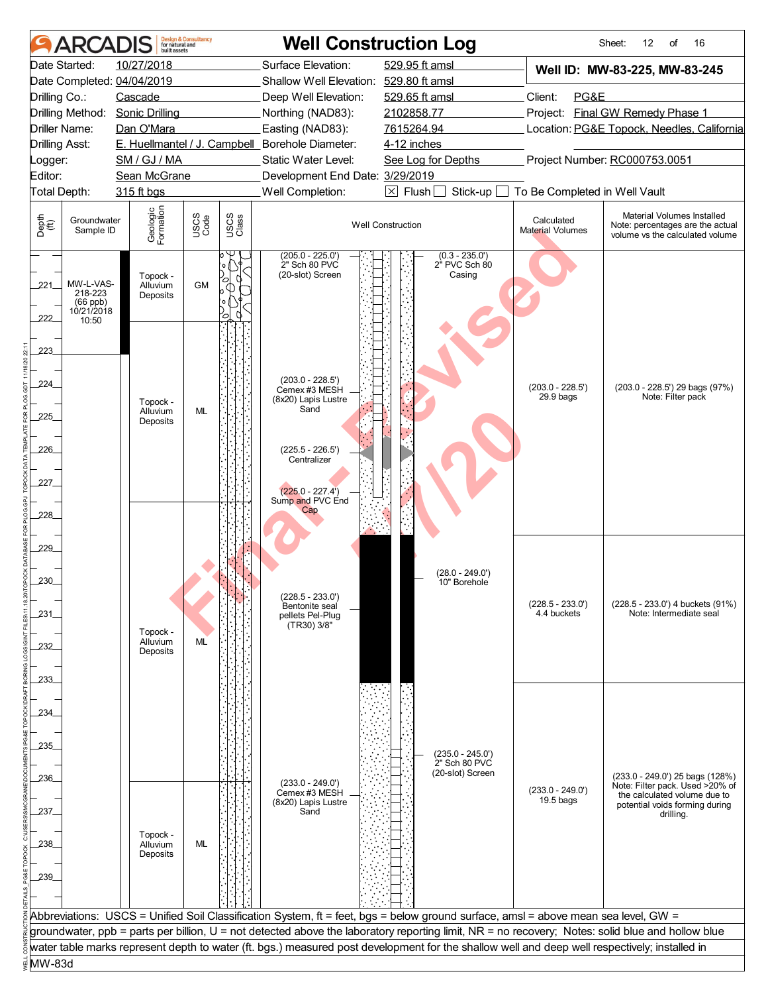| <b>ARCADIS</b>                                                          | built assets                     | <b>Design &amp; Consultancy</b><br>for natural and |               |                                                                         | <b>Well Construction Log</b>                                                                                                                                                                                                                                                           |                                   | Sheet:<br>12<br>16<br>of                                                                           |
|-------------------------------------------------------------------------|----------------------------------|----------------------------------------------------|---------------|-------------------------------------------------------------------------|----------------------------------------------------------------------------------------------------------------------------------------------------------------------------------------------------------------------------------------------------------------------------------------|-----------------------------------|----------------------------------------------------------------------------------------------------|
| Date Started:                                                           | 10/27/2018                       |                                                    |               | Surface Elevation:                                                      | 529.95 ft amsl                                                                                                                                                                                                                                                                         |                                   | Well ID: MW-83-225, MW-83-245                                                                      |
| Date Completed: 04/04/2019                                              |                                  |                                                    |               | Shallow Well Elevation: 529.80 ft amsl                                  |                                                                                                                                                                                                                                                                                        |                                   |                                                                                                    |
| Drilling Co.:                                                           | Cascade                          |                                                    |               | Deep Well Elevation:                                                    | 529.65 ft amsl                                                                                                                                                                                                                                                                         | Client:<br>PG&E                   |                                                                                                    |
| Drilling Method:                                                        | <b>Sonic Drilling</b>            |                                                    |               | Northing (NAD83):                                                       | 2102858.77                                                                                                                                                                                                                                                                             |                                   | Project: Final GW Remedy Phase 1                                                                   |
| Driller Name:                                                           | Dan O'Mara                       |                                                    |               | Easting (NAD83):                                                        | 7615264.94                                                                                                                                                                                                                                                                             |                                   | Location: PG&E Topock, Needles, California                                                         |
| <b>Drilling Asst:</b>                                                   |                                  |                                                    |               | E. Huellmantel / J. Campbell_Borehole Diameter:                         | 4-12 inches                                                                                                                                                                                                                                                                            |                                   |                                                                                                    |
| _ogger:                                                                 | SM / GJ / MA                     |                                                    |               | Static Water Level:                                                     | See Log for Depths                                                                                                                                                                                                                                                                     |                                   | Project Number: RC000753.0051                                                                      |
| Editor:                                                                 | Sean McGrane                     |                                                    |               | Development End Date: 3/29/2019                                         |                                                                                                                                                                                                                                                                                        |                                   |                                                                                                    |
| Total Depth:                                                            | 315 ft bgs                       |                                                    |               | Well Completion:                                                        | $\boxed{\times}$ Flush<br>Stick-up                                                                                                                                                                                                                                                     | To Be Completed in Well Vault     |                                                                                                    |
| Depth<br>$\bigoplus_{i=1}^{n}$<br>Groundwater<br>Sample ID              | Geologic<br>Formation            | USCS<br>Code                                       | USCS<br>Class |                                                                         | <b>Well Construction</b>                                                                                                                                                                                                                                                               | Calculated<br>Material Volumes    | Material Volumes Installed<br>Note: percentages are the actual<br>volume vs the calculated volume  |
| MW-L-VAS-<br>221<br>218-223<br>$(66$ ppb)<br>10/21/2018<br>222<br>10:50 | Topock -<br>Alluvium<br>Deposits | GM                                                 |               | $(205.0 - 225.0')$<br>2" Sch 80 PVC<br>(20-slot) Screen                 | $(0.3 - 235.0')$<br>2" PVC Sch 80<br>Casing                                                                                                                                                                                                                                            |                                   |                                                                                                    |
| 223<br>224                                                              | Topock -                         |                                                    |               | $(203.0 - 228.5')$<br>Cemex #3 MESH<br>(8x20) Lapis Lustre              |                                                                                                                                                                                                                                                                                        | $(203.0 - 228.5')$<br>29.9 bags   | (203.0 - 228.5') 29 bags (97%)<br>Note: Filter pack                                                |
| 225_                                                                    | Alluvium<br>Deposits             | <b>ML</b>                                          |               | Sand                                                                    |                                                                                                                                                                                                                                                                                        |                                   |                                                                                                    |
| 226                                                                     |                                  |                                                    |               | $(225.5 - 226.5')$<br>Centralizer                                       |                                                                                                                                                                                                                                                                                        |                                   |                                                                                                    |
| 227.<br>228                                                             |                                  |                                                    |               | $(225.0 - 227.4')$<br>Sump and PVC End<br>Cap                           |                                                                                                                                                                                                                                                                                        |                                   |                                                                                                    |
| 229                                                                     |                                  |                                                    |               |                                                                         |                                                                                                                                                                                                                                                                                        |                                   |                                                                                                    |
| 230                                                                     |                                  |                                                    |               |                                                                         | (28.0 - 249.0')<br>10" Borehole                                                                                                                                                                                                                                                        |                                   |                                                                                                    |
| 231                                                                     | Topock -                         |                                                    |               | $(228.5 - 233.0')$<br>Bentonite seal<br>pellets Pel-Plug<br>(TR30) 3/8" |                                                                                                                                                                                                                                                                                        | $(228.5 - 233.0')$<br>4.4 buckets | (228.5 - 233.0') 4 buckets (91%)<br>Note: Intermediate seal                                        |
| 232                                                                     | Alluvium<br>Deposits             | ML                                                 |               |                                                                         |                                                                                                                                                                                                                                                                                        |                                   |                                                                                                    |
| 233.                                                                    |                                  |                                                    |               |                                                                         |                                                                                                                                                                                                                                                                                        |                                   |                                                                                                    |
| 234_                                                                    |                                  |                                                    |               |                                                                         |                                                                                                                                                                                                                                                                                        |                                   |                                                                                                    |
| 235                                                                     |                                  |                                                    |               |                                                                         | $(235.0 - 245.0')$<br>2" Sch 80 PVC                                                                                                                                                                                                                                                    |                                   |                                                                                                    |
| .236                                                                    |                                  |                                                    |               | $(233.0 - 249.0')$<br>Cemex #3 MESH                                     | (20-slot) Screen                                                                                                                                                                                                                                                                       | $(233.0 - 249.0')$                | (233.0 - 249.0') 25 bags (128%)<br>Note: Filter pack. Used >20% of<br>the calculated volume due to |
| 237_                                                                    |                                  |                                                    |               | (8x20) Lapis Lustre<br>Sand                                             |                                                                                                                                                                                                                                                                                        | $19.5$ bags                       | potential voids forming during<br>drilling.                                                        |
| 238_                                                                    | Topock -<br>Alluvium<br>Deposits | ML                                                 |               |                                                                         |                                                                                                                                                                                                                                                                                        |                                   |                                                                                                    |
| 239_                                                                    |                                  |                                                    |               |                                                                         |                                                                                                                                                                                                                                                                                        |                                   |                                                                                                    |
|                                                                         |                                  |                                                    |               |                                                                         |                                                                                                                                                                                                                                                                                        |                                   |                                                                                                    |
|                                                                         |                                  |                                                    |               |                                                                         | Abbreviations: USCS = Unified Soil Classification System, ft = feet, bgs = below ground surface, amsl = above mean sea level, GW =<br>groundwater, ppb = parts per billion, U = not detected above the laboratory reporting limit, NR = no recovery; Notes: solid blue and hollow blue |                                   |                                                                                                    |
|                                                                         |                                  |                                                    |               |                                                                         | water table marks represent depth to water (ft. bgs.) measured post development for the shallow well and deep well respectively; installed in                                                                                                                                          |                                   |                                                                                                    |
| MW-83d                                                                  |                                  |                                                    |               |                                                                         |                                                                                                                                                                                                                                                                                        |                                   |                                                                                                    |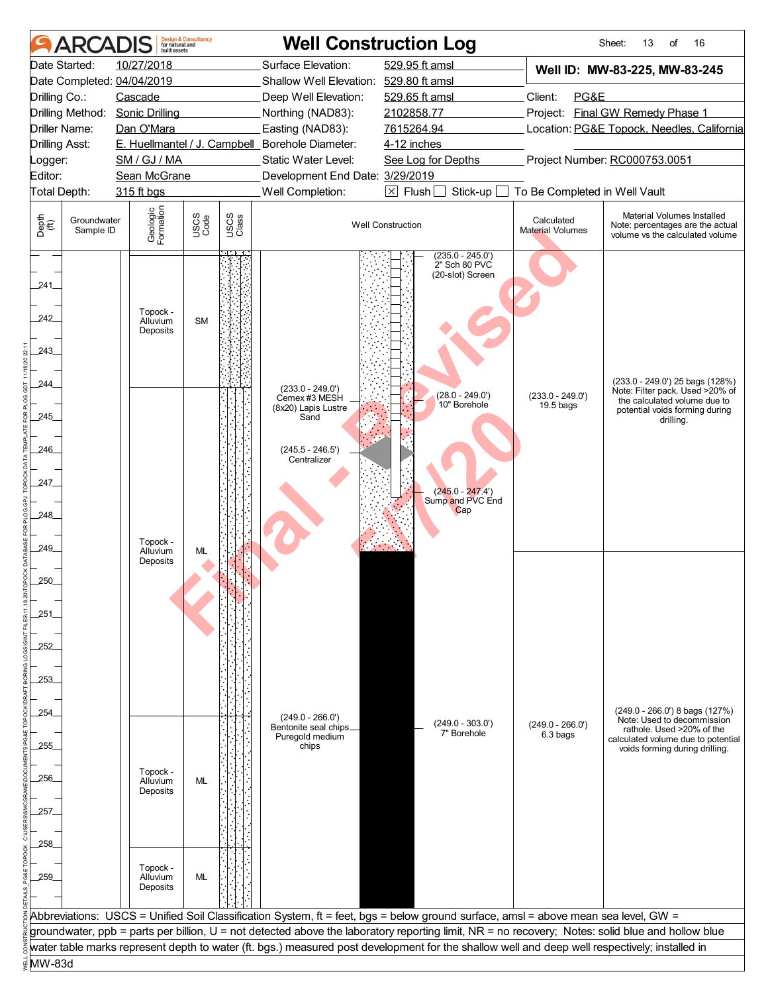| Date Started:<br>10/27/2018<br>Surface Elevation:<br>529.95 ft amsl<br>Well ID: MW-83-225, MW-83-245<br>Date Completed: 04/04/2019<br>Shallow Well Elevation: 529.80 ft amsl<br>Client:<br>PG&E<br>Drilling Co.:<br>Cascade<br>Deep Well Elevation:<br>529.65 ft amsl<br>Project: Final GW Remedy Phase 1<br>Drilling Method:<br><b>Sonic Drilling</b><br>Northing (NAD83):<br>2102858.77<br>Driller Name:<br>Dan O'Mara<br>Easting (NAD83):<br>7615264.94<br>Location: PG&E Topock, Needles, California<br>E. Huellmantel / J. Campbell_Borehole Diameter:<br><b>Drilling Asst:</b><br>4-12 inches<br>Project Number: RC000753.0051<br>SM / GJ / MA<br>Static Water Level:<br>See Log for Depths<br>_ogger:<br>Editor:<br>Sean McGrane<br>Development End Date: 3/29/2019<br>Well Completion:<br>$\boxtimes$ Flush<br>To Be Completed in Well Vault<br>Total Depth:<br>315 ft bgs<br>Stick-up<br>Geologic<br>Formation<br>Material Volumes Installed<br>USCS<br>Code<br>USCS<br>Class<br>Depth<br>$\bigoplus_{i=1}^{n}$<br>Groundwater<br>Calculated<br><b>Well Construction</b><br>Note: percentages are the actual<br>Sample ID<br><b>Material Volumes</b><br>volume vs the calculated volume<br>$(235.0 - 245.0')$<br>2" Sch 80 PVC<br>(20-slot) Screen<br>241<br>Topock -<br>242<br><b>SM</b><br>Alluvium<br>Deposits<br>243<br>(233.0 - 249.0') 25 bags (128%)<br>244_<br>$(233.0 - 249.0')$<br>Note: Filter pack. Used >20% of<br>$(28.0 - 249.0')$<br>$(233.0 - 249.0')$<br>Cemex #3 MESH<br>the calculated volume due to<br>10" Borehole<br>19.5 bags<br>(8x20) Lapis Lustre<br>potential voids forming during<br>245<br>Sand<br>drilling.<br>246<br>$(245.5 - 246.5')$<br>Centralizer<br>247_<br>$(245.0 - 247.4')$<br>Sump and PVC End<br>Cap<br>248<br>Topock -<br>249_<br>Alluvium<br>ML<br>Deposits<br>250<br>251<br>252<br>253.<br>$(249.0 - 266.0')$ 8 bags $(127%)$<br>.254<br>$(249.0 - 266.0')$<br>Note: Used to decommission<br>$(249.0 - 303.0')$<br>$(249.0 - 266.0')$<br>Bentonite seal chips<br>rathole. Used >20% of the<br>7" Borehole<br>6.3 bags<br>Puregold medium<br>calculated volume due to potential<br>.255.<br>chips<br>voids forming during drilling.<br>Topock -<br>.256.<br>Alluvium<br>ML<br>Deposits<br>.257.<br>258_<br>Topock -<br>259<br>Alluvium<br>ML<br>Deposits<br>Abbreviations: USCS = Unified Soil Classification System, ft = feet, bgs = below ground surface, amsl = above mean sea level, GW =<br>groundwater, ppb = parts per billion, U = not detected above the laboratory reporting limit, NR = no recovery; Notes: solid blue and hollow blue<br>water table marks represent depth to water (ft. bgs.) measured post development for the shallow well and deep well respectively; installed in<br>MW-83d | <b>ARCADIS</b> | built assets | <b>Design &amp; Consultancy</b><br>for natural and |  | <b>Well Construction Log</b> | Sheet:<br>16<br>13<br>of |
|---------------------------------------------------------------------------------------------------------------------------------------------------------------------------------------------------------------------------------------------------------------------------------------------------------------------------------------------------------------------------------------------------------------------------------------------------------------------------------------------------------------------------------------------------------------------------------------------------------------------------------------------------------------------------------------------------------------------------------------------------------------------------------------------------------------------------------------------------------------------------------------------------------------------------------------------------------------------------------------------------------------------------------------------------------------------------------------------------------------------------------------------------------------------------------------------------------------------------------------------------------------------------------------------------------------------------------------------------------------------------------------------------------------------------------------------------------------------------------------------------------------------------------------------------------------------------------------------------------------------------------------------------------------------------------------------------------------------------------------------------------------------------------------------------------------------------------------------------------------------------------------------------------------------------------------------------------------------------------------------------------------------------------------------------------------------------------------------------------------------------------------------------------------------------------------------------------------------------------------------------------------------------------------------------------------------------------------------------------------------------------------------------------------------------------------------------------------------------------------------------------------------------------------------------------------------------------------------------------------------------------------------------------------------------------------------------------------------------------------------------------------------|----------------|--------------|----------------------------------------------------|--|------------------------------|--------------------------|
|                                                                                                                                                                                                                                                                                                                                                                                                                                                                                                                                                                                                                                                                                                                                                                                                                                                                                                                                                                                                                                                                                                                                                                                                                                                                                                                                                                                                                                                                                                                                                                                                                                                                                                                                                                                                                                                                                                                                                                                                                                                                                                                                                                                                                                                                                                                                                                                                                                                                                                                                                                                                                                                                                                                                                                     |                |              |                                                    |  |                              |                          |
|                                                                                                                                                                                                                                                                                                                                                                                                                                                                                                                                                                                                                                                                                                                                                                                                                                                                                                                                                                                                                                                                                                                                                                                                                                                                                                                                                                                                                                                                                                                                                                                                                                                                                                                                                                                                                                                                                                                                                                                                                                                                                                                                                                                                                                                                                                                                                                                                                                                                                                                                                                                                                                                                                                                                                                     |                |              |                                                    |  |                              |                          |
|                                                                                                                                                                                                                                                                                                                                                                                                                                                                                                                                                                                                                                                                                                                                                                                                                                                                                                                                                                                                                                                                                                                                                                                                                                                                                                                                                                                                                                                                                                                                                                                                                                                                                                                                                                                                                                                                                                                                                                                                                                                                                                                                                                                                                                                                                                                                                                                                                                                                                                                                                                                                                                                                                                                                                                     |                |              |                                                    |  |                              |                          |
|                                                                                                                                                                                                                                                                                                                                                                                                                                                                                                                                                                                                                                                                                                                                                                                                                                                                                                                                                                                                                                                                                                                                                                                                                                                                                                                                                                                                                                                                                                                                                                                                                                                                                                                                                                                                                                                                                                                                                                                                                                                                                                                                                                                                                                                                                                                                                                                                                                                                                                                                                                                                                                                                                                                                                                     |                |              |                                                    |  |                              |                          |
|                                                                                                                                                                                                                                                                                                                                                                                                                                                                                                                                                                                                                                                                                                                                                                                                                                                                                                                                                                                                                                                                                                                                                                                                                                                                                                                                                                                                                                                                                                                                                                                                                                                                                                                                                                                                                                                                                                                                                                                                                                                                                                                                                                                                                                                                                                                                                                                                                                                                                                                                                                                                                                                                                                                                                                     |                |              |                                                    |  |                              |                          |
|                                                                                                                                                                                                                                                                                                                                                                                                                                                                                                                                                                                                                                                                                                                                                                                                                                                                                                                                                                                                                                                                                                                                                                                                                                                                                                                                                                                                                                                                                                                                                                                                                                                                                                                                                                                                                                                                                                                                                                                                                                                                                                                                                                                                                                                                                                                                                                                                                                                                                                                                                                                                                                                                                                                                                                     |                |              |                                                    |  |                              |                          |
|                                                                                                                                                                                                                                                                                                                                                                                                                                                                                                                                                                                                                                                                                                                                                                                                                                                                                                                                                                                                                                                                                                                                                                                                                                                                                                                                                                                                                                                                                                                                                                                                                                                                                                                                                                                                                                                                                                                                                                                                                                                                                                                                                                                                                                                                                                                                                                                                                                                                                                                                                                                                                                                                                                                                                                     |                |              |                                                    |  |                              |                          |
|                                                                                                                                                                                                                                                                                                                                                                                                                                                                                                                                                                                                                                                                                                                                                                                                                                                                                                                                                                                                                                                                                                                                                                                                                                                                                                                                                                                                                                                                                                                                                                                                                                                                                                                                                                                                                                                                                                                                                                                                                                                                                                                                                                                                                                                                                                                                                                                                                                                                                                                                                                                                                                                                                                                                                                     |                |              |                                                    |  |                              |                          |
|                                                                                                                                                                                                                                                                                                                                                                                                                                                                                                                                                                                                                                                                                                                                                                                                                                                                                                                                                                                                                                                                                                                                                                                                                                                                                                                                                                                                                                                                                                                                                                                                                                                                                                                                                                                                                                                                                                                                                                                                                                                                                                                                                                                                                                                                                                                                                                                                                                                                                                                                                                                                                                                                                                                                                                     |                |              |                                                    |  |                              |                          |
|                                                                                                                                                                                                                                                                                                                                                                                                                                                                                                                                                                                                                                                                                                                                                                                                                                                                                                                                                                                                                                                                                                                                                                                                                                                                                                                                                                                                                                                                                                                                                                                                                                                                                                                                                                                                                                                                                                                                                                                                                                                                                                                                                                                                                                                                                                                                                                                                                                                                                                                                                                                                                                                                                                                                                                     |                |              |                                                    |  |                              |                          |
|                                                                                                                                                                                                                                                                                                                                                                                                                                                                                                                                                                                                                                                                                                                                                                                                                                                                                                                                                                                                                                                                                                                                                                                                                                                                                                                                                                                                                                                                                                                                                                                                                                                                                                                                                                                                                                                                                                                                                                                                                                                                                                                                                                                                                                                                                                                                                                                                                                                                                                                                                                                                                                                                                                                                                                     |                |              |                                                    |  |                              |                          |
|                                                                                                                                                                                                                                                                                                                                                                                                                                                                                                                                                                                                                                                                                                                                                                                                                                                                                                                                                                                                                                                                                                                                                                                                                                                                                                                                                                                                                                                                                                                                                                                                                                                                                                                                                                                                                                                                                                                                                                                                                                                                                                                                                                                                                                                                                                                                                                                                                                                                                                                                                                                                                                                                                                                                                                     |                |              |                                                    |  |                              |                          |
|                                                                                                                                                                                                                                                                                                                                                                                                                                                                                                                                                                                                                                                                                                                                                                                                                                                                                                                                                                                                                                                                                                                                                                                                                                                                                                                                                                                                                                                                                                                                                                                                                                                                                                                                                                                                                                                                                                                                                                                                                                                                                                                                                                                                                                                                                                                                                                                                                                                                                                                                                                                                                                                                                                                                                                     |                |              |                                                    |  |                              |                          |
|                                                                                                                                                                                                                                                                                                                                                                                                                                                                                                                                                                                                                                                                                                                                                                                                                                                                                                                                                                                                                                                                                                                                                                                                                                                                                                                                                                                                                                                                                                                                                                                                                                                                                                                                                                                                                                                                                                                                                                                                                                                                                                                                                                                                                                                                                                                                                                                                                                                                                                                                                                                                                                                                                                                                                                     |                |              |                                                    |  |                              |                          |
|                                                                                                                                                                                                                                                                                                                                                                                                                                                                                                                                                                                                                                                                                                                                                                                                                                                                                                                                                                                                                                                                                                                                                                                                                                                                                                                                                                                                                                                                                                                                                                                                                                                                                                                                                                                                                                                                                                                                                                                                                                                                                                                                                                                                                                                                                                                                                                                                                                                                                                                                                                                                                                                                                                                                                                     |                |              |                                                    |  |                              |                          |
|                                                                                                                                                                                                                                                                                                                                                                                                                                                                                                                                                                                                                                                                                                                                                                                                                                                                                                                                                                                                                                                                                                                                                                                                                                                                                                                                                                                                                                                                                                                                                                                                                                                                                                                                                                                                                                                                                                                                                                                                                                                                                                                                                                                                                                                                                                                                                                                                                                                                                                                                                                                                                                                                                                                                                                     |                |              |                                                    |  |                              |                          |
|                                                                                                                                                                                                                                                                                                                                                                                                                                                                                                                                                                                                                                                                                                                                                                                                                                                                                                                                                                                                                                                                                                                                                                                                                                                                                                                                                                                                                                                                                                                                                                                                                                                                                                                                                                                                                                                                                                                                                                                                                                                                                                                                                                                                                                                                                                                                                                                                                                                                                                                                                                                                                                                                                                                                                                     |                |              |                                                    |  |                              |                          |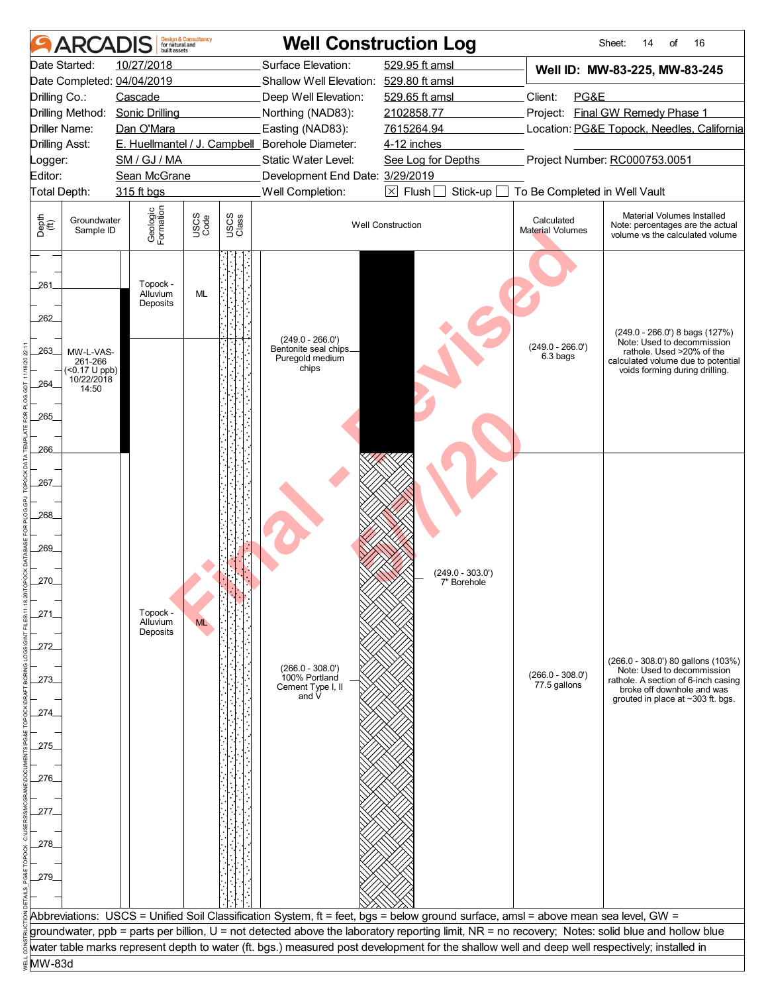|                                | <b>ARCA</b>                                                             | built assets                             | <b>Design &amp; Consultancy</b><br>for natural and |               |                                                                         | <b>Well Construction Log</b>                                                                                                                     |                                       | 16<br>Sheet:<br>14<br>of                                                                                                        |
|--------------------------------|-------------------------------------------------------------------------|------------------------------------------|----------------------------------------------------|---------------|-------------------------------------------------------------------------|--------------------------------------------------------------------------------------------------------------------------------------------------|---------------------------------------|---------------------------------------------------------------------------------------------------------------------------------|
|                                | Date Started:                                                           | 10/27/2018<br>Date Completed: 04/04/2019 |                                                    |               | Surface Elevation:<br>Shallow Well Elevation: 529.80 ft amsl            | 529.95 ft amsl                                                                                                                                   |                                       | Well ID: MW-83-225, MW-83-245                                                                                                   |
| Drilling Co.:                  |                                                                         | Cascade                                  |                                                    |               | Deep Well Elevation:                                                    | 529.65 ft amsl                                                                                                                                   | Client:<br>PG&E                       |                                                                                                                                 |
|                                |                                                                         | Drilling Method: Sonic Drilling          |                                                    |               | Northing (NAD83):                                                       | 2102858.77                                                                                                                                       |                                       | Project: Final GW Remedy Phase 1                                                                                                |
|                                | Driller Name:                                                           | Dan O'Mara                               |                                                    |               | Easting (NAD83):                                                        | 7615264.94                                                                                                                                       |                                       | Location: PG&E Topock, Needles, California                                                                                      |
|                                | <b>Drilling Asst:</b>                                                   |                                          |                                                    |               | E. Huellmantel / J. Campbell_Borehole Diameter:                         | 4-12 inches                                                                                                                                      |                                       |                                                                                                                                 |
| Logger:                        |                                                                         | SM / GJ / MA                             |                                                    |               | Static Water Level:                                                     | See Log for Depths                                                                                                                               |                                       | Project Number: RC000753.0051                                                                                                   |
| Editor:                        | Total Depth:                                                            | Sean McGrane<br>315 ft bgs               |                                                    |               | Development End Date: 3/29/2019<br>Well Completion:                     | $\boxtimes$ Flush $\Box$<br>Stick-up                                                                                                             | To Be Completed in Well Vault         |                                                                                                                                 |
|                                |                                                                         |                                          |                                                    |               |                                                                         |                                                                                                                                                  |                                       |                                                                                                                                 |
| Depth<br>$\bigoplus_{i=1}^{n}$ | Groundwater<br>Sample ID                                                | Geologic<br>Formation                    | USCS<br>Code                                       | USCS<br>Class |                                                                         | <b>Well Construction</b>                                                                                                                         | Calculated<br><b>Material Volumes</b> | Material Volumes Installed<br>Note: percentages are the actual<br>volume vs the calculated volume                               |
| 261<br>262                     |                                                                         | Topock -<br>Alluvium<br>Deposits         | ML                                                 |               |                                                                         |                                                                                                                                                  |                                       | $(249.0 - 266.0')$ 8 bags $(127%)$                                                                                              |
| 263<br>264                     | MW-L-VAS-<br>261-266<br>$(50.17 \text{ U }$ ppb)<br>10/22/2018<br>14:50 |                                          |                                                    |               | $(249.0 - 266.0')$<br>Bentonite seal chips_<br>Puregold medium<br>chips |                                                                                                                                                  | $(249.0 - 266.0')$<br>6.3 bags        | Note: Used to decommission<br>rathole. Used >20% of the<br>calculated volume due to potential<br>voids forming during drilling. |
| 265<br>266                     |                                                                         |                                          |                                                    |               |                                                                         |                                                                                                                                                  |                                       |                                                                                                                                 |
| 267_                           |                                                                         |                                          |                                                    |               |                                                                         |                                                                                                                                                  |                                       |                                                                                                                                 |
| 268_<br>269                    |                                                                         |                                          |                                                    |               |                                                                         |                                                                                                                                                  |                                       |                                                                                                                                 |
| 270                            |                                                                         |                                          |                                                    |               |                                                                         | $(249.0 - 303.0')$<br>7" Borehole                                                                                                                |                                       |                                                                                                                                 |
| 271                            |                                                                         | Topock -<br>Alluvium<br>Deposits         | <b>ML</b>                                          |               |                                                                         |                                                                                                                                                  |                                       |                                                                                                                                 |
| 272.                           |                                                                         |                                          |                                                    |               | $(266.0 - 308.0')$                                                      |                                                                                                                                                  |                                       | (266.0 - 308.0') 80 gallons (103%)<br>Note: Used to decommission                                                                |
| 273.                           |                                                                         |                                          |                                                    |               | 100% Portland<br>Cement Type I, II<br>and V                             |                                                                                                                                                  | $(266.0 - 308.0')$<br>77.5 gallons    | rathole. A section of 6-inch casing<br>broke off downhole and was<br>grouted in place at ~303 ft. bgs.                          |
| 274.<br>275_                   |                                                                         |                                          |                                                    |               |                                                                         |                                                                                                                                                  |                                       |                                                                                                                                 |
| .276.                          |                                                                         |                                          |                                                    |               |                                                                         |                                                                                                                                                  |                                       |                                                                                                                                 |
| 277.                           |                                                                         |                                          |                                                    |               |                                                                         |                                                                                                                                                  |                                       |                                                                                                                                 |
| 278.                           |                                                                         |                                          |                                                    |               |                                                                         |                                                                                                                                                  |                                       |                                                                                                                                 |
| 279.                           |                                                                         |                                          |                                                    |               |                                                                         |                                                                                                                                                  |                                       |                                                                                                                                 |
|                                |                                                                         |                                          |                                                    |               |                                                                         |                                                                                                                                                  |                                       |                                                                                                                                 |
|                                |                                                                         |                                          |                                                    |               |                                                                         | Abbreviations: USCS = Unified Soil Classification System, ft = feet, bgs = below ground surface, amsl = above mean sea level, GW =               |                                       |                                                                                                                                 |
|                                |                                                                         |                                          |                                                    |               |                                                                         | groundwater, ppb = parts per billion, U = not detected above the laboratory reporting limit, NR = no recovery; Notes: solid blue and hollow blue |                                       |                                                                                                                                 |
|                                |                                                                         |                                          |                                                    |               |                                                                         | water table marks represent depth to water (ft. bgs.) measured post development for the shallow well and deep well respectively; installed in    |                                       |                                                                                                                                 |
| MW-83d                         |                                                                         |                                          |                                                    |               |                                                                         |                                                                                                                                                  |                                       |                                                                                                                                 |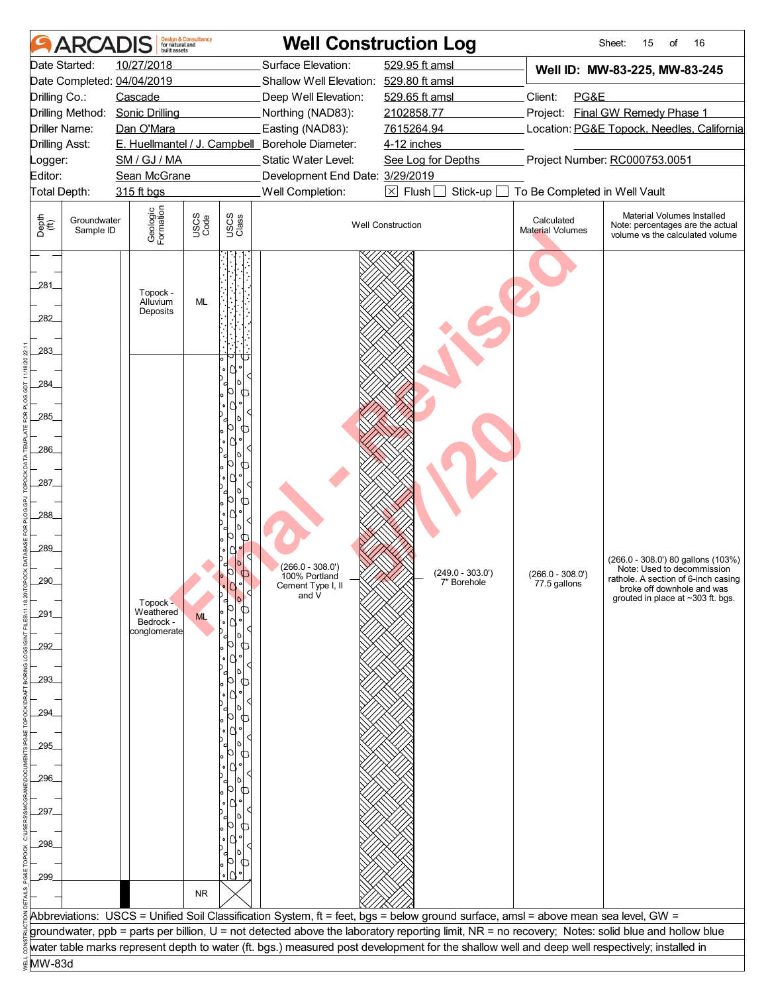|                                | ARCADIS                  | built assets                             | <b>Design &amp; Consultancy</b><br>for natural and |               | <b>Well Construction Log</b>                                 |                                                                                                                                                  |                                       | Sheet:<br>15<br>of<br>16                                                                               |
|--------------------------------|--------------------------|------------------------------------------|----------------------------------------------------|---------------|--------------------------------------------------------------|--------------------------------------------------------------------------------------------------------------------------------------------------|---------------------------------------|--------------------------------------------------------------------------------------------------------|
|                                | Date Started:            | 10/27/2018<br>Date Completed: 04/04/2019 |                                                    |               | Surface Elevation:<br>Shallow Well Elevation: 529.80 ft amsl | 529.95 ft amsl                                                                                                                                   |                                       | Well ID: MW-83-225, MW-83-245                                                                          |
| Drilling Co.:                  |                          | Cascade                                  |                                                    |               | Deep Well Elevation:                                         | 529.65 ft amsl                                                                                                                                   | Client:<br>PG&E                       |                                                                                                        |
|                                |                          | Drilling Method: Sonic Drilling          |                                                    |               | Northing (NAD83):                                            | 2102858.77                                                                                                                                       |                                       | Project: Final GW Remedy Phase 1                                                                       |
|                                | Driller Name:            | Dan O'Mara                               |                                                    |               | Easting (NAD83):                                             | 7615264.94                                                                                                                                       |                                       | Location: PG&E Topock, Needles, California                                                             |
| <b>Drilling Asst:</b>          |                          |                                          |                                                    |               | E. Huellmantel / J. Campbell_Borehole Diameter:              | 4-12 inches                                                                                                                                      |                                       |                                                                                                        |
| Logger:                        |                          | SM / GJ / MA                             |                                                    |               | Static Water Level:                                          | See Log for Depths                                                                                                                               |                                       | Project Number: RC000753.0051                                                                          |
| Editor:                        |                          | Sean McGrane                             |                                                    |               | Development End Date: 3/29/2019                              |                                                                                                                                                  |                                       |                                                                                                        |
| Total Depth:                   |                          | 315 ft bgs                               |                                                    |               | Well Completion:                                             | $\boxtimes$ Flush<br>Stick-up                                                                                                                    | To Be Completed in Well Vault         |                                                                                                        |
|                                |                          |                                          |                                                    |               |                                                              |                                                                                                                                                  |                                       |                                                                                                        |
| Depth<br>$\bigoplus_{i=1}^{n}$ | Groundwater<br>Sample ID | Geologic<br>Formation                    | USCS<br>Code                                       | USCS<br>Class |                                                              | <b>Well Construction</b>                                                                                                                         | Calculated<br><b>Material Volumes</b> | Material Volumes Installed<br>Note: percentages are the actual<br>volume vs the calculated volume      |
|                                |                          |                                          |                                                    |               |                                                              |                                                                                                                                                  |                                       |                                                                                                        |
| 281                            |                          | Topock -<br>Alluvium                     | ML                                                 |               |                                                              |                                                                                                                                                  |                                       |                                                                                                        |
| 282                            |                          | Deposits                                 |                                                    |               |                                                              |                                                                                                                                                  |                                       |                                                                                                        |
| 283                            |                          |                                          |                                                    |               |                                                              |                                                                                                                                                  |                                       |                                                                                                        |
| 284                            |                          |                                          |                                                    |               |                                                              |                                                                                                                                                  |                                       |                                                                                                        |
| 285                            |                          |                                          |                                                    | Œ             |                                                              |                                                                                                                                                  |                                       |                                                                                                        |
| .286                           |                          |                                          |                                                    |               |                                                              |                                                                                                                                                  |                                       |                                                                                                        |
| 287_                           |                          |                                          |                                                    |               |                                                              |                                                                                                                                                  |                                       |                                                                                                        |
| 288                            |                          |                                          |                                                    |               |                                                              |                                                                                                                                                  |                                       |                                                                                                        |
|                                |                          |                                          |                                                    |               |                                                              |                                                                                                                                                  |                                       |                                                                                                        |
| 289_                           |                          |                                          |                                                    |               | $(266.0 - 308.0')$                                           | $(249.0 - 303.0')$                                                                                                                               | $(266.0 - 308.0')$                    | (266.0 - 308.0') 80 gallons (103%)<br>Note: Used to decommission                                       |
| 290                            |                          | Topock -                                 |                                                    |               | 100% Portland<br>Cement Type I, II<br>and V                  | 7" Borehole                                                                                                                                      | 77.5 gallons                          | rathole. A section of 6-inch casing<br>broke off downhole and was<br>grouted in place at ~303 ft. bgs. |
| 291                            |                          | Weathered<br>Bedrock -<br>conglomerate   | <b>ML</b>                                          |               |                                                              |                                                                                                                                                  |                                       |                                                                                                        |
| 292                            |                          |                                          |                                                    |               |                                                              |                                                                                                                                                  |                                       |                                                                                                        |
| 293.                           |                          |                                          |                                                    |               |                                                              |                                                                                                                                                  |                                       |                                                                                                        |
| 294                            |                          |                                          |                                                    |               |                                                              |                                                                                                                                                  |                                       |                                                                                                        |
| .295_                          |                          |                                          |                                                    |               |                                                              |                                                                                                                                                  |                                       |                                                                                                        |
|                                |                          |                                          |                                                    |               |                                                              |                                                                                                                                                  |                                       |                                                                                                        |
| 296.                           |                          |                                          |                                                    |               |                                                              |                                                                                                                                                  |                                       |                                                                                                        |
| 297.                           |                          |                                          |                                                    |               |                                                              |                                                                                                                                                  |                                       |                                                                                                        |
| 298.                           |                          |                                          |                                                    |               |                                                              |                                                                                                                                                  |                                       |                                                                                                        |
|                                |                          |                                          |                                                    |               |                                                              |                                                                                                                                                  |                                       |                                                                                                        |
| .299.                          |                          |                                          |                                                    |               |                                                              |                                                                                                                                                  |                                       |                                                                                                        |
|                                |                          |                                          | <b>NR</b>                                          |               |                                                              |                                                                                                                                                  |                                       |                                                                                                        |
|                                |                          |                                          |                                                    |               |                                                              | Abbreviations: USCS = Unified Soil Classification System, ft = feet, bgs = below ground surface, amsl = above mean sea level, GW =               |                                       |                                                                                                        |
|                                |                          |                                          |                                                    |               |                                                              | groundwater, ppb = parts per billion, U = not detected above the laboratory reporting limit, NR = no recovery; Notes: solid blue and hollow blue |                                       |                                                                                                        |
|                                |                          |                                          |                                                    |               |                                                              | water table marks represent depth to water (ft. bgs.) measured post development for the shallow well and deep well respectively; installed in    |                                       |                                                                                                        |
| MW-83d                         |                          |                                          |                                                    |               |                                                              |                                                                                                                                                  |                                       |                                                                                                        |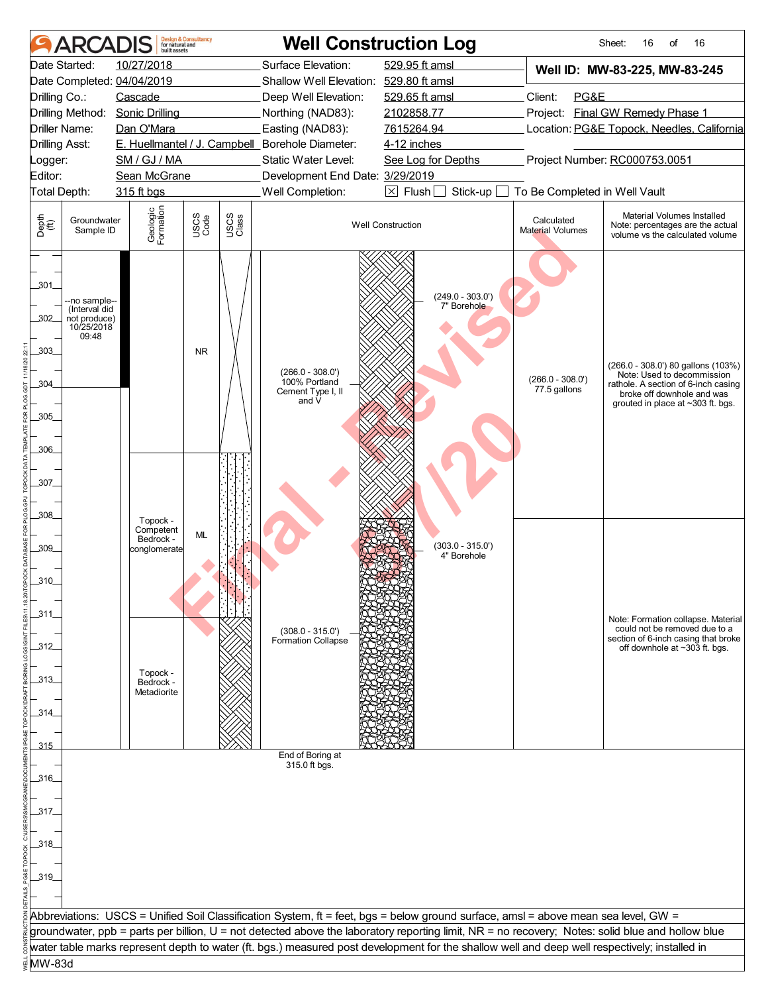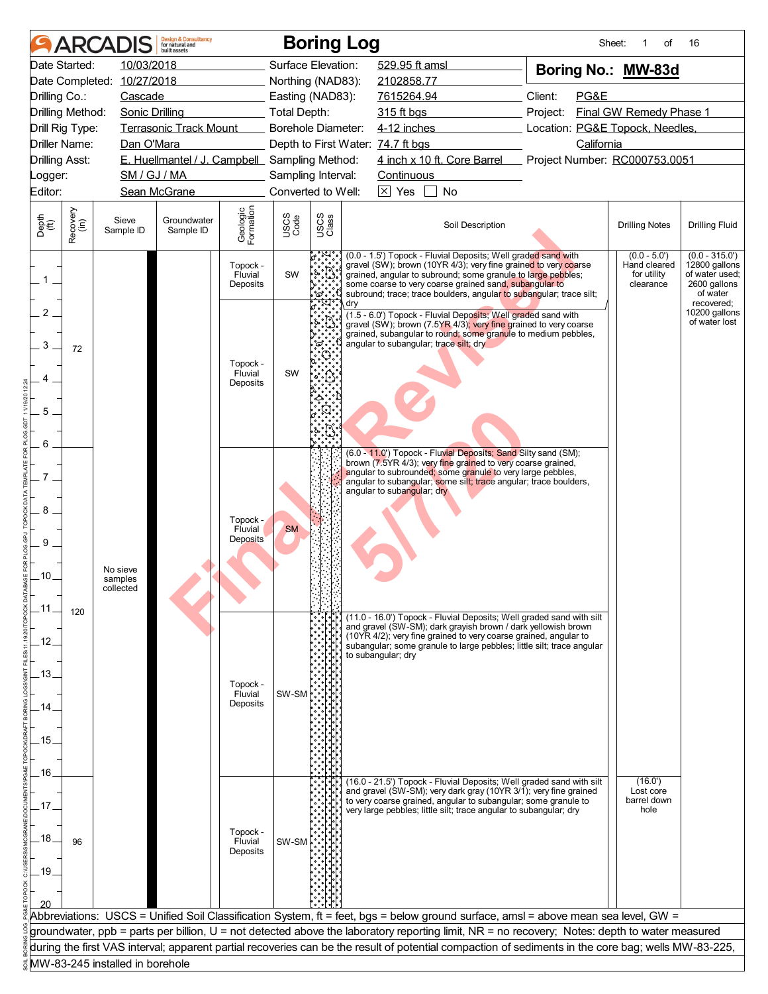| 10/03/2018<br>Surface Elevation:<br>529.95 ft amsl<br>Date Started:<br>Boring No.: MW-83d<br>Date Completed: 10/27/2018<br>Northing (NAD83):<br>2102858.77<br>Client:<br>PG&E<br>Drilling Co.:<br>Cascade<br>Easting (NAD83):<br>7615264.94<br>Final GW Remedy Phase 1<br>Drilling Method:<br><b>Sonic Drilling</b><br><b>Total Depth:</b><br>315 ft bgs<br>Project:<br><b>Terrasonic Track Mount</b><br><b>Borehole Diameter:</b><br>4-12 inches<br>Location: PG&E Topock, Needles,<br>Drill Rig Type:<br>Driller Name:<br>California<br>Dan O'Mara<br>Depth to First Water: 74.7 ft bgs<br>4 inch x 10 ft. Core Barrel Project Number: RC000753.0051<br>E. Huellmantel / J. Campbell Sampling Method:<br><b>Drilling Asst:</b><br>SM / GJ / MA<br>Sampling Interval:<br><b>Continuous</b><br>Logger:<br>$\boxtimes$ Yes<br>Editor:<br>Sean McGrane<br>Converted to Well:<br>No<br>Geologic<br>Formation<br>Recovery<br>(in)<br>USCS<br>Class<br>USCS<br>Code<br>Depth<br>$\widetilde{f(t)}$<br>Sieve<br>Groundwater<br>Soil Description<br><b>Drilling Fluid</b><br><b>Drilling Notes</b><br>Sample ID<br>Sample ID<br>(0.0 - 1.5') Topock - Fluvial Deposits; Well graded sand with<br>$(0.0 - 315.0')$<br>$(0.0 - 5.0')$<br>gravel (SW); brown (10YR 4/3); very fine grained to very coarse<br>12800 gallons<br>Hand cleared<br>Topock -<br>SW<br>grained, angular to subround; some granule to large pebbles;<br>of water used;<br>for utility<br>Fluvial<br>$1$ .<br>clearance<br>2600 gallons<br>some coarse to very coarse grained sand, subangular to<br>Deposits<br>subround; trace; trace boulders, angular to subangular; trace silt;<br>of water<br>°ದ<br>recovered:<br>dry<br>2<br>10200 gallons<br>(1.5 - 6.0') Topock - Fluvial Deposits; Well graded sand with<br>of water lost<br>gravel (SW); brown (7.5YR 4/3); very fine grained to very coarse<br>grained, subangular to round; some granule to medium pebbles,<br>angular to subangular; trace silt; dry<br>3<br>72<br>Topock -<br>SW<br>Fluvial<br>Deposits<br>5<br>6<br>(6.0 - 11.0') Topock - Fluvial Deposits; Sand Silty sand (SM);<br>brown (7.5YR 4/3); very fine grained to very coarse grained,<br>angular to subrounded; some granule to very large pebbles,<br>angular to subangular; some silt; trace angular; trace boulders,<br>angular to subangular; dry<br>8<br>Topock -<br><b>SM</b><br>Fluvial<br><b>Deposits</b><br>9<br>No sieve<br>.10.<br>samples<br>collected<br>.11<br>120<br>(11.0 - 16.0') Topock - Fluvial Deposits; Well graded sand with silt<br>and gravel (SW-SM); dark grayish brown / dark yellowish brown<br>(10YR 4/2); very fine grained to very coarse grained, angular to<br>.12.<br>subangular; some granule to large pebbles; little silt; trace angular<br>to subangular; dry<br>.13.<br>Topock -<br>SW-SM<br>Fluvial<br>Deposits<br>14<br>.15.<br>.16.<br>(16.0')<br>(16.0 - 21.5') Topock - Fluvial Deposits; Well graded sand with silt<br>and gravel (SW-SM); very dark gray (10YR 3/1); very fine grained<br>Lost core<br>barrel down<br>to very coarse grained, angular to subangular; some granule to<br>17<br>very large pebbles; little silt; trace angular to subangular; dry<br>hole<br>Topock -<br>.18.<br>SW-SM<br>96<br>Fluvial<br>Deposits<br>.19<br>Abbreviations: USCS = Unified Soil Classification System, ft = feet, bgs = below ground surface, amsl = above mean sea level, GW =<br>groundwater, ppb = parts per billion, U = not detected above the laboratory reporting limit, NR = no recovery; Notes: depth to water measured<br>during the first VAS interval; apparent partial recoveries can be the result of potential compaction of sediments in the core bag; wells MW-83-225,<br>MW-83-245 installed in borehole |  | <b>ARCADIS</b> | <b>Design &amp; Consultancy</b><br>for natural and<br>huilt assets |  | <b>Boring Log</b> | Sheet:<br>of | 16 |
|--------------------------------------------------------------------------------------------------------------------------------------------------------------------------------------------------------------------------------------------------------------------------------------------------------------------------------------------------------------------------------------------------------------------------------------------------------------------------------------------------------------------------------------------------------------------------------------------------------------------------------------------------------------------------------------------------------------------------------------------------------------------------------------------------------------------------------------------------------------------------------------------------------------------------------------------------------------------------------------------------------------------------------------------------------------------------------------------------------------------------------------------------------------------------------------------------------------------------------------------------------------------------------------------------------------------------------------------------------------------------------------------------------------------------------------------------------------------------------------------------------------------------------------------------------------------------------------------------------------------------------------------------------------------------------------------------------------------------------------------------------------------------------------------------------------------------------------------------------------------------------------------------------------------------------------------------------------------------------------------------------------------------------------------------------------------------------------------------------------------------------------------------------------------------------------------------------------------------------------------------------------------------------------------------------------------------------------------------------------------------------------------------------------------------------------------------------------------------------------------------------------------------------------------------------------------------------------------------------------------------------------------------------------------------------------------------------------------------------------------------------------------------------------------------------------------------------------------------------------------------------------------------------------------------------------------------------------------------------------------------------------------------------------------------------------------------------------------------------------------------------------------------------------------------------------------------------------------------------------------------------------------------------------------------------------------------------------------------------------------------------------------------------------------------------------------------------------------------------------------------------------------------------------------------------------------------------------------------------------------------------------------------------------------------------------------------------------------------------------------------------------------|--|----------------|--------------------------------------------------------------------|--|-------------------|--------------|----|
|                                                                                                                                                                                                                                                                                                                                                                                                                                                                                                                                                                                                                                                                                                                                                                                                                                                                                                                                                                                                                                                                                                                                                                                                                                                                                                                                                                                                                                                                                                                                                                                                                                                                                                                                                                                                                                                                                                                                                                                                                                                                                                                                                                                                                                                                                                                                                                                                                                                                                                                                                                                                                                                                                                                                                                                                                                                                                                                                                                                                                                                                                                                                                                                                                                                                                                                                                                                                                                                                                                                                                                                                                                                                                                                                                                    |  |                |                                                                    |  |                   |              |    |
|                                                                                                                                                                                                                                                                                                                                                                                                                                                                                                                                                                                                                                                                                                                                                                                                                                                                                                                                                                                                                                                                                                                                                                                                                                                                                                                                                                                                                                                                                                                                                                                                                                                                                                                                                                                                                                                                                                                                                                                                                                                                                                                                                                                                                                                                                                                                                                                                                                                                                                                                                                                                                                                                                                                                                                                                                                                                                                                                                                                                                                                                                                                                                                                                                                                                                                                                                                                                                                                                                                                                                                                                                                                                                                                                                                    |  |                |                                                                    |  |                   |              |    |
|                                                                                                                                                                                                                                                                                                                                                                                                                                                                                                                                                                                                                                                                                                                                                                                                                                                                                                                                                                                                                                                                                                                                                                                                                                                                                                                                                                                                                                                                                                                                                                                                                                                                                                                                                                                                                                                                                                                                                                                                                                                                                                                                                                                                                                                                                                                                                                                                                                                                                                                                                                                                                                                                                                                                                                                                                                                                                                                                                                                                                                                                                                                                                                                                                                                                                                                                                                                                                                                                                                                                                                                                                                                                                                                                                                    |  |                |                                                                    |  |                   |              |    |
|                                                                                                                                                                                                                                                                                                                                                                                                                                                                                                                                                                                                                                                                                                                                                                                                                                                                                                                                                                                                                                                                                                                                                                                                                                                                                                                                                                                                                                                                                                                                                                                                                                                                                                                                                                                                                                                                                                                                                                                                                                                                                                                                                                                                                                                                                                                                                                                                                                                                                                                                                                                                                                                                                                                                                                                                                                                                                                                                                                                                                                                                                                                                                                                                                                                                                                                                                                                                                                                                                                                                                                                                                                                                                                                                                                    |  |                |                                                                    |  |                   |              |    |
|                                                                                                                                                                                                                                                                                                                                                                                                                                                                                                                                                                                                                                                                                                                                                                                                                                                                                                                                                                                                                                                                                                                                                                                                                                                                                                                                                                                                                                                                                                                                                                                                                                                                                                                                                                                                                                                                                                                                                                                                                                                                                                                                                                                                                                                                                                                                                                                                                                                                                                                                                                                                                                                                                                                                                                                                                                                                                                                                                                                                                                                                                                                                                                                                                                                                                                                                                                                                                                                                                                                                                                                                                                                                                                                                                                    |  |                |                                                                    |  |                   |              |    |
|                                                                                                                                                                                                                                                                                                                                                                                                                                                                                                                                                                                                                                                                                                                                                                                                                                                                                                                                                                                                                                                                                                                                                                                                                                                                                                                                                                                                                                                                                                                                                                                                                                                                                                                                                                                                                                                                                                                                                                                                                                                                                                                                                                                                                                                                                                                                                                                                                                                                                                                                                                                                                                                                                                                                                                                                                                                                                                                                                                                                                                                                                                                                                                                                                                                                                                                                                                                                                                                                                                                                                                                                                                                                                                                                                                    |  |                |                                                                    |  |                   |              |    |
|                                                                                                                                                                                                                                                                                                                                                                                                                                                                                                                                                                                                                                                                                                                                                                                                                                                                                                                                                                                                                                                                                                                                                                                                                                                                                                                                                                                                                                                                                                                                                                                                                                                                                                                                                                                                                                                                                                                                                                                                                                                                                                                                                                                                                                                                                                                                                                                                                                                                                                                                                                                                                                                                                                                                                                                                                                                                                                                                                                                                                                                                                                                                                                                                                                                                                                                                                                                                                                                                                                                                                                                                                                                                                                                                                                    |  |                |                                                                    |  |                   |              |    |
|                                                                                                                                                                                                                                                                                                                                                                                                                                                                                                                                                                                                                                                                                                                                                                                                                                                                                                                                                                                                                                                                                                                                                                                                                                                                                                                                                                                                                                                                                                                                                                                                                                                                                                                                                                                                                                                                                                                                                                                                                                                                                                                                                                                                                                                                                                                                                                                                                                                                                                                                                                                                                                                                                                                                                                                                                                                                                                                                                                                                                                                                                                                                                                                                                                                                                                                                                                                                                                                                                                                                                                                                                                                                                                                                                                    |  |                |                                                                    |  |                   |              |    |
|                                                                                                                                                                                                                                                                                                                                                                                                                                                                                                                                                                                                                                                                                                                                                                                                                                                                                                                                                                                                                                                                                                                                                                                                                                                                                                                                                                                                                                                                                                                                                                                                                                                                                                                                                                                                                                                                                                                                                                                                                                                                                                                                                                                                                                                                                                                                                                                                                                                                                                                                                                                                                                                                                                                                                                                                                                                                                                                                                                                                                                                                                                                                                                                                                                                                                                                                                                                                                                                                                                                                                                                                                                                                                                                                                                    |  |                |                                                                    |  |                   |              |    |
|                                                                                                                                                                                                                                                                                                                                                                                                                                                                                                                                                                                                                                                                                                                                                                                                                                                                                                                                                                                                                                                                                                                                                                                                                                                                                                                                                                                                                                                                                                                                                                                                                                                                                                                                                                                                                                                                                                                                                                                                                                                                                                                                                                                                                                                                                                                                                                                                                                                                                                                                                                                                                                                                                                                                                                                                                                                                                                                                                                                                                                                                                                                                                                                                                                                                                                                                                                                                                                                                                                                                                                                                                                                                                                                                                                    |  |                |                                                                    |  |                   |              |    |
|                                                                                                                                                                                                                                                                                                                                                                                                                                                                                                                                                                                                                                                                                                                                                                                                                                                                                                                                                                                                                                                                                                                                                                                                                                                                                                                                                                                                                                                                                                                                                                                                                                                                                                                                                                                                                                                                                                                                                                                                                                                                                                                                                                                                                                                                                                                                                                                                                                                                                                                                                                                                                                                                                                                                                                                                                                                                                                                                                                                                                                                                                                                                                                                                                                                                                                                                                                                                                                                                                                                                                                                                                                                                                                                                                                    |  |                |                                                                    |  |                   |              |    |
|                                                                                                                                                                                                                                                                                                                                                                                                                                                                                                                                                                                                                                                                                                                                                                                                                                                                                                                                                                                                                                                                                                                                                                                                                                                                                                                                                                                                                                                                                                                                                                                                                                                                                                                                                                                                                                                                                                                                                                                                                                                                                                                                                                                                                                                                                                                                                                                                                                                                                                                                                                                                                                                                                                                                                                                                                                                                                                                                                                                                                                                                                                                                                                                                                                                                                                                                                                                                                                                                                                                                                                                                                                                                                                                                                                    |  |                |                                                                    |  |                   |              |    |
|                                                                                                                                                                                                                                                                                                                                                                                                                                                                                                                                                                                                                                                                                                                                                                                                                                                                                                                                                                                                                                                                                                                                                                                                                                                                                                                                                                                                                                                                                                                                                                                                                                                                                                                                                                                                                                                                                                                                                                                                                                                                                                                                                                                                                                                                                                                                                                                                                                                                                                                                                                                                                                                                                                                                                                                                                                                                                                                                                                                                                                                                                                                                                                                                                                                                                                                                                                                                                                                                                                                                                                                                                                                                                                                                                                    |  |                |                                                                    |  |                   |              |    |
|                                                                                                                                                                                                                                                                                                                                                                                                                                                                                                                                                                                                                                                                                                                                                                                                                                                                                                                                                                                                                                                                                                                                                                                                                                                                                                                                                                                                                                                                                                                                                                                                                                                                                                                                                                                                                                                                                                                                                                                                                                                                                                                                                                                                                                                                                                                                                                                                                                                                                                                                                                                                                                                                                                                                                                                                                                                                                                                                                                                                                                                                                                                                                                                                                                                                                                                                                                                                                                                                                                                                                                                                                                                                                                                                                                    |  |                |                                                                    |  |                   |              |    |
|                                                                                                                                                                                                                                                                                                                                                                                                                                                                                                                                                                                                                                                                                                                                                                                                                                                                                                                                                                                                                                                                                                                                                                                                                                                                                                                                                                                                                                                                                                                                                                                                                                                                                                                                                                                                                                                                                                                                                                                                                                                                                                                                                                                                                                                                                                                                                                                                                                                                                                                                                                                                                                                                                                                                                                                                                                                                                                                                                                                                                                                                                                                                                                                                                                                                                                                                                                                                                                                                                                                                                                                                                                                                                                                                                                    |  |                |                                                                    |  |                   |              |    |
|                                                                                                                                                                                                                                                                                                                                                                                                                                                                                                                                                                                                                                                                                                                                                                                                                                                                                                                                                                                                                                                                                                                                                                                                                                                                                                                                                                                                                                                                                                                                                                                                                                                                                                                                                                                                                                                                                                                                                                                                                                                                                                                                                                                                                                                                                                                                                                                                                                                                                                                                                                                                                                                                                                                                                                                                                                                                                                                                                                                                                                                                                                                                                                                                                                                                                                                                                                                                                                                                                                                                                                                                                                                                                                                                                                    |  |                |                                                                    |  |                   |              |    |
|                                                                                                                                                                                                                                                                                                                                                                                                                                                                                                                                                                                                                                                                                                                                                                                                                                                                                                                                                                                                                                                                                                                                                                                                                                                                                                                                                                                                                                                                                                                                                                                                                                                                                                                                                                                                                                                                                                                                                                                                                                                                                                                                                                                                                                                                                                                                                                                                                                                                                                                                                                                                                                                                                                                                                                                                                                                                                                                                                                                                                                                                                                                                                                                                                                                                                                                                                                                                                                                                                                                                                                                                                                                                                                                                                                    |  |                |                                                                    |  |                   |              |    |
|                                                                                                                                                                                                                                                                                                                                                                                                                                                                                                                                                                                                                                                                                                                                                                                                                                                                                                                                                                                                                                                                                                                                                                                                                                                                                                                                                                                                                                                                                                                                                                                                                                                                                                                                                                                                                                                                                                                                                                                                                                                                                                                                                                                                                                                                                                                                                                                                                                                                                                                                                                                                                                                                                                                                                                                                                                                                                                                                                                                                                                                                                                                                                                                                                                                                                                                                                                                                                                                                                                                                                                                                                                                                                                                                                                    |  |                |                                                                    |  |                   |              |    |
|                                                                                                                                                                                                                                                                                                                                                                                                                                                                                                                                                                                                                                                                                                                                                                                                                                                                                                                                                                                                                                                                                                                                                                                                                                                                                                                                                                                                                                                                                                                                                                                                                                                                                                                                                                                                                                                                                                                                                                                                                                                                                                                                                                                                                                                                                                                                                                                                                                                                                                                                                                                                                                                                                                                                                                                                                                                                                                                                                                                                                                                                                                                                                                                                                                                                                                                                                                                                                                                                                                                                                                                                                                                                                                                                                                    |  |                |                                                                    |  |                   |              |    |
|                                                                                                                                                                                                                                                                                                                                                                                                                                                                                                                                                                                                                                                                                                                                                                                                                                                                                                                                                                                                                                                                                                                                                                                                                                                                                                                                                                                                                                                                                                                                                                                                                                                                                                                                                                                                                                                                                                                                                                                                                                                                                                                                                                                                                                                                                                                                                                                                                                                                                                                                                                                                                                                                                                                                                                                                                                                                                                                                                                                                                                                                                                                                                                                                                                                                                                                                                                                                                                                                                                                                                                                                                                                                                                                                                                    |  |                |                                                                    |  |                   |              |    |
|                                                                                                                                                                                                                                                                                                                                                                                                                                                                                                                                                                                                                                                                                                                                                                                                                                                                                                                                                                                                                                                                                                                                                                                                                                                                                                                                                                                                                                                                                                                                                                                                                                                                                                                                                                                                                                                                                                                                                                                                                                                                                                                                                                                                                                                                                                                                                                                                                                                                                                                                                                                                                                                                                                                                                                                                                                                                                                                                                                                                                                                                                                                                                                                                                                                                                                                                                                                                                                                                                                                                                                                                                                                                                                                                                                    |  |                |                                                                    |  |                   |              |    |
|                                                                                                                                                                                                                                                                                                                                                                                                                                                                                                                                                                                                                                                                                                                                                                                                                                                                                                                                                                                                                                                                                                                                                                                                                                                                                                                                                                                                                                                                                                                                                                                                                                                                                                                                                                                                                                                                                                                                                                                                                                                                                                                                                                                                                                                                                                                                                                                                                                                                                                                                                                                                                                                                                                                                                                                                                                                                                                                                                                                                                                                                                                                                                                                                                                                                                                                                                                                                                                                                                                                                                                                                                                                                                                                                                                    |  |                |                                                                    |  |                   |              |    |
|                                                                                                                                                                                                                                                                                                                                                                                                                                                                                                                                                                                                                                                                                                                                                                                                                                                                                                                                                                                                                                                                                                                                                                                                                                                                                                                                                                                                                                                                                                                                                                                                                                                                                                                                                                                                                                                                                                                                                                                                                                                                                                                                                                                                                                                                                                                                                                                                                                                                                                                                                                                                                                                                                                                                                                                                                                                                                                                                                                                                                                                                                                                                                                                                                                                                                                                                                                                                                                                                                                                                                                                                                                                                                                                                                                    |  |                |                                                                    |  |                   |              |    |
|                                                                                                                                                                                                                                                                                                                                                                                                                                                                                                                                                                                                                                                                                                                                                                                                                                                                                                                                                                                                                                                                                                                                                                                                                                                                                                                                                                                                                                                                                                                                                                                                                                                                                                                                                                                                                                                                                                                                                                                                                                                                                                                                                                                                                                                                                                                                                                                                                                                                                                                                                                                                                                                                                                                                                                                                                                                                                                                                                                                                                                                                                                                                                                                                                                                                                                                                                                                                                                                                                                                                                                                                                                                                                                                                                                    |  |                |                                                                    |  |                   |              |    |
|                                                                                                                                                                                                                                                                                                                                                                                                                                                                                                                                                                                                                                                                                                                                                                                                                                                                                                                                                                                                                                                                                                                                                                                                                                                                                                                                                                                                                                                                                                                                                                                                                                                                                                                                                                                                                                                                                                                                                                                                                                                                                                                                                                                                                                                                                                                                                                                                                                                                                                                                                                                                                                                                                                                                                                                                                                                                                                                                                                                                                                                                                                                                                                                                                                                                                                                                                                                                                                                                                                                                                                                                                                                                                                                                                                    |  |                |                                                                    |  |                   |              |    |
|                                                                                                                                                                                                                                                                                                                                                                                                                                                                                                                                                                                                                                                                                                                                                                                                                                                                                                                                                                                                                                                                                                                                                                                                                                                                                                                                                                                                                                                                                                                                                                                                                                                                                                                                                                                                                                                                                                                                                                                                                                                                                                                                                                                                                                                                                                                                                                                                                                                                                                                                                                                                                                                                                                                                                                                                                                                                                                                                                                                                                                                                                                                                                                                                                                                                                                                                                                                                                                                                                                                                                                                                                                                                                                                                                                    |  |                |                                                                    |  |                   |              |    |
|                                                                                                                                                                                                                                                                                                                                                                                                                                                                                                                                                                                                                                                                                                                                                                                                                                                                                                                                                                                                                                                                                                                                                                                                                                                                                                                                                                                                                                                                                                                                                                                                                                                                                                                                                                                                                                                                                                                                                                                                                                                                                                                                                                                                                                                                                                                                                                                                                                                                                                                                                                                                                                                                                                                                                                                                                                                                                                                                                                                                                                                                                                                                                                                                                                                                                                                                                                                                                                                                                                                                                                                                                                                                                                                                                                    |  |                |                                                                    |  |                   |              |    |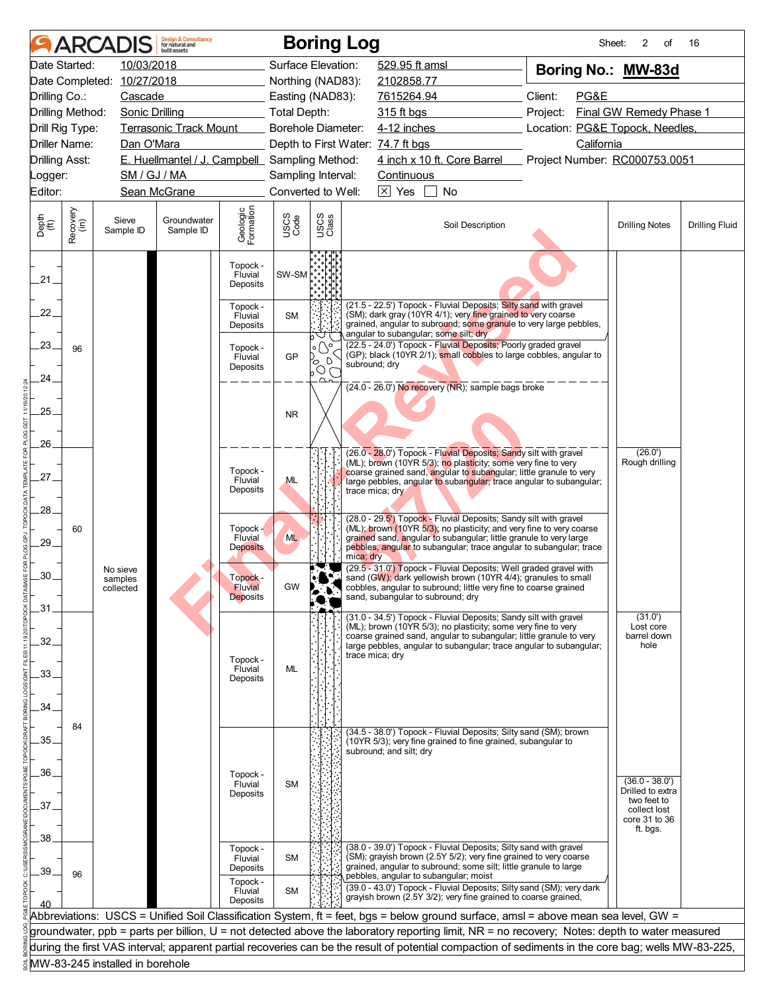|                       |                  | <b>ARCADIS</b>                   | <b>Design &amp; Consultancy</b><br>for natural and<br>huilt assets |                                               |                           |                                   | <b>Boring Log</b>                                                                                                                                                                                                                              | Sheet:                          | 2<br>of                             | 16                    |
|-----------------------|------------------|----------------------------------|--------------------------------------------------------------------|-----------------------------------------------|---------------------------|-----------------------------------|------------------------------------------------------------------------------------------------------------------------------------------------------------------------------------------------------------------------------------------------|---------------------------------|-------------------------------------|-----------------------|
|                       | Date Started:    | 10/03/2018                       |                                                                    |                                               | Surface Elevation:        |                                   | 529.95 ft amsl                                                                                                                                                                                                                                 | Boring No.: MW-83d              |                                     |                       |
|                       |                  | Date Completed: 10/27/2018       |                                                                    |                                               | Northing (NAD83):         |                                   | 2102858.77                                                                                                                                                                                                                                     |                                 |                                     |                       |
| Drilling Co.:         |                  | Cascade                          |                                                                    |                                               | Easting (NAD83):          |                                   | 7615264.94                                                                                                                                                                                                                                     | Client:<br>PG&E                 |                                     |                       |
| Drilling Method:      |                  | Sonic Drilling                   |                                                                    |                                               | <b>Total Depth:</b>       |                                   | 315 ft bgs                                                                                                                                                                                                                                     | Project:                        | Final GW Remedy Phase 1             |                       |
| Drill Rig Type:       |                  |                                  | <b>Terrasonic Track Mount</b>                                      |                                               | <b>Borehole Diameter:</b> |                                   | 4-12 inches                                                                                                                                                                                                                                    | Location: PG&E Topock, Needles, |                                     |                       |
| Driller Name:         |                  | Dan O'Mara                       |                                                                    |                                               |                           |                                   | Depth to First Water: 74.7 ft bgs                                                                                                                                                                                                              | California                      |                                     |                       |
| <b>Drilling Asst:</b> |                  |                                  | E. Huellmantel / J. Campbell Sampling Method:                      |                                               |                           |                                   | 4 inch x 10 ft. Core Barrel                                                                                                                                                                                                                    | Project Number: RC000753.0051   |                                     |                       |
| _ogger:               |                  | SM / GJ / MA                     |                                                                    |                                               | Sampling Interval:        |                                   | Continuous                                                                                                                                                                                                                                     |                                 |                                     |                       |
| Editor:               |                  |                                  | Sean McGrane                                                       |                                               | Converted to Well:        |                                   | $\boxed{\times}$ Yes<br>No                                                                                                                                                                                                                     |                                 |                                     |                       |
| Depth<br>(ft)         | Recovery<br>(in) | Sieve<br>Sample ID               | Groundwater<br>Sample ID                                           | Geologic<br>Formation                         | USCS<br>Code              | USCS<br>Class                     | Soil Description                                                                                                                                                                                                                               |                                 | <b>Drilling Notes</b>               | <b>Drilling Fluid</b> |
| $21 -$                |                  |                                  |                                                                    | Topock -<br>Fluvial<br>Deposits               | SW-SM                     |                                   |                                                                                                                                                                                                                                                |                                 |                                     |                       |
| 22.                   |                  |                                  |                                                                    | Topock -<br>Fluvial<br>Deposits               | <b>SM</b>                 | ◡<br>b                            | (21.5 - 22.5') Topock - Fluvial Deposits; Silty sand with gravel<br>(SM); dark gray (10YR 4/1); very fine grained to very coarse<br>grained, angular to subround; some granule to very large pebbles,<br>angular to subangular; some silt; dry |                                 |                                     |                       |
| .23.<br>24.           | 96               |                                  |                                                                    | Topock -<br>Fluvial<br>Deposits               | GP                        | $\circ$ $\bigcirc$<br>D<br>ပိုလို | (22.5 - 24.0') Topock - Fluvial Deposits; Poorly graded gravel<br>(GP); black (10YR 2/1); small cobbles to large cobbles, angular to<br>subround; dry                                                                                          |                                 |                                     |                       |
|                       |                  |                                  |                                                                    |                                               |                           |                                   | (24.0 - 26.0') No recovery (NR); sample bags broke                                                                                                                                                                                             |                                 |                                     |                       |
| 25.                   |                  |                                  |                                                                    |                                               | <b>NR</b>                 |                                   |                                                                                                                                                                                                                                                |                                 |                                     |                       |
| 26.                   |                  |                                  |                                                                    |                                               |                           |                                   | (26.0 - 28.0') Topock - Fluvial Deposits; Sandy silt with gravel                                                                                                                                                                               |                                 | (26.0')                             |                       |
| 27.                   |                  |                                  |                                                                    | Topock -<br>Fluvial<br>Deposits               | <b>ML</b>                 |                                   | (ML); brown (10YR 5/3); no plasticity; some very fine to very<br>coarse grained sand, angular to subangular; little granule to very<br>large pebbles, angular to subangular; trace angular to subangular;<br>trace mica; dry                   |                                 | Rough drilling                      |                       |
| 28.                   |                  |                                  |                                                                    |                                               |                           |                                   | (28.0 - 29.5') Topock - Fluvial Deposits; Sandy silt with gravel                                                                                                                                                                               |                                 |                                     |                       |
| 29.                   | 60               |                                  |                                                                    | Topock -<br>Fluvial<br><b>Deposits</b>        | <b>ML</b>                 |                                   | (ML); brown (10YR 5/3); no plasticity; and very fine to very coarse<br>grained sand, angular to subangular; little granule to very large<br>pebbles, angular to subangular; trace angular to subangular; trace<br>mica; dry                    |                                 |                                     |                       |
| 30.                   |                  | No sieve<br>samples<br>collected |                                                                    | Topock -<br><b>Fluvial</b><br><b>Deposits</b> | <b>GW</b>                 |                                   | (29.5 - 31.0') Topock - Fluvial Deposits; Well graded gravel with<br>sand (GW); dark yellowish brown (10YR 4/4); granules to small<br>cobbles, angular to subround; little very fine to coarse grained<br>sand, subangular to subround; dry    |                                 |                                     |                       |
| .31                   |                  |                                  |                                                                    |                                               |                           |                                   | (31.0 - 34.5') Topock - Fluvial Deposits; Sandy silt with gravel<br>(ML); brown (10YR 5/3); no plasticity; some very fine to very<br>coarse grained sand, angular to subangular; little granule to very                                        |                                 | (31.0')<br>Lost core<br>barrel down |                       |
| 32.                   |                  |                                  |                                                                    | Topock -                                      |                           |                                   | large pebbles, angular to subangular; trace angular to subangular;<br>trace mica; dry                                                                                                                                                          |                                 | hole                                |                       |
| 33.                   |                  |                                  |                                                                    | Fluvial<br>Deposits                           | ML                        |                                   |                                                                                                                                                                                                                                                |                                 |                                     |                       |
| 34.                   |                  |                                  |                                                                    |                                               |                           |                                   |                                                                                                                                                                                                                                                |                                 |                                     |                       |
|                       | 84               |                                  |                                                                    |                                               |                           |                                   | (34.5 - 38.0') Topock - Fluvial Deposits; Silty sand (SM); brown                                                                                                                                                                               |                                 |                                     |                       |
| 35.                   |                  |                                  |                                                                    |                                               |                           |                                   | (10YR 5/3); very fine grained to fine grained, subangular to<br>subround; and silt; dry                                                                                                                                                        |                                 |                                     |                       |
|                       |                  |                                  |                                                                    |                                               |                           |                                   |                                                                                                                                                                                                                                                |                                 |                                     |                       |
| .36.                  |                  |                                  |                                                                    | Topock -<br>Fluvial                           | <b>SM</b>                 |                                   |                                                                                                                                                                                                                                                |                                 | $(36.0 - 38.0')$                    |                       |
|                       |                  |                                  |                                                                    | Deposits                                      |                           |                                   |                                                                                                                                                                                                                                                |                                 | Drilled to extra<br>two feet to     |                       |
| 37.                   |                  |                                  |                                                                    |                                               |                           |                                   |                                                                                                                                                                                                                                                |                                 | collect lost<br>core 31 to 36       |                       |
|                       |                  |                                  |                                                                    |                                               |                           |                                   |                                                                                                                                                                                                                                                |                                 | ft. bgs.                            |                       |
| 38                    |                  |                                  |                                                                    | Topock -<br>Fluvial                           | <b>SM</b>                 |                                   | (38.0 - 39.0') Topock - Fluvial Deposits; Silty sand with gravel<br>(SM); grayish brown (2.5Y 5/2); very fine grained to very coarse                                                                                                           |                                 |                                     |                       |
| 39                    | 96               |                                  |                                                                    | Deposits<br>Topock -                          |                           |                                   | grained, angular to subround; some silt; little granule to large<br>pebbles, angular to subangular; moist                                                                                                                                      |                                 |                                     |                       |
|                       |                  |                                  |                                                                    | Fluvial<br>Deposits                           | <b>SM</b>                 |                                   | (39.0 - 43.0') Topock - Fluvial Deposits; Silty sand (SM); very dark<br>grayish brown (2.5Y 3/2); very fine grained to coarse grained,                                                                                                         |                                 |                                     |                       |
|                       |                  |                                  |                                                                    |                                               |                           |                                   | Abbreviations: USCS = Unified Soil Classification System, ft = feet, bgs = below ground surface, amsl = above mean sea level, GW =                                                                                                             |                                 |                                     |                       |
|                       |                  |                                  |                                                                    |                                               |                           |                                   | groundwater, ppb = parts per billion, U = not detected above the laboratory reporting limit, NR = no recovery; Notes: depth to water measured                                                                                                  |                                 |                                     |                       |
|                       |                  |                                  |                                                                    |                                               |                           |                                   | during the first VAS interval; apparent partial recoveries can be the result of potential compaction of sediments in the core bag; wells MW-83-225,                                                                                            |                                 |                                     |                       |
|                       |                  | MW-83-245 installed in borehole  |                                                                    |                                               |                           |                                   |                                                                                                                                                                                                                                                |                                 |                                     |                       |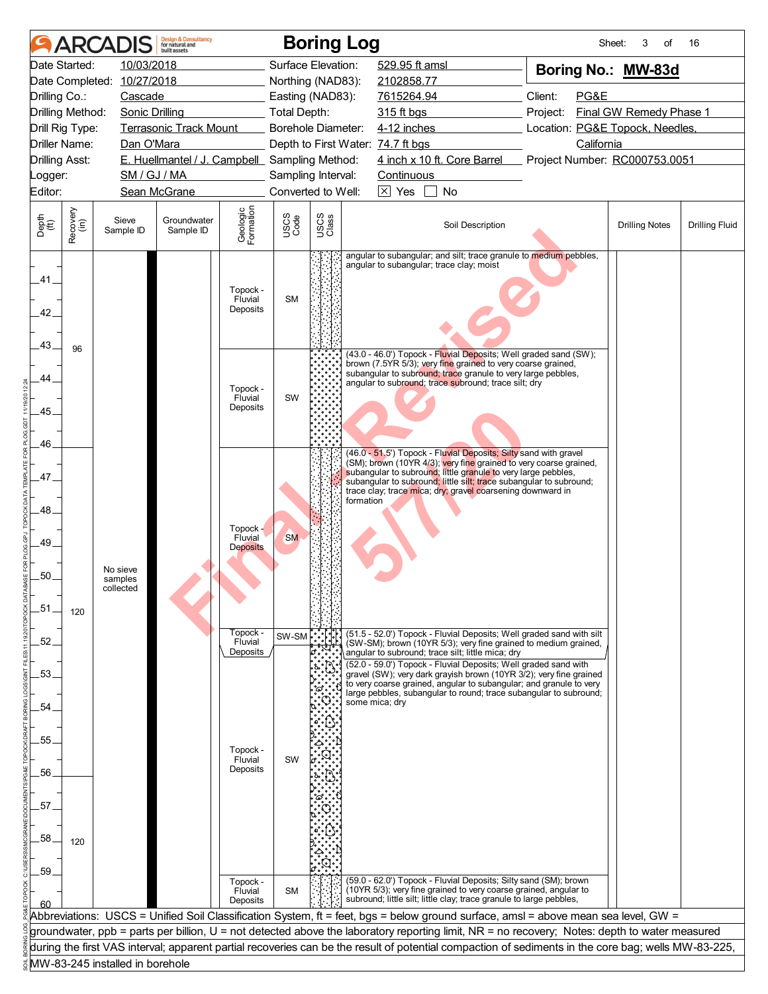|                       |                      |                                 | <b>Design &amp; Consultancy</b><br>for natural and<br>huilt assets |                       |                     |               | <b>Boring Log</b>                                                                                                                                   | Sheet:                          | 3<br>of                 | 16                    |
|-----------------------|----------------------|---------------------------------|--------------------------------------------------------------------|-----------------------|---------------------|---------------|-----------------------------------------------------------------------------------------------------------------------------------------------------|---------------------------------|-------------------------|-----------------------|
|                       | Date Started:        | 10/03/2018                      |                                                                    |                       | Surface Elevation:  |               | 529.95 ft amsl                                                                                                                                      | Boring No.: MW-83d              |                         |                       |
|                       |                      | Date Completed: 10/27/2018      |                                                                    |                       | Northing (NAD83):   |               | 2102858.77                                                                                                                                          |                                 |                         |                       |
| Drilling Co.:         |                      | Cascade                         |                                                                    |                       | Easting (NAD83):    |               | 7615264.94                                                                                                                                          | Client:<br>PG&E                 |                         |                       |
| Drilling Method:      |                      | <b>Sonic Drilling</b>           |                                                                    |                       | <b>Total Depth:</b> |               | 315 ft bgs                                                                                                                                          | Project:                        | Final GW Remedy Phase 1 |                       |
| Drill Rig Type:       |                      |                                 | <b>Terrasonic Track Mount</b>                                      |                       | Borehole Diameter:  |               | 4-12 inches                                                                                                                                         | Location: PG&E Topock, Needles, |                         |                       |
|                       | <b>Driller Name:</b> | Dan O'Mara                      |                                                                    |                       |                     |               | Depth to First Water: 74.7 ft bgs                                                                                                                   | California                      |                         |                       |
| <b>Drilling Asst:</b> |                      | SM / GJ / MA                    | E. Huellmantel / J. Campbell Sampling Method:                      |                       | Sampling Interval:  |               | 4 inch x 10 ft. Core Barrel<br>Continuous                                                                                                           | Project Number: RC000753.0051   |                         |                       |
| Logger:<br>Editor:    |                      |                                 | Sean McGrane                                                       |                       | Converted to Well:  |               | $\boxtimes$ Yes<br>No                                                                                                                               |                                 |                         |                       |
|                       |                      |                                 |                                                                    |                       |                     |               |                                                                                                                                                     |                                 |                         |                       |
| Depth<br>(ft)         | Recovery<br>(in)     | Sieve<br>Sample ID              | Groundwater<br>Sample ID                                           | Geologic<br>Formation | USCS<br>Code        | USCS<br>Class | Soil Description                                                                                                                                    |                                 | <b>Drilling Notes</b>   | <b>Drilling Fluid</b> |
|                       |                      |                                 |                                                                    |                       |                     |               | angular to subangular; and silt; trace granule to medium pebbles,<br>angular to subangular; trace clay; moist                                       |                                 |                         |                       |
| .41.                  |                      |                                 |                                                                    |                       |                     |               |                                                                                                                                                     |                                 |                         |                       |
|                       |                      |                                 |                                                                    | Topock -<br>Fluvial   | <b>SM</b>           |               |                                                                                                                                                     |                                 |                         |                       |
| 42.                   |                      |                                 |                                                                    | Deposits              |                     |               |                                                                                                                                                     |                                 |                         |                       |
|                       |                      |                                 |                                                                    |                       |                     |               |                                                                                                                                                     |                                 |                         |                       |
| 43.                   | 96                   |                                 |                                                                    |                       |                     |               | (43.0 - 46.0') Topock - Fluvial Deposits; Well graded sand (SW);                                                                                    |                                 |                         |                       |
|                       |                      |                                 |                                                                    |                       |                     |               | brown (7.5YR 5/3); very fine grained to very coarse grained,<br>subangular to subround; trace granule to very large pebbles,                        |                                 |                         |                       |
| 44.                   |                      |                                 |                                                                    | Topock -              |                     |               | angular to subround; trace subround; trace silt; dry                                                                                                |                                 |                         |                       |
|                       |                      |                                 |                                                                    | Fluvial               | SW                  |               |                                                                                                                                                     |                                 |                         |                       |
| .45.                  |                      |                                 |                                                                    | Deposits              |                     |               |                                                                                                                                                     |                                 |                         |                       |
|                       |                      |                                 |                                                                    |                       |                     |               |                                                                                                                                                     |                                 |                         |                       |
| 46.                   |                      |                                 |                                                                    |                       |                     |               | (46.0 - 51.5') Topock - Fluvial Deposits; Silty sand with gravel                                                                                    |                                 |                         |                       |
|                       |                      |                                 |                                                                    |                       |                     |               | (SM); brown (10YR 4/3); very fine grained to very coarse grained,<br>subangular to subround; little granule to very large pebbles,                  |                                 |                         |                       |
| .47.                  |                      |                                 |                                                                    |                       |                     |               | subangular to subround; little silt; trace subangular to subround;<br>trace clay; trace mica; dry; gravel coarsening downward in                    |                                 |                         |                       |
|                       |                      |                                 |                                                                    |                       |                     |               | formation                                                                                                                                           |                                 |                         |                       |
| 48                    |                      |                                 |                                                                    |                       |                     |               |                                                                                                                                                     |                                 |                         |                       |
| 49.                   |                      |                                 |                                                                    | Topock -<br>Fluvial   | <b>SM</b>           |               |                                                                                                                                                     |                                 |                         |                       |
|                       |                      |                                 |                                                                    | <b>Deposits</b>       |                     |               |                                                                                                                                                     |                                 |                         |                       |
| .50.                  |                      | No sieve<br>samples             |                                                                    |                       |                     |               |                                                                                                                                                     |                                 |                         |                       |
|                       |                      | collected                       |                                                                    |                       |                     |               |                                                                                                                                                     |                                 |                         |                       |
| .51.                  | 120                  |                                 |                                                                    |                       |                     |               |                                                                                                                                                     |                                 |                         |                       |
|                       |                      |                                 |                                                                    |                       |                     |               |                                                                                                                                                     |                                 |                         |                       |
| 52.                   |                      |                                 |                                                                    | Topock -<br>Fluvial   | SW-SM               |               | (51.5 - 52.0') Topock - Fluvial Deposits; Well graded sand with silt<br>(SW-SM); brown (10YR 5/3); very fine grained to medium grained,             |                                 |                         |                       |
|                       |                      |                                 |                                                                    | Deposits              |                     |               | angular to subround; trace silt; little mica; dry<br>(52.0 - 59.0') Topock - Fluvial Deposits; Well graded sand with                                |                                 |                         |                       |
| .53.                  |                      |                                 |                                                                    |                       |                     |               | gravel (SW); very dark grayish brown (10YR 3/2); very fine grained<br>to very coarse grained, angular to subangular; and granule to very            |                                 |                         |                       |
|                       |                      |                                 |                                                                    |                       |                     |               | large pebbles, subangular to round; trace subangular to subround;                                                                                   |                                 |                         |                       |
| 54                    |                      |                                 |                                                                    |                       |                     |               | some mica: drv                                                                                                                                      |                                 |                         |                       |
|                       |                      |                                 |                                                                    |                       |                     |               |                                                                                                                                                     |                                 |                         |                       |
| 55.                   |                      |                                 |                                                                    | Topock -              |                     |               |                                                                                                                                                     |                                 |                         |                       |
|                       |                      |                                 |                                                                    | Fluvial<br>Deposits   | SW                  |               |                                                                                                                                                     |                                 |                         |                       |
| 56.                   |                      |                                 |                                                                    |                       |                     |               |                                                                                                                                                     |                                 |                         |                       |
|                       |                      |                                 |                                                                    |                       |                     |               |                                                                                                                                                     |                                 |                         |                       |
| 57                    |                      |                                 |                                                                    |                       |                     |               |                                                                                                                                                     |                                 |                         |                       |
| 58                    |                      |                                 |                                                                    |                       |                     |               |                                                                                                                                                     |                                 |                         |                       |
|                       | 120                  |                                 |                                                                    |                       |                     |               |                                                                                                                                                     |                                 |                         |                       |
| .59                   |                      |                                 |                                                                    |                       |                     |               |                                                                                                                                                     |                                 |                         |                       |
|                       |                      |                                 |                                                                    | Topock -              | <b>SM</b>           |               | (59.0 - 62.0') Topock - Fluvial Deposits; Silty sand (SM); brown<br>(10YR 5/3); very fine grained to very coarse grained, angular to                |                                 |                         |                       |
|                       |                      |                                 |                                                                    | Fluvial<br>Deposits   |                     |               | subround; little silt; little clay; trace granule to large pebbles,                                                                                 |                                 |                         |                       |
|                       |                      |                                 |                                                                    |                       |                     |               | Abbreviations: USCS = Unified Soil Classification System, ft = feet, bgs = below ground surface, amsl = above mean sea level, GW =                  |                                 |                         |                       |
|                       |                      |                                 |                                                                    |                       |                     |               | groundwater, ppb = parts per billion, U = not detected above the laboratory reporting limit, NR = no recovery; Notes: depth to water measured       |                                 |                         |                       |
|                       |                      |                                 |                                                                    |                       |                     |               | during the first VAS interval; apparent partial recoveries can be the result of potential compaction of sediments in the core bag; wells MW-83-225, |                                 |                         |                       |
|                       |                      | MW-83-245 installed in borehole |                                                                    |                       |                     |               |                                                                                                                                                     |                                 |                         |                       |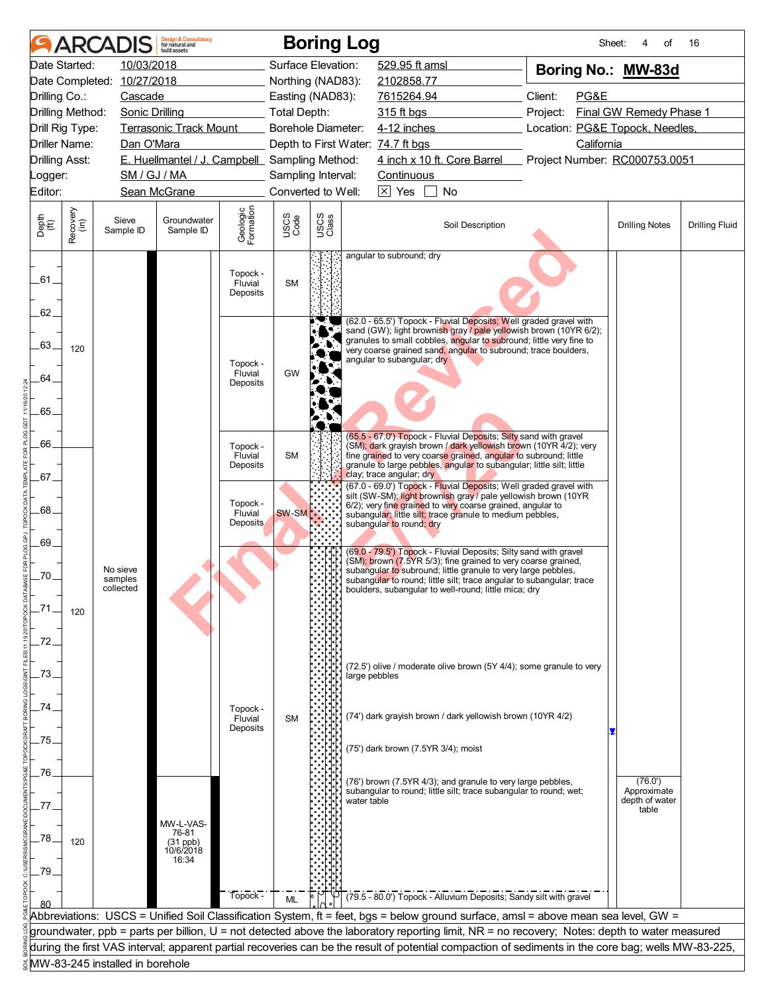|                       |                  | <b>ARCADIS</b>                  | <b>Design &amp; Consultancy</b><br>for natural and<br>huilt assets |                                 |                           |               | <b>Boring Log</b>                                                                                                                                                                                                                        | Sheet:                          | of<br>4                       | 16                    |
|-----------------------|------------------|---------------------------------|--------------------------------------------------------------------|---------------------------------|---------------------------|---------------|------------------------------------------------------------------------------------------------------------------------------------------------------------------------------------------------------------------------------------------|---------------------------------|-------------------------------|-----------------------|
|                       | Date Started:    | 10/03/2018                      |                                                                    |                                 | Surface Elevation:        |               | 529.95 ft amsl                                                                                                                                                                                                                           | Boring No.: MW-83d              |                               |                       |
|                       |                  | Date Completed: 10/27/2018      |                                                                    |                                 | Northing (NAD83):         |               | 2102858.77                                                                                                                                                                                                                               |                                 |                               |                       |
| Drilling Co.:         |                  | Cascade                         |                                                                    |                                 | Easting (NAD83):          |               | 7615264.94                                                                                                                                                                                                                               | Client:<br>PG&E                 |                               |                       |
|                       | Drilling Method: | <b>Sonic Drilling</b>           |                                                                    |                                 | <b>Total Depth:</b>       |               | 315 ft bgs                                                                                                                                                                                                                               | Project:                        | Final GW Remedy Phase 1       |                       |
|                       | Drill Rig Type:  |                                 | <b>Terrasonic Track Mount</b>                                      |                                 | <b>Borehole Diameter:</b> |               | 4-12 inches                                                                                                                                                                                                                              | Location: PG&E Topock, Needles, |                               |                       |
|                       | Driller Name:    | Dan O'Mara                      |                                                                    |                                 |                           |               | Depth to First Water: 74.7 ft bgs                                                                                                                                                                                                        | California                      |                               |                       |
| <b>Drilling Asst:</b> |                  |                                 | E. Huellmantel / J. Campbell Sampling Method:                      |                                 |                           |               | 4 inch x 10 ft. Core Barrel                                                                                                                                                                                                              | Project Number: RC000753.0051   |                               |                       |
| _ogger:               |                  | SM / GJ / MA                    |                                                                    |                                 | Sampling Interval:        |               | Continuous                                                                                                                                                                                                                               |                                 |                               |                       |
| Editor:               |                  |                                 | Sean McGrane                                                       |                                 | Converted to Well:        |               | $\overline{\times}$ Yes<br>No                                                                                                                                                                                                            |                                 |                               |                       |
| Depth<br>(ft)         | Recovery<br>(in) | Sieve<br>Sample ID              | Groundwater<br>Sample ID                                           | Geologic<br>Formation           | USCS<br>Code              | USCS<br>Class | Soil Description                                                                                                                                                                                                                         |                                 | <b>Drilling Notes</b>         | <b>Drilling Fluid</b> |
| .61.                  |                  |                                 |                                                                    | Topock -<br>Fluvial<br>Deposits | <b>SM</b>                 |               | angular to subround; dry                                                                                                                                                                                                                 |                                 |                               |                       |
| 62.                   |                  |                                 |                                                                    |                                 |                           |               | (62.0 - 65.5') Topock - Fluvial Deposits; Well graded gravel with                                                                                                                                                                        |                                 |                               |                       |
| 63.                   | 120              |                                 |                                                                    | Topock -                        |                           |               | sand (GW); light brownish gray / pale yellowish brown (10YR 6/2);<br>granules to small cobbles, angular to subround; little very fine to<br>very coarse grained sand, angular to subround; trace boulders,<br>angular to subangular; dry |                                 |                               |                       |
| 64.                   |                  |                                 |                                                                    | Fluvial<br>Deposits             | GW                        |               |                                                                                                                                                                                                                                          |                                 |                               |                       |
|                       |                  |                                 |                                                                    |                                 |                           |               |                                                                                                                                                                                                                                          |                                 |                               |                       |
| 65.                   |                  |                                 |                                                                    |                                 |                           |               |                                                                                                                                                                                                                                          |                                 |                               |                       |
| 66.                   |                  |                                 |                                                                    |                                 |                           |               | (65.5 - 67.0') Topock - Fluvial Deposits; Silty sand with gravel                                                                                                                                                                         |                                 |                               |                       |
|                       |                  |                                 |                                                                    | Topock -<br>Fluvial             | <b>SM</b>                 |               | (SM); dark grayish brown / dark yellowish brown (10YR 4/2); very<br>fine grained to very coarse grained, angular to subround; little                                                                                                     |                                 |                               |                       |
| .67.                  |                  |                                 |                                                                    | Deposits                        |                           |               | granule to large pebbles, angular to subangular; little silt; little<br>clay; trace angular; dry                                                                                                                                         |                                 |                               |                       |
|                       |                  |                                 |                                                                    |                                 |                           |               | (67.0 - 69.0') Topock - Fluvial Deposits; Well graded gravel with<br>silt (SW-SM); light brownish gray / pale yellowish brown (10YR                                                                                                      |                                 |                               |                       |
| .68.                  |                  |                                 |                                                                    | Topock -                        | SW-SM                     |               | 6/2); very fine grained to very coarse grained, angular to                                                                                                                                                                               |                                 |                               |                       |
|                       |                  |                                 |                                                                    | Fluvial<br><b>Deposits</b>      |                           |               | subangular; little silt; trace granule to medium pebbles,<br>subangular to round; dry                                                                                                                                                    |                                 |                               |                       |
| 69.                   |                  |                                 |                                                                    |                                 |                           |               |                                                                                                                                                                                                                                          |                                 |                               |                       |
|                       |                  |                                 |                                                                    |                                 |                           |               | (69.0 - 79.5') Topock - Fluvial Deposits; Silty sand with gravel<br>(SM); brown (7.5YR 5/3); fine grained to very coarse grained,                                                                                                        |                                 |                               |                       |
| .70.                  |                  | No sieve<br>samples             |                                                                    |                                 |                           |               | subangular to subround; little granule to very large pebbles,<br>subangular to round; little silt; trace angular to subangular; trace                                                                                                    |                                 |                               |                       |
|                       |                  | collected                       |                                                                    |                                 |                           |               | boulders, subangular to well-round; little mica; dry                                                                                                                                                                                     |                                 |                               |                       |
| .71                   | 120              |                                 |                                                                    |                                 |                           |               |                                                                                                                                                                                                                                          |                                 |                               |                       |
|                       |                  |                                 |                                                                    |                                 |                           |               |                                                                                                                                                                                                                                          |                                 |                               |                       |
| 72.                   |                  |                                 |                                                                    |                                 |                           |               |                                                                                                                                                                                                                                          |                                 |                               |                       |
|                       |                  |                                 |                                                                    |                                 |                           |               | (72.5') olive / moderate olive brown (5Y 4/4); some granule to very                                                                                                                                                                      |                                 |                               |                       |
| 73.                   |                  |                                 |                                                                    |                                 |                           |               | large pebbles                                                                                                                                                                                                                            |                                 |                               |                       |
|                       |                  |                                 |                                                                    |                                 |                           |               |                                                                                                                                                                                                                                          |                                 |                               |                       |
| 74                    |                  |                                 |                                                                    | Topock -                        | <b>SM</b>                 |               | (74') dark grayish brown / dark yellowish brown (10YR 4/2)                                                                                                                                                                               |                                 |                               |                       |
|                       |                  |                                 |                                                                    | Fluvial<br>Deposits             |                           |               |                                                                                                                                                                                                                                          |                                 |                               |                       |
| 75.                   |                  |                                 |                                                                    |                                 |                           |               | (75') dark brown (7.5YR 3/4); moist                                                                                                                                                                                                      |                                 |                               |                       |
|                       |                  |                                 |                                                                    |                                 |                           |               |                                                                                                                                                                                                                                          |                                 |                               |                       |
| .76.                  |                  |                                 |                                                                    |                                 |                           |               | (76') brown (7.5YR 4/3); and granule to very large pebbles,                                                                                                                                                                              |                                 | (76.0')                       |                       |
|                       |                  |                                 |                                                                    |                                 |                           |               | subangular to round; little silt; trace subangular to round; wet;<br>water table                                                                                                                                                         |                                 | Approximate<br>depth of water |                       |
| 77                    |                  |                                 |                                                                    |                                 |                           |               |                                                                                                                                                                                                                                          |                                 | table                         |                       |
|                       |                  |                                 | MW-L-VAS-<br>76-81                                                 |                                 |                           |               |                                                                                                                                                                                                                                          |                                 |                               |                       |
| 78.                   | 120              |                                 | (31 ppb)<br>10/6/2018                                              |                                 |                           |               |                                                                                                                                                                                                                                          |                                 |                               |                       |
| 79.                   |                  |                                 | 16:34                                                              |                                 |                           |               |                                                                                                                                                                                                                                          |                                 |                               |                       |
|                       |                  |                                 |                                                                    |                                 |                           |               |                                                                                                                                                                                                                                          |                                 |                               |                       |
|                       |                  |                                 |                                                                    | Topock -                        | <b>ML</b>                 |               | (79.5 - 80.0') Topock - Alluvium Deposits; Sandy silt with gravel                                                                                                                                                                        |                                 |                               |                       |
|                       |                  |                                 |                                                                    |                                 |                           |               | Abbreviations: USCS = Unified Soil Classification System, ft = feet, bgs = below ground surface, amsl = above mean sea level, GW =                                                                                                       |                                 |                               |                       |
|                       |                  |                                 |                                                                    |                                 |                           |               | groundwater, ppb = parts per billion, U = not detected above the laboratory reporting limit, NR = no recovery; Notes: depth to water measured                                                                                            |                                 |                               |                       |
|                       |                  |                                 |                                                                    |                                 |                           |               | during the first VAS interval; apparent partial recoveries can be the result of potential compaction of sediments in the core bag; wells MW-83-225,                                                                                      |                                 |                               |                       |
|                       |                  | MW-83-245 installed in borehole |                                                                    |                                 |                           |               |                                                                                                                                                                                                                                          |                                 |                               |                       |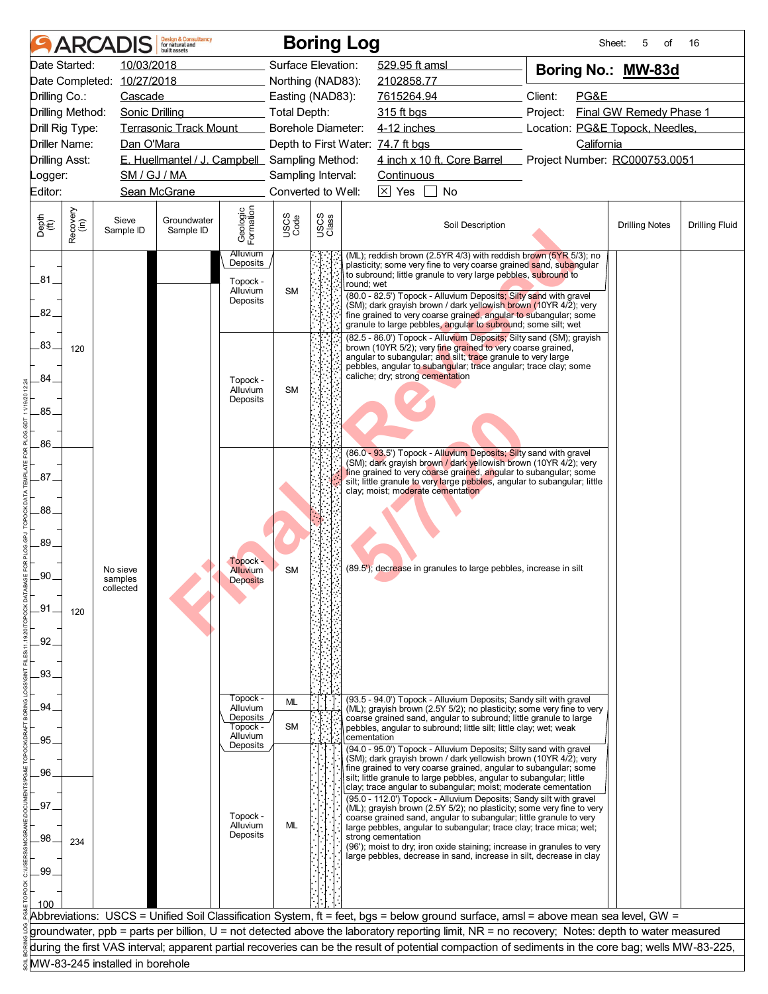| Date Started:<br>10/03/2018<br>Surface Elevation:<br>529.95 ft amsl<br>Boring No.: MW-83d<br>Date Completed: 10/27/2018<br>Northing (NAD83):<br>2102858.77<br>Client:<br>PG&E<br>Drilling Co.:<br>Cascade<br>Easting (NAD83):<br>7615264.94<br>Final GW Remedy Phase 1<br>Drilling Method:<br>Sonic Drilling<br><b>Total Depth:</b><br>315 ft bgs<br>Project:<br>4-12 inches<br>Location: PG&E Topock, Needles,<br>Drill Rig Type:<br><b>Terrasonic Track Mount</b><br>Borehole Diameter:<br><b>Driller Name:</b><br>Dan O'Mara<br>Depth to First Water: 74.7 ft bgs<br>California<br>E. Huellmantel / J. Campbell Sampling Method:<br>4 inch x 10 ft. Core Barrel<br>Project Number: RC000753.0051<br><b>Drilling Asst:</b><br>SM / GJ / MA<br>Sampling Interval:<br>Continuous<br>_ogger:<br>$\boxed{\times}$ Yes<br>Editor:<br>Sean McGrane<br>Converted to Well:<br>No<br>Geologic<br>Formation<br>Recovery<br>(in)<br>USCS<br>Code<br>USCS<br>Class<br>Sieve<br>Groundwater<br>Soil Description<br><b>Drilling Fluid</b><br><b>Drilling Notes</b><br>Sample ID<br>Sample ID<br><u>Alluvium</u><br>(ML); reddish brown (2.5YR 4/3) with reddish brown (5YR 5/3); no<br>Deposits<br>plasticity; some very fine to very coarse grained sand, subangular<br>to subround; little granule to very large pebbles, subround to<br>.81.<br>Topock -<br>round; wet<br>Alluvium<br><b>SM</b><br>(80.0 - 82.5') Topock - Alluvium Deposits; Silty sand with gravel<br><b>Deposits</b><br>(SM); dark grayish brown / dark yellowish brown (10YR 4/2); very<br>82.<br>fine grained to very coarse grained, angular to subangular; some<br>granule to large pebbles, angular to subround; some silt; wet<br>(82.5 - 86.0') Topock - Alluvium Deposits; Silty sand (SM); grayish<br>.83.<br>brown (10YR 5/2); very fine grained to very coarse grained,<br>120<br>angular to subangular; and silt; trace granule to very large<br>pebbles, angular to subangular; trace angular; trace clay; some<br>caliche; dry; strong cementation<br>84.<br>Topock -<br>Alluvium<br><b>SM</b><br>Deposits<br>.85.<br>.86.<br>(86.0 - 93.5') Topock - Alluvium Deposits; Silty sand with gravel<br>(SM); dark grayish brown / dark yellowish brown (10YR 4/2); very<br>fine grained to very coarse grained, angular to subangular; some<br>.87.<br>silt; little granule to very large pebbles, angular to subangular; little<br>clay; moist; moderate cementation<br>.88<br>.89.<br>Topock -<br>(89.5'); decrease in granules to large pebbles, increase in silt<br><b>Alluvium</b><br><b>SM</b><br>No sieve<br>.90<br>samples<br><b>Deposits</b><br>collected<br>.91<br>120<br>.92<br>.93.<br>Topock -<br>(93.5 - 94.0') Topock - Alluvium Deposits; Sandy silt with gravel<br>ML<br>.94<br>Alluvium<br>(ML); gravish brown (2.5Y 5/2); no plasticity; some very fine to very<br>Deposits<br>coarse grained sand, angular to subround; little granule to large<br><b>SM</b><br>Topock -<br>pebbles, angular to subround; little silt; little clay; wet; weak<br>Alluvium<br>cementation<br>.95.<br>Deposits<br>(94.0 - 95.0') Topock - Alluvium Deposits; Silty sand with gravel<br>(SM); dark grayish brown / dark yellowish brown (10YR 4/2); very<br>fine grained to very coarse grained, angular to subangular; some<br>.96<br>silt; little granule to large pebbles, angular to subangular; little<br>clay; trace angular to subangular; moist; moderate cementation<br>(95.0 - 112.0') Topock - Alluvium Deposits; Sandy silt with gravel<br>97<br>(ML); grayish brown (2.5Y 5/2); no plasticity; some very fine to very<br>Topock -<br>coarse grained sand, angular to subangular; little granule to very<br>ML<br>Alluvium<br>large pebbles, angular to subangular; trace clay; trace mica; wet;<br>Deposits<br>strong cementation<br>.98<br>234<br>(96'); moist to dry; iron oxide staining; increase in granules to very<br>large pebbles, decrease in sand, increase in silt, decrease in clay<br>.99<br>Abbreviations: USCS = Unified Soil Classification System, ft = feet, bgs = below ground surface, amsl = above mean sea level, GW =<br>groundwater, ppb = parts per billion, U = not detected above the laboratory reporting limit, NR = no recovery; Notes: depth to water measured<br>during the first VAS interval; apparent partial recoveries can be the result of potential compaction of sediments in the core bag; wells MW-83-225,<br>MW-83-245 installed in borehole |               | ARCADIS | <b>Design &amp; Consultancy</b><br>for natural and<br><b>built</b> assets |  | <b>Boring Log</b> | Sheet: | 5<br>οf | 16 |
|----------------------------------------------------------------------------------------------------------------------------------------------------------------------------------------------------------------------------------------------------------------------------------------------------------------------------------------------------------------------------------------------------------------------------------------------------------------------------------------------------------------------------------------------------------------------------------------------------------------------------------------------------------------------------------------------------------------------------------------------------------------------------------------------------------------------------------------------------------------------------------------------------------------------------------------------------------------------------------------------------------------------------------------------------------------------------------------------------------------------------------------------------------------------------------------------------------------------------------------------------------------------------------------------------------------------------------------------------------------------------------------------------------------------------------------------------------------------------------------------------------------------------------------------------------------------------------------------------------------------------------------------------------------------------------------------------------------------------------------------------------------------------------------------------------------------------------------------------------------------------------------------------------------------------------------------------------------------------------------------------------------------------------------------------------------------------------------------------------------------------------------------------------------------------------------------------------------------------------------------------------------------------------------------------------------------------------------------------------------------------------------------------------------------------------------------------------------------------------------------------------------------------------------------------------------------------------------------------------------------------------------------------------------------------------------------------------------------------------------------------------------------------------------------------------------------------------------------------------------------------------------------------------------------------------------------------------------------------------------------------------------------------------------------------------------------------------------------------------------------------------------------------------------------------------------------------------------------------------------------------------------------------------------------------------------------------------------------------------------------------------------------------------------------------------------------------------------------------------------------------------------------------------------------------------------------------------------------------------------------------------------------------------------------------------------------------------------------------------------------------------------------------------------------------------------------------------------------------------------------------------------------------------------------------------------------------------------------------------------------------------------------------------------------------------------------------------------------------------------------------------------------------------------------------------------------------------------------------------------------------------------------------------------------------------------------------------------------------------------------------------------------------------------------------------------------------------------------------|---------------|---------|---------------------------------------------------------------------------|--|-------------------|--------|---------|----|
|                                                                                                                                                                                                                                                                                                                                                                                                                                                                                                                                                                                                                                                                                                                                                                                                                                                                                                                                                                                                                                                                                                                                                                                                                                                                                                                                                                                                                                                                                                                                                                                                                                                                                                                                                                                                                                                                                                                                                                                                                                                                                                                                                                                                                                                                                                                                                                                                                                                                                                                                                                                                                                                                                                                                                                                                                                                                                                                                                                                                                                                                                                                                                                                                                                                                                                                                                                                                                                                                                                                                                                                                                                                                                                                                                                                                                                                                                                                                                                                                                                                                                                                                                                                                                                                                                                                                                                                                                                                                            |               |         |                                                                           |  |                   |        |         |    |
|                                                                                                                                                                                                                                                                                                                                                                                                                                                                                                                                                                                                                                                                                                                                                                                                                                                                                                                                                                                                                                                                                                                                                                                                                                                                                                                                                                                                                                                                                                                                                                                                                                                                                                                                                                                                                                                                                                                                                                                                                                                                                                                                                                                                                                                                                                                                                                                                                                                                                                                                                                                                                                                                                                                                                                                                                                                                                                                                                                                                                                                                                                                                                                                                                                                                                                                                                                                                                                                                                                                                                                                                                                                                                                                                                                                                                                                                                                                                                                                                                                                                                                                                                                                                                                                                                                                                                                                                                                                                            |               |         |                                                                           |  |                   |        |         |    |
|                                                                                                                                                                                                                                                                                                                                                                                                                                                                                                                                                                                                                                                                                                                                                                                                                                                                                                                                                                                                                                                                                                                                                                                                                                                                                                                                                                                                                                                                                                                                                                                                                                                                                                                                                                                                                                                                                                                                                                                                                                                                                                                                                                                                                                                                                                                                                                                                                                                                                                                                                                                                                                                                                                                                                                                                                                                                                                                                                                                                                                                                                                                                                                                                                                                                                                                                                                                                                                                                                                                                                                                                                                                                                                                                                                                                                                                                                                                                                                                                                                                                                                                                                                                                                                                                                                                                                                                                                                                                            |               |         |                                                                           |  |                   |        |         |    |
|                                                                                                                                                                                                                                                                                                                                                                                                                                                                                                                                                                                                                                                                                                                                                                                                                                                                                                                                                                                                                                                                                                                                                                                                                                                                                                                                                                                                                                                                                                                                                                                                                                                                                                                                                                                                                                                                                                                                                                                                                                                                                                                                                                                                                                                                                                                                                                                                                                                                                                                                                                                                                                                                                                                                                                                                                                                                                                                                                                                                                                                                                                                                                                                                                                                                                                                                                                                                                                                                                                                                                                                                                                                                                                                                                                                                                                                                                                                                                                                                                                                                                                                                                                                                                                                                                                                                                                                                                                                                            |               |         |                                                                           |  |                   |        |         |    |
|                                                                                                                                                                                                                                                                                                                                                                                                                                                                                                                                                                                                                                                                                                                                                                                                                                                                                                                                                                                                                                                                                                                                                                                                                                                                                                                                                                                                                                                                                                                                                                                                                                                                                                                                                                                                                                                                                                                                                                                                                                                                                                                                                                                                                                                                                                                                                                                                                                                                                                                                                                                                                                                                                                                                                                                                                                                                                                                                                                                                                                                                                                                                                                                                                                                                                                                                                                                                                                                                                                                                                                                                                                                                                                                                                                                                                                                                                                                                                                                                                                                                                                                                                                                                                                                                                                                                                                                                                                                                            |               |         |                                                                           |  |                   |        |         |    |
|                                                                                                                                                                                                                                                                                                                                                                                                                                                                                                                                                                                                                                                                                                                                                                                                                                                                                                                                                                                                                                                                                                                                                                                                                                                                                                                                                                                                                                                                                                                                                                                                                                                                                                                                                                                                                                                                                                                                                                                                                                                                                                                                                                                                                                                                                                                                                                                                                                                                                                                                                                                                                                                                                                                                                                                                                                                                                                                                                                                                                                                                                                                                                                                                                                                                                                                                                                                                                                                                                                                                                                                                                                                                                                                                                                                                                                                                                                                                                                                                                                                                                                                                                                                                                                                                                                                                                                                                                                                                            |               |         |                                                                           |  |                   |        |         |    |
|                                                                                                                                                                                                                                                                                                                                                                                                                                                                                                                                                                                                                                                                                                                                                                                                                                                                                                                                                                                                                                                                                                                                                                                                                                                                                                                                                                                                                                                                                                                                                                                                                                                                                                                                                                                                                                                                                                                                                                                                                                                                                                                                                                                                                                                                                                                                                                                                                                                                                                                                                                                                                                                                                                                                                                                                                                                                                                                                                                                                                                                                                                                                                                                                                                                                                                                                                                                                                                                                                                                                                                                                                                                                                                                                                                                                                                                                                                                                                                                                                                                                                                                                                                                                                                                                                                                                                                                                                                                                            |               |         |                                                                           |  |                   |        |         |    |
|                                                                                                                                                                                                                                                                                                                                                                                                                                                                                                                                                                                                                                                                                                                                                                                                                                                                                                                                                                                                                                                                                                                                                                                                                                                                                                                                                                                                                                                                                                                                                                                                                                                                                                                                                                                                                                                                                                                                                                                                                                                                                                                                                                                                                                                                                                                                                                                                                                                                                                                                                                                                                                                                                                                                                                                                                                                                                                                                                                                                                                                                                                                                                                                                                                                                                                                                                                                                                                                                                                                                                                                                                                                                                                                                                                                                                                                                                                                                                                                                                                                                                                                                                                                                                                                                                                                                                                                                                                                                            |               |         |                                                                           |  |                   |        |         |    |
|                                                                                                                                                                                                                                                                                                                                                                                                                                                                                                                                                                                                                                                                                                                                                                                                                                                                                                                                                                                                                                                                                                                                                                                                                                                                                                                                                                                                                                                                                                                                                                                                                                                                                                                                                                                                                                                                                                                                                                                                                                                                                                                                                                                                                                                                                                                                                                                                                                                                                                                                                                                                                                                                                                                                                                                                                                                                                                                                                                                                                                                                                                                                                                                                                                                                                                                                                                                                                                                                                                                                                                                                                                                                                                                                                                                                                                                                                                                                                                                                                                                                                                                                                                                                                                                                                                                                                                                                                                                                            |               |         |                                                                           |  |                   |        |         |    |
|                                                                                                                                                                                                                                                                                                                                                                                                                                                                                                                                                                                                                                                                                                                                                                                                                                                                                                                                                                                                                                                                                                                                                                                                                                                                                                                                                                                                                                                                                                                                                                                                                                                                                                                                                                                                                                                                                                                                                                                                                                                                                                                                                                                                                                                                                                                                                                                                                                                                                                                                                                                                                                                                                                                                                                                                                                                                                                                                                                                                                                                                                                                                                                                                                                                                                                                                                                                                                                                                                                                                                                                                                                                                                                                                                                                                                                                                                                                                                                                                                                                                                                                                                                                                                                                                                                                                                                                                                                                                            | Depth<br>(ft) |         |                                                                           |  |                   |        |         |    |
|                                                                                                                                                                                                                                                                                                                                                                                                                                                                                                                                                                                                                                                                                                                                                                                                                                                                                                                                                                                                                                                                                                                                                                                                                                                                                                                                                                                                                                                                                                                                                                                                                                                                                                                                                                                                                                                                                                                                                                                                                                                                                                                                                                                                                                                                                                                                                                                                                                                                                                                                                                                                                                                                                                                                                                                                                                                                                                                                                                                                                                                                                                                                                                                                                                                                                                                                                                                                                                                                                                                                                                                                                                                                                                                                                                                                                                                                                                                                                                                                                                                                                                                                                                                                                                                                                                                                                                                                                                                                            |               |         |                                                                           |  |                   |        |         |    |
|                                                                                                                                                                                                                                                                                                                                                                                                                                                                                                                                                                                                                                                                                                                                                                                                                                                                                                                                                                                                                                                                                                                                                                                                                                                                                                                                                                                                                                                                                                                                                                                                                                                                                                                                                                                                                                                                                                                                                                                                                                                                                                                                                                                                                                                                                                                                                                                                                                                                                                                                                                                                                                                                                                                                                                                                                                                                                                                                                                                                                                                                                                                                                                                                                                                                                                                                                                                                                                                                                                                                                                                                                                                                                                                                                                                                                                                                                                                                                                                                                                                                                                                                                                                                                                                                                                                                                                                                                                                                            |               |         |                                                                           |  |                   |        |         |    |
|                                                                                                                                                                                                                                                                                                                                                                                                                                                                                                                                                                                                                                                                                                                                                                                                                                                                                                                                                                                                                                                                                                                                                                                                                                                                                                                                                                                                                                                                                                                                                                                                                                                                                                                                                                                                                                                                                                                                                                                                                                                                                                                                                                                                                                                                                                                                                                                                                                                                                                                                                                                                                                                                                                                                                                                                                                                                                                                                                                                                                                                                                                                                                                                                                                                                                                                                                                                                                                                                                                                                                                                                                                                                                                                                                                                                                                                                                                                                                                                                                                                                                                                                                                                                                                                                                                                                                                                                                                                                            |               |         |                                                                           |  |                   |        |         |    |
|                                                                                                                                                                                                                                                                                                                                                                                                                                                                                                                                                                                                                                                                                                                                                                                                                                                                                                                                                                                                                                                                                                                                                                                                                                                                                                                                                                                                                                                                                                                                                                                                                                                                                                                                                                                                                                                                                                                                                                                                                                                                                                                                                                                                                                                                                                                                                                                                                                                                                                                                                                                                                                                                                                                                                                                                                                                                                                                                                                                                                                                                                                                                                                                                                                                                                                                                                                                                                                                                                                                                                                                                                                                                                                                                                                                                                                                                                                                                                                                                                                                                                                                                                                                                                                                                                                                                                                                                                                                                            |               |         |                                                                           |  |                   |        |         |    |
|                                                                                                                                                                                                                                                                                                                                                                                                                                                                                                                                                                                                                                                                                                                                                                                                                                                                                                                                                                                                                                                                                                                                                                                                                                                                                                                                                                                                                                                                                                                                                                                                                                                                                                                                                                                                                                                                                                                                                                                                                                                                                                                                                                                                                                                                                                                                                                                                                                                                                                                                                                                                                                                                                                                                                                                                                                                                                                                                                                                                                                                                                                                                                                                                                                                                                                                                                                                                                                                                                                                                                                                                                                                                                                                                                                                                                                                                                                                                                                                                                                                                                                                                                                                                                                                                                                                                                                                                                                                                            |               |         |                                                                           |  |                   |        |         |    |
|                                                                                                                                                                                                                                                                                                                                                                                                                                                                                                                                                                                                                                                                                                                                                                                                                                                                                                                                                                                                                                                                                                                                                                                                                                                                                                                                                                                                                                                                                                                                                                                                                                                                                                                                                                                                                                                                                                                                                                                                                                                                                                                                                                                                                                                                                                                                                                                                                                                                                                                                                                                                                                                                                                                                                                                                                                                                                                                                                                                                                                                                                                                                                                                                                                                                                                                                                                                                                                                                                                                                                                                                                                                                                                                                                                                                                                                                                                                                                                                                                                                                                                                                                                                                                                                                                                                                                                                                                                                                            |               |         |                                                                           |  |                   |        |         |    |
|                                                                                                                                                                                                                                                                                                                                                                                                                                                                                                                                                                                                                                                                                                                                                                                                                                                                                                                                                                                                                                                                                                                                                                                                                                                                                                                                                                                                                                                                                                                                                                                                                                                                                                                                                                                                                                                                                                                                                                                                                                                                                                                                                                                                                                                                                                                                                                                                                                                                                                                                                                                                                                                                                                                                                                                                                                                                                                                                                                                                                                                                                                                                                                                                                                                                                                                                                                                                                                                                                                                                                                                                                                                                                                                                                                                                                                                                                                                                                                                                                                                                                                                                                                                                                                                                                                                                                                                                                                                                            |               |         |                                                                           |  |                   |        |         |    |
|                                                                                                                                                                                                                                                                                                                                                                                                                                                                                                                                                                                                                                                                                                                                                                                                                                                                                                                                                                                                                                                                                                                                                                                                                                                                                                                                                                                                                                                                                                                                                                                                                                                                                                                                                                                                                                                                                                                                                                                                                                                                                                                                                                                                                                                                                                                                                                                                                                                                                                                                                                                                                                                                                                                                                                                                                                                                                                                                                                                                                                                                                                                                                                                                                                                                                                                                                                                                                                                                                                                                                                                                                                                                                                                                                                                                                                                                                                                                                                                                                                                                                                                                                                                                                                                                                                                                                                                                                                                                            |               |         |                                                                           |  |                   |        |         |    |
|                                                                                                                                                                                                                                                                                                                                                                                                                                                                                                                                                                                                                                                                                                                                                                                                                                                                                                                                                                                                                                                                                                                                                                                                                                                                                                                                                                                                                                                                                                                                                                                                                                                                                                                                                                                                                                                                                                                                                                                                                                                                                                                                                                                                                                                                                                                                                                                                                                                                                                                                                                                                                                                                                                                                                                                                                                                                                                                                                                                                                                                                                                                                                                                                                                                                                                                                                                                                                                                                                                                                                                                                                                                                                                                                                                                                                                                                                                                                                                                                                                                                                                                                                                                                                                                                                                                                                                                                                                                                            |               |         |                                                                           |  |                   |        |         |    |
|                                                                                                                                                                                                                                                                                                                                                                                                                                                                                                                                                                                                                                                                                                                                                                                                                                                                                                                                                                                                                                                                                                                                                                                                                                                                                                                                                                                                                                                                                                                                                                                                                                                                                                                                                                                                                                                                                                                                                                                                                                                                                                                                                                                                                                                                                                                                                                                                                                                                                                                                                                                                                                                                                                                                                                                                                                                                                                                                                                                                                                                                                                                                                                                                                                                                                                                                                                                                                                                                                                                                                                                                                                                                                                                                                                                                                                                                                                                                                                                                                                                                                                                                                                                                                                                                                                                                                                                                                                                                            |               |         |                                                                           |  |                   |        |         |    |
|                                                                                                                                                                                                                                                                                                                                                                                                                                                                                                                                                                                                                                                                                                                                                                                                                                                                                                                                                                                                                                                                                                                                                                                                                                                                                                                                                                                                                                                                                                                                                                                                                                                                                                                                                                                                                                                                                                                                                                                                                                                                                                                                                                                                                                                                                                                                                                                                                                                                                                                                                                                                                                                                                                                                                                                                                                                                                                                                                                                                                                                                                                                                                                                                                                                                                                                                                                                                                                                                                                                                                                                                                                                                                                                                                                                                                                                                                                                                                                                                                                                                                                                                                                                                                                                                                                                                                                                                                                                                            |               |         |                                                                           |  |                   |        |         |    |
|                                                                                                                                                                                                                                                                                                                                                                                                                                                                                                                                                                                                                                                                                                                                                                                                                                                                                                                                                                                                                                                                                                                                                                                                                                                                                                                                                                                                                                                                                                                                                                                                                                                                                                                                                                                                                                                                                                                                                                                                                                                                                                                                                                                                                                                                                                                                                                                                                                                                                                                                                                                                                                                                                                                                                                                                                                                                                                                                                                                                                                                                                                                                                                                                                                                                                                                                                                                                                                                                                                                                                                                                                                                                                                                                                                                                                                                                                                                                                                                                                                                                                                                                                                                                                                                                                                                                                                                                                                                                            |               |         |                                                                           |  |                   |        |         |    |
|                                                                                                                                                                                                                                                                                                                                                                                                                                                                                                                                                                                                                                                                                                                                                                                                                                                                                                                                                                                                                                                                                                                                                                                                                                                                                                                                                                                                                                                                                                                                                                                                                                                                                                                                                                                                                                                                                                                                                                                                                                                                                                                                                                                                                                                                                                                                                                                                                                                                                                                                                                                                                                                                                                                                                                                                                                                                                                                                                                                                                                                                                                                                                                                                                                                                                                                                                                                                                                                                                                                                                                                                                                                                                                                                                                                                                                                                                                                                                                                                                                                                                                                                                                                                                                                                                                                                                                                                                                                                            |               |         |                                                                           |  |                   |        |         |    |
|                                                                                                                                                                                                                                                                                                                                                                                                                                                                                                                                                                                                                                                                                                                                                                                                                                                                                                                                                                                                                                                                                                                                                                                                                                                                                                                                                                                                                                                                                                                                                                                                                                                                                                                                                                                                                                                                                                                                                                                                                                                                                                                                                                                                                                                                                                                                                                                                                                                                                                                                                                                                                                                                                                                                                                                                                                                                                                                                                                                                                                                                                                                                                                                                                                                                                                                                                                                                                                                                                                                                                                                                                                                                                                                                                                                                                                                                                                                                                                                                                                                                                                                                                                                                                                                                                                                                                                                                                                                                            |               |         |                                                                           |  |                   |        |         |    |
|                                                                                                                                                                                                                                                                                                                                                                                                                                                                                                                                                                                                                                                                                                                                                                                                                                                                                                                                                                                                                                                                                                                                                                                                                                                                                                                                                                                                                                                                                                                                                                                                                                                                                                                                                                                                                                                                                                                                                                                                                                                                                                                                                                                                                                                                                                                                                                                                                                                                                                                                                                                                                                                                                                                                                                                                                                                                                                                                                                                                                                                                                                                                                                                                                                                                                                                                                                                                                                                                                                                                                                                                                                                                                                                                                                                                                                                                                                                                                                                                                                                                                                                                                                                                                                                                                                                                                                                                                                                                            |               |         |                                                                           |  |                   |        |         |    |
|                                                                                                                                                                                                                                                                                                                                                                                                                                                                                                                                                                                                                                                                                                                                                                                                                                                                                                                                                                                                                                                                                                                                                                                                                                                                                                                                                                                                                                                                                                                                                                                                                                                                                                                                                                                                                                                                                                                                                                                                                                                                                                                                                                                                                                                                                                                                                                                                                                                                                                                                                                                                                                                                                                                                                                                                                                                                                                                                                                                                                                                                                                                                                                                                                                                                                                                                                                                                                                                                                                                                                                                                                                                                                                                                                                                                                                                                                                                                                                                                                                                                                                                                                                                                                                                                                                                                                                                                                                                                            |               |         |                                                                           |  |                   |        |         |    |
|                                                                                                                                                                                                                                                                                                                                                                                                                                                                                                                                                                                                                                                                                                                                                                                                                                                                                                                                                                                                                                                                                                                                                                                                                                                                                                                                                                                                                                                                                                                                                                                                                                                                                                                                                                                                                                                                                                                                                                                                                                                                                                                                                                                                                                                                                                                                                                                                                                                                                                                                                                                                                                                                                                                                                                                                                                                                                                                                                                                                                                                                                                                                                                                                                                                                                                                                                                                                                                                                                                                                                                                                                                                                                                                                                                                                                                                                                                                                                                                                                                                                                                                                                                                                                                                                                                                                                                                                                                                                            |               |         |                                                                           |  |                   |        |         |    |
|                                                                                                                                                                                                                                                                                                                                                                                                                                                                                                                                                                                                                                                                                                                                                                                                                                                                                                                                                                                                                                                                                                                                                                                                                                                                                                                                                                                                                                                                                                                                                                                                                                                                                                                                                                                                                                                                                                                                                                                                                                                                                                                                                                                                                                                                                                                                                                                                                                                                                                                                                                                                                                                                                                                                                                                                                                                                                                                                                                                                                                                                                                                                                                                                                                                                                                                                                                                                                                                                                                                                                                                                                                                                                                                                                                                                                                                                                                                                                                                                                                                                                                                                                                                                                                                                                                                                                                                                                                                                            |               |         |                                                                           |  |                   |        |         |    |
|                                                                                                                                                                                                                                                                                                                                                                                                                                                                                                                                                                                                                                                                                                                                                                                                                                                                                                                                                                                                                                                                                                                                                                                                                                                                                                                                                                                                                                                                                                                                                                                                                                                                                                                                                                                                                                                                                                                                                                                                                                                                                                                                                                                                                                                                                                                                                                                                                                                                                                                                                                                                                                                                                                                                                                                                                                                                                                                                                                                                                                                                                                                                                                                                                                                                                                                                                                                                                                                                                                                                                                                                                                                                                                                                                                                                                                                                                                                                                                                                                                                                                                                                                                                                                                                                                                                                                                                                                                                                            |               |         |                                                                           |  |                   |        |         |    |
|                                                                                                                                                                                                                                                                                                                                                                                                                                                                                                                                                                                                                                                                                                                                                                                                                                                                                                                                                                                                                                                                                                                                                                                                                                                                                                                                                                                                                                                                                                                                                                                                                                                                                                                                                                                                                                                                                                                                                                                                                                                                                                                                                                                                                                                                                                                                                                                                                                                                                                                                                                                                                                                                                                                                                                                                                                                                                                                                                                                                                                                                                                                                                                                                                                                                                                                                                                                                                                                                                                                                                                                                                                                                                                                                                                                                                                                                                                                                                                                                                                                                                                                                                                                                                                                                                                                                                                                                                                                                            |               |         |                                                                           |  |                   |        |         |    |
|                                                                                                                                                                                                                                                                                                                                                                                                                                                                                                                                                                                                                                                                                                                                                                                                                                                                                                                                                                                                                                                                                                                                                                                                                                                                                                                                                                                                                                                                                                                                                                                                                                                                                                                                                                                                                                                                                                                                                                                                                                                                                                                                                                                                                                                                                                                                                                                                                                                                                                                                                                                                                                                                                                                                                                                                                                                                                                                                                                                                                                                                                                                                                                                                                                                                                                                                                                                                                                                                                                                                                                                                                                                                                                                                                                                                                                                                                                                                                                                                                                                                                                                                                                                                                                                                                                                                                                                                                                                                            |               |         |                                                                           |  |                   |        |         |    |
|                                                                                                                                                                                                                                                                                                                                                                                                                                                                                                                                                                                                                                                                                                                                                                                                                                                                                                                                                                                                                                                                                                                                                                                                                                                                                                                                                                                                                                                                                                                                                                                                                                                                                                                                                                                                                                                                                                                                                                                                                                                                                                                                                                                                                                                                                                                                                                                                                                                                                                                                                                                                                                                                                                                                                                                                                                                                                                                                                                                                                                                                                                                                                                                                                                                                                                                                                                                                                                                                                                                                                                                                                                                                                                                                                                                                                                                                                                                                                                                                                                                                                                                                                                                                                                                                                                                                                                                                                                                                            |               |         |                                                                           |  |                   |        |         |    |
|                                                                                                                                                                                                                                                                                                                                                                                                                                                                                                                                                                                                                                                                                                                                                                                                                                                                                                                                                                                                                                                                                                                                                                                                                                                                                                                                                                                                                                                                                                                                                                                                                                                                                                                                                                                                                                                                                                                                                                                                                                                                                                                                                                                                                                                                                                                                                                                                                                                                                                                                                                                                                                                                                                                                                                                                                                                                                                                                                                                                                                                                                                                                                                                                                                                                                                                                                                                                                                                                                                                                                                                                                                                                                                                                                                                                                                                                                                                                                                                                                                                                                                                                                                                                                                                                                                                                                                                                                                                                            |               |         |                                                                           |  |                   |        |         |    |
|                                                                                                                                                                                                                                                                                                                                                                                                                                                                                                                                                                                                                                                                                                                                                                                                                                                                                                                                                                                                                                                                                                                                                                                                                                                                                                                                                                                                                                                                                                                                                                                                                                                                                                                                                                                                                                                                                                                                                                                                                                                                                                                                                                                                                                                                                                                                                                                                                                                                                                                                                                                                                                                                                                                                                                                                                                                                                                                                                                                                                                                                                                                                                                                                                                                                                                                                                                                                                                                                                                                                                                                                                                                                                                                                                                                                                                                                                                                                                                                                                                                                                                                                                                                                                                                                                                                                                                                                                                                                            |               |         |                                                                           |  |                   |        |         |    |
|                                                                                                                                                                                                                                                                                                                                                                                                                                                                                                                                                                                                                                                                                                                                                                                                                                                                                                                                                                                                                                                                                                                                                                                                                                                                                                                                                                                                                                                                                                                                                                                                                                                                                                                                                                                                                                                                                                                                                                                                                                                                                                                                                                                                                                                                                                                                                                                                                                                                                                                                                                                                                                                                                                                                                                                                                                                                                                                                                                                                                                                                                                                                                                                                                                                                                                                                                                                                                                                                                                                                                                                                                                                                                                                                                                                                                                                                                                                                                                                                                                                                                                                                                                                                                                                                                                                                                                                                                                                                            |               |         |                                                                           |  |                   |        |         |    |
|                                                                                                                                                                                                                                                                                                                                                                                                                                                                                                                                                                                                                                                                                                                                                                                                                                                                                                                                                                                                                                                                                                                                                                                                                                                                                                                                                                                                                                                                                                                                                                                                                                                                                                                                                                                                                                                                                                                                                                                                                                                                                                                                                                                                                                                                                                                                                                                                                                                                                                                                                                                                                                                                                                                                                                                                                                                                                                                                                                                                                                                                                                                                                                                                                                                                                                                                                                                                                                                                                                                                                                                                                                                                                                                                                                                                                                                                                                                                                                                                                                                                                                                                                                                                                                                                                                                                                                                                                                                                            |               |         |                                                                           |  |                   |        |         |    |
|                                                                                                                                                                                                                                                                                                                                                                                                                                                                                                                                                                                                                                                                                                                                                                                                                                                                                                                                                                                                                                                                                                                                                                                                                                                                                                                                                                                                                                                                                                                                                                                                                                                                                                                                                                                                                                                                                                                                                                                                                                                                                                                                                                                                                                                                                                                                                                                                                                                                                                                                                                                                                                                                                                                                                                                                                                                                                                                                                                                                                                                                                                                                                                                                                                                                                                                                                                                                                                                                                                                                                                                                                                                                                                                                                                                                                                                                                                                                                                                                                                                                                                                                                                                                                                                                                                                                                                                                                                                                            |               |         |                                                                           |  |                   |        |         |    |
|                                                                                                                                                                                                                                                                                                                                                                                                                                                                                                                                                                                                                                                                                                                                                                                                                                                                                                                                                                                                                                                                                                                                                                                                                                                                                                                                                                                                                                                                                                                                                                                                                                                                                                                                                                                                                                                                                                                                                                                                                                                                                                                                                                                                                                                                                                                                                                                                                                                                                                                                                                                                                                                                                                                                                                                                                                                                                                                                                                                                                                                                                                                                                                                                                                                                                                                                                                                                                                                                                                                                                                                                                                                                                                                                                                                                                                                                                                                                                                                                                                                                                                                                                                                                                                                                                                                                                                                                                                                                            |               |         |                                                                           |  |                   |        |         |    |
|                                                                                                                                                                                                                                                                                                                                                                                                                                                                                                                                                                                                                                                                                                                                                                                                                                                                                                                                                                                                                                                                                                                                                                                                                                                                                                                                                                                                                                                                                                                                                                                                                                                                                                                                                                                                                                                                                                                                                                                                                                                                                                                                                                                                                                                                                                                                                                                                                                                                                                                                                                                                                                                                                                                                                                                                                                                                                                                                                                                                                                                                                                                                                                                                                                                                                                                                                                                                                                                                                                                                                                                                                                                                                                                                                                                                                                                                                                                                                                                                                                                                                                                                                                                                                                                                                                                                                                                                                                                                            |               |         |                                                                           |  |                   |        |         |    |
|                                                                                                                                                                                                                                                                                                                                                                                                                                                                                                                                                                                                                                                                                                                                                                                                                                                                                                                                                                                                                                                                                                                                                                                                                                                                                                                                                                                                                                                                                                                                                                                                                                                                                                                                                                                                                                                                                                                                                                                                                                                                                                                                                                                                                                                                                                                                                                                                                                                                                                                                                                                                                                                                                                                                                                                                                                                                                                                                                                                                                                                                                                                                                                                                                                                                                                                                                                                                                                                                                                                                                                                                                                                                                                                                                                                                                                                                                                                                                                                                                                                                                                                                                                                                                                                                                                                                                                                                                                                                            |               |         |                                                                           |  |                   |        |         |    |
|                                                                                                                                                                                                                                                                                                                                                                                                                                                                                                                                                                                                                                                                                                                                                                                                                                                                                                                                                                                                                                                                                                                                                                                                                                                                                                                                                                                                                                                                                                                                                                                                                                                                                                                                                                                                                                                                                                                                                                                                                                                                                                                                                                                                                                                                                                                                                                                                                                                                                                                                                                                                                                                                                                                                                                                                                                                                                                                                                                                                                                                                                                                                                                                                                                                                                                                                                                                                                                                                                                                                                                                                                                                                                                                                                                                                                                                                                                                                                                                                                                                                                                                                                                                                                                                                                                                                                                                                                                                                            |               |         |                                                                           |  |                   |        |         |    |
|                                                                                                                                                                                                                                                                                                                                                                                                                                                                                                                                                                                                                                                                                                                                                                                                                                                                                                                                                                                                                                                                                                                                                                                                                                                                                                                                                                                                                                                                                                                                                                                                                                                                                                                                                                                                                                                                                                                                                                                                                                                                                                                                                                                                                                                                                                                                                                                                                                                                                                                                                                                                                                                                                                                                                                                                                                                                                                                                                                                                                                                                                                                                                                                                                                                                                                                                                                                                                                                                                                                                                                                                                                                                                                                                                                                                                                                                                                                                                                                                                                                                                                                                                                                                                                                                                                                                                                                                                                                                            |               |         |                                                                           |  |                   |        |         |    |
|                                                                                                                                                                                                                                                                                                                                                                                                                                                                                                                                                                                                                                                                                                                                                                                                                                                                                                                                                                                                                                                                                                                                                                                                                                                                                                                                                                                                                                                                                                                                                                                                                                                                                                                                                                                                                                                                                                                                                                                                                                                                                                                                                                                                                                                                                                                                                                                                                                                                                                                                                                                                                                                                                                                                                                                                                                                                                                                                                                                                                                                                                                                                                                                                                                                                                                                                                                                                                                                                                                                                                                                                                                                                                                                                                                                                                                                                                                                                                                                                                                                                                                                                                                                                                                                                                                                                                                                                                                                                            |               |         |                                                                           |  |                   |        |         |    |
|                                                                                                                                                                                                                                                                                                                                                                                                                                                                                                                                                                                                                                                                                                                                                                                                                                                                                                                                                                                                                                                                                                                                                                                                                                                                                                                                                                                                                                                                                                                                                                                                                                                                                                                                                                                                                                                                                                                                                                                                                                                                                                                                                                                                                                                                                                                                                                                                                                                                                                                                                                                                                                                                                                                                                                                                                                                                                                                                                                                                                                                                                                                                                                                                                                                                                                                                                                                                                                                                                                                                                                                                                                                                                                                                                                                                                                                                                                                                                                                                                                                                                                                                                                                                                                                                                                                                                                                                                                                                            |               |         |                                                                           |  |                   |        |         |    |
|                                                                                                                                                                                                                                                                                                                                                                                                                                                                                                                                                                                                                                                                                                                                                                                                                                                                                                                                                                                                                                                                                                                                                                                                                                                                                                                                                                                                                                                                                                                                                                                                                                                                                                                                                                                                                                                                                                                                                                                                                                                                                                                                                                                                                                                                                                                                                                                                                                                                                                                                                                                                                                                                                                                                                                                                                                                                                                                                                                                                                                                                                                                                                                                                                                                                                                                                                                                                                                                                                                                                                                                                                                                                                                                                                                                                                                                                                                                                                                                                                                                                                                                                                                                                                                                                                                                                                                                                                                                                            |               |         |                                                                           |  |                   |        |         |    |
|                                                                                                                                                                                                                                                                                                                                                                                                                                                                                                                                                                                                                                                                                                                                                                                                                                                                                                                                                                                                                                                                                                                                                                                                                                                                                                                                                                                                                                                                                                                                                                                                                                                                                                                                                                                                                                                                                                                                                                                                                                                                                                                                                                                                                                                                                                                                                                                                                                                                                                                                                                                                                                                                                                                                                                                                                                                                                                                                                                                                                                                                                                                                                                                                                                                                                                                                                                                                                                                                                                                                                                                                                                                                                                                                                                                                                                                                                                                                                                                                                                                                                                                                                                                                                                                                                                                                                                                                                                                                            |               |         |                                                                           |  |                   |        |         |    |
|                                                                                                                                                                                                                                                                                                                                                                                                                                                                                                                                                                                                                                                                                                                                                                                                                                                                                                                                                                                                                                                                                                                                                                                                                                                                                                                                                                                                                                                                                                                                                                                                                                                                                                                                                                                                                                                                                                                                                                                                                                                                                                                                                                                                                                                                                                                                                                                                                                                                                                                                                                                                                                                                                                                                                                                                                                                                                                                                                                                                                                                                                                                                                                                                                                                                                                                                                                                                                                                                                                                                                                                                                                                                                                                                                                                                                                                                                                                                                                                                                                                                                                                                                                                                                                                                                                                                                                                                                                                                            |               |         |                                                                           |  |                   |        |         |    |
|                                                                                                                                                                                                                                                                                                                                                                                                                                                                                                                                                                                                                                                                                                                                                                                                                                                                                                                                                                                                                                                                                                                                                                                                                                                                                                                                                                                                                                                                                                                                                                                                                                                                                                                                                                                                                                                                                                                                                                                                                                                                                                                                                                                                                                                                                                                                                                                                                                                                                                                                                                                                                                                                                                                                                                                                                                                                                                                                                                                                                                                                                                                                                                                                                                                                                                                                                                                                                                                                                                                                                                                                                                                                                                                                                                                                                                                                                                                                                                                                                                                                                                                                                                                                                                                                                                                                                                                                                                                                            |               |         |                                                                           |  |                   |        |         |    |
|                                                                                                                                                                                                                                                                                                                                                                                                                                                                                                                                                                                                                                                                                                                                                                                                                                                                                                                                                                                                                                                                                                                                                                                                                                                                                                                                                                                                                                                                                                                                                                                                                                                                                                                                                                                                                                                                                                                                                                                                                                                                                                                                                                                                                                                                                                                                                                                                                                                                                                                                                                                                                                                                                                                                                                                                                                                                                                                                                                                                                                                                                                                                                                                                                                                                                                                                                                                                                                                                                                                                                                                                                                                                                                                                                                                                                                                                                                                                                                                                                                                                                                                                                                                                                                                                                                                                                                                                                                                                            |               |         |                                                                           |  |                   |        |         |    |
|                                                                                                                                                                                                                                                                                                                                                                                                                                                                                                                                                                                                                                                                                                                                                                                                                                                                                                                                                                                                                                                                                                                                                                                                                                                                                                                                                                                                                                                                                                                                                                                                                                                                                                                                                                                                                                                                                                                                                                                                                                                                                                                                                                                                                                                                                                                                                                                                                                                                                                                                                                                                                                                                                                                                                                                                                                                                                                                                                                                                                                                                                                                                                                                                                                                                                                                                                                                                                                                                                                                                                                                                                                                                                                                                                                                                                                                                                                                                                                                                                                                                                                                                                                                                                                                                                                                                                                                                                                                                            |               |         |                                                                           |  |                   |        |         |    |
|                                                                                                                                                                                                                                                                                                                                                                                                                                                                                                                                                                                                                                                                                                                                                                                                                                                                                                                                                                                                                                                                                                                                                                                                                                                                                                                                                                                                                                                                                                                                                                                                                                                                                                                                                                                                                                                                                                                                                                                                                                                                                                                                                                                                                                                                                                                                                                                                                                                                                                                                                                                                                                                                                                                                                                                                                                                                                                                                                                                                                                                                                                                                                                                                                                                                                                                                                                                                                                                                                                                                                                                                                                                                                                                                                                                                                                                                                                                                                                                                                                                                                                                                                                                                                                                                                                                                                                                                                                                                            |               |         |                                                                           |  |                   |        |         |    |
|                                                                                                                                                                                                                                                                                                                                                                                                                                                                                                                                                                                                                                                                                                                                                                                                                                                                                                                                                                                                                                                                                                                                                                                                                                                                                                                                                                                                                                                                                                                                                                                                                                                                                                                                                                                                                                                                                                                                                                                                                                                                                                                                                                                                                                                                                                                                                                                                                                                                                                                                                                                                                                                                                                                                                                                                                                                                                                                                                                                                                                                                                                                                                                                                                                                                                                                                                                                                                                                                                                                                                                                                                                                                                                                                                                                                                                                                                                                                                                                                                                                                                                                                                                                                                                                                                                                                                                                                                                                                            |               |         |                                                                           |  |                   |        |         |    |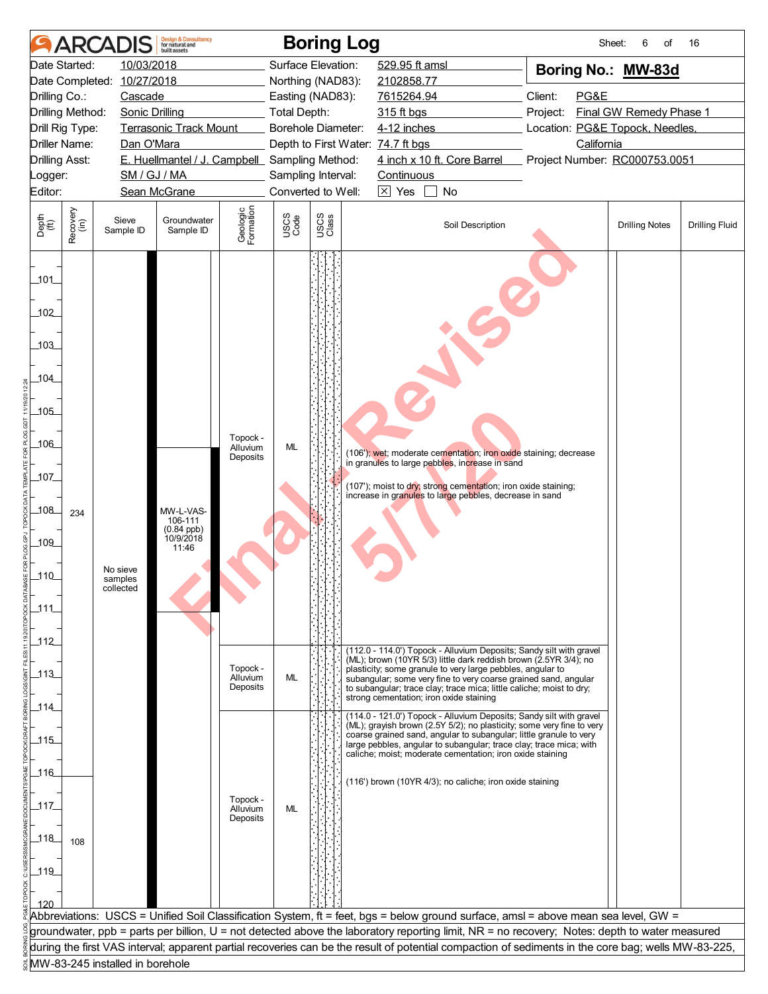| 10/03/2018<br>Date Started:<br>Surface Elevation:<br>529.95 ft amsl<br>Boring No.: MW-83d<br>Date Completed: 10/27/2018<br>Northing (NAD83):<br>2102858.77<br>Client:<br>PG&E<br>Drilling Co.:<br>Cascade<br>Easting (NAD83):<br>7615264.94<br>Final GW Remedy Phase 1<br>Drilling Method:<br><b>Sonic Drilling</b><br>Total Depth:<br>315 ft bgs<br>Project:<br><b>Terrasonic Track Mount</b><br>Borehole Diameter:<br>4-12 inches<br>Location: PG&E Topock, Needles,<br>Drill Rig Type:<br><b>Driller Name:</b><br>California<br>Dan O'Mara<br>Depth to First Water: 74.7 ft bgs<br>E. Huellmantel / J. Campbell Sampling Method:<br>4 inch x 10 ft. Core Barrel<br><b>Drilling Asst:</b><br>Project Number: RC000753.0051<br>SM / GJ / MA<br>Sampling Interval:<br>Continuous<br>Logger:<br>$\overline{\times}$ Yes<br>Editor:<br>Sean McGrane<br>Converted to Well:<br>No<br>Geologic<br>Formation<br>Recovery<br>(in)<br>USCS<br>Class<br>USCS<br>Code<br>Depth<br>(ft)<br>Sieve<br>Groundwater<br>Soil Description<br><b>Drilling Fluid</b><br><b>Drilling Notes</b><br>Sample ID<br>Sample ID<br>$-101$<br>102<br>103<br>104<br>$-105$<br>Topock -<br>$-106$<br>ML<br>Alluvium<br>(106'); wet; moderate cementation; iron oxide staining; decrease<br>Deposits<br>in granules to large pebbles, increase in sand<br>107<br>(107'); moist to dry; strong cementation; iron oxide staining;<br>increase in granules to large pebbles, decrease in sand<br>$\sqrt{108}$<br>MW-L-VAS-<br>234<br>106-111<br>$(0.84$ ppb)<br>10/9/2018<br>$-109$<br>11:46<br>No sieve<br>110<br>samples<br>collected<br>111<br>$-112$<br>(112.0 - 114.0') Topock - Alluvium Deposits; Sandy silt with gravel<br>(ML); brown (10YR 5/3) little dark reddish brown (2.5YR 3/4); no<br>Topock -<br>plasticity; some granule to very large pebbles, angular to<br>$-113$<br>ML<br>Alluvium<br>subangular; some very fine to very coarse grained sand, angular<br>Deposits<br>to subangular; trace clay; trace mica; little caliche; moist to dry;<br>strong cementation; iron oxide staining<br>$-114$<br>(114.0 - 121.0') Topock - Alluvium Deposits; Sandy silt with gravel<br>(ML); grayish brown (2.5Y 5/2); no plasticity; some very fine to very<br>coarse grained sand, angular to subangular; little granule to very<br>115<br>large pebbles, angular to subangular; trace clay; trace mica; with<br>caliche; moist; moderate cementation; iron oxide staining<br>116<br>(116') brown (10YR 4/3); no caliche; iron oxide staining<br>Topock -<br>_117.<br>Alluvium<br>ML<br>Deposits<br>$-118$<br>108<br>$-119$<br>120<br>Abbreviations: USCS = Unified Soil Classification System, ft = feet, bgs = below ground surface, amsl = above mean sea level, GW =<br>groundwater, ppb = parts per billion, U = not detected above the laboratory reporting limit, NR = no recovery; Notes: depth to water measured<br>during the first VAS interval; apparent partial recoveries can be the result of potential compaction of sediments in the core bag; wells MW-83-225,<br>MW-83-245 installed in borehole | <b>ARCA</b> | <b>Design &amp; Consultancy</b><br>for natural and<br><b>built</b> assets |  | <b>Boring Log</b> | Sheet: | 6<br>οf | 16 |
|----------------------------------------------------------------------------------------------------------------------------------------------------------------------------------------------------------------------------------------------------------------------------------------------------------------------------------------------------------------------------------------------------------------------------------------------------------------------------------------------------------------------------------------------------------------------------------------------------------------------------------------------------------------------------------------------------------------------------------------------------------------------------------------------------------------------------------------------------------------------------------------------------------------------------------------------------------------------------------------------------------------------------------------------------------------------------------------------------------------------------------------------------------------------------------------------------------------------------------------------------------------------------------------------------------------------------------------------------------------------------------------------------------------------------------------------------------------------------------------------------------------------------------------------------------------------------------------------------------------------------------------------------------------------------------------------------------------------------------------------------------------------------------------------------------------------------------------------------------------------------------------------------------------------------------------------------------------------------------------------------------------------------------------------------------------------------------------------------------------------------------------------------------------------------------------------------------------------------------------------------------------------------------------------------------------------------------------------------------------------------------------------------------------------------------------------------------------------------------------------------------------------------------------------------------------------------------------------------------------------------------------------------------------------------------------------------------------------------------------------------------------------------------------------------------------------------------------------------------------------------------------------------------------------------------------------------------------------------------------------------------------------------------------------------------------------------------------------|-------------|---------------------------------------------------------------------------|--|-------------------|--------|---------|----|
|                                                                                                                                                                                                                                                                                                                                                                                                                                                                                                                                                                                                                                                                                                                                                                                                                                                                                                                                                                                                                                                                                                                                                                                                                                                                                                                                                                                                                                                                                                                                                                                                                                                                                                                                                                                                                                                                                                                                                                                                                                                                                                                                                                                                                                                                                                                                                                                                                                                                                                                                                                                                                                                                                                                                                                                                                                                                                                                                                                                                                                                                                              |             |                                                                           |  |                   |        |         |    |
|                                                                                                                                                                                                                                                                                                                                                                                                                                                                                                                                                                                                                                                                                                                                                                                                                                                                                                                                                                                                                                                                                                                                                                                                                                                                                                                                                                                                                                                                                                                                                                                                                                                                                                                                                                                                                                                                                                                                                                                                                                                                                                                                                                                                                                                                                                                                                                                                                                                                                                                                                                                                                                                                                                                                                                                                                                                                                                                                                                                                                                                                                              |             |                                                                           |  |                   |        |         |    |
|                                                                                                                                                                                                                                                                                                                                                                                                                                                                                                                                                                                                                                                                                                                                                                                                                                                                                                                                                                                                                                                                                                                                                                                                                                                                                                                                                                                                                                                                                                                                                                                                                                                                                                                                                                                                                                                                                                                                                                                                                                                                                                                                                                                                                                                                                                                                                                                                                                                                                                                                                                                                                                                                                                                                                                                                                                                                                                                                                                                                                                                                                              |             |                                                                           |  |                   |        |         |    |
|                                                                                                                                                                                                                                                                                                                                                                                                                                                                                                                                                                                                                                                                                                                                                                                                                                                                                                                                                                                                                                                                                                                                                                                                                                                                                                                                                                                                                                                                                                                                                                                                                                                                                                                                                                                                                                                                                                                                                                                                                                                                                                                                                                                                                                                                                                                                                                                                                                                                                                                                                                                                                                                                                                                                                                                                                                                                                                                                                                                                                                                                                              |             |                                                                           |  |                   |        |         |    |
|                                                                                                                                                                                                                                                                                                                                                                                                                                                                                                                                                                                                                                                                                                                                                                                                                                                                                                                                                                                                                                                                                                                                                                                                                                                                                                                                                                                                                                                                                                                                                                                                                                                                                                                                                                                                                                                                                                                                                                                                                                                                                                                                                                                                                                                                                                                                                                                                                                                                                                                                                                                                                                                                                                                                                                                                                                                                                                                                                                                                                                                                                              |             |                                                                           |  |                   |        |         |    |
|                                                                                                                                                                                                                                                                                                                                                                                                                                                                                                                                                                                                                                                                                                                                                                                                                                                                                                                                                                                                                                                                                                                                                                                                                                                                                                                                                                                                                                                                                                                                                                                                                                                                                                                                                                                                                                                                                                                                                                                                                                                                                                                                                                                                                                                                                                                                                                                                                                                                                                                                                                                                                                                                                                                                                                                                                                                                                                                                                                                                                                                                                              |             |                                                                           |  |                   |        |         |    |
|                                                                                                                                                                                                                                                                                                                                                                                                                                                                                                                                                                                                                                                                                                                                                                                                                                                                                                                                                                                                                                                                                                                                                                                                                                                                                                                                                                                                                                                                                                                                                                                                                                                                                                                                                                                                                                                                                                                                                                                                                                                                                                                                                                                                                                                                                                                                                                                                                                                                                                                                                                                                                                                                                                                                                                                                                                                                                                                                                                                                                                                                                              |             |                                                                           |  |                   |        |         |    |
|                                                                                                                                                                                                                                                                                                                                                                                                                                                                                                                                                                                                                                                                                                                                                                                                                                                                                                                                                                                                                                                                                                                                                                                                                                                                                                                                                                                                                                                                                                                                                                                                                                                                                                                                                                                                                                                                                                                                                                                                                                                                                                                                                                                                                                                                                                                                                                                                                                                                                                                                                                                                                                                                                                                                                                                                                                                                                                                                                                                                                                                                                              |             |                                                                           |  |                   |        |         |    |
|                                                                                                                                                                                                                                                                                                                                                                                                                                                                                                                                                                                                                                                                                                                                                                                                                                                                                                                                                                                                                                                                                                                                                                                                                                                                                                                                                                                                                                                                                                                                                                                                                                                                                                                                                                                                                                                                                                                                                                                                                                                                                                                                                                                                                                                                                                                                                                                                                                                                                                                                                                                                                                                                                                                                                                                                                                                                                                                                                                                                                                                                                              |             |                                                                           |  |                   |        |         |    |
|                                                                                                                                                                                                                                                                                                                                                                                                                                                                                                                                                                                                                                                                                                                                                                                                                                                                                                                                                                                                                                                                                                                                                                                                                                                                                                                                                                                                                                                                                                                                                                                                                                                                                                                                                                                                                                                                                                                                                                                                                                                                                                                                                                                                                                                                                                                                                                                                                                                                                                                                                                                                                                                                                                                                                                                                                                                                                                                                                                                                                                                                                              |             |                                                                           |  |                   |        |         |    |
|                                                                                                                                                                                                                                                                                                                                                                                                                                                                                                                                                                                                                                                                                                                                                                                                                                                                                                                                                                                                                                                                                                                                                                                                                                                                                                                                                                                                                                                                                                                                                                                                                                                                                                                                                                                                                                                                                                                                                                                                                                                                                                                                                                                                                                                                                                                                                                                                                                                                                                                                                                                                                                                                                                                                                                                                                                                                                                                                                                                                                                                                                              |             |                                                                           |  |                   |        |         |    |
|                                                                                                                                                                                                                                                                                                                                                                                                                                                                                                                                                                                                                                                                                                                                                                                                                                                                                                                                                                                                                                                                                                                                                                                                                                                                                                                                                                                                                                                                                                                                                                                                                                                                                                                                                                                                                                                                                                                                                                                                                                                                                                                                                                                                                                                                                                                                                                                                                                                                                                                                                                                                                                                                                                                                                                                                                                                                                                                                                                                                                                                                                              |             |                                                                           |  |                   |        |         |    |
|                                                                                                                                                                                                                                                                                                                                                                                                                                                                                                                                                                                                                                                                                                                                                                                                                                                                                                                                                                                                                                                                                                                                                                                                                                                                                                                                                                                                                                                                                                                                                                                                                                                                                                                                                                                                                                                                                                                                                                                                                                                                                                                                                                                                                                                                                                                                                                                                                                                                                                                                                                                                                                                                                                                                                                                                                                                                                                                                                                                                                                                                                              |             |                                                                           |  |                   |        |         |    |
|                                                                                                                                                                                                                                                                                                                                                                                                                                                                                                                                                                                                                                                                                                                                                                                                                                                                                                                                                                                                                                                                                                                                                                                                                                                                                                                                                                                                                                                                                                                                                                                                                                                                                                                                                                                                                                                                                                                                                                                                                                                                                                                                                                                                                                                                                                                                                                                                                                                                                                                                                                                                                                                                                                                                                                                                                                                                                                                                                                                                                                                                                              |             |                                                                           |  |                   |        |         |    |
|                                                                                                                                                                                                                                                                                                                                                                                                                                                                                                                                                                                                                                                                                                                                                                                                                                                                                                                                                                                                                                                                                                                                                                                                                                                                                                                                                                                                                                                                                                                                                                                                                                                                                                                                                                                                                                                                                                                                                                                                                                                                                                                                                                                                                                                                                                                                                                                                                                                                                                                                                                                                                                                                                                                                                                                                                                                                                                                                                                                                                                                                                              |             |                                                                           |  |                   |        |         |    |
|                                                                                                                                                                                                                                                                                                                                                                                                                                                                                                                                                                                                                                                                                                                                                                                                                                                                                                                                                                                                                                                                                                                                                                                                                                                                                                                                                                                                                                                                                                                                                                                                                                                                                                                                                                                                                                                                                                                                                                                                                                                                                                                                                                                                                                                                                                                                                                                                                                                                                                                                                                                                                                                                                                                                                                                                                                                                                                                                                                                                                                                                                              |             |                                                                           |  |                   |        |         |    |
|                                                                                                                                                                                                                                                                                                                                                                                                                                                                                                                                                                                                                                                                                                                                                                                                                                                                                                                                                                                                                                                                                                                                                                                                                                                                                                                                                                                                                                                                                                                                                                                                                                                                                                                                                                                                                                                                                                                                                                                                                                                                                                                                                                                                                                                                                                                                                                                                                                                                                                                                                                                                                                                                                                                                                                                                                                                                                                                                                                                                                                                                                              |             |                                                                           |  |                   |        |         |    |
|                                                                                                                                                                                                                                                                                                                                                                                                                                                                                                                                                                                                                                                                                                                                                                                                                                                                                                                                                                                                                                                                                                                                                                                                                                                                                                                                                                                                                                                                                                                                                                                                                                                                                                                                                                                                                                                                                                                                                                                                                                                                                                                                                                                                                                                                                                                                                                                                                                                                                                                                                                                                                                                                                                                                                                                                                                                                                                                                                                                                                                                                                              |             |                                                                           |  |                   |        |         |    |
|                                                                                                                                                                                                                                                                                                                                                                                                                                                                                                                                                                                                                                                                                                                                                                                                                                                                                                                                                                                                                                                                                                                                                                                                                                                                                                                                                                                                                                                                                                                                                                                                                                                                                                                                                                                                                                                                                                                                                                                                                                                                                                                                                                                                                                                                                                                                                                                                                                                                                                                                                                                                                                                                                                                                                                                                                                                                                                                                                                                                                                                                                              |             |                                                                           |  |                   |        |         |    |
|                                                                                                                                                                                                                                                                                                                                                                                                                                                                                                                                                                                                                                                                                                                                                                                                                                                                                                                                                                                                                                                                                                                                                                                                                                                                                                                                                                                                                                                                                                                                                                                                                                                                                                                                                                                                                                                                                                                                                                                                                                                                                                                                                                                                                                                                                                                                                                                                                                                                                                                                                                                                                                                                                                                                                                                                                                                                                                                                                                                                                                                                                              |             |                                                                           |  |                   |        |         |    |
|                                                                                                                                                                                                                                                                                                                                                                                                                                                                                                                                                                                                                                                                                                                                                                                                                                                                                                                                                                                                                                                                                                                                                                                                                                                                                                                                                                                                                                                                                                                                                                                                                                                                                                                                                                                                                                                                                                                                                                                                                                                                                                                                                                                                                                                                                                                                                                                                                                                                                                                                                                                                                                                                                                                                                                                                                                                                                                                                                                                                                                                                                              |             |                                                                           |  |                   |        |         |    |
|                                                                                                                                                                                                                                                                                                                                                                                                                                                                                                                                                                                                                                                                                                                                                                                                                                                                                                                                                                                                                                                                                                                                                                                                                                                                                                                                                                                                                                                                                                                                                                                                                                                                                                                                                                                                                                                                                                                                                                                                                                                                                                                                                                                                                                                                                                                                                                                                                                                                                                                                                                                                                                                                                                                                                                                                                                                                                                                                                                                                                                                                                              |             |                                                                           |  |                   |        |         |    |
|                                                                                                                                                                                                                                                                                                                                                                                                                                                                                                                                                                                                                                                                                                                                                                                                                                                                                                                                                                                                                                                                                                                                                                                                                                                                                                                                                                                                                                                                                                                                                                                                                                                                                                                                                                                                                                                                                                                                                                                                                                                                                                                                                                                                                                                                                                                                                                                                                                                                                                                                                                                                                                                                                                                                                                                                                                                                                                                                                                                                                                                                                              |             |                                                                           |  |                   |        |         |    |
|                                                                                                                                                                                                                                                                                                                                                                                                                                                                                                                                                                                                                                                                                                                                                                                                                                                                                                                                                                                                                                                                                                                                                                                                                                                                                                                                                                                                                                                                                                                                                                                                                                                                                                                                                                                                                                                                                                                                                                                                                                                                                                                                                                                                                                                                                                                                                                                                                                                                                                                                                                                                                                                                                                                                                                                                                                                                                                                                                                                                                                                                                              |             |                                                                           |  |                   |        |         |    |
|                                                                                                                                                                                                                                                                                                                                                                                                                                                                                                                                                                                                                                                                                                                                                                                                                                                                                                                                                                                                                                                                                                                                                                                                                                                                                                                                                                                                                                                                                                                                                                                                                                                                                                                                                                                                                                                                                                                                                                                                                                                                                                                                                                                                                                                                                                                                                                                                                                                                                                                                                                                                                                                                                                                                                                                                                                                                                                                                                                                                                                                                                              |             |                                                                           |  |                   |        |         |    |
|                                                                                                                                                                                                                                                                                                                                                                                                                                                                                                                                                                                                                                                                                                                                                                                                                                                                                                                                                                                                                                                                                                                                                                                                                                                                                                                                                                                                                                                                                                                                                                                                                                                                                                                                                                                                                                                                                                                                                                                                                                                                                                                                                                                                                                                                                                                                                                                                                                                                                                                                                                                                                                                                                                                                                                                                                                                                                                                                                                                                                                                                                              |             |                                                                           |  |                   |        |         |    |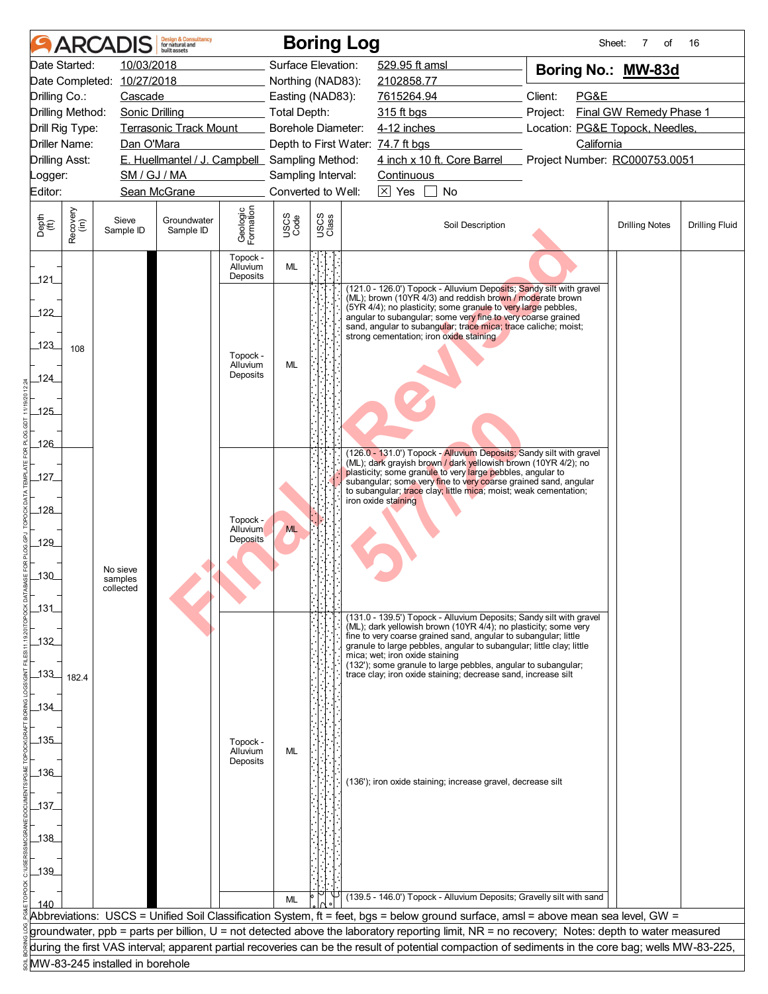|                       | ARCA                 |                                 | <b>Design &amp; Consultancy</b><br>for natural and<br>built assets |                                  |                     |               | <b>Boring Log</b>                                                                                                                                                                                                                                                   |                             | Sheet:                                      | 7<br>οf                 | 16                    |
|-----------------------|----------------------|---------------------------------|--------------------------------------------------------------------|----------------------------------|---------------------|---------------|---------------------------------------------------------------------------------------------------------------------------------------------------------------------------------------------------------------------------------------------------------------------|-----------------------------|---------------------------------------------|-------------------------|-----------------------|
|                       | Date Started:        | 10/03/2018                      |                                                                    |                                  | Surface Elevation:  |               | 529.95 ft amsl                                                                                                                                                                                                                                                      |                             | Boring No.: MW-83d                          |                         |                       |
|                       |                      | Date Completed: 10/27/2018      |                                                                    |                                  | Northing (NAD83):   |               | 2102858.77                                                                                                                                                                                                                                                          |                             |                                             |                         |                       |
| Drilling Co.:         |                      | Cascade                         |                                                                    |                                  | Easting (NAD83):    |               | 7615264.94                                                                                                                                                                                                                                                          |                             | Client:<br>PG&E                             |                         |                       |
|                       | Drilling Method:     | <b>Sonic Drilling</b>           |                                                                    |                                  | <b>Total Depth:</b> |               | 315 ft bgs                                                                                                                                                                                                                                                          |                             | Project:                                    | Final GW Remedy Phase 1 |                       |
|                       | Drill Rig Type:      |                                 | <b>Terrasonic Track Mount</b>                                      |                                  | Borehole Diameter:  |               | 4-12 inches                                                                                                                                                                                                                                                         |                             | Location: PG&E Topock, Needles,             |                         |                       |
| <b>Drilling Asst:</b> | <b>Driller Name:</b> | Dan O'Mara                      | E. Huellmantel / J. Campbell Sampling Method:                      |                                  |                     |               | Depth to First Water: 74.7 ft bgs                                                                                                                                                                                                                                   | 4 inch x 10 ft. Core Barrel | California<br>Project Number: RC000753.0051 |                         |                       |
| Logger:               |                      | SM / GJ / MA                    |                                                                    |                                  | Sampling Interval:  |               | Continuous                                                                                                                                                                                                                                                          |                             |                                             |                         |                       |
| Editor:               |                      |                                 | Sean McGrane                                                       |                                  | Converted to Well:  |               | $\overline{\times}$ Yes                                                                                                                                                                                                                                             | No                          |                                             |                         |                       |
|                       |                      |                                 |                                                                    |                                  |                     |               |                                                                                                                                                                                                                                                                     |                             |                                             |                         |                       |
| Depth<br>(ft)         | Recovery<br>(in)     | Sieve<br>Sample ID              | Groundwater<br>Sample ID                                           | Geologic<br>Formation            | USCS<br>Code        | USCS<br>Class |                                                                                                                                                                                                                                                                     | Soil Description            |                                             | <b>Drilling Notes</b>   | <b>Drilling Fluid</b> |
| 121                   |                      |                                 |                                                                    | Topock -<br>Alluvium<br>Deposits | ML                  |               |                                                                                                                                                                                                                                                                     |                             |                                             |                         |                       |
| 122                   |                      |                                 |                                                                    |                                  |                     |               | (121.0 - 126.0') Topock - Alluvium Deposits; Sandy silt with gravel<br>(ML); brown (10YR 4/3) and reddish brown / moderate brown<br>(5YR 4/4); no plasticity; some granule to very large pebbles,<br>angular to subangular; some very fine to very coarse grained   |                             |                                             |                         |                       |
| 123                   | 108                  |                                 |                                                                    | Topock -                         |                     |               | sand, angular to subangular; trace mica; trace caliche; moist;<br>strong cementation; iron oxide staining                                                                                                                                                           |                             |                                             |                         |                       |
| 124                   |                      |                                 |                                                                    | Alluvium<br>Deposits             | ML                  |               |                                                                                                                                                                                                                                                                     |                             |                                             |                         |                       |
| $-125$                |                      |                                 |                                                                    |                                  |                     |               |                                                                                                                                                                                                                                                                     |                             |                                             |                         |                       |
| 126                   |                      |                                 |                                                                    |                                  |                     |               | (126.0 - 131.0') Topock - Alluvium Deposits; Sandy silt with gravel                                                                                                                                                                                                 |                             |                                             |                         |                       |
| $-127$                |                      |                                 |                                                                    |                                  |                     |               | (ML); dark grayish brown / dark yellowish brown (10YR 4/2); no<br>plasticity; some granule to very large pebbles, angular to<br>subangular; some very fine to very coarse grained sand, angular<br>to subangular; trace clay; little mica; moist; weak cementation; |                             |                                             |                         |                       |
| 128                   |                      |                                 |                                                                    |                                  |                     |               | iron oxide staining                                                                                                                                                                                                                                                 |                             |                                             |                         |                       |
|                       |                      |                                 |                                                                    | Topock -<br>Alluvium             | <b>ML</b>           |               |                                                                                                                                                                                                                                                                     |                             |                                             |                         |                       |
| 129                   |                      |                                 |                                                                    | <b>Deposits</b>                  |                     |               |                                                                                                                                                                                                                                                                     |                             |                                             |                         |                       |
|                       |                      | No sieve                        |                                                                    |                                  |                     |               |                                                                                                                                                                                                                                                                     |                             |                                             |                         |                       |
| $-130$                |                      | samples<br>collected            |                                                                    |                                  |                     |               |                                                                                                                                                                                                                                                                     |                             |                                             |                         |                       |
| $-131$                |                      |                                 |                                                                    |                                  |                     |               |                                                                                                                                                                                                                                                                     |                             |                                             |                         |                       |
|                       |                      |                                 |                                                                    |                                  |                     |               | (131.0 - 139.5') Topock - Alluvium Deposits; Sandy silt with gravel<br>(ML); dark yellowish brown (10YR 4/4); no plasticity; some very                                                                                                                              |                             |                                             |                         |                       |
| _132_                 |                      |                                 |                                                                    |                                  |                     |               | fine to very coarse grained sand, angular to subangular; little<br>granule to large pebbles, angular to subangular; little clay; little<br>mica; wet; iron oxide staining                                                                                           |                             |                                             |                         |                       |
| $-133$                | 182.4                |                                 |                                                                    |                                  |                     |               | (132'); some granule to large pebbles, angular to subangular;<br>trace clay; iron oxide staining; decrease sand, increase silt                                                                                                                                      |                             |                                             |                         |                       |
| 134                   |                      |                                 |                                                                    |                                  |                     |               |                                                                                                                                                                                                                                                                     |                             |                                             |                         |                       |
|                       |                      |                                 |                                                                    |                                  |                     |               |                                                                                                                                                                                                                                                                     |                             |                                             |                         |                       |
| 135                   |                      |                                 |                                                                    | Topock -<br>Alluvium             | <b>ML</b>           |               |                                                                                                                                                                                                                                                                     |                             |                                             |                         |                       |
| $-136$                |                      |                                 |                                                                    | Deposits                         |                     |               |                                                                                                                                                                                                                                                                     |                             |                                             |                         |                       |
|                       |                      |                                 |                                                                    |                                  |                     |               | (136'); iron oxide staining; increase gravel, decrease silt                                                                                                                                                                                                         |                             |                                             |                         |                       |
| 137                   |                      |                                 |                                                                    |                                  |                     |               |                                                                                                                                                                                                                                                                     |                             |                                             |                         |                       |
|                       |                      |                                 |                                                                    |                                  |                     |               |                                                                                                                                                                                                                                                                     |                             |                                             |                         |                       |
| _138_                 |                      |                                 |                                                                    |                                  |                     |               |                                                                                                                                                                                                                                                                     |                             |                                             |                         |                       |
|                       |                      |                                 |                                                                    |                                  |                     |               |                                                                                                                                                                                                                                                                     |                             |                                             |                         |                       |
| $139$                 |                      |                                 |                                                                    |                                  |                     |               |                                                                                                                                                                                                                                                                     |                             |                                             |                         |                       |
|                       |                      |                                 |                                                                    |                                  | <b>ML</b>           |               | (139.5 - 146.0') Topock - Alluvium Deposits; Gravelly silt with sand                                                                                                                                                                                                |                             |                                             |                         |                       |
|                       |                      |                                 |                                                                    |                                  |                     |               | Abbreviations: USCS = Unified Soil Classification System, ft = feet, bgs = below ground surface, amsl = above mean sea level, GW =                                                                                                                                  |                             |                                             |                         |                       |
|                       |                      |                                 |                                                                    |                                  |                     |               | groundwater, ppb = parts per billion, U = not detected above the laboratory reporting limit, NR = no recovery; Notes: depth to water measured                                                                                                                       |                             |                                             |                         |                       |
|                       |                      |                                 |                                                                    |                                  |                     |               | during the first VAS interval; apparent partial recoveries can be the result of potential compaction of sediments in the core bag; wells MW-83-225,                                                                                                                 |                             |                                             |                         |                       |
|                       |                      | MW-83-245 installed in borehole |                                                                    |                                  |                     |               |                                                                                                                                                                                                                                                                     |                             |                                             |                         |                       |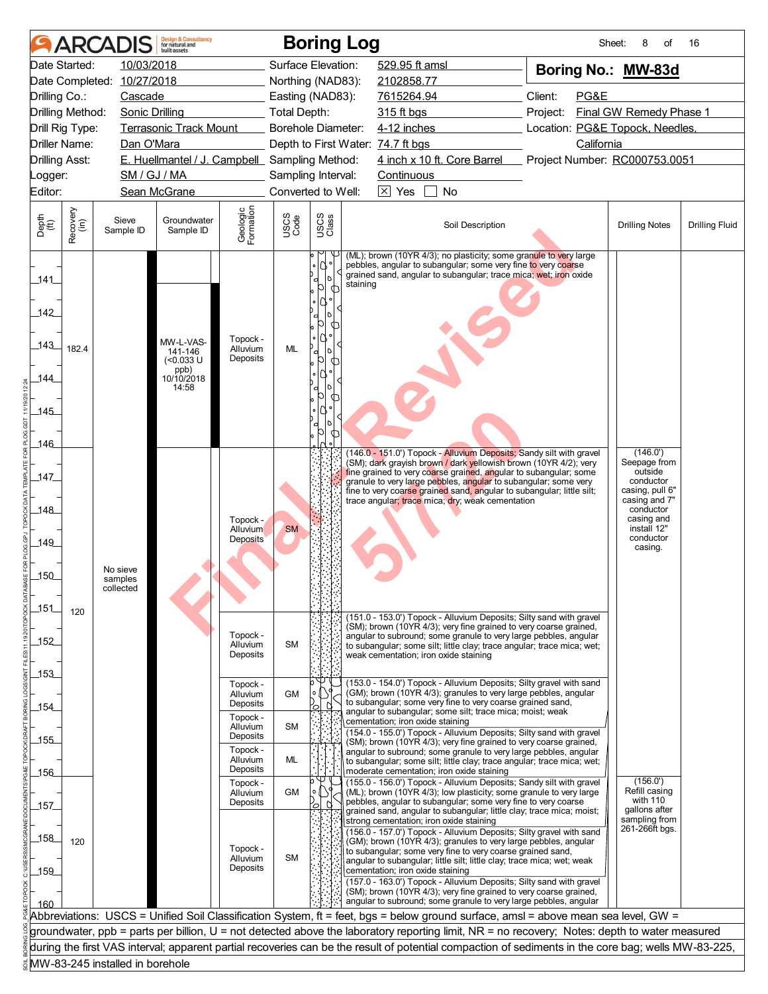|                                            |                  | <b>ARCADIS</b>                   | <b>Design &amp; Consultancy</b><br>for natural and<br>huilt assets        |                                         |                           |                   | <b>Boring Log</b>                                                                                                                                                                                                                                                                                                                                                                                                                                                                                                                                                                 | Sheet:                          | 8<br>of                                                                                                         | 16                    |
|--------------------------------------------|------------------|----------------------------------|---------------------------------------------------------------------------|-----------------------------------------|---------------------------|-------------------|-----------------------------------------------------------------------------------------------------------------------------------------------------------------------------------------------------------------------------------------------------------------------------------------------------------------------------------------------------------------------------------------------------------------------------------------------------------------------------------------------------------------------------------------------------------------------------------|---------------------------------|-----------------------------------------------------------------------------------------------------------------|-----------------------|
|                                            | Date Started:    | 10/03/2018                       |                                                                           |                                         | Surface Elevation:        |                   | 529.95 ft amsl                                                                                                                                                                                                                                                                                                                                                                                                                                                                                                                                                                    | Boring No.: MW-83d              |                                                                                                                 |                       |
|                                            |                  | Date Completed: 10/27/2018       |                                                                           |                                         | Northing (NAD83):         |                   | 2102858.77                                                                                                                                                                                                                                                                                                                                                                                                                                                                                                                                                                        |                                 |                                                                                                                 |                       |
| Drilling Co.:                              |                  | Cascade                          |                                                                           |                                         | Easting (NAD83):          |                   | 7615264.94                                                                                                                                                                                                                                                                                                                                                                                                                                                                                                                                                                        | Client:<br>PG&E                 |                                                                                                                 |                       |
|                                            | Drilling Method: | <b>Sonic Drilling</b>            |                                                                           |                                         | <b>Total Depth:</b>       |                   | 315 ft bgs                                                                                                                                                                                                                                                                                                                                                                                                                                                                                                                                                                        | Project:                        | Final GW Remedy Phase 1                                                                                         |                       |
|                                            | Drill Rig Type:  |                                  | <b>Terrasonic Track Mount</b>                                             |                                         | <b>Borehole Diameter:</b> |                   | 4-12 inches                                                                                                                                                                                                                                                                                                                                                                                                                                                                                                                                                                       | Location: PG&E Topock, Needles, |                                                                                                                 |                       |
|                                            | Driller Name:    | Dan O'Mara                       |                                                                           |                                         |                           |                   | Depth to First Water: 74.7 ft bgs                                                                                                                                                                                                                                                                                                                                                                                                                                                                                                                                                 | California                      |                                                                                                                 |                       |
| <b>Drilling Asst:</b>                      |                  |                                  | E. Huellmantel / J. Campbell Sampling Method:                             |                                         |                           |                   | 4 inch x 10 ft. Core Barrel                                                                                                                                                                                                                                                                                                                                                                                                                                                                                                                                                       | Project Number: RC000753.0051   |                                                                                                                 |                       |
| Logger:                                    |                  | SM / GJ / MA                     |                                                                           |                                         | Sampling Interval:        |                   | Continuous                                                                                                                                                                                                                                                                                                                                                                                                                                                                                                                                                                        |                                 |                                                                                                                 |                       |
| Editor:                                    |                  |                                  | Sean McGrane                                                              |                                         | Converted to Well:        |                   | $\boxtimes$ Yes<br>No                                                                                                                                                                                                                                                                                                                                                                                                                                                                                                                                                             |                                 |                                                                                                                 |                       |
| Depth<br>$\widetilde{f(t)}$                | Recovery<br>(in) | Sieve<br>Sample ID               | Groundwater<br>Sample ID                                                  | Geologic<br>Formation                   | USCS<br>Code              | USCS<br>Class     | Soil Description                                                                                                                                                                                                                                                                                                                                                                                                                                                                                                                                                                  |                                 | <b>Drilling Notes</b>                                                                                           | <b>Drilling Fluid</b> |
| 141<br>142<br>143_<br>144<br>$-145$<br>146 | 182.4            |                                  | MW-L-VAS-<br>141-146<br>$(0.033 \text{ U}$<br>ppb)<br>10/10/2018<br>14:58 | Topock -<br>Alluvium<br>Deposits        | ML                        | d                 | (ML); brown (10YR 4/3); no plasticity; some granule to very large<br>pebbles, angular to subangular; some very fine to very coarse<br>grained sand, angular to subangular; trace mica; wet; iron oxide<br>staining<br>(146.0 - 151.0') Topock - Alluvium Deposits; Sandy silt with gravel<br>(SM); dark grayish brown / dark yellowish brown (10YR 4/2); very<br>fine grained to very coarse grained, angular to subangular; some                                                                                                                                                 |                                 | (146.0')<br>Seepage from<br>outside                                                                             |                       |
| 147<br>_148_<br>149<br>$-150$<br>151       | 120              | No sieve<br>samples<br>collected |                                                                           | Topock -<br>Alluvium<br><b>Deposits</b> | <b>SM</b>                 |                   | granule to very large pebbles, angular to subangular; some very<br>fine to very coarse grained sand, angular to subangular; little silt;<br>trace angular; trace mica; dry; weak cementation                                                                                                                                                                                                                                                                                                                                                                                      |                                 | conductor<br>casing, pull 6"<br>casing and 7"<br>conductor<br>casing and<br>install 12"<br>conductor<br>casing. |                       |
| 152<br>$-153$                              |                  |                                  |                                                                           | Topock -<br>Alluvium<br>Deposits        | <b>SM</b>                 |                   | (151.0 - 153.0') Topock - Alluvium Deposits; Silty sand with gravel<br>(SM); brown (10YR 4/3); very fine grained to very coarse grained,<br>angular to subround; some granule to very large pebbles, angular<br>to subangular; some silt; little clay; trace angular; trace mica; wet;<br>weak cementation; iron oxide staining                                                                                                                                                                                                                                                   |                                 |                                                                                                                 |                       |
| _154_                                      |                  |                                  |                                                                           | Topock -<br>Alluvium<br>Deposits        | <b>GM</b>                 |                   | (153.0 - 154.0') Topock - Alluvium Deposits; Silty gravel with sand<br>(GM); brown (10YR 4/3); granules to very large pebbles, angular<br>to subangular; some very fine to very coarse grained sand,                                                                                                                                                                                                                                                                                                                                                                              |                                 |                                                                                                                 |                       |
|                                            |                  |                                  |                                                                           | Topock -                                |                           |                   | angular to subangular; some silt; trace mica; moist; weak<br>cementation; iron oxide staining                                                                                                                                                                                                                                                                                                                                                                                                                                                                                     |                                 |                                                                                                                 |                       |
| 155                                        |                  |                                  |                                                                           | Alluvium<br>Deposits                    | <b>SM</b>                 |                   | (154.0 - 155.0') Topock - Alluvium Deposits; Silty sand with gravel<br>(SM); brown (10YR 4/3); very fine grained to very coarse grained,                                                                                                                                                                                                                                                                                                                                                                                                                                          |                                 |                                                                                                                 |                       |
|                                            |                  |                                  |                                                                           | Topock -                                |                           |                   | angular to subround; some granule to very large pebbles, angular                                                                                                                                                                                                                                                                                                                                                                                                                                                                                                                  |                                 |                                                                                                                 |                       |
| 156                                        |                  |                                  |                                                                           | Alluvium<br>Deposits                    | ML                        |                   | to subangular; some silt; little clay; trace angular; trace mica; wet;<br>moderate cementation; iron oxide staining                                                                                                                                                                                                                                                                                                                                                                                                                                                               |                                 |                                                                                                                 |                       |
|                                            |                  |                                  |                                                                           | Topock -                                |                           |                   | (155.0 - 156.0') Topock - Alluvium Deposits; Sandy silt with gravel                                                                                                                                                                                                                                                                                                                                                                                                                                                                                                               |                                 | (156.0')<br>Refill casing                                                                                       |                       |
| _157_                                      |                  |                                  |                                                                           | Alluvium<br>Deposits                    | <b>GM</b>                 | $\partial_{\phi}$ | (ML); brown (10YR 4/3); low plasticity; some granule to very large<br>pebbles, angular to subangular; some very fine to very coarse                                                                                                                                                                                                                                                                                                                                                                                                                                               |                                 | with 110                                                                                                        |                       |
| $\_158$<br>$-159$                          | 120              |                                  |                                                                           | Topock -<br>Alluvium<br>Deposits        | <b>SM</b>                 |                   | grained sand, angular to subangular; little clay; trace mica; moist;<br>strong cementation; iron oxide staining<br>(156.0 - 157.0') Topock - Alluvium Deposits; Silty gravel with sand<br>(GM); brown (10YR 4/3); granules to very large pebbles, angular<br>to subangular; some very fine to very coarse grained sand,<br>angular to subangular; little silt; little clay; trace mica; wet; weak<br>cementation; iron oxide staining<br>(157.0 - 163.0') Topock - Alluvium Deposits; Silty sand with gravel<br>(SM); brown (10YR 4/3); very fine grained to very coarse grained, |                                 | gallons after<br>sampling from<br>261-266ft bgs.                                                                |                       |
| 160                                        |                  |                                  |                                                                           |                                         |                           |                   | angular to subround; some granule to very large pebbles, angular                                                                                                                                                                                                                                                                                                                                                                                                                                                                                                                  |                                 |                                                                                                                 |                       |
|                                            |                  |                                  |                                                                           |                                         |                           |                   | Abbreviations: USCS = Unified Soil Classification System, ft = feet, bgs = below ground surface, amsl = above mean sea level, GW =<br>groundwater, ppb = parts per billion, U = not detected above the laboratory reporting limit, NR = no recovery; Notes: depth to water measured                                                                                                                                                                                                                                                                                               |                                 |                                                                                                                 |                       |
|                                            |                  |                                  |                                                                           |                                         |                           |                   | during the first VAS interval; apparent partial recoveries can be the result of potential compaction of sediments in the core bag; wells MW-83-225,                                                                                                                                                                                                                                                                                                                                                                                                                               |                                 |                                                                                                                 |                       |
|                                            |                  |                                  |                                                                           |                                         |                           |                   |                                                                                                                                                                                                                                                                                                                                                                                                                                                                                                                                                                                   |                                 |                                                                                                                 |                       |
|                                            |                  | MW-83-245 installed in borehole  |                                                                           |                                         |                           |                   |                                                                                                                                                                                                                                                                                                                                                                                                                                                                                                                                                                                   |                                 |                                                                                                                 |                       |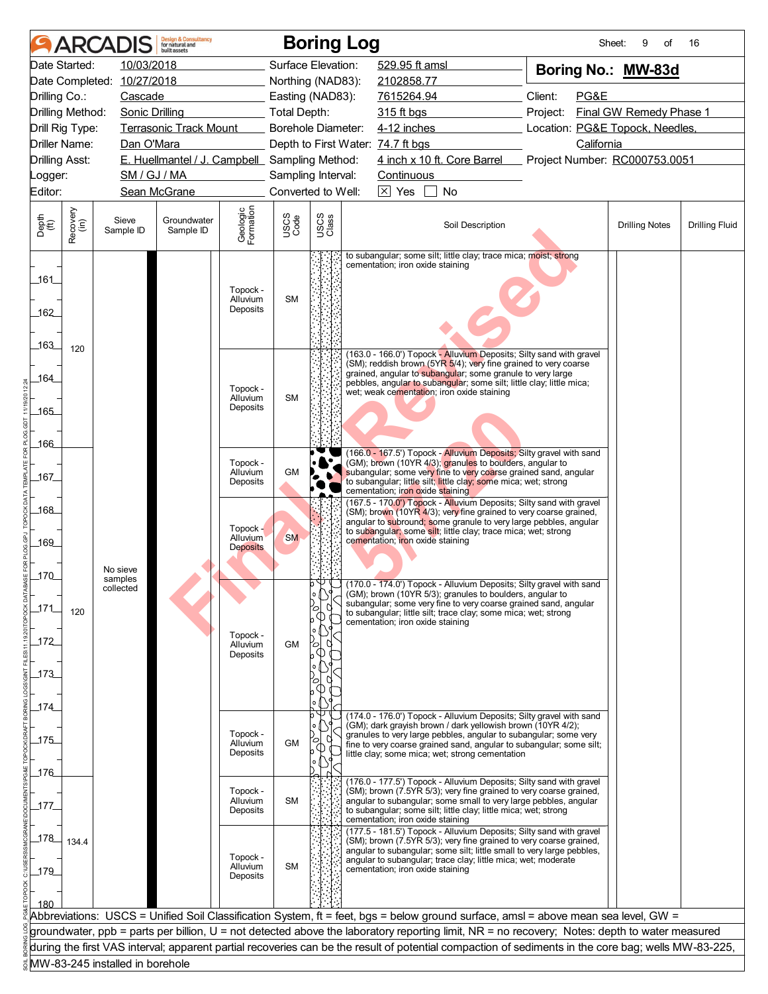|                       |                  | <b>ARCADIS</b>                  | <b>Design &amp; Consultancy</b><br>for natural and<br>huilt assets |                                    |                     |               | <b>Boring Log</b>                                                                                                                                   | Sheet:                          | 9<br>of                 | 16                    |
|-----------------------|------------------|---------------------------------|--------------------------------------------------------------------|------------------------------------|---------------------|---------------|-----------------------------------------------------------------------------------------------------------------------------------------------------|---------------------------------|-------------------------|-----------------------|
|                       | Date Started:    | 10/03/2018                      |                                                                    |                                    | Surface Elevation:  |               | 529.95 ft amsl                                                                                                                                      | Boring No.: MW-83d              |                         |                       |
|                       |                  | Date Completed: 10/27/2018      |                                                                    |                                    | Northing (NAD83):   |               | 2102858.77                                                                                                                                          |                                 |                         |                       |
| Drilling Co.:         |                  | Cascade                         |                                                                    |                                    | Easting (NAD83):    |               | 7615264.94                                                                                                                                          | Client:<br>PG&E                 |                         |                       |
|                       | Drilling Method: | <b>Sonic Drilling</b>           |                                                                    |                                    | <b>Total Depth:</b> |               | 315 ft bgs                                                                                                                                          | Project:                        | Final GW Remedy Phase 1 |                       |
|                       | Drill Rig Type:  |                                 | <b>Terrasonic Track Mount</b>                                      |                                    | Borehole Diameter:  |               | 4-12 inches                                                                                                                                         | Location: PG&E Topock, Needles, |                         |                       |
|                       | Driller Name:    | Dan O'Mara                      |                                                                    |                                    |                     |               | Depth to First Water: 74.7 ft bgs                                                                                                                   | California                      |                         |                       |
| <b>Drilling Asst:</b> |                  |                                 | E. Huellmantel / J. Campbell Sampling Method:                      |                                    |                     |               | 4 inch x 10 ft. Core Barrel                                                                                                                         | Project Number: RC000753.0051   |                         |                       |
| Logger:               |                  | SM / GJ / MA                    |                                                                    |                                    | Sampling Interval:  |               | Continuous                                                                                                                                          |                                 |                         |                       |
| Editor:               |                  |                                 | Sean McGrane                                                       |                                    | Converted to Well:  |               | $\boxed{\times}$ Yes<br>No                                                                                                                          |                                 |                         |                       |
| Depth<br>(ft)         | Recovery<br>(in) | Sieve<br>Sample ID              | Groundwater<br>Sample ID                                           | Geologic<br>Formation              | USCS<br>Code        | USCS<br>Class | Soil Description                                                                                                                                    |                                 | <b>Drilling Notes</b>   | <b>Drilling Fluid</b> |
|                       |                  |                                 |                                                                    |                                    |                     |               | to subangular; some silt; little clay; trace mica; moist; strong<br>cementation; iron oxide staining                                                |                                 |                         |                       |
| 161                   |                  |                                 |                                                                    | Topock -                           |                     |               |                                                                                                                                                     |                                 |                         |                       |
|                       |                  |                                 |                                                                    | Alluvium<br>Deposits               | <b>SM</b>           |               |                                                                                                                                                     |                                 |                         |                       |
| 162                   |                  |                                 |                                                                    |                                    |                     |               |                                                                                                                                                     |                                 |                         |                       |
|                       |                  |                                 |                                                                    |                                    |                     |               |                                                                                                                                                     |                                 |                         |                       |
| .163.                 | 120              |                                 |                                                                    |                                    |                     |               | (163.0 - 166.0') Topock - Alluvium Deposits; Silty sand with gravel                                                                                 |                                 |                         |                       |
|                       |                  |                                 |                                                                    |                                    |                     |               | (SM); reddish brown (5YR 5/4); very fine grained to very coarse<br>grained, angular to subangular; some granule to very large                       |                                 |                         |                       |
| 164                   |                  |                                 |                                                                    | Topock -                           |                     |               | pebbles, angular to subangular; some silt; little clay; little mica;<br>wet; weak cementation; iron oxide staining                                  |                                 |                         |                       |
| 165                   |                  |                                 |                                                                    | Alluvium<br>Deposits               | <b>SM</b>           |               |                                                                                                                                                     |                                 |                         |                       |
|                       |                  |                                 |                                                                    |                                    |                     |               |                                                                                                                                                     |                                 |                         |                       |
| 166                   |                  |                                 |                                                                    |                                    |                     |               |                                                                                                                                                     |                                 |                         |                       |
|                       |                  |                                 |                                                                    | Topock -                           |                     |               | (166.0 - 167.5') Topock - Alluvium Deposits; Silty gravel with sand<br>(GM); brown (10YR 4/3); granules to boulders, angular to                     |                                 |                         |                       |
| _167_                 |                  |                                 |                                                                    | Alluvium                           | <b>GM</b>           |               | subangular; some very fine to very coarse grained sand, angular                                                                                     |                                 |                         |                       |
|                       |                  |                                 |                                                                    | Deposits                           |                     |               | to subangular; little silt; little clay; some mica; wet; strong<br>cementation; iron oxide staining                                                 |                                 |                         |                       |
| _168_                 |                  |                                 |                                                                    |                                    |                     |               | (167.5 - 170.0') Topock - Alluvium Deposits; Silty sand with gravel<br>(SM); brown (10YR 4/3); very fine grained to very coarse grained,            |                                 |                         |                       |
|                       |                  |                                 |                                                                    | Topock -                           |                     |               | angular to subround; some granule to very large pebbles, angular                                                                                    |                                 |                         |                       |
| 169                   |                  |                                 |                                                                    | <b>Alluvium</b><br><b>Deposits</b> | <b>SM</b>           |               | to subangular; some silt; little clay; trace mica; wet; strong<br>cementation; iron oxide staining                                                  |                                 |                         |                       |
|                       |                  |                                 |                                                                    |                                    |                     |               |                                                                                                                                                     |                                 |                         |                       |
| $170$                 |                  | No sieve<br>samples             |                                                                    |                                    |                     |               |                                                                                                                                                     |                                 |                         |                       |
|                       |                  | collected                       |                                                                    |                                    |                     | 0 Y U<br>o    | (170.0 - 174.0') Topock - Alluvium Deposits; Silty gravel with sand<br>(GM); brown (10YR 5/3); granules to boulders, angular to                     |                                 |                         |                       |
| 171                   | 120              |                                 |                                                                    |                                    |                     | ้0            | subangular; some very fine to very coarse grained sand, angular<br>to subangular; little silt; trace clay; some mica; wet; strong                   |                                 |                         |                       |
|                       |                  |                                 |                                                                    |                                    |                     |               | cementation; iron oxide staining                                                                                                                    |                                 |                         |                       |
| 172                   |                  |                                 |                                                                    | Topock -<br>Alluvium               | <b>GM</b>           | 70            |                                                                                                                                                     |                                 |                         |                       |
|                       |                  |                                 |                                                                    | Deposits                           |                     |               |                                                                                                                                                     |                                 |                         |                       |
| $-173$                |                  |                                 |                                                                    |                                    |                     |               |                                                                                                                                                     |                                 |                         |                       |
|                       |                  |                                 |                                                                    |                                    |                     |               |                                                                                                                                                     |                                 |                         |                       |
| _174_                 |                  |                                 |                                                                    |                                    |                     |               | (174.0 - 176.0') Topock - Alluvium Deposits; Silty gravel with sand                                                                                 |                                 |                         |                       |
|                       |                  |                                 |                                                                    | Topock -                           |                     |               | (GM); dark grayish brown / dark yellowish brown (10YR 4/2);<br>granules to very large pebbles, angular to subangular; some very                     |                                 |                         |                       |
| 175                   |                  |                                 |                                                                    | Alluvium                           | GM                  |               | fine to very coarse grained sand, angular to subangular; some silt;                                                                                 |                                 |                         |                       |
|                       |                  |                                 |                                                                    | Deposits                           |                     |               | little clay; some mica; wet; strong cementation                                                                                                     |                                 |                         |                       |
| $\_176$               |                  |                                 |                                                                    |                                    |                     |               | (176.0 - 177.5') Topock - Alluvium Deposits; Silty sand with gravel                                                                                 |                                 |                         |                       |
|                       |                  |                                 |                                                                    | Topock -<br>Alluvium               | <b>SM</b>           |               | (SM); brown (7.5YR 5/3); very fine grained to very coarse grained,<br>angular to subangular; some small to very large pebbles, angular              |                                 |                         |                       |
| _177.                 |                  |                                 |                                                                    | Deposits                           |                     |               | to subangular; some silt; little clay; little mica; wet; strong                                                                                     |                                 |                         |                       |
|                       |                  |                                 |                                                                    |                                    |                     |               | cementation; iron oxide staining<br>(177.5 - 181.5') Topock - Alluvium Deposits; Silty sand with gravel                                             |                                 |                         |                       |
| 178                   | 134.4            |                                 |                                                                    |                                    |                     |               | (SM); brown (7.5YR 5/3); very fine grained to very coarse grained,<br>angular to subangular; some silt; little small to very large pebbles,         |                                 |                         |                       |
|                       |                  |                                 |                                                                    | Topock -<br>Alluvium               | <b>SM</b>           |               | angular to subangular; trace clay; little mica; wet; moderate                                                                                       |                                 |                         |                       |
| $-179$                |                  |                                 |                                                                    | Deposits                           |                     |               | cementation; iron oxide staining                                                                                                                    |                                 |                         |                       |
|                       |                  |                                 |                                                                    |                                    |                     |               |                                                                                                                                                     |                                 |                         |                       |
| 180                   |                  |                                 |                                                                    |                                    |                     |               | Abbreviations: USCS = Unified Soil Classification System, ft = feet, bgs = below ground surface, amsl = above mean sea level, GW =                  |                                 |                         |                       |
|                       |                  |                                 |                                                                    |                                    |                     |               | groundwater, ppb = parts per billion, U = not detected above the laboratory reporting limit, NR = no recovery; Notes: depth to water measured       |                                 |                         |                       |
|                       |                  |                                 |                                                                    |                                    |                     |               | during the first VAS interval; apparent partial recoveries can be the result of potential compaction of sediments in the core bag; wells MW-83-225, |                                 |                         |                       |
|                       |                  | MW-83-245 installed in borehole |                                                                    |                                    |                     |               |                                                                                                                                                     |                                 |                         |                       |
|                       |                  |                                 |                                                                    |                                    |                     |               |                                                                                                                                                     |                                 |                         |                       |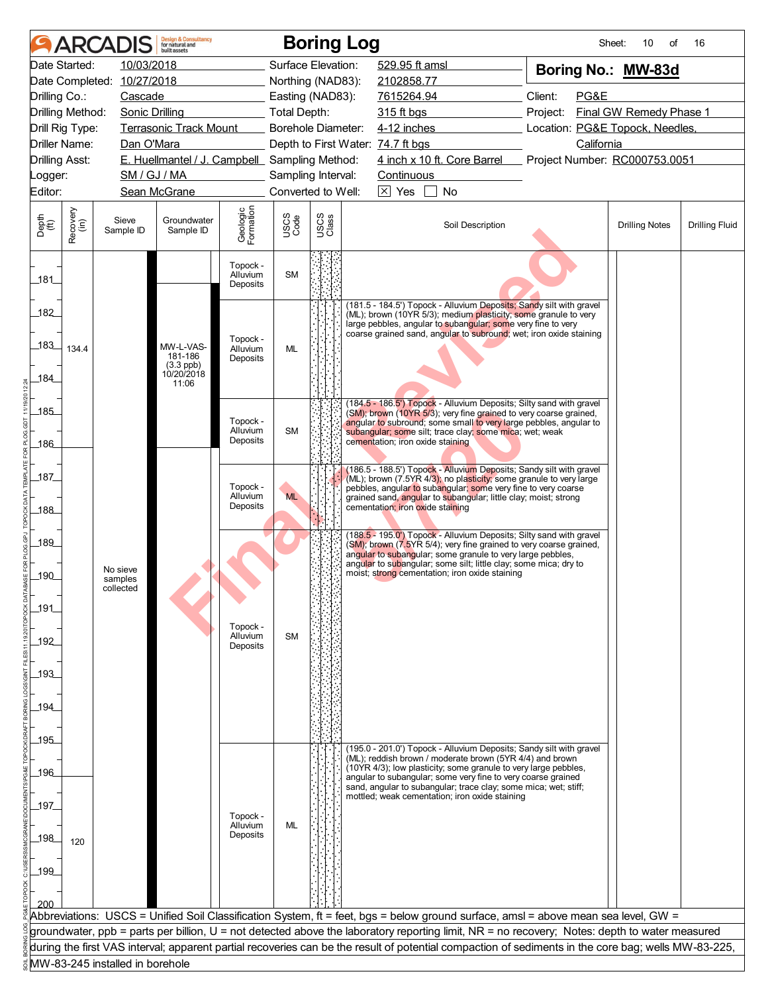| 10/03/2018<br>Date Started:<br>Surface Elevation:<br>529.95 ft amsl<br>Boring No.: MW-83d<br>Date Completed: 10/27/2018<br>Northing (NAD83):<br>2102858.77<br>7615264.94<br>Client:<br>PG&E<br>Drilling Co.:<br>Cascade<br>Easting (NAD83):<br>Final GW Remedy Phase 1<br>Drilling Method:<br>Sonic Drilling<br><b>Total Depth:</b><br>315 ft bgs<br>Project:<br><b>Terrasonic Track Mount</b><br>4-12 inches<br>Location: PG&E Topock, Needles,<br>Drill Rig Type:<br>Borehole Diameter:<br>Driller Name:<br>California<br>Dan O'Mara<br>Depth to First Water: 74.7 ft bgs<br>4 inch x 10 ft. Core Barrel<br>E. Huellmantel / J. Campbell Sampling Method:<br>Project Number: RC000753.0051<br><b>Drilling Asst:</b><br>SM / GJ / MA<br>Sampling Interval:<br>Continuous<br>Logger:<br>Converted to Well:<br>$\boxtimes$ Yes<br>Editor:<br>Sean McGrane<br>No<br>Geologic<br>Formation<br>Recovery<br>(in)<br>USCS<br>Class<br>USCS<br>Code<br>Depth<br>(ft)<br>Sieve<br>Groundwater<br>Soil Description<br><b>Drilling Fluid</b><br><b>Drilling Notes</b><br>Sample ID<br>Sample ID<br>Topock -<br><b>SM</b><br>Alluvium<br>_181_<br>Deposits<br>(181.5 - 184.5') Topock - Alluvium Deposits; Sandy silt with gravel<br>182<br>(ML); brown (10YR 5/3); medium plasticity; some granule to very<br>large pebbles, angular to subangular; some very fine to very<br>coarse grained sand, angular to subround; wet; iron oxide staining<br>Topock -<br>183_<br>MW-L-VAS-<br>Alluvium<br>ML<br>134.4<br>181-186<br>Deposits<br>$(3.3$ ppb)<br>0/20/2018<br>184<br>11:06<br>(184.5 - 186.5') Topock - Alluvium Deposits; Silty sand with gravel<br>$-185$<br>(SM); brown (10YR 5/3); very fine grained to very coarse grained,<br>Topock -<br>angular to subround; some small to very large pebbles, angular to<br>Alluvium<br><b>SM</b><br>subangular; some silt; trace clay; some mica; wet; weak<br>Deposits<br>cementation; iron oxide staining<br>186<br>(186.5 - 188.5') Topock - Alluvium Deposits; Sandy silt with gravel<br>$\_187$<br>(ML); brown (7.5YR 4/3); no plasticity; some granule to very large<br>Topock -<br>pebbles, angular to subangular; some very fine to very coarse<br><b>ML</b><br>Alluvium<br>grained sand, angular to subangular; little clay; moist; strong<br>Deposits<br>cementation; iron oxide staining<br>_188_<br>(188.5 - 195.0') Topock - Alluvium Deposits; Silty sand with gravel<br>189_<br>(SM); brown (7.5YR 5/4); very fine grained to very coarse grained,<br>angular to subangular; some granule to very large pebbles,<br>angular to subangular; some silt; little clay; some mica; dry to<br>No sieve<br>moist; strong cementation; iron oxide staining<br>$-190$<br>samples<br>collected<br>191<br>Topock -<br>Alluvium<br><b>SM</b><br>192<br>Deposits<br>$193$<br>$-194$<br>195<br>(195.0 - 201.0') Topock - Alluvium Deposits; Sandy silt with gravel<br>(ML); reddish brown / moderate brown (5YR 4/4) and brown<br>(10YR 4/3); low plasticity; some granule to very large pebbles,<br>_196_<br>angular to subangular; some very fine to very coarse grained<br>sand, angular to subangular; trace clay; some mica; wet; stiff;<br>mottled; weak cementation; iron oxide staining<br>197<br>Topock -<br>ML<br>Alluvium<br>Deposits<br>198<br>120<br>199<br>200<br>Abbreviations: USCS = Unified Soil Classification System, ft = feet, bgs = below ground surface, amsl = above mean sea level, GW =<br>groundwater, ppb = parts per billion, U = not detected above the laboratory reporting limit, NR = no recovery; Notes: depth to water measured<br>during the first VAS interval; apparent partial recoveries can be the result of potential compaction of sediments in the core bag; wells MW-83-225, |  | <b>ARCADIS</b> | <b>Design &amp; Consultancy</b><br>for natural and<br>huilt assets |  | <b>Boring Log</b> | Sheet: | 10<br>of | 16 |
|------------------------------------------------------------------------------------------------------------------------------------------------------------------------------------------------------------------------------------------------------------------------------------------------------------------------------------------------------------------------------------------------------------------------------------------------------------------------------------------------------------------------------------------------------------------------------------------------------------------------------------------------------------------------------------------------------------------------------------------------------------------------------------------------------------------------------------------------------------------------------------------------------------------------------------------------------------------------------------------------------------------------------------------------------------------------------------------------------------------------------------------------------------------------------------------------------------------------------------------------------------------------------------------------------------------------------------------------------------------------------------------------------------------------------------------------------------------------------------------------------------------------------------------------------------------------------------------------------------------------------------------------------------------------------------------------------------------------------------------------------------------------------------------------------------------------------------------------------------------------------------------------------------------------------------------------------------------------------------------------------------------------------------------------------------------------------------------------------------------------------------------------------------------------------------------------------------------------------------------------------------------------------------------------------------------------------------------------------------------------------------------------------------------------------------------------------------------------------------------------------------------------------------------------------------------------------------------------------------------------------------------------------------------------------------------------------------------------------------------------------------------------------------------------------------------------------------------------------------------------------------------------------------------------------------------------------------------------------------------------------------------------------------------------------------------------------------------------------------------------------------------------------------------------------------------------------------------------------------------------------------------------------------------------------------------------------------------------------------------------------------------------------------------------------------------------------------------------------------------------------------------------------------------------------------------------------------------------------------------------------------------------------------------------------------------------------------------------------------------------------------------|--|----------------|--------------------------------------------------------------------|--|-------------------|--------|----------|----|
|                                                                                                                                                                                                                                                                                                                                                                                                                                                                                                                                                                                                                                                                                                                                                                                                                                                                                                                                                                                                                                                                                                                                                                                                                                                                                                                                                                                                                                                                                                                                                                                                                                                                                                                                                                                                                                                                                                                                                                                                                                                                                                                                                                                                                                                                                                                                                                                                                                                                                                                                                                                                                                                                                                                                                                                                                                                                                                                                                                                                                                                                                                                                                                                                                                                                                                                                                                                                                                                                                                                                                                                                                                                                                                                                                                  |  |                |                                                                    |  |                   |        |          |    |
|                                                                                                                                                                                                                                                                                                                                                                                                                                                                                                                                                                                                                                                                                                                                                                                                                                                                                                                                                                                                                                                                                                                                                                                                                                                                                                                                                                                                                                                                                                                                                                                                                                                                                                                                                                                                                                                                                                                                                                                                                                                                                                                                                                                                                                                                                                                                                                                                                                                                                                                                                                                                                                                                                                                                                                                                                                                                                                                                                                                                                                                                                                                                                                                                                                                                                                                                                                                                                                                                                                                                                                                                                                                                                                                                                                  |  |                |                                                                    |  |                   |        |          |    |
|                                                                                                                                                                                                                                                                                                                                                                                                                                                                                                                                                                                                                                                                                                                                                                                                                                                                                                                                                                                                                                                                                                                                                                                                                                                                                                                                                                                                                                                                                                                                                                                                                                                                                                                                                                                                                                                                                                                                                                                                                                                                                                                                                                                                                                                                                                                                                                                                                                                                                                                                                                                                                                                                                                                                                                                                                                                                                                                                                                                                                                                                                                                                                                                                                                                                                                                                                                                                                                                                                                                                                                                                                                                                                                                                                                  |  |                |                                                                    |  |                   |        |          |    |
|                                                                                                                                                                                                                                                                                                                                                                                                                                                                                                                                                                                                                                                                                                                                                                                                                                                                                                                                                                                                                                                                                                                                                                                                                                                                                                                                                                                                                                                                                                                                                                                                                                                                                                                                                                                                                                                                                                                                                                                                                                                                                                                                                                                                                                                                                                                                                                                                                                                                                                                                                                                                                                                                                                                                                                                                                                                                                                                                                                                                                                                                                                                                                                                                                                                                                                                                                                                                                                                                                                                                                                                                                                                                                                                                                                  |  |                |                                                                    |  |                   |        |          |    |
|                                                                                                                                                                                                                                                                                                                                                                                                                                                                                                                                                                                                                                                                                                                                                                                                                                                                                                                                                                                                                                                                                                                                                                                                                                                                                                                                                                                                                                                                                                                                                                                                                                                                                                                                                                                                                                                                                                                                                                                                                                                                                                                                                                                                                                                                                                                                                                                                                                                                                                                                                                                                                                                                                                                                                                                                                                                                                                                                                                                                                                                                                                                                                                                                                                                                                                                                                                                                                                                                                                                                                                                                                                                                                                                                                                  |  |                |                                                                    |  |                   |        |          |    |
|                                                                                                                                                                                                                                                                                                                                                                                                                                                                                                                                                                                                                                                                                                                                                                                                                                                                                                                                                                                                                                                                                                                                                                                                                                                                                                                                                                                                                                                                                                                                                                                                                                                                                                                                                                                                                                                                                                                                                                                                                                                                                                                                                                                                                                                                                                                                                                                                                                                                                                                                                                                                                                                                                                                                                                                                                                                                                                                                                                                                                                                                                                                                                                                                                                                                                                                                                                                                                                                                                                                                                                                                                                                                                                                                                                  |  |                |                                                                    |  |                   |        |          |    |
|                                                                                                                                                                                                                                                                                                                                                                                                                                                                                                                                                                                                                                                                                                                                                                                                                                                                                                                                                                                                                                                                                                                                                                                                                                                                                                                                                                                                                                                                                                                                                                                                                                                                                                                                                                                                                                                                                                                                                                                                                                                                                                                                                                                                                                                                                                                                                                                                                                                                                                                                                                                                                                                                                                                                                                                                                                                                                                                                                                                                                                                                                                                                                                                                                                                                                                                                                                                                                                                                                                                                                                                                                                                                                                                                                                  |  |                |                                                                    |  |                   |        |          |    |
|                                                                                                                                                                                                                                                                                                                                                                                                                                                                                                                                                                                                                                                                                                                                                                                                                                                                                                                                                                                                                                                                                                                                                                                                                                                                                                                                                                                                                                                                                                                                                                                                                                                                                                                                                                                                                                                                                                                                                                                                                                                                                                                                                                                                                                                                                                                                                                                                                                                                                                                                                                                                                                                                                                                                                                                                                                                                                                                                                                                                                                                                                                                                                                                                                                                                                                                                                                                                                                                                                                                                                                                                                                                                                                                                                                  |  |                |                                                                    |  |                   |        |          |    |
|                                                                                                                                                                                                                                                                                                                                                                                                                                                                                                                                                                                                                                                                                                                                                                                                                                                                                                                                                                                                                                                                                                                                                                                                                                                                                                                                                                                                                                                                                                                                                                                                                                                                                                                                                                                                                                                                                                                                                                                                                                                                                                                                                                                                                                                                                                                                                                                                                                                                                                                                                                                                                                                                                                                                                                                                                                                                                                                                                                                                                                                                                                                                                                                                                                                                                                                                                                                                                                                                                                                                                                                                                                                                                                                                                                  |  |                |                                                                    |  |                   |        |          |    |
|                                                                                                                                                                                                                                                                                                                                                                                                                                                                                                                                                                                                                                                                                                                                                                                                                                                                                                                                                                                                                                                                                                                                                                                                                                                                                                                                                                                                                                                                                                                                                                                                                                                                                                                                                                                                                                                                                                                                                                                                                                                                                                                                                                                                                                                                                                                                                                                                                                                                                                                                                                                                                                                                                                                                                                                                                                                                                                                                                                                                                                                                                                                                                                                                                                                                                                                                                                                                                                                                                                                                                                                                                                                                                                                                                                  |  |                |                                                                    |  |                   |        |          |    |
|                                                                                                                                                                                                                                                                                                                                                                                                                                                                                                                                                                                                                                                                                                                                                                                                                                                                                                                                                                                                                                                                                                                                                                                                                                                                                                                                                                                                                                                                                                                                                                                                                                                                                                                                                                                                                                                                                                                                                                                                                                                                                                                                                                                                                                                                                                                                                                                                                                                                                                                                                                                                                                                                                                                                                                                                                                                                                                                                                                                                                                                                                                                                                                                                                                                                                                                                                                                                                                                                                                                                                                                                                                                                                                                                                                  |  |                |                                                                    |  |                   |        |          |    |
|                                                                                                                                                                                                                                                                                                                                                                                                                                                                                                                                                                                                                                                                                                                                                                                                                                                                                                                                                                                                                                                                                                                                                                                                                                                                                                                                                                                                                                                                                                                                                                                                                                                                                                                                                                                                                                                                                                                                                                                                                                                                                                                                                                                                                                                                                                                                                                                                                                                                                                                                                                                                                                                                                                                                                                                                                                                                                                                                                                                                                                                                                                                                                                                                                                                                                                                                                                                                                                                                                                                                                                                                                                                                                                                                                                  |  |                |                                                                    |  |                   |        |          |    |
|                                                                                                                                                                                                                                                                                                                                                                                                                                                                                                                                                                                                                                                                                                                                                                                                                                                                                                                                                                                                                                                                                                                                                                                                                                                                                                                                                                                                                                                                                                                                                                                                                                                                                                                                                                                                                                                                                                                                                                                                                                                                                                                                                                                                                                                                                                                                                                                                                                                                                                                                                                                                                                                                                                                                                                                                                                                                                                                                                                                                                                                                                                                                                                                                                                                                                                                                                                                                                                                                                                                                                                                                                                                                                                                                                                  |  |                |                                                                    |  |                   |        |          |    |
|                                                                                                                                                                                                                                                                                                                                                                                                                                                                                                                                                                                                                                                                                                                                                                                                                                                                                                                                                                                                                                                                                                                                                                                                                                                                                                                                                                                                                                                                                                                                                                                                                                                                                                                                                                                                                                                                                                                                                                                                                                                                                                                                                                                                                                                                                                                                                                                                                                                                                                                                                                                                                                                                                                                                                                                                                                                                                                                                                                                                                                                                                                                                                                                                                                                                                                                                                                                                                                                                                                                                                                                                                                                                                                                                                                  |  |                |                                                                    |  |                   |        |          |    |
|                                                                                                                                                                                                                                                                                                                                                                                                                                                                                                                                                                                                                                                                                                                                                                                                                                                                                                                                                                                                                                                                                                                                                                                                                                                                                                                                                                                                                                                                                                                                                                                                                                                                                                                                                                                                                                                                                                                                                                                                                                                                                                                                                                                                                                                                                                                                                                                                                                                                                                                                                                                                                                                                                                                                                                                                                                                                                                                                                                                                                                                                                                                                                                                                                                                                                                                                                                                                                                                                                                                                                                                                                                                                                                                                                                  |  |                |                                                                    |  |                   |        |          |    |
|                                                                                                                                                                                                                                                                                                                                                                                                                                                                                                                                                                                                                                                                                                                                                                                                                                                                                                                                                                                                                                                                                                                                                                                                                                                                                                                                                                                                                                                                                                                                                                                                                                                                                                                                                                                                                                                                                                                                                                                                                                                                                                                                                                                                                                                                                                                                                                                                                                                                                                                                                                                                                                                                                                                                                                                                                                                                                                                                                                                                                                                                                                                                                                                                                                                                                                                                                                                                                                                                                                                                                                                                                                                                                                                                                                  |  |                |                                                                    |  |                   |        |          |    |
|                                                                                                                                                                                                                                                                                                                                                                                                                                                                                                                                                                                                                                                                                                                                                                                                                                                                                                                                                                                                                                                                                                                                                                                                                                                                                                                                                                                                                                                                                                                                                                                                                                                                                                                                                                                                                                                                                                                                                                                                                                                                                                                                                                                                                                                                                                                                                                                                                                                                                                                                                                                                                                                                                                                                                                                                                                                                                                                                                                                                                                                                                                                                                                                                                                                                                                                                                                                                                                                                                                                                                                                                                                                                                                                                                                  |  |                |                                                                    |  |                   |        |          |    |
|                                                                                                                                                                                                                                                                                                                                                                                                                                                                                                                                                                                                                                                                                                                                                                                                                                                                                                                                                                                                                                                                                                                                                                                                                                                                                                                                                                                                                                                                                                                                                                                                                                                                                                                                                                                                                                                                                                                                                                                                                                                                                                                                                                                                                                                                                                                                                                                                                                                                                                                                                                                                                                                                                                                                                                                                                                                                                                                                                                                                                                                                                                                                                                                                                                                                                                                                                                                                                                                                                                                                                                                                                                                                                                                                                                  |  |                |                                                                    |  |                   |        |          |    |
|                                                                                                                                                                                                                                                                                                                                                                                                                                                                                                                                                                                                                                                                                                                                                                                                                                                                                                                                                                                                                                                                                                                                                                                                                                                                                                                                                                                                                                                                                                                                                                                                                                                                                                                                                                                                                                                                                                                                                                                                                                                                                                                                                                                                                                                                                                                                                                                                                                                                                                                                                                                                                                                                                                                                                                                                                                                                                                                                                                                                                                                                                                                                                                                                                                                                                                                                                                                                                                                                                                                                                                                                                                                                                                                                                                  |  |                |                                                                    |  |                   |        |          |    |
|                                                                                                                                                                                                                                                                                                                                                                                                                                                                                                                                                                                                                                                                                                                                                                                                                                                                                                                                                                                                                                                                                                                                                                                                                                                                                                                                                                                                                                                                                                                                                                                                                                                                                                                                                                                                                                                                                                                                                                                                                                                                                                                                                                                                                                                                                                                                                                                                                                                                                                                                                                                                                                                                                                                                                                                                                                                                                                                                                                                                                                                                                                                                                                                                                                                                                                                                                                                                                                                                                                                                                                                                                                                                                                                                                                  |  |                |                                                                    |  |                   |        |          |    |
|                                                                                                                                                                                                                                                                                                                                                                                                                                                                                                                                                                                                                                                                                                                                                                                                                                                                                                                                                                                                                                                                                                                                                                                                                                                                                                                                                                                                                                                                                                                                                                                                                                                                                                                                                                                                                                                                                                                                                                                                                                                                                                                                                                                                                                                                                                                                                                                                                                                                                                                                                                                                                                                                                                                                                                                                                                                                                                                                                                                                                                                                                                                                                                                                                                                                                                                                                                                                                                                                                                                                                                                                                                                                                                                                                                  |  |                |                                                                    |  |                   |        |          |    |
|                                                                                                                                                                                                                                                                                                                                                                                                                                                                                                                                                                                                                                                                                                                                                                                                                                                                                                                                                                                                                                                                                                                                                                                                                                                                                                                                                                                                                                                                                                                                                                                                                                                                                                                                                                                                                                                                                                                                                                                                                                                                                                                                                                                                                                                                                                                                                                                                                                                                                                                                                                                                                                                                                                                                                                                                                                                                                                                                                                                                                                                                                                                                                                                                                                                                                                                                                                                                                                                                                                                                                                                                                                                                                                                                                                  |  |                |                                                                    |  |                   |        |          |    |
|                                                                                                                                                                                                                                                                                                                                                                                                                                                                                                                                                                                                                                                                                                                                                                                                                                                                                                                                                                                                                                                                                                                                                                                                                                                                                                                                                                                                                                                                                                                                                                                                                                                                                                                                                                                                                                                                                                                                                                                                                                                                                                                                                                                                                                                                                                                                                                                                                                                                                                                                                                                                                                                                                                                                                                                                                                                                                                                                                                                                                                                                                                                                                                                                                                                                                                                                                                                                                                                                                                                                                                                                                                                                                                                                                                  |  |                |                                                                    |  |                   |        |          |    |
|                                                                                                                                                                                                                                                                                                                                                                                                                                                                                                                                                                                                                                                                                                                                                                                                                                                                                                                                                                                                                                                                                                                                                                                                                                                                                                                                                                                                                                                                                                                                                                                                                                                                                                                                                                                                                                                                                                                                                                                                                                                                                                                                                                                                                                                                                                                                                                                                                                                                                                                                                                                                                                                                                                                                                                                                                                                                                                                                                                                                                                                                                                                                                                                                                                                                                                                                                                                                                                                                                                                                                                                                                                                                                                                                                                  |  |                |                                                                    |  |                   |        |          |    |
|                                                                                                                                                                                                                                                                                                                                                                                                                                                                                                                                                                                                                                                                                                                                                                                                                                                                                                                                                                                                                                                                                                                                                                                                                                                                                                                                                                                                                                                                                                                                                                                                                                                                                                                                                                                                                                                                                                                                                                                                                                                                                                                                                                                                                                                                                                                                                                                                                                                                                                                                                                                                                                                                                                                                                                                                                                                                                                                                                                                                                                                                                                                                                                                                                                                                                                                                                                                                                                                                                                                                                                                                                                                                                                                                                                  |  |                |                                                                    |  |                   |        |          |    |
|                                                                                                                                                                                                                                                                                                                                                                                                                                                                                                                                                                                                                                                                                                                                                                                                                                                                                                                                                                                                                                                                                                                                                                                                                                                                                                                                                                                                                                                                                                                                                                                                                                                                                                                                                                                                                                                                                                                                                                                                                                                                                                                                                                                                                                                                                                                                                                                                                                                                                                                                                                                                                                                                                                                                                                                                                                                                                                                                                                                                                                                                                                                                                                                                                                                                                                                                                                                                                                                                                                                                                                                                                                                                                                                                                                  |  |                |                                                                    |  |                   |        |          |    |
|                                                                                                                                                                                                                                                                                                                                                                                                                                                                                                                                                                                                                                                                                                                                                                                                                                                                                                                                                                                                                                                                                                                                                                                                                                                                                                                                                                                                                                                                                                                                                                                                                                                                                                                                                                                                                                                                                                                                                                                                                                                                                                                                                                                                                                                                                                                                                                                                                                                                                                                                                                                                                                                                                                                                                                                                                                                                                                                                                                                                                                                                                                                                                                                                                                                                                                                                                                                                                                                                                                                                                                                                                                                                                                                                                                  |  |                |                                                                    |  |                   |        |          |    |
|                                                                                                                                                                                                                                                                                                                                                                                                                                                                                                                                                                                                                                                                                                                                                                                                                                                                                                                                                                                                                                                                                                                                                                                                                                                                                                                                                                                                                                                                                                                                                                                                                                                                                                                                                                                                                                                                                                                                                                                                                                                                                                                                                                                                                                                                                                                                                                                                                                                                                                                                                                                                                                                                                                                                                                                                                                                                                                                                                                                                                                                                                                                                                                                                                                                                                                                                                                                                                                                                                                                                                                                                                                                                                                                                                                  |  |                |                                                                    |  |                   |        |          |    |
|                                                                                                                                                                                                                                                                                                                                                                                                                                                                                                                                                                                                                                                                                                                                                                                                                                                                                                                                                                                                                                                                                                                                                                                                                                                                                                                                                                                                                                                                                                                                                                                                                                                                                                                                                                                                                                                                                                                                                                                                                                                                                                                                                                                                                                                                                                                                                                                                                                                                                                                                                                                                                                                                                                                                                                                                                                                                                                                                                                                                                                                                                                                                                                                                                                                                                                                                                                                                                                                                                                                                                                                                                                                                                                                                                                  |  |                |                                                                    |  |                   |        |          |    |
|                                                                                                                                                                                                                                                                                                                                                                                                                                                                                                                                                                                                                                                                                                                                                                                                                                                                                                                                                                                                                                                                                                                                                                                                                                                                                                                                                                                                                                                                                                                                                                                                                                                                                                                                                                                                                                                                                                                                                                                                                                                                                                                                                                                                                                                                                                                                                                                                                                                                                                                                                                                                                                                                                                                                                                                                                                                                                                                                                                                                                                                                                                                                                                                                                                                                                                                                                                                                                                                                                                                                                                                                                                                                                                                                                                  |  |                |                                                                    |  |                   |        |          |    |
|                                                                                                                                                                                                                                                                                                                                                                                                                                                                                                                                                                                                                                                                                                                                                                                                                                                                                                                                                                                                                                                                                                                                                                                                                                                                                                                                                                                                                                                                                                                                                                                                                                                                                                                                                                                                                                                                                                                                                                                                                                                                                                                                                                                                                                                                                                                                                                                                                                                                                                                                                                                                                                                                                                                                                                                                                                                                                                                                                                                                                                                                                                                                                                                                                                                                                                                                                                                                                                                                                                                                                                                                                                                                                                                                                                  |  |                |                                                                    |  |                   |        |          |    |
|                                                                                                                                                                                                                                                                                                                                                                                                                                                                                                                                                                                                                                                                                                                                                                                                                                                                                                                                                                                                                                                                                                                                                                                                                                                                                                                                                                                                                                                                                                                                                                                                                                                                                                                                                                                                                                                                                                                                                                                                                                                                                                                                                                                                                                                                                                                                                                                                                                                                                                                                                                                                                                                                                                                                                                                                                                                                                                                                                                                                                                                                                                                                                                                                                                                                                                                                                                                                                                                                                                                                                                                                                                                                                                                                                                  |  |                |                                                                    |  |                   |        |          |    |
|                                                                                                                                                                                                                                                                                                                                                                                                                                                                                                                                                                                                                                                                                                                                                                                                                                                                                                                                                                                                                                                                                                                                                                                                                                                                                                                                                                                                                                                                                                                                                                                                                                                                                                                                                                                                                                                                                                                                                                                                                                                                                                                                                                                                                                                                                                                                                                                                                                                                                                                                                                                                                                                                                                                                                                                                                                                                                                                                                                                                                                                                                                                                                                                                                                                                                                                                                                                                                                                                                                                                                                                                                                                                                                                                                                  |  |                |                                                                    |  |                   |        |          |    |
|                                                                                                                                                                                                                                                                                                                                                                                                                                                                                                                                                                                                                                                                                                                                                                                                                                                                                                                                                                                                                                                                                                                                                                                                                                                                                                                                                                                                                                                                                                                                                                                                                                                                                                                                                                                                                                                                                                                                                                                                                                                                                                                                                                                                                                                                                                                                                                                                                                                                                                                                                                                                                                                                                                                                                                                                                                                                                                                                                                                                                                                                                                                                                                                                                                                                                                                                                                                                                                                                                                                                                                                                                                                                                                                                                                  |  |                |                                                                    |  |                   |        |          |    |
|                                                                                                                                                                                                                                                                                                                                                                                                                                                                                                                                                                                                                                                                                                                                                                                                                                                                                                                                                                                                                                                                                                                                                                                                                                                                                                                                                                                                                                                                                                                                                                                                                                                                                                                                                                                                                                                                                                                                                                                                                                                                                                                                                                                                                                                                                                                                                                                                                                                                                                                                                                                                                                                                                                                                                                                                                                                                                                                                                                                                                                                                                                                                                                                                                                                                                                                                                                                                                                                                                                                                                                                                                                                                                                                                                                  |  |                |                                                                    |  |                   |        |          |    |
|                                                                                                                                                                                                                                                                                                                                                                                                                                                                                                                                                                                                                                                                                                                                                                                                                                                                                                                                                                                                                                                                                                                                                                                                                                                                                                                                                                                                                                                                                                                                                                                                                                                                                                                                                                                                                                                                                                                                                                                                                                                                                                                                                                                                                                                                                                                                                                                                                                                                                                                                                                                                                                                                                                                                                                                                                                                                                                                                                                                                                                                                                                                                                                                                                                                                                                                                                                                                                                                                                                                                                                                                                                                                                                                                                                  |  |                |                                                                    |  |                   |        |          |    |
|                                                                                                                                                                                                                                                                                                                                                                                                                                                                                                                                                                                                                                                                                                                                                                                                                                                                                                                                                                                                                                                                                                                                                                                                                                                                                                                                                                                                                                                                                                                                                                                                                                                                                                                                                                                                                                                                                                                                                                                                                                                                                                                                                                                                                                                                                                                                                                                                                                                                                                                                                                                                                                                                                                                                                                                                                                                                                                                                                                                                                                                                                                                                                                                                                                                                                                                                                                                                                                                                                                                                                                                                                                                                                                                                                                  |  |                |                                                                    |  |                   |        |          |    |
|                                                                                                                                                                                                                                                                                                                                                                                                                                                                                                                                                                                                                                                                                                                                                                                                                                                                                                                                                                                                                                                                                                                                                                                                                                                                                                                                                                                                                                                                                                                                                                                                                                                                                                                                                                                                                                                                                                                                                                                                                                                                                                                                                                                                                                                                                                                                                                                                                                                                                                                                                                                                                                                                                                                                                                                                                                                                                                                                                                                                                                                                                                                                                                                                                                                                                                                                                                                                                                                                                                                                                                                                                                                                                                                                                                  |  |                |                                                                    |  |                   |        |          |    |
|                                                                                                                                                                                                                                                                                                                                                                                                                                                                                                                                                                                                                                                                                                                                                                                                                                                                                                                                                                                                                                                                                                                                                                                                                                                                                                                                                                                                                                                                                                                                                                                                                                                                                                                                                                                                                                                                                                                                                                                                                                                                                                                                                                                                                                                                                                                                                                                                                                                                                                                                                                                                                                                                                                                                                                                                                                                                                                                                                                                                                                                                                                                                                                                                                                                                                                                                                                                                                                                                                                                                                                                                                                                                                                                                                                  |  |                |                                                                    |  |                   |        |          |    |
|                                                                                                                                                                                                                                                                                                                                                                                                                                                                                                                                                                                                                                                                                                                                                                                                                                                                                                                                                                                                                                                                                                                                                                                                                                                                                                                                                                                                                                                                                                                                                                                                                                                                                                                                                                                                                                                                                                                                                                                                                                                                                                                                                                                                                                                                                                                                                                                                                                                                                                                                                                                                                                                                                                                                                                                                                                                                                                                                                                                                                                                                                                                                                                                                                                                                                                                                                                                                                                                                                                                                                                                                                                                                                                                                                                  |  |                |                                                                    |  |                   |        |          |    |
|                                                                                                                                                                                                                                                                                                                                                                                                                                                                                                                                                                                                                                                                                                                                                                                                                                                                                                                                                                                                                                                                                                                                                                                                                                                                                                                                                                                                                                                                                                                                                                                                                                                                                                                                                                                                                                                                                                                                                                                                                                                                                                                                                                                                                                                                                                                                                                                                                                                                                                                                                                                                                                                                                                                                                                                                                                                                                                                                                                                                                                                                                                                                                                                                                                                                                                                                                                                                                                                                                                                                                                                                                                                                                                                                                                  |  |                |                                                                    |  |                   |        |          |    |
|                                                                                                                                                                                                                                                                                                                                                                                                                                                                                                                                                                                                                                                                                                                                                                                                                                                                                                                                                                                                                                                                                                                                                                                                                                                                                                                                                                                                                                                                                                                                                                                                                                                                                                                                                                                                                                                                                                                                                                                                                                                                                                                                                                                                                                                                                                                                                                                                                                                                                                                                                                                                                                                                                                                                                                                                                                                                                                                                                                                                                                                                                                                                                                                                                                                                                                                                                                                                                                                                                                                                                                                                                                                                                                                                                                  |  |                |                                                                    |  |                   |        |          |    |
|                                                                                                                                                                                                                                                                                                                                                                                                                                                                                                                                                                                                                                                                                                                                                                                                                                                                                                                                                                                                                                                                                                                                                                                                                                                                                                                                                                                                                                                                                                                                                                                                                                                                                                                                                                                                                                                                                                                                                                                                                                                                                                                                                                                                                                                                                                                                                                                                                                                                                                                                                                                                                                                                                                                                                                                                                                                                                                                                                                                                                                                                                                                                                                                                                                                                                                                                                                                                                                                                                                                                                                                                                                                                                                                                                                  |  |                |                                                                    |  |                   |        |          |    |
|                                                                                                                                                                                                                                                                                                                                                                                                                                                                                                                                                                                                                                                                                                                                                                                                                                                                                                                                                                                                                                                                                                                                                                                                                                                                                                                                                                                                                                                                                                                                                                                                                                                                                                                                                                                                                                                                                                                                                                                                                                                                                                                                                                                                                                                                                                                                                                                                                                                                                                                                                                                                                                                                                                                                                                                                                                                                                                                                                                                                                                                                                                                                                                                                                                                                                                                                                                                                                                                                                                                                                                                                                                                                                                                                                                  |  |                |                                                                    |  |                   |        |          |    |
| MW-83-245 installed in borehole                                                                                                                                                                                                                                                                                                                                                                                                                                                                                                                                                                                                                                                                                                                                                                                                                                                                                                                                                                                                                                                                                                                                                                                                                                                                                                                                                                                                                                                                                                                                                                                                                                                                                                                                                                                                                                                                                                                                                                                                                                                                                                                                                                                                                                                                                                                                                                                                                                                                                                                                                                                                                                                                                                                                                                                                                                                                                                                                                                                                                                                                                                                                                                                                                                                                                                                                                                                                                                                                                                                                                                                                                                                                                                                                  |  |                |                                                                    |  |                   |        |          |    |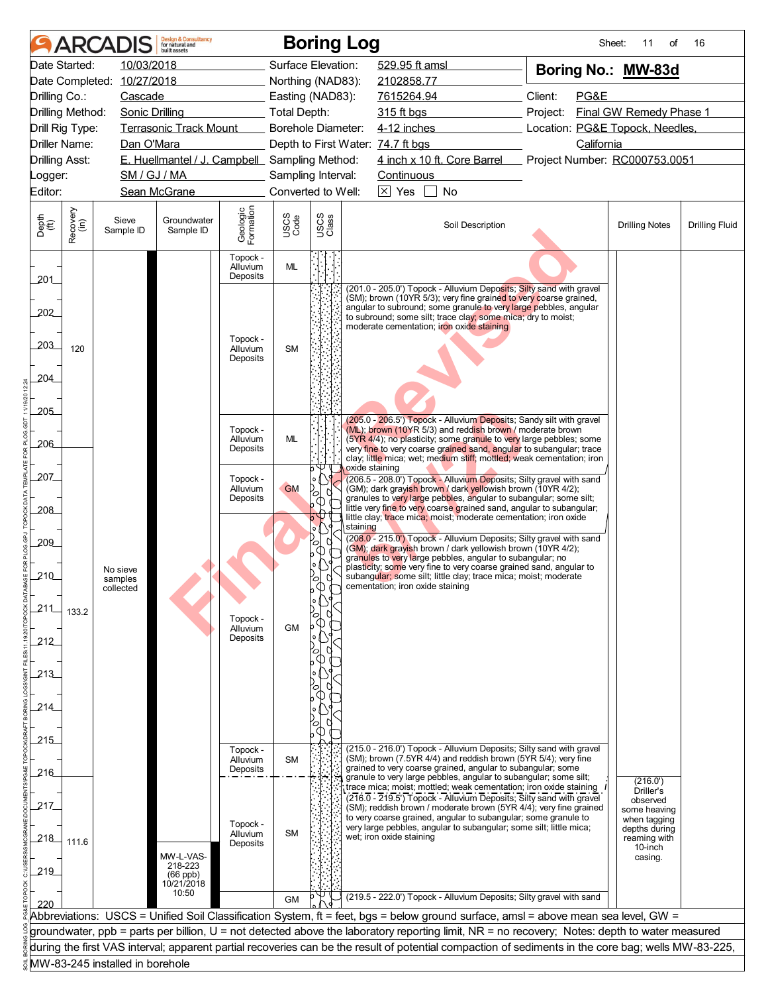|                             |                  | <b>ARCADIS</b>                  | <b>Design &amp; Consultancy</b><br>for natural and<br>huilt assets |                                  |                     |               | <b>Boring Log</b>                                                                                                                                                                                                                                                                                                         | Sheet:                          | 11<br>of                                                 | 16                    |
|-----------------------------|------------------|---------------------------------|--------------------------------------------------------------------|----------------------------------|---------------------|---------------|---------------------------------------------------------------------------------------------------------------------------------------------------------------------------------------------------------------------------------------------------------------------------------------------------------------------------|---------------------------------|----------------------------------------------------------|-----------------------|
|                             | Date Started:    | 10/03/2018                      |                                                                    |                                  | Surface Elevation:  |               | 529.95 ft amsl                                                                                                                                                                                                                                                                                                            | Boring No.: MW-83d              |                                                          |                       |
| Date Completed: 10/27/2018  |                  |                                 |                                                                    |                                  | Northing (NAD83):   |               | 2102858.77                                                                                                                                                                                                                                                                                                                |                                 |                                                          |                       |
| Drilling Co.:               |                  | Cascade                         |                                                                    |                                  | Easting (NAD83):    |               | 7615264.94                                                                                                                                                                                                                                                                                                                | Client:<br>PG&E                 |                                                          |                       |
| Drilling Method:            |                  | <b>Sonic Drilling</b>           |                                                                    |                                  | <b>Total Depth:</b> |               | 315 ft bgs                                                                                                                                                                                                                                                                                                                | Project:                        | Final GW Remedy Phase 1                                  |                       |
| Drill Rig Type:             |                  |                                 | <b>Terrasonic Track Mount</b>                                      |                                  | Borehole Diameter:  |               | $4-12$ inches                                                                                                                                                                                                                                                                                                             | Location: PG&E Topock, Needles, |                                                          |                       |
|                             | Driller Name:    | Dan O'Mara                      |                                                                    |                                  |                     |               | Depth to First Water: 74.7 ft bgs                                                                                                                                                                                                                                                                                         | California                      |                                                          |                       |
| <b>Drilling Asst:</b>       |                  |                                 | E. Huellmantel / J. Campbell Sampling Method:                      |                                  |                     |               | 4 inch x 10 ft. Core Barrel Project Number: RC000753.0051                                                                                                                                                                                                                                                                 |                                 |                                                          |                       |
| Logger:                     |                  | SM / GJ / MA                    |                                                                    |                                  | Sampling Interval:  |               | Continuous                                                                                                                                                                                                                                                                                                                |                                 |                                                          |                       |
| Editor:                     |                  |                                 | Sean McGrane                                                       |                                  | Converted to Well:  |               | $\boxed{\times}$ Yes<br>No                                                                                                                                                                                                                                                                                                |                                 |                                                          |                       |
| Depth<br>$\widetilde{f(t)}$ | Recovery<br>(in) | Sieve<br>Sample ID              | Groundwater<br>Sample ID                                           | Geologic<br>Formation            | USCS<br>Code        | USCS<br>Class | Soil Description                                                                                                                                                                                                                                                                                                          |                                 | <b>Drilling Notes</b>                                    | <b>Drilling Fluid</b> |
| 201                         |                  |                                 |                                                                    | Topock -<br>Alluvium<br>Deposits | ML                  |               |                                                                                                                                                                                                                                                                                                                           |                                 |                                                          |                       |
| 202<br>203                  | 120              |                                 |                                                                    | Topock -<br>Alluvium             | <b>SM</b>           |               | (201.0 - 205.0') Topock - Alluvium Deposits; Silty sand with gravel<br>(SM); brown (10YR 5/3); very fine grained to very coarse grained,<br>angular to subround; some granule to very large pebbles, angular<br>to subround; some silt; trace clay; some mica; dry to moist;<br>moderate cementation; iron oxide staining |                                 |                                                          |                       |
| 204                         |                  |                                 |                                                                    | Deposits                         |                     |               |                                                                                                                                                                                                                                                                                                                           |                                 |                                                          |                       |
| 205                         |                  |                                 |                                                                    |                                  |                     |               | (205.0 - 206.5') Topock - Alluvium Deposits; Sandy silt with gravel                                                                                                                                                                                                                                                       |                                 |                                                          |                       |
| $-206$                      |                  |                                 |                                                                    | Topock -<br>Alluvium<br>Deposits | ML                  |               | (ML); brown (10YR 5/3) and reddish brown / moderate brown<br>(5YR 4/4); no plasticity; some granule to very large pebbles; some<br>very fine to very coarse grained sand, angular to subangular; trace<br>clay; little mica; wet; medium stiff; mottled; weak cementation; iron                                           |                                 |                                                          |                       |
| 207                         |                  |                                 |                                                                    | Topock -<br>Alluvium             | <b>GM</b>           | ∞             | oxide staining<br>(206.5 - 208.0') Topock - Alluvium Deposits; Silty gravel with sand<br>(GM); dark grayish brown / dark yellowish brown (10YR 4/2);<br>granules to very large pebbles, angular to subangular; some silt;                                                                                                 |                                 |                                                          |                       |
| 208                         |                  |                                 |                                                                    | Deposits                         |                     | <b>CD</b>     | little very fine to very coarse grained sand, angular to subangular;                                                                                                                                                                                                                                                      |                                 |                                                          |                       |
|                             |                  |                                 |                                                                    |                                  |                     | b<br>$\circ$  | little clay; trace mica; moist; moderate cementation; iron oxide<br>staining                                                                                                                                                                                                                                              |                                 |                                                          |                       |
| 209                         |                  |                                 |                                                                    |                                  |                     | ∞             | (208.0 - 215.0') Topock - Alluvium Deposits; Silty gravel with sand                                                                                                                                                                                                                                                       |                                 |                                                          |                       |
|                             |                  |                                 |                                                                    |                                  |                     | O)            | (GM); dark grayish brown / dark yellowish brown (10YR 4/2);<br>granules to very large pebbles, angular to subangular; no                                                                                                                                                                                                  |                                 |                                                          |                       |
| 210                         |                  | No sieve<br>samples             |                                                                    |                                  |                     | $\circ$       | plasticity; some very fine to very coarse grained sand, angular to<br>subangular; some silt; little clay; trace mica; moist; moderate                                                                                                                                                                                     |                                 |                                                          |                       |
|                             |                  | collected                       |                                                                    |                                  |                     |               | cementation; iron oxide staining                                                                                                                                                                                                                                                                                          |                                 |                                                          |                       |
| 211                         | 133.2            |                                 |                                                                    |                                  |                     |               |                                                                                                                                                                                                                                                                                                                           |                                 |                                                          |                       |
|                             |                  |                                 |                                                                    | Topock -<br>Alluvium             | <b>GM</b>           |               |                                                                                                                                                                                                                                                                                                                           |                                 |                                                          |                       |
| 212                         |                  |                                 |                                                                    | Deposits                         |                     |               |                                                                                                                                                                                                                                                                                                                           |                                 |                                                          |                       |
|                             |                  |                                 |                                                                    |                                  |                     |               |                                                                                                                                                                                                                                                                                                                           |                                 |                                                          |                       |
| 213                         |                  |                                 |                                                                    |                                  |                     |               |                                                                                                                                                                                                                                                                                                                           |                                 |                                                          |                       |
|                             |                  |                                 |                                                                    |                                  |                     |               |                                                                                                                                                                                                                                                                                                                           |                                 |                                                          |                       |
| 214                         |                  |                                 |                                                                    |                                  |                     |               |                                                                                                                                                                                                                                                                                                                           |                                 |                                                          |                       |
|                             |                  |                                 |                                                                    |                                  |                     | $\sqrt{ }$    |                                                                                                                                                                                                                                                                                                                           |                                 |                                                          |                       |
| 215                         |                  |                                 |                                                                    |                                  |                     |               | (215.0 - 216.0') Topock - Alluvium Deposits; Silty sand with gravel                                                                                                                                                                                                                                                       |                                 |                                                          |                       |
|                             |                  |                                 |                                                                    | Topock -<br>Alluvium             | <b>SM</b>           |               | (SM); brown (7.5YR 4/4) and reddish brown (5YR 5/4); very fine                                                                                                                                                                                                                                                            |                                 |                                                          |                       |
| -216                        |                  |                                 |                                                                    | Deposits                         |                     |               | grained to very coarse grained, angular to subangular; some<br>granule to very large pebbles, angular to subangular; some silt;                                                                                                                                                                                           |                                 | (216.0')                                                 |                       |
|                             |                  |                                 |                                                                    |                                  |                     |               | trace mica; moist; mottled; weak cementation; iron oxide staining<br>(216.0 - 219.5') Topock - Alluvium Deposits; Silty sand with gravel                                                                                                                                                                                  |                                 | Driller's                                                |                       |
| 217.                        |                  |                                 |                                                                    |                                  |                     |               | (SM); reddish brown / moderate brown (5YR 4/4); very fine grained                                                                                                                                                                                                                                                         |                                 | observed<br>some heaving                                 |                       |
| 218                         | 111.6            |                                 |                                                                    | Topock -<br>Alluvium<br>Deposits | <b>SM</b>           |               | to very coarse grained, angular to subangular; some granule to<br>very large pebbles, angular to subangular; some silt; little mica;<br>wet; iron oxide staining                                                                                                                                                          |                                 | when tagging<br>depths during<br>reaming with<br>10-inch |                       |
|                             |                  |                                 | MW-L-VAS-                                                          |                                  |                     |               |                                                                                                                                                                                                                                                                                                                           |                                 | casing.                                                  |                       |
| $-219$                      |                  |                                 | 218-223<br>$(66$ ppb)                                              |                                  |                     |               |                                                                                                                                                                                                                                                                                                                           |                                 |                                                          |                       |
|                             |                  |                                 | 10/21/2018<br>10:50                                                |                                  |                     |               | (219.5 - 222.0') Topock - Alluvium Deposits; Silty gravel with sand                                                                                                                                                                                                                                                       |                                 |                                                          |                       |
| 220                         |                  |                                 |                                                                    |                                  | <b>GM</b>           |               |                                                                                                                                                                                                                                                                                                                           |                                 |                                                          |                       |
|                             |                  |                                 |                                                                    |                                  |                     |               | Abbreviations: USCS = Unified Soil Classification System, ft = feet, bgs = below ground surface, amsl = above mean sea level, GW =<br>groundwater, ppb = parts per billion, U = not detected above the laboratory reporting limit, NR = no recovery; Notes: depth to water measured                                       |                                 |                                                          |                       |
|                             |                  |                                 |                                                                    |                                  |                     |               | during the first VAS interval; apparent partial recoveries can be the result of potential compaction of sediments in the core bag; wells MW-83-225,                                                                                                                                                                       |                                 |                                                          |                       |
|                             |                  | MW-83-245 installed in borehole |                                                                    |                                  |                     |               |                                                                                                                                                                                                                                                                                                                           |                                 |                                                          |                       |
|                             |                  |                                 |                                                                    |                                  |                     |               |                                                                                                                                                                                                                                                                                                                           |                                 |                                                          |                       |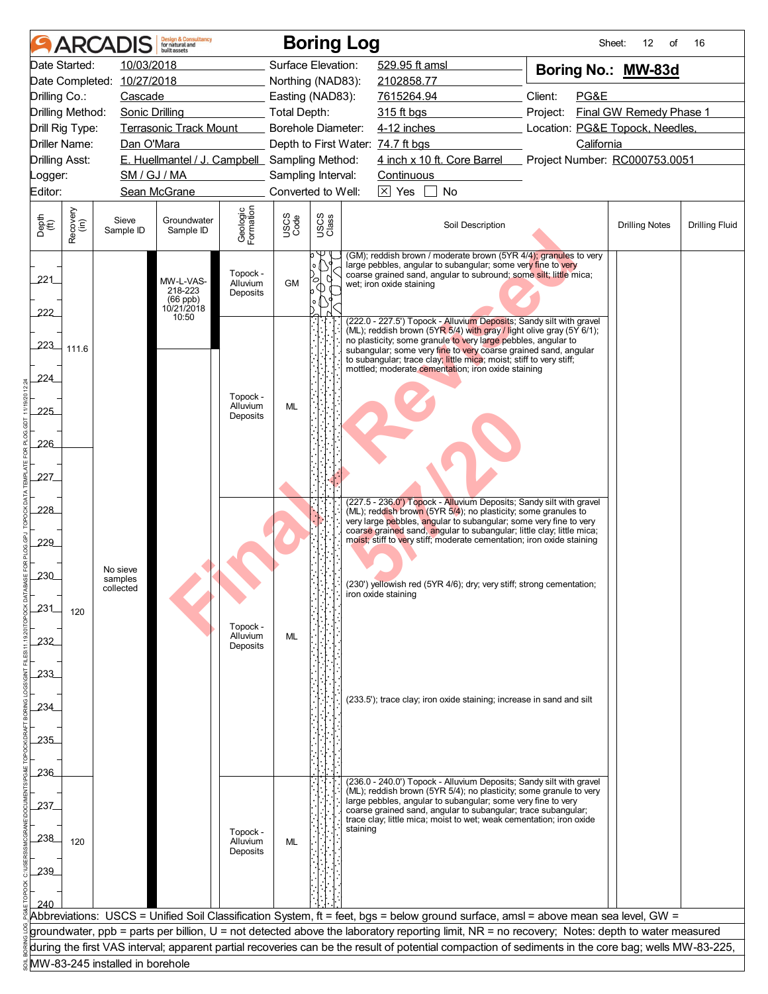| Date Started:<br>10/03/2018<br>Surface Elevation:<br>529.95 ft amsl<br>Boring No.: MW-83d<br>Date Completed: 10/27/2018<br>Northing (NAD83):<br>2102858.77<br>Client:<br>PG&E<br>Drilling Co.:<br>Cascade<br>Easting (NAD83):<br>7615264.94<br>Final GW Remedy Phase 1<br>Drilling Method:<br><b>Total Depth:</b><br>315 ft bgs<br><b>Sonic Drilling</b><br>Project:<br>4-12 inches<br>Location: PG&E Topock, Needles,<br>Drill Rig Type:<br><b>Terrasonic Track Mount</b><br><b>Borehole Diameter:</b><br>Driller Name:<br>Dan O'Mara<br>Depth to First Water: 74.7 ft bgs<br>California<br>4 inch x 10 ft. Core Barrel<br>E. Huellmantel / J. Campbell Sampling Method:<br>Project Number: RC000753.0051<br><b>Drilling Asst:</b><br>SM / GJ / MA<br>Sampling Interval:<br>Continuous<br>Logger:<br>$\boxed{\times}$ Yes<br>Editor:<br>Sean McGrane<br>Converted to Well:<br>No<br>Geologic<br>Formation<br>Recovery<br>(in)<br>USCS<br>Class<br>USCS<br>Code<br>Depth<br>(ft)<br>Sieve<br>Groundwater<br>Soil Description<br><b>Drilling Fluid</b><br><b>Drilling Notes</b><br>Sample ID<br>Sample ID<br>(GM); reddish brown / moderate brown (5YR 4/4); granules to very<br>large pebbles, angular to subangular; some very fine to very<br>Topock -<br>coarse grained sand, angular to subround; some silt; little mica;<br>221<br>MW-L-VAS-<br>$\circ$<br><b>GM</b><br>Alluvium<br>wet; iron oxide staining<br>218-223<br>Deposits<br>(66 ppb)<br>10/21/2018<br>222<br>10:50<br>(222.0 - 227.5') Topock - Alluvium Deposits; Sandy silt with gravel<br>(ML); reddish brown (5YR 5/4) with gray / light olive gray (5Y 6/1);<br>no plasticity; some granule to very large pebbles, angular to<br>223<br>111.6<br>subangular; some very fine to very coarse grained sand, angular<br>to subangular; trace clay; little mica; moist; stiff to very stiff;<br>mottled; moderate cementation; iron oxide staining<br>224<br>Topock -<br>Alluvium<br>ML<br>225<br>Deposits<br>226<br>227_<br>(227.5 - 236.0') Topock - Alluvium Deposits; Sandy silt with gravel<br>228<br>(ML); reddish brown (5YR 5/4); no plasticity; some granules to<br>very large pebbles, angular to subangular; some very fine to very<br>coarse grained sand, angular to subangular; little clay; little mica;<br>moist; stiff to very stiff; moderate cementation; iron oxide staining<br>229<br>No sieve<br>230<br>samples<br>(230') yellowish red (5YR 4/6); dry; very stiff; strong cementation;<br>collected<br>iron oxide staining<br>231<br>120<br>Topock -<br>Alluvium<br>ML<br>232<br>Deposits<br>233<br>(233.5'); trace clay; iron oxide staining; increase in sand and silt<br>234<br>235<br>236<br>(236.0 - 240.0') Topock - Alluvium Deposits; Sandy silt with gravel<br>(ML); reddish brown (5YR 5/4); no plasticity; some granule to very<br>large pebbles, angular to subangular; some very fine to very<br>237<br>coarse grained sand, angular to subangular; trace subangular;<br>trace clay; little mica; moist to wet; weak cementation; iron oxide<br>staining<br>Topock -<br>238<br>120<br>Alluvium<br>ML<br>Deposits<br>239<br>240<br>Abbreviations: USCS = Unified Soil Classification System, ft = feet, bgs = below ground surface, amsl = above mean sea level, GW =<br>groundwater, ppb = parts per billion, U = not detected above the laboratory reporting limit, NR = no recovery; Notes: depth to water measured<br>during the first VAS interval; apparent partial recoveries can be the result of potential compaction of sediments in the core bag; wells MW-83-225,<br>MW-83-245 installed in borehole | ARCAI | <b>Design &amp; Consultancy</b><br>for natural and<br>huilt assets |  | <b>Boring Log</b> | Sheet:<br>12<br>of | 16 |
|---------------------------------------------------------------------------------------------------------------------------------------------------------------------------------------------------------------------------------------------------------------------------------------------------------------------------------------------------------------------------------------------------------------------------------------------------------------------------------------------------------------------------------------------------------------------------------------------------------------------------------------------------------------------------------------------------------------------------------------------------------------------------------------------------------------------------------------------------------------------------------------------------------------------------------------------------------------------------------------------------------------------------------------------------------------------------------------------------------------------------------------------------------------------------------------------------------------------------------------------------------------------------------------------------------------------------------------------------------------------------------------------------------------------------------------------------------------------------------------------------------------------------------------------------------------------------------------------------------------------------------------------------------------------------------------------------------------------------------------------------------------------------------------------------------------------------------------------------------------------------------------------------------------------------------------------------------------------------------------------------------------------------------------------------------------------------------------------------------------------------------------------------------------------------------------------------------------------------------------------------------------------------------------------------------------------------------------------------------------------------------------------------------------------------------------------------------------------------------------------------------------------------------------------------------------------------------------------------------------------------------------------------------------------------------------------------------------------------------------------------------------------------------------------------------------------------------------------------------------------------------------------------------------------------------------------------------------------------------------------------------------------------------------------------------------------------------------------------------------------------------------------------------------------------------------------------------------------------------------------------------------------------------------------------------------------------------------------------------------------------------------------------------------------------------------------------------------------------------------------------------------------------------------------------------------------------------------------------------------------|-------|--------------------------------------------------------------------|--|-------------------|--------------------|----|
|                                                                                                                                                                                                                                                                                                                                                                                                                                                                                                                                                                                                                                                                                                                                                                                                                                                                                                                                                                                                                                                                                                                                                                                                                                                                                                                                                                                                                                                                                                                                                                                                                                                                                                                                                                                                                                                                                                                                                                                                                                                                                                                                                                                                                                                                                                                                                                                                                                                                                                                                                                                                                                                                                                                                                                                                                                                                                                                                                                                                                                                                                                                                                                                                                                                                                                                                                                                                                                                                                                                                                                                                                     |       |                                                                    |  |                   |                    |    |
|                                                                                                                                                                                                                                                                                                                                                                                                                                                                                                                                                                                                                                                                                                                                                                                                                                                                                                                                                                                                                                                                                                                                                                                                                                                                                                                                                                                                                                                                                                                                                                                                                                                                                                                                                                                                                                                                                                                                                                                                                                                                                                                                                                                                                                                                                                                                                                                                                                                                                                                                                                                                                                                                                                                                                                                                                                                                                                                                                                                                                                                                                                                                                                                                                                                                                                                                                                                                                                                                                                                                                                                                                     |       |                                                                    |  |                   |                    |    |
|                                                                                                                                                                                                                                                                                                                                                                                                                                                                                                                                                                                                                                                                                                                                                                                                                                                                                                                                                                                                                                                                                                                                                                                                                                                                                                                                                                                                                                                                                                                                                                                                                                                                                                                                                                                                                                                                                                                                                                                                                                                                                                                                                                                                                                                                                                                                                                                                                                                                                                                                                                                                                                                                                                                                                                                                                                                                                                                                                                                                                                                                                                                                                                                                                                                                                                                                                                                                                                                                                                                                                                                                                     |       |                                                                    |  |                   |                    |    |
|                                                                                                                                                                                                                                                                                                                                                                                                                                                                                                                                                                                                                                                                                                                                                                                                                                                                                                                                                                                                                                                                                                                                                                                                                                                                                                                                                                                                                                                                                                                                                                                                                                                                                                                                                                                                                                                                                                                                                                                                                                                                                                                                                                                                                                                                                                                                                                                                                                                                                                                                                                                                                                                                                                                                                                                                                                                                                                                                                                                                                                                                                                                                                                                                                                                                                                                                                                                                                                                                                                                                                                                                                     |       |                                                                    |  |                   |                    |    |
|                                                                                                                                                                                                                                                                                                                                                                                                                                                                                                                                                                                                                                                                                                                                                                                                                                                                                                                                                                                                                                                                                                                                                                                                                                                                                                                                                                                                                                                                                                                                                                                                                                                                                                                                                                                                                                                                                                                                                                                                                                                                                                                                                                                                                                                                                                                                                                                                                                                                                                                                                                                                                                                                                                                                                                                                                                                                                                                                                                                                                                                                                                                                                                                                                                                                                                                                                                                                                                                                                                                                                                                                                     |       |                                                                    |  |                   |                    |    |
|                                                                                                                                                                                                                                                                                                                                                                                                                                                                                                                                                                                                                                                                                                                                                                                                                                                                                                                                                                                                                                                                                                                                                                                                                                                                                                                                                                                                                                                                                                                                                                                                                                                                                                                                                                                                                                                                                                                                                                                                                                                                                                                                                                                                                                                                                                                                                                                                                                                                                                                                                                                                                                                                                                                                                                                                                                                                                                                                                                                                                                                                                                                                                                                                                                                                                                                                                                                                                                                                                                                                                                                                                     |       |                                                                    |  |                   |                    |    |
|                                                                                                                                                                                                                                                                                                                                                                                                                                                                                                                                                                                                                                                                                                                                                                                                                                                                                                                                                                                                                                                                                                                                                                                                                                                                                                                                                                                                                                                                                                                                                                                                                                                                                                                                                                                                                                                                                                                                                                                                                                                                                                                                                                                                                                                                                                                                                                                                                                                                                                                                                                                                                                                                                                                                                                                                                                                                                                                                                                                                                                                                                                                                                                                                                                                                                                                                                                                                                                                                                                                                                                                                                     |       |                                                                    |  |                   |                    |    |
|                                                                                                                                                                                                                                                                                                                                                                                                                                                                                                                                                                                                                                                                                                                                                                                                                                                                                                                                                                                                                                                                                                                                                                                                                                                                                                                                                                                                                                                                                                                                                                                                                                                                                                                                                                                                                                                                                                                                                                                                                                                                                                                                                                                                                                                                                                                                                                                                                                                                                                                                                                                                                                                                                                                                                                                                                                                                                                                                                                                                                                                                                                                                                                                                                                                                                                                                                                                                                                                                                                                                                                                                                     |       |                                                                    |  |                   |                    |    |
|                                                                                                                                                                                                                                                                                                                                                                                                                                                                                                                                                                                                                                                                                                                                                                                                                                                                                                                                                                                                                                                                                                                                                                                                                                                                                                                                                                                                                                                                                                                                                                                                                                                                                                                                                                                                                                                                                                                                                                                                                                                                                                                                                                                                                                                                                                                                                                                                                                                                                                                                                                                                                                                                                                                                                                                                                                                                                                                                                                                                                                                                                                                                                                                                                                                                                                                                                                                                                                                                                                                                                                                                                     |       |                                                                    |  |                   |                    |    |
|                                                                                                                                                                                                                                                                                                                                                                                                                                                                                                                                                                                                                                                                                                                                                                                                                                                                                                                                                                                                                                                                                                                                                                                                                                                                                                                                                                                                                                                                                                                                                                                                                                                                                                                                                                                                                                                                                                                                                                                                                                                                                                                                                                                                                                                                                                                                                                                                                                                                                                                                                                                                                                                                                                                                                                                                                                                                                                                                                                                                                                                                                                                                                                                                                                                                                                                                                                                                                                                                                                                                                                                                                     |       |                                                                    |  |                   |                    |    |
|                                                                                                                                                                                                                                                                                                                                                                                                                                                                                                                                                                                                                                                                                                                                                                                                                                                                                                                                                                                                                                                                                                                                                                                                                                                                                                                                                                                                                                                                                                                                                                                                                                                                                                                                                                                                                                                                                                                                                                                                                                                                                                                                                                                                                                                                                                                                                                                                                                                                                                                                                                                                                                                                                                                                                                                                                                                                                                                                                                                                                                                                                                                                                                                                                                                                                                                                                                                                                                                                                                                                                                                                                     |       |                                                                    |  |                   |                    |    |
|                                                                                                                                                                                                                                                                                                                                                                                                                                                                                                                                                                                                                                                                                                                                                                                                                                                                                                                                                                                                                                                                                                                                                                                                                                                                                                                                                                                                                                                                                                                                                                                                                                                                                                                                                                                                                                                                                                                                                                                                                                                                                                                                                                                                                                                                                                                                                                                                                                                                                                                                                                                                                                                                                                                                                                                                                                                                                                                                                                                                                                                                                                                                                                                                                                                                                                                                                                                                                                                                                                                                                                                                                     |       |                                                                    |  |                   |                    |    |
|                                                                                                                                                                                                                                                                                                                                                                                                                                                                                                                                                                                                                                                                                                                                                                                                                                                                                                                                                                                                                                                                                                                                                                                                                                                                                                                                                                                                                                                                                                                                                                                                                                                                                                                                                                                                                                                                                                                                                                                                                                                                                                                                                                                                                                                                                                                                                                                                                                                                                                                                                                                                                                                                                                                                                                                                                                                                                                                                                                                                                                                                                                                                                                                                                                                                                                                                                                                                                                                                                                                                                                                                                     |       |                                                                    |  |                   |                    |    |
|                                                                                                                                                                                                                                                                                                                                                                                                                                                                                                                                                                                                                                                                                                                                                                                                                                                                                                                                                                                                                                                                                                                                                                                                                                                                                                                                                                                                                                                                                                                                                                                                                                                                                                                                                                                                                                                                                                                                                                                                                                                                                                                                                                                                                                                                                                                                                                                                                                                                                                                                                                                                                                                                                                                                                                                                                                                                                                                                                                                                                                                                                                                                                                                                                                                                                                                                                                                                                                                                                                                                                                                                                     |       |                                                                    |  |                   |                    |    |
|                                                                                                                                                                                                                                                                                                                                                                                                                                                                                                                                                                                                                                                                                                                                                                                                                                                                                                                                                                                                                                                                                                                                                                                                                                                                                                                                                                                                                                                                                                                                                                                                                                                                                                                                                                                                                                                                                                                                                                                                                                                                                                                                                                                                                                                                                                                                                                                                                                                                                                                                                                                                                                                                                                                                                                                                                                                                                                                                                                                                                                                                                                                                                                                                                                                                                                                                                                                                                                                                                                                                                                                                                     |       |                                                                    |  |                   |                    |    |
|                                                                                                                                                                                                                                                                                                                                                                                                                                                                                                                                                                                                                                                                                                                                                                                                                                                                                                                                                                                                                                                                                                                                                                                                                                                                                                                                                                                                                                                                                                                                                                                                                                                                                                                                                                                                                                                                                                                                                                                                                                                                                                                                                                                                                                                                                                                                                                                                                                                                                                                                                                                                                                                                                                                                                                                                                                                                                                                                                                                                                                                                                                                                                                                                                                                                                                                                                                                                                                                                                                                                                                                                                     |       |                                                                    |  |                   |                    |    |
|                                                                                                                                                                                                                                                                                                                                                                                                                                                                                                                                                                                                                                                                                                                                                                                                                                                                                                                                                                                                                                                                                                                                                                                                                                                                                                                                                                                                                                                                                                                                                                                                                                                                                                                                                                                                                                                                                                                                                                                                                                                                                                                                                                                                                                                                                                                                                                                                                                                                                                                                                                                                                                                                                                                                                                                                                                                                                                                                                                                                                                                                                                                                                                                                                                                                                                                                                                                                                                                                                                                                                                                                                     |       |                                                                    |  |                   |                    |    |
|                                                                                                                                                                                                                                                                                                                                                                                                                                                                                                                                                                                                                                                                                                                                                                                                                                                                                                                                                                                                                                                                                                                                                                                                                                                                                                                                                                                                                                                                                                                                                                                                                                                                                                                                                                                                                                                                                                                                                                                                                                                                                                                                                                                                                                                                                                                                                                                                                                                                                                                                                                                                                                                                                                                                                                                                                                                                                                                                                                                                                                                                                                                                                                                                                                                                                                                                                                                                                                                                                                                                                                                                                     |       |                                                                    |  |                   |                    |    |
|                                                                                                                                                                                                                                                                                                                                                                                                                                                                                                                                                                                                                                                                                                                                                                                                                                                                                                                                                                                                                                                                                                                                                                                                                                                                                                                                                                                                                                                                                                                                                                                                                                                                                                                                                                                                                                                                                                                                                                                                                                                                                                                                                                                                                                                                                                                                                                                                                                                                                                                                                                                                                                                                                                                                                                                                                                                                                                                                                                                                                                                                                                                                                                                                                                                                                                                                                                                                                                                                                                                                                                                                                     |       |                                                                    |  |                   |                    |    |
|                                                                                                                                                                                                                                                                                                                                                                                                                                                                                                                                                                                                                                                                                                                                                                                                                                                                                                                                                                                                                                                                                                                                                                                                                                                                                                                                                                                                                                                                                                                                                                                                                                                                                                                                                                                                                                                                                                                                                                                                                                                                                                                                                                                                                                                                                                                                                                                                                                                                                                                                                                                                                                                                                                                                                                                                                                                                                                                                                                                                                                                                                                                                                                                                                                                                                                                                                                                                                                                                                                                                                                                                                     |       |                                                                    |  |                   |                    |    |
|                                                                                                                                                                                                                                                                                                                                                                                                                                                                                                                                                                                                                                                                                                                                                                                                                                                                                                                                                                                                                                                                                                                                                                                                                                                                                                                                                                                                                                                                                                                                                                                                                                                                                                                                                                                                                                                                                                                                                                                                                                                                                                                                                                                                                                                                                                                                                                                                                                                                                                                                                                                                                                                                                                                                                                                                                                                                                                                                                                                                                                                                                                                                                                                                                                                                                                                                                                                                                                                                                                                                                                                                                     |       |                                                                    |  |                   |                    |    |
|                                                                                                                                                                                                                                                                                                                                                                                                                                                                                                                                                                                                                                                                                                                                                                                                                                                                                                                                                                                                                                                                                                                                                                                                                                                                                                                                                                                                                                                                                                                                                                                                                                                                                                                                                                                                                                                                                                                                                                                                                                                                                                                                                                                                                                                                                                                                                                                                                                                                                                                                                                                                                                                                                                                                                                                                                                                                                                                                                                                                                                                                                                                                                                                                                                                                                                                                                                                                                                                                                                                                                                                                                     |       |                                                                    |  |                   |                    |    |
|                                                                                                                                                                                                                                                                                                                                                                                                                                                                                                                                                                                                                                                                                                                                                                                                                                                                                                                                                                                                                                                                                                                                                                                                                                                                                                                                                                                                                                                                                                                                                                                                                                                                                                                                                                                                                                                                                                                                                                                                                                                                                                                                                                                                                                                                                                                                                                                                                                                                                                                                                                                                                                                                                                                                                                                                                                                                                                                                                                                                                                                                                                                                                                                                                                                                                                                                                                                                                                                                                                                                                                                                                     |       |                                                                    |  |                   |                    |    |
|                                                                                                                                                                                                                                                                                                                                                                                                                                                                                                                                                                                                                                                                                                                                                                                                                                                                                                                                                                                                                                                                                                                                                                                                                                                                                                                                                                                                                                                                                                                                                                                                                                                                                                                                                                                                                                                                                                                                                                                                                                                                                                                                                                                                                                                                                                                                                                                                                                                                                                                                                                                                                                                                                                                                                                                                                                                                                                                                                                                                                                                                                                                                                                                                                                                                                                                                                                                                                                                                                                                                                                                                                     |       |                                                                    |  |                   |                    |    |
|                                                                                                                                                                                                                                                                                                                                                                                                                                                                                                                                                                                                                                                                                                                                                                                                                                                                                                                                                                                                                                                                                                                                                                                                                                                                                                                                                                                                                                                                                                                                                                                                                                                                                                                                                                                                                                                                                                                                                                                                                                                                                                                                                                                                                                                                                                                                                                                                                                                                                                                                                                                                                                                                                                                                                                                                                                                                                                                                                                                                                                                                                                                                                                                                                                                                                                                                                                                                                                                                                                                                                                                                                     |       |                                                                    |  |                   |                    |    |
|                                                                                                                                                                                                                                                                                                                                                                                                                                                                                                                                                                                                                                                                                                                                                                                                                                                                                                                                                                                                                                                                                                                                                                                                                                                                                                                                                                                                                                                                                                                                                                                                                                                                                                                                                                                                                                                                                                                                                                                                                                                                                                                                                                                                                                                                                                                                                                                                                                                                                                                                                                                                                                                                                                                                                                                                                                                                                                                                                                                                                                                                                                                                                                                                                                                                                                                                                                                                                                                                                                                                                                                                                     |       |                                                                    |  |                   |                    |    |
|                                                                                                                                                                                                                                                                                                                                                                                                                                                                                                                                                                                                                                                                                                                                                                                                                                                                                                                                                                                                                                                                                                                                                                                                                                                                                                                                                                                                                                                                                                                                                                                                                                                                                                                                                                                                                                                                                                                                                                                                                                                                                                                                                                                                                                                                                                                                                                                                                                                                                                                                                                                                                                                                                                                                                                                                                                                                                                                                                                                                                                                                                                                                                                                                                                                                                                                                                                                                                                                                                                                                                                                                                     |       |                                                                    |  |                   |                    |    |
|                                                                                                                                                                                                                                                                                                                                                                                                                                                                                                                                                                                                                                                                                                                                                                                                                                                                                                                                                                                                                                                                                                                                                                                                                                                                                                                                                                                                                                                                                                                                                                                                                                                                                                                                                                                                                                                                                                                                                                                                                                                                                                                                                                                                                                                                                                                                                                                                                                                                                                                                                                                                                                                                                                                                                                                                                                                                                                                                                                                                                                                                                                                                                                                                                                                                                                                                                                                                                                                                                                                                                                                                                     |       |                                                                    |  |                   |                    |    |
|                                                                                                                                                                                                                                                                                                                                                                                                                                                                                                                                                                                                                                                                                                                                                                                                                                                                                                                                                                                                                                                                                                                                                                                                                                                                                                                                                                                                                                                                                                                                                                                                                                                                                                                                                                                                                                                                                                                                                                                                                                                                                                                                                                                                                                                                                                                                                                                                                                                                                                                                                                                                                                                                                                                                                                                                                                                                                                                                                                                                                                                                                                                                                                                                                                                                                                                                                                                                                                                                                                                                                                                                                     |       |                                                                    |  |                   |                    |    |
|                                                                                                                                                                                                                                                                                                                                                                                                                                                                                                                                                                                                                                                                                                                                                                                                                                                                                                                                                                                                                                                                                                                                                                                                                                                                                                                                                                                                                                                                                                                                                                                                                                                                                                                                                                                                                                                                                                                                                                                                                                                                                                                                                                                                                                                                                                                                                                                                                                                                                                                                                                                                                                                                                                                                                                                                                                                                                                                                                                                                                                                                                                                                                                                                                                                                                                                                                                                                                                                                                                                                                                                                                     |       |                                                                    |  |                   |                    |    |
|                                                                                                                                                                                                                                                                                                                                                                                                                                                                                                                                                                                                                                                                                                                                                                                                                                                                                                                                                                                                                                                                                                                                                                                                                                                                                                                                                                                                                                                                                                                                                                                                                                                                                                                                                                                                                                                                                                                                                                                                                                                                                                                                                                                                                                                                                                                                                                                                                                                                                                                                                                                                                                                                                                                                                                                                                                                                                                                                                                                                                                                                                                                                                                                                                                                                                                                                                                                                                                                                                                                                                                                                                     |       |                                                                    |  |                   |                    |    |
|                                                                                                                                                                                                                                                                                                                                                                                                                                                                                                                                                                                                                                                                                                                                                                                                                                                                                                                                                                                                                                                                                                                                                                                                                                                                                                                                                                                                                                                                                                                                                                                                                                                                                                                                                                                                                                                                                                                                                                                                                                                                                                                                                                                                                                                                                                                                                                                                                                                                                                                                                                                                                                                                                                                                                                                                                                                                                                                                                                                                                                                                                                                                                                                                                                                                                                                                                                                                                                                                                                                                                                                                                     |       |                                                                    |  |                   |                    |    |
|                                                                                                                                                                                                                                                                                                                                                                                                                                                                                                                                                                                                                                                                                                                                                                                                                                                                                                                                                                                                                                                                                                                                                                                                                                                                                                                                                                                                                                                                                                                                                                                                                                                                                                                                                                                                                                                                                                                                                                                                                                                                                                                                                                                                                                                                                                                                                                                                                                                                                                                                                                                                                                                                                                                                                                                                                                                                                                                                                                                                                                                                                                                                                                                                                                                                                                                                                                                                                                                                                                                                                                                                                     |       |                                                                    |  |                   |                    |    |
|                                                                                                                                                                                                                                                                                                                                                                                                                                                                                                                                                                                                                                                                                                                                                                                                                                                                                                                                                                                                                                                                                                                                                                                                                                                                                                                                                                                                                                                                                                                                                                                                                                                                                                                                                                                                                                                                                                                                                                                                                                                                                                                                                                                                                                                                                                                                                                                                                                                                                                                                                                                                                                                                                                                                                                                                                                                                                                                                                                                                                                                                                                                                                                                                                                                                                                                                                                                                                                                                                                                                                                                                                     |       |                                                                    |  |                   |                    |    |
|                                                                                                                                                                                                                                                                                                                                                                                                                                                                                                                                                                                                                                                                                                                                                                                                                                                                                                                                                                                                                                                                                                                                                                                                                                                                                                                                                                                                                                                                                                                                                                                                                                                                                                                                                                                                                                                                                                                                                                                                                                                                                                                                                                                                                                                                                                                                                                                                                                                                                                                                                                                                                                                                                                                                                                                                                                                                                                                                                                                                                                                                                                                                                                                                                                                                                                                                                                                                                                                                                                                                                                                                                     |       |                                                                    |  |                   |                    |    |
|                                                                                                                                                                                                                                                                                                                                                                                                                                                                                                                                                                                                                                                                                                                                                                                                                                                                                                                                                                                                                                                                                                                                                                                                                                                                                                                                                                                                                                                                                                                                                                                                                                                                                                                                                                                                                                                                                                                                                                                                                                                                                                                                                                                                                                                                                                                                                                                                                                                                                                                                                                                                                                                                                                                                                                                                                                                                                                                                                                                                                                                                                                                                                                                                                                                                                                                                                                                                                                                                                                                                                                                                                     |       |                                                                    |  |                   |                    |    |
|                                                                                                                                                                                                                                                                                                                                                                                                                                                                                                                                                                                                                                                                                                                                                                                                                                                                                                                                                                                                                                                                                                                                                                                                                                                                                                                                                                                                                                                                                                                                                                                                                                                                                                                                                                                                                                                                                                                                                                                                                                                                                                                                                                                                                                                                                                                                                                                                                                                                                                                                                                                                                                                                                                                                                                                                                                                                                                                                                                                                                                                                                                                                                                                                                                                                                                                                                                                                                                                                                                                                                                                                                     |       |                                                                    |  |                   |                    |    |
|                                                                                                                                                                                                                                                                                                                                                                                                                                                                                                                                                                                                                                                                                                                                                                                                                                                                                                                                                                                                                                                                                                                                                                                                                                                                                                                                                                                                                                                                                                                                                                                                                                                                                                                                                                                                                                                                                                                                                                                                                                                                                                                                                                                                                                                                                                                                                                                                                                                                                                                                                                                                                                                                                                                                                                                                                                                                                                                                                                                                                                                                                                                                                                                                                                                                                                                                                                                                                                                                                                                                                                                                                     |       |                                                                    |  |                   |                    |    |
|                                                                                                                                                                                                                                                                                                                                                                                                                                                                                                                                                                                                                                                                                                                                                                                                                                                                                                                                                                                                                                                                                                                                                                                                                                                                                                                                                                                                                                                                                                                                                                                                                                                                                                                                                                                                                                                                                                                                                                                                                                                                                                                                                                                                                                                                                                                                                                                                                                                                                                                                                                                                                                                                                                                                                                                                                                                                                                                                                                                                                                                                                                                                                                                                                                                                                                                                                                                                                                                                                                                                                                                                                     |       |                                                                    |  |                   |                    |    |
|                                                                                                                                                                                                                                                                                                                                                                                                                                                                                                                                                                                                                                                                                                                                                                                                                                                                                                                                                                                                                                                                                                                                                                                                                                                                                                                                                                                                                                                                                                                                                                                                                                                                                                                                                                                                                                                                                                                                                                                                                                                                                                                                                                                                                                                                                                                                                                                                                                                                                                                                                                                                                                                                                                                                                                                                                                                                                                                                                                                                                                                                                                                                                                                                                                                                                                                                                                                                                                                                                                                                                                                                                     |       |                                                                    |  |                   |                    |    |
|                                                                                                                                                                                                                                                                                                                                                                                                                                                                                                                                                                                                                                                                                                                                                                                                                                                                                                                                                                                                                                                                                                                                                                                                                                                                                                                                                                                                                                                                                                                                                                                                                                                                                                                                                                                                                                                                                                                                                                                                                                                                                                                                                                                                                                                                                                                                                                                                                                                                                                                                                                                                                                                                                                                                                                                                                                                                                                                                                                                                                                                                                                                                                                                                                                                                                                                                                                                                                                                                                                                                                                                                                     |       |                                                                    |  |                   |                    |    |
|                                                                                                                                                                                                                                                                                                                                                                                                                                                                                                                                                                                                                                                                                                                                                                                                                                                                                                                                                                                                                                                                                                                                                                                                                                                                                                                                                                                                                                                                                                                                                                                                                                                                                                                                                                                                                                                                                                                                                                                                                                                                                                                                                                                                                                                                                                                                                                                                                                                                                                                                                                                                                                                                                                                                                                                                                                                                                                                                                                                                                                                                                                                                                                                                                                                                                                                                                                                                                                                                                                                                                                                                                     |       |                                                                    |  |                   |                    |    |
|                                                                                                                                                                                                                                                                                                                                                                                                                                                                                                                                                                                                                                                                                                                                                                                                                                                                                                                                                                                                                                                                                                                                                                                                                                                                                                                                                                                                                                                                                                                                                                                                                                                                                                                                                                                                                                                                                                                                                                                                                                                                                                                                                                                                                                                                                                                                                                                                                                                                                                                                                                                                                                                                                                                                                                                                                                                                                                                                                                                                                                                                                                                                                                                                                                                                                                                                                                                                                                                                                                                                                                                                                     |       |                                                                    |  |                   |                    |    |
|                                                                                                                                                                                                                                                                                                                                                                                                                                                                                                                                                                                                                                                                                                                                                                                                                                                                                                                                                                                                                                                                                                                                                                                                                                                                                                                                                                                                                                                                                                                                                                                                                                                                                                                                                                                                                                                                                                                                                                                                                                                                                                                                                                                                                                                                                                                                                                                                                                                                                                                                                                                                                                                                                                                                                                                                                                                                                                                                                                                                                                                                                                                                                                                                                                                                                                                                                                                                                                                                                                                                                                                                                     |       |                                                                    |  |                   |                    |    |
|                                                                                                                                                                                                                                                                                                                                                                                                                                                                                                                                                                                                                                                                                                                                                                                                                                                                                                                                                                                                                                                                                                                                                                                                                                                                                                                                                                                                                                                                                                                                                                                                                                                                                                                                                                                                                                                                                                                                                                                                                                                                                                                                                                                                                                                                                                                                                                                                                                                                                                                                                                                                                                                                                                                                                                                                                                                                                                                                                                                                                                                                                                                                                                                                                                                                                                                                                                                                                                                                                                                                                                                                                     |       |                                                                    |  |                   |                    |    |
|                                                                                                                                                                                                                                                                                                                                                                                                                                                                                                                                                                                                                                                                                                                                                                                                                                                                                                                                                                                                                                                                                                                                                                                                                                                                                                                                                                                                                                                                                                                                                                                                                                                                                                                                                                                                                                                                                                                                                                                                                                                                                                                                                                                                                                                                                                                                                                                                                                                                                                                                                                                                                                                                                                                                                                                                                                                                                                                                                                                                                                                                                                                                                                                                                                                                                                                                                                                                                                                                                                                                                                                                                     |       |                                                                    |  |                   |                    |    |
|                                                                                                                                                                                                                                                                                                                                                                                                                                                                                                                                                                                                                                                                                                                                                                                                                                                                                                                                                                                                                                                                                                                                                                                                                                                                                                                                                                                                                                                                                                                                                                                                                                                                                                                                                                                                                                                                                                                                                                                                                                                                                                                                                                                                                                                                                                                                                                                                                                                                                                                                                                                                                                                                                                                                                                                                                                                                                                                                                                                                                                                                                                                                                                                                                                                                                                                                                                                                                                                                                                                                                                                                                     |       |                                                                    |  |                   |                    |    |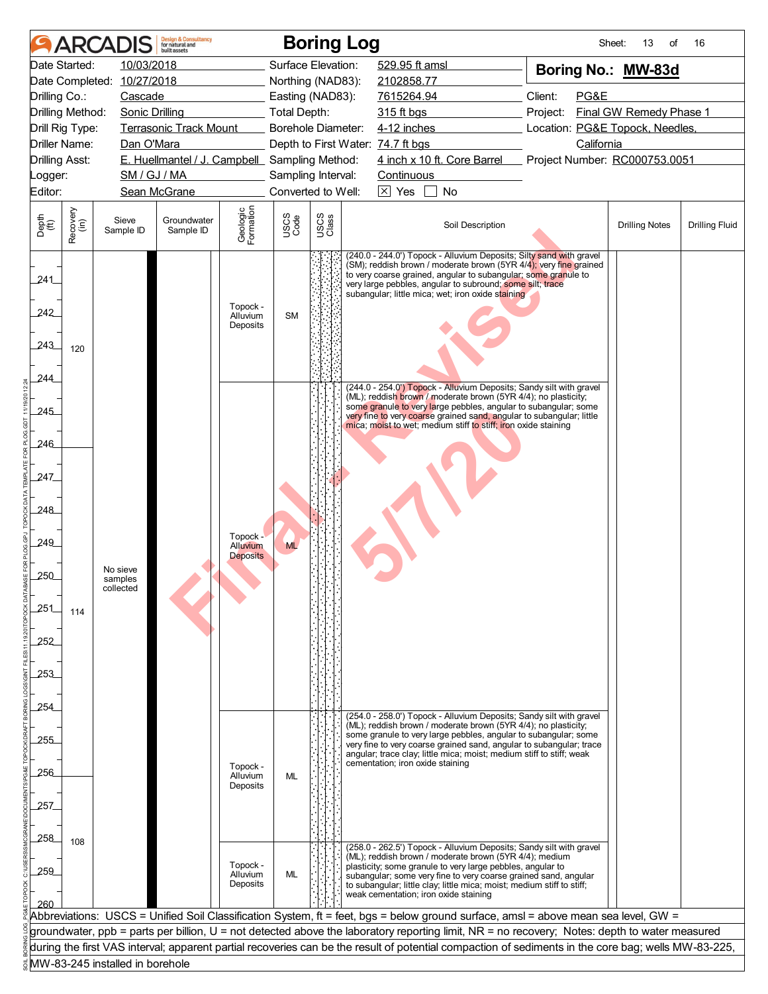|                             | <b>ARCA</b>      |                                 | <b>Design &amp; Consultancy</b><br>for natural and<br>built assets |                                  |                                          | <b>Boring Log</b> |  |                                   |                                                                                                                                                                                                                                                                                                                              |          | Sheet:     | 13<br>of                        | 16                    |  |  |  |  |  |
|-----------------------------|------------------|---------------------------------|--------------------------------------------------------------------|----------------------------------|------------------------------------------|-------------------|--|-----------------------------------|------------------------------------------------------------------------------------------------------------------------------------------------------------------------------------------------------------------------------------------------------------------------------------------------------------------------------|----------|------------|---------------------------------|-----------------------|--|--|--|--|--|
|                             | Date Started:    | 10/03/2018                      |                                                                    |                                  | Surface Elevation:                       |                   |  | 529.95 ft amsl                    |                                                                                                                                                                                                                                                                                                                              |          |            | Boring No.: MW-83d              |                       |  |  |  |  |  |
| Date Completed: 10/27/2018  |                  |                                 |                                                                    |                                  | Northing (NAD83):                        |                   |  | 2102858.77                        |                                                                                                                                                                                                                                                                                                                              |          |            |                                 |                       |  |  |  |  |  |
| Drilling Co.:               |                  | Cascade                         |                                                                    |                                  | Easting (NAD83):                         |                   |  | 7615264.94                        |                                                                                                                                                                                                                                                                                                                              | Client:  | PG&E       |                                 |                       |  |  |  |  |  |
| Drilling Method:            |                  | <b>Sonic Drilling</b>           |                                                                    |                                  | <b>Total Depth:</b>                      |                   |  | 315 ft bgs                        |                                                                                                                                                                                                                                                                                                                              | Project: |            | Final GW Remedy Phase 1         |                       |  |  |  |  |  |
| Drill Rig Type:             |                  |                                 | <b>Terrasonic Track Mount</b>                                      |                                  | Borehole Diameter:                       |                   |  | 4-12 inches                       |                                                                                                                                                                                                                                                                                                                              |          |            | Location: PG&E Topock, Needles, |                       |  |  |  |  |  |
| Driller Name:               |                  | Dan O'Mara                      |                                                                    |                                  |                                          |                   |  | Depth to First Water: 74.7 ft bgs |                                                                                                                                                                                                                                                                                                                              |          | California |                                 |                       |  |  |  |  |  |
| <b>Drilling Asst:</b>       |                  |                                 | E. Huellmantel / J. Campbell Sampling Method:                      |                                  |                                          |                   |  |                                   | 4 inch x 10 ft. Core Barrel                                                                                                                                                                                                                                                                                                  |          |            | Project Number: RC000753.0051   |                       |  |  |  |  |  |
| Logger:<br>Editor:          |                  | SM / GJ / MA                    | Sean McGrane                                                       |                                  | Sampling Interval:<br>Converted to Well: |                   |  | Continuous<br>$\boxtimes$ Yes     | No                                                                                                                                                                                                                                                                                                                           |          |            |                                 |                       |  |  |  |  |  |
|                             |                  |                                 |                                                                    |                                  |                                          |                   |  |                                   |                                                                                                                                                                                                                                                                                                                              |          |            |                                 |                       |  |  |  |  |  |
| Depth<br>$\widetilde{f(t)}$ | Recovery<br>(in) | Sieve<br>Sample ID              | Groundwater<br>Sample ID                                           | Geologic<br>Formation            | USCS<br>Code                             | USCS<br>Class     |  |                                   | Soil Description                                                                                                                                                                                                                                                                                                             |          |            | <b>Drilling Notes</b>           | <b>Drilling Fluid</b> |  |  |  |  |  |
| 241<br>242<br>243           | 120              |                                 |                                                                    | Topock -<br>Alluvium<br>Deposits | <b>SM</b>                                |                   |  |                                   | (240.0 - 244.0') Topock - Alluvium Deposits; Silty sand with gravel<br>(SM); reddish brown / moderate brown (5YR 4/4); very fine grained<br>to very coarse grained, angular to subangular; some granule to<br>very large pebbles, angular to subround; some silt; trace<br>subangular; little mica; wet; iron oxide staining |          |            |                                 |                       |  |  |  |  |  |
| 244                         |                  |                                 |                                                                    |                                  |                                          |                   |  |                                   | (244.0 - 254.0") Topock - Alluvium Deposits; Sandy silt with gravel                                                                                                                                                                                                                                                          |          |            |                                 |                       |  |  |  |  |  |
| $-245$                      |                  |                                 |                                                                    |                                  |                                          |                   |  |                                   | (ML); reddish brown / moderate brown (5YR 4/4); no plasticity;<br>some granule to very large pebbles, angular to subangular; some<br>very fine to very coarse grained sand, angular to subangular; little<br>mica; moist to wet; medium stiff to stiff; iron oxide staining                                                  |          |            |                                 |                       |  |  |  |  |  |
| 246                         |                  |                                 |                                                                    |                                  |                                          |                   |  |                                   |                                                                                                                                                                                                                                                                                                                              |          |            |                                 |                       |  |  |  |  |  |
| 247                         |                  |                                 |                                                                    |                                  |                                          |                   |  |                                   |                                                                                                                                                                                                                                                                                                                              |          |            |                                 |                       |  |  |  |  |  |
| 248                         |                  |                                 |                                                                    |                                  |                                          |                   |  |                                   |                                                                                                                                                                                                                                                                                                                              |          |            |                                 |                       |  |  |  |  |  |
| 249                         |                  |                                 |                                                                    | Topock -<br><b>Alluvium</b>      | <b>ML</b>                                |                   |  |                                   |                                                                                                                                                                                                                                                                                                                              |          |            |                                 |                       |  |  |  |  |  |
|                             |                  | No sieve                        |                                                                    | <b>Deposits</b>                  |                                          |                   |  |                                   |                                                                                                                                                                                                                                                                                                                              |          |            |                                 |                       |  |  |  |  |  |
| 250                         |                  | samples<br>collected            |                                                                    |                                  |                                          |                   |  |                                   |                                                                                                                                                                                                                                                                                                                              |          |            |                                 |                       |  |  |  |  |  |
| 251                         |                  |                                 |                                                                    |                                  |                                          |                   |  |                                   |                                                                                                                                                                                                                                                                                                                              |          |            |                                 |                       |  |  |  |  |  |
|                             | 114              |                                 |                                                                    |                                  |                                          |                   |  |                                   |                                                                                                                                                                                                                                                                                                                              |          |            |                                 |                       |  |  |  |  |  |
| 252                         |                  |                                 |                                                                    |                                  |                                          |                   |  |                                   |                                                                                                                                                                                                                                                                                                                              |          |            |                                 |                       |  |  |  |  |  |
|                             |                  |                                 |                                                                    |                                  |                                          |                   |  |                                   |                                                                                                                                                                                                                                                                                                                              |          |            |                                 |                       |  |  |  |  |  |
| 253                         |                  |                                 |                                                                    |                                  |                                          |                   |  |                                   |                                                                                                                                                                                                                                                                                                                              |          |            |                                 |                       |  |  |  |  |  |
|                             |                  |                                 |                                                                    |                                  |                                          |                   |  |                                   |                                                                                                                                                                                                                                                                                                                              |          |            |                                 |                       |  |  |  |  |  |
| .254                        |                  |                                 |                                                                    |                                  |                                          |                   |  |                                   |                                                                                                                                                                                                                                                                                                                              |          |            |                                 |                       |  |  |  |  |  |
|                             |                  |                                 |                                                                    |                                  |                                          |                   |  |                                   | (254.0 - 258.0') Topock - Alluvium Deposits; Sandy silt with gravel<br>(ML); reddish brown / moderate brown (5YR 4/4); no plasticity;                                                                                                                                                                                        |          |            |                                 |                       |  |  |  |  |  |
| 255                         |                  |                                 |                                                                    |                                  |                                          |                   |  |                                   | some granule to very large pebbles, angular to subangular; some<br>very fine to very coarse grained sand, angular to subangular; trace                                                                                                                                                                                       |          |            |                                 |                       |  |  |  |  |  |
|                             |                  |                                 |                                                                    | Topock -                         |                                          |                   |  | cementation; iron oxide staining  | angular; trace clay; little mica; moist; medium stiff to stiff; weak                                                                                                                                                                                                                                                         |          |            |                                 |                       |  |  |  |  |  |
| .256                        |                  |                                 |                                                                    | Alluvium<br>Deposits             | ML                                       |                   |  |                                   |                                                                                                                                                                                                                                                                                                                              |          |            |                                 |                       |  |  |  |  |  |
|                             |                  |                                 |                                                                    |                                  |                                          |                   |  |                                   |                                                                                                                                                                                                                                                                                                                              |          |            |                                 |                       |  |  |  |  |  |
| 257                         |                  |                                 |                                                                    |                                  |                                          |                   |  |                                   |                                                                                                                                                                                                                                                                                                                              |          |            |                                 |                       |  |  |  |  |  |
| 258                         |                  |                                 |                                                                    |                                  |                                          |                   |  |                                   |                                                                                                                                                                                                                                                                                                                              |          |            |                                 |                       |  |  |  |  |  |
|                             | 108              |                                 |                                                                    |                                  |                                          |                   |  |                                   | (258.0 - 262.5') Topock - Alluvium Deposits; Sandy silt with gravel<br>(ML); reddish brown / moderate brown (5YR 4/4); medium                                                                                                                                                                                                |          |            |                                 |                       |  |  |  |  |  |
| 259                         |                  |                                 |                                                                    | Topock -<br>Alluvium             | ML                                       |                   |  |                                   | plasticity; some granule to very large pebbles, angular to<br>subangular; some very fine to very coarse grained sand, angular                                                                                                                                                                                                |          |            |                                 |                       |  |  |  |  |  |
|                             |                  |                                 |                                                                    | Deposits                         |                                          |                   |  |                                   | to subangular; little clay; little mica; moist; medium stiff to stiff;                                                                                                                                                                                                                                                       |          |            |                                 |                       |  |  |  |  |  |
| 260                         |                  |                                 |                                                                    |                                  |                                          |                   |  |                                   | weak cementation; iron oxide staining                                                                                                                                                                                                                                                                                        |          |            |                                 |                       |  |  |  |  |  |
|                             |                  |                                 |                                                                    |                                  |                                          |                   |  |                                   | Abbreviations: USCS = Unified Soil Classification System, ft = feet, bgs = below ground surface, amsl = above mean sea level, GW =                                                                                                                                                                                           |          |            |                                 |                       |  |  |  |  |  |
|                             |                  |                                 |                                                                    |                                  |                                          |                   |  |                                   | groundwater, ppb = parts per billion, U = not detected above the laboratory reporting limit, NR = no recovery; Notes: depth to water measured<br>during the first VAS interval; apparent partial recoveries can be the result of potential compaction of sediments in the core bag; wells MW-83-225,                         |          |            |                                 |                       |  |  |  |  |  |
|                             |                  | MW-83-245 installed in borehole |                                                                    |                                  |                                          |                   |  |                                   |                                                                                                                                                                                                                                                                                                                              |          |            |                                 |                       |  |  |  |  |  |
|                             |                  |                                 |                                                                    |                                  |                                          |                   |  |                                   |                                                                                                                                                                                                                                                                                                                              |          |            |                                 |                       |  |  |  |  |  |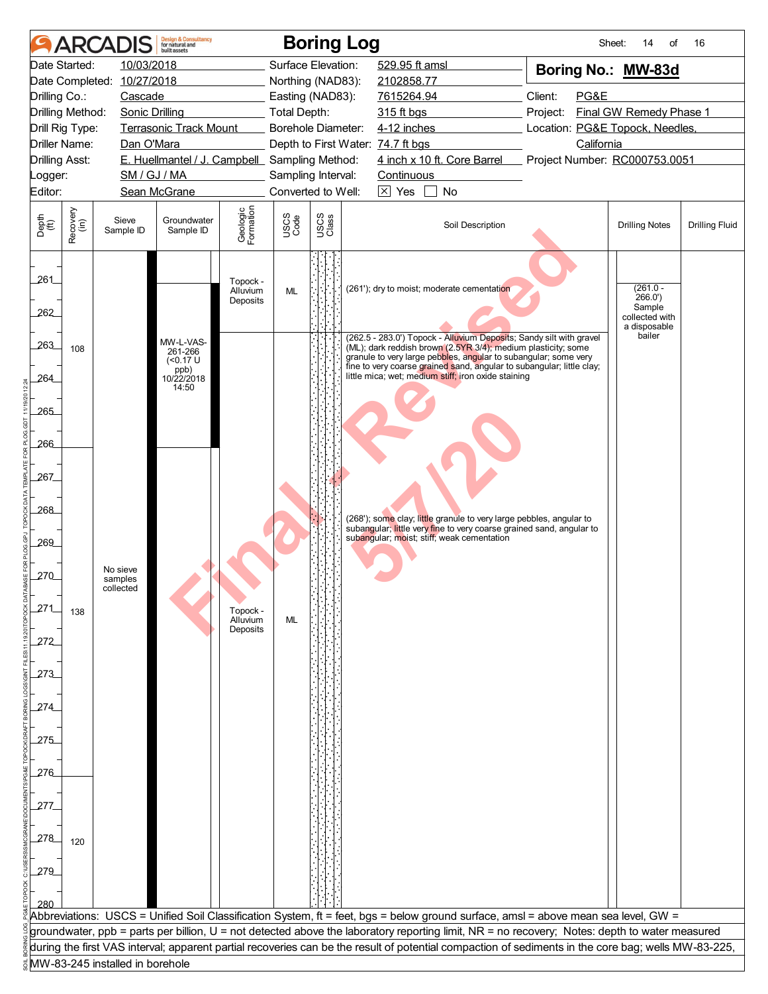|                                               |                  | <b>ARCADIS</b>                  | <b>Design &amp; Consultancy</b><br>for natural and<br>huilt assets |                                  |                     |                  | <b>Boring Log</b>                                                                                                                                                                               | Sheet:                                      | 14<br>οf                                 | 16                    |
|-----------------------------------------------|------------------|---------------------------------|--------------------------------------------------------------------|----------------------------------|---------------------|------------------|-------------------------------------------------------------------------------------------------------------------------------------------------------------------------------------------------|---------------------------------------------|------------------------------------------|-----------------------|
|                                               | Date Started:    | 10/03/2018                      |                                                                    |                                  | Surface Elevation:  |                  | 529.95 ft amsl                                                                                                                                                                                  | Boring No.: MW-83d                          |                                          |                       |
|                                               |                  | Date Completed: 10/27/2018      |                                                                    |                                  | Northing (NAD83):   |                  | 2102858.77                                                                                                                                                                                      |                                             |                                          |                       |
| Drilling Co.:<br>Cascade                      |                  |                                 |                                                                    |                                  |                     | Easting (NAD83): | 7615264.94                                                                                                                                                                                      | Client:<br>PG&E                             |                                          |                       |
| Drilling Method:                              |                  | <b>Sonic Drilling</b>           |                                                                    |                                  | <b>Total Depth:</b> |                  | 315 ft bgs                                                                                                                                                                                      | Project:                                    | Final GW Remedy Phase 1                  |                       |
| Drill Rig Type:                               |                  |                                 | <b>Terrasonic Track Mount</b>                                      |                                  | Borehole Diameter:  |                  | 4-12 inches                                                                                                                                                                                     | Location: PG&E Topock, Needles,             |                                          |                       |
| <b>Driller Name:</b><br><b>Drilling Asst:</b> |                  | Dan O'Mara                      | E. Huellmantel / J. Campbell Sampling Method:                      |                                  |                     |                  | Depth to First Water: 74.7 ft bgs<br>4 inch x 10 ft. Core Barrel                                                                                                                                | California<br>Project Number: RC000753.0051 |                                          |                       |
| Logger:                                       |                  | SM / GJ / MA                    |                                                                    |                                  | Sampling Interval:  |                  | Continuous                                                                                                                                                                                      |                                             |                                          |                       |
| Editor:                                       |                  |                                 | Sean McGrane                                                       |                                  | Converted to Well:  |                  | $\boxtimes$ Yes<br>No                                                                                                                                                                           |                                             |                                          |                       |
|                                               |                  |                                 |                                                                    |                                  |                     |                  |                                                                                                                                                                                                 |                                             |                                          |                       |
| Depth<br>(ft)                                 | Recovery<br>(in) | Sieve<br>Sample ID              | Groundwater<br>Sample ID                                           | Geologic<br>Formation            | USCS<br>Code        | USCS<br>Class    | Soil Description                                                                                                                                                                                |                                             | <b>Drilling Notes</b>                    | <b>Drilling Fluid</b> |
| 261<br>262                                    |                  |                                 |                                                                    | Topock -<br>Alluvium<br>Deposits | <b>ML</b>           |                  | (261'); dry to moist; moderate cementation                                                                                                                                                      |                                             | $(261.0 -$<br>266.0'<br>Sample           |                       |
| 263                                           | 108              |                                 | MW-L-VAS-                                                          |                                  |                     |                  | (262.5 - 283.0') Topock - Alluvium Deposits; Sandy silt with gravel<br>(ML); dark reddish brown (2.5YR 3/4); medium plasticity; some                                                            |                                             | collected with<br>a disposable<br>bailer |                       |
| 264                                           |                  |                                 | 261-266<br>$($ < 0.17 U<br>ppb)<br>10/22/2018<br>14:50             |                                  |                     |                  | granule to very large pebbles, angular to subangular; some very<br>fine to very coarse grained sand, angular to subangular; little clay;<br>little mica; wet; medium stiff; iron oxide staining |                                             |                                          |                       |
| 265                                           |                  |                                 |                                                                    |                                  |                     |                  |                                                                                                                                                                                                 |                                             |                                          |                       |
| 266                                           |                  |                                 |                                                                    |                                  |                     |                  |                                                                                                                                                                                                 |                                             |                                          |                       |
| 267                                           |                  |                                 |                                                                    |                                  |                     |                  |                                                                                                                                                                                                 |                                             |                                          |                       |
| 268<br>269                                    |                  |                                 |                                                                    |                                  |                     |                  | (268'); some clay; little granule to very large pebbles, angular to<br>subangular; little very fine to very coarse grained sand, angular to<br>subangular; moist; stiff; weak cementation       |                                             |                                          |                       |
| 270                                           |                  | No sieve                        |                                                                    |                                  |                     |                  |                                                                                                                                                                                                 |                                             |                                          |                       |
| 271                                           |                  | samples<br>collected            |                                                                    | Topock -                         |                     |                  |                                                                                                                                                                                                 |                                             |                                          |                       |
| 272                                           | 138              |                                 |                                                                    | Alluvium<br>Deposits             | ML                  |                  |                                                                                                                                                                                                 |                                             |                                          |                       |
| 273                                           |                  |                                 |                                                                    |                                  |                     |                  |                                                                                                                                                                                                 |                                             |                                          |                       |
| 274                                           |                  |                                 |                                                                    |                                  |                     |                  |                                                                                                                                                                                                 |                                             |                                          |                       |
| 275                                           |                  |                                 |                                                                    |                                  |                     |                  |                                                                                                                                                                                                 |                                             |                                          |                       |
| $-276$                                        |                  |                                 |                                                                    |                                  |                     |                  |                                                                                                                                                                                                 |                                             |                                          |                       |
| 277                                           |                  |                                 |                                                                    |                                  |                     |                  |                                                                                                                                                                                                 |                                             |                                          |                       |
| 278                                           | 120              |                                 |                                                                    |                                  |                     |                  |                                                                                                                                                                                                 |                                             |                                          |                       |
| 279                                           |                  |                                 |                                                                    |                                  |                     |                  |                                                                                                                                                                                                 |                                             |                                          |                       |
|                                               |                  |                                 |                                                                    |                                  |                     |                  |                                                                                                                                                                                                 |                                             |                                          |                       |
| 280                                           |                  |                                 |                                                                    |                                  |                     |                  |                                                                                                                                                                                                 |                                             |                                          |                       |
|                                               |                  |                                 |                                                                    |                                  |                     |                  | Abbreviations:  USCS = Unified Soil Classification System, ft = feet, bgs = below ground surface, amsl = above mean sea level, GW =                                                             |                                             |                                          |                       |
|                                               |                  |                                 |                                                                    |                                  |                     |                  | groundwater, ppb = parts per billion, U = not detected above the laboratory reporting limit, NR = no recovery; Notes: depth to water measured                                                   |                                             |                                          |                       |
|                                               |                  |                                 |                                                                    |                                  |                     |                  | during the first VAS interval; apparent partial recoveries can be the result of potential compaction of sediments in the core bag; wells MW-83-225,                                             |                                             |                                          |                       |
|                                               |                  | MW-83-245 installed in borehole |                                                                    |                                  |                     |                  |                                                                                                                                                                                                 |                                             |                                          |                       |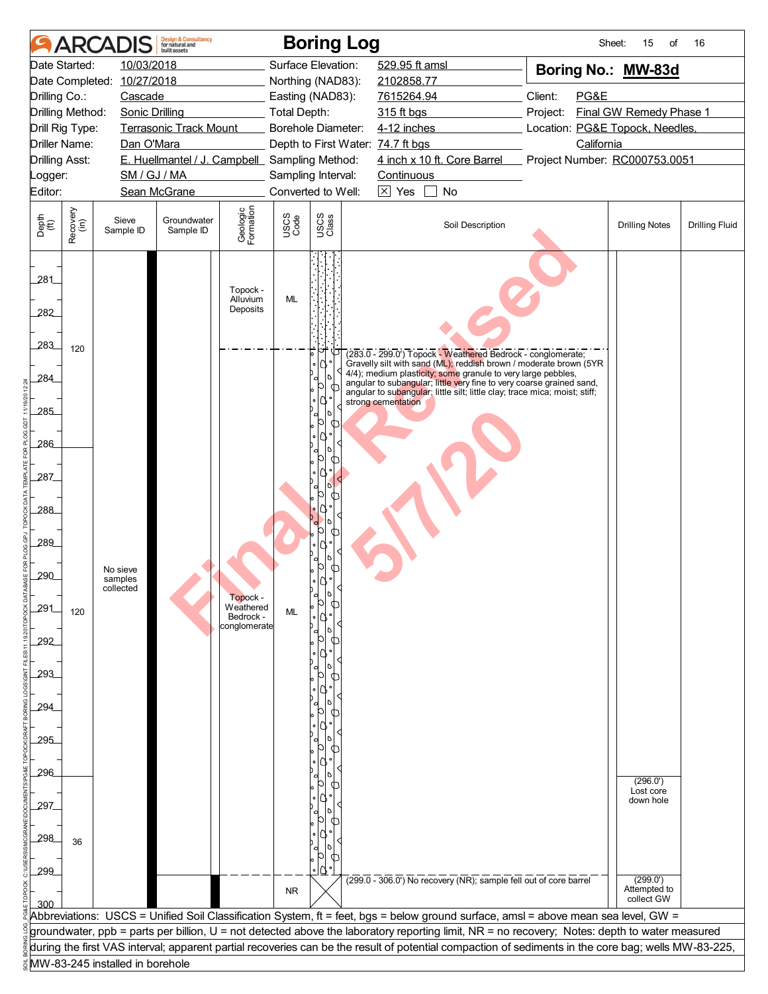|                       | <b>ARCA</b>      |                                          | <b>Design &amp; Consultancy</b><br>for natural and<br>huilt assets |                                        |                                       | <b>Boring Log</b> |  |                                   |                                                                                                                                                                                                           | Sheet:                                                                                                                                              | 15<br>of                               | 16                    |  |  |  |  |  |  |  |
|-----------------------|------------------|------------------------------------------|--------------------------------------------------------------------|----------------------------------------|---------------------------------------|-------------------|--|-----------------------------------|-----------------------------------------------------------------------------------------------------------------------------------------------------------------------------------------------------------|-----------------------------------------------------------------------------------------------------------------------------------------------------|----------------------------------------|-----------------------|--|--|--|--|--|--|--|
|                       | Date Started:    | 10/03/2018<br>Date Completed: 10/27/2018 |                                                                    |                                        | Surface Elevation:                    |                   |  | 529.95 ft amsl                    |                                                                                                                                                                                                           | Boring No.: MW-83d                                                                                                                                  |                                        |                       |  |  |  |  |  |  |  |
| Drilling Co.:         |                  | Cascade                                  |                                                                    |                                        | Northing (NAD83):<br>Easting (NAD83): |                   |  |                                   | 2102858.77<br>Client:<br>7615264.94                                                                                                                                                                       |                                                                                                                                                     | PG&E                                   |                       |  |  |  |  |  |  |  |
| Drilling Method:      |                  | <b>Sonic Drilling</b>                    |                                                                    |                                        | <b>Total Depth:</b>                   |                   |  | 315 ft bgs                        |                                                                                                                                                                                                           | Project:                                                                                                                                            | Final GW Remedy Phase 1                |                       |  |  |  |  |  |  |  |
| Drill Rig Type:       |                  |                                          | <b>Terrasonic Track Mount</b>                                      |                                        | Borehole Diameter:                    |                   |  | 4-12 inches                       |                                                                                                                                                                                                           | Location: PG&E Topock, Needles,                                                                                                                     |                                        |                       |  |  |  |  |  |  |  |
| <b>Driller Name:</b>  |                  | Dan O'Mara                               |                                                                    |                                        |                                       |                   |  | Depth to First Water: 74.7 ft bgs |                                                                                                                                                                                                           | California                                                                                                                                          |                                        |                       |  |  |  |  |  |  |  |
| <b>Drilling Asst:</b> |                  |                                          | E. Huellmantel / J. Campbell Sampling Method:                      |                                        |                                       |                   |  |                                   | 4 inch x 10 ft. Core Barrel                                                                                                                                                                               | Project Number: RC000753.0051                                                                                                                       |                                        |                       |  |  |  |  |  |  |  |
| Logger:               |                  | SM / GJ / MA                             |                                                                    |                                        | Sampling Interval:                    |                   |  | Continuous                        |                                                                                                                                                                                                           |                                                                                                                                                     |                                        |                       |  |  |  |  |  |  |  |
| Editor:               |                  |                                          | Sean McGrane                                                       |                                        | Converted to Well:                    |                   |  | $\overline{\times}$ Yes           | No                                                                                                                                                                                                        |                                                                                                                                                     |                                        |                       |  |  |  |  |  |  |  |
|                       |                  |                                          |                                                                    |                                        |                                       |                   |  |                                   |                                                                                                                                                                                                           |                                                                                                                                                     |                                        |                       |  |  |  |  |  |  |  |
| Depth<br>(ft)         | Recovery<br>(in) | Sieve<br>Sample ID                       | Groundwater<br>Sample ID                                           | Geologic<br>Formation                  | USCS<br>Code                          | USCS<br>Class     |  |                                   | Soil Description                                                                                                                                                                                          |                                                                                                                                                     | <b>Drilling Notes</b>                  | <b>Drilling Fluid</b> |  |  |  |  |  |  |  |
| 281                   |                  |                                          |                                                                    |                                        |                                       |                   |  |                                   |                                                                                                                                                                                                           |                                                                                                                                                     |                                        |                       |  |  |  |  |  |  |  |
| 282                   |                  |                                          |                                                                    | Topock -<br>Alluvium<br>Deposits       | <b>ML</b>                             |                   |  |                                   |                                                                                                                                                                                                           |                                                                                                                                                     |                                        |                       |  |  |  |  |  |  |  |
| 283                   | 120              |                                          |                                                                    |                                        |                                       |                   |  |                                   | (283.0 - 299.0') Topock - Weathered Bedrock - conglomerate;                                                                                                                                               |                                                                                                                                                     |                                        |                       |  |  |  |  |  |  |  |
| 284                   |                  |                                          |                                                                    |                                        |                                       | ۰                 |  |                                   | Gravelly silt with sand (ML); reddish brown / moderate brown (5YR<br>4/4); medium plasticity; some granule to very large pebbles,<br>angular to subangular; little very fine to very coarse grained sand, |                                                                                                                                                     |                                        |                       |  |  |  |  |  |  |  |
| 285                   |                  |                                          |                                                                    |                                        |                                       |                   |  | strong cementation                | angular to subangular; little silt; little clay; trace mica; moist; stiff;                                                                                                                                |                                                                                                                                                     |                                        |                       |  |  |  |  |  |  |  |
| 286                   |                  |                                          |                                                                    |                                        |                                       |                   |  |                                   |                                                                                                                                                                                                           |                                                                                                                                                     |                                        |                       |  |  |  |  |  |  |  |
| 287                   |                  |                                          |                                                                    |                                        |                                       |                   |  |                                   |                                                                                                                                                                                                           |                                                                                                                                                     |                                        |                       |  |  |  |  |  |  |  |
| 288                   |                  |                                          |                                                                    |                                        |                                       |                   |  |                                   |                                                                                                                                                                                                           |                                                                                                                                                     |                                        |                       |  |  |  |  |  |  |  |
| 289                   |                  |                                          |                                                                    |                                        |                                       |                   |  |                                   |                                                                                                                                                                                                           |                                                                                                                                                     |                                        |                       |  |  |  |  |  |  |  |
|                       |                  | No sieve                                 |                                                                    |                                        |                                       |                   |  |                                   |                                                                                                                                                                                                           |                                                                                                                                                     |                                        |                       |  |  |  |  |  |  |  |
| 290                   |                  | samples<br>collected                     |                                                                    | Topock -                               |                                       |                   |  |                                   |                                                                                                                                                                                                           |                                                                                                                                                     |                                        |                       |  |  |  |  |  |  |  |
| 291                   | 120              |                                          |                                                                    | Weathered<br>Bedrock -<br>conglomerate | <b>ML</b>                             |                   |  |                                   |                                                                                                                                                                                                           |                                                                                                                                                     |                                        |                       |  |  |  |  |  |  |  |
| 292                   |                  |                                          |                                                                    |                                        |                                       |                   |  |                                   |                                                                                                                                                                                                           |                                                                                                                                                     |                                        |                       |  |  |  |  |  |  |  |
| 293                   |                  |                                          |                                                                    |                                        |                                       |                   |  |                                   |                                                                                                                                                                                                           |                                                                                                                                                     |                                        |                       |  |  |  |  |  |  |  |
| 294                   |                  |                                          |                                                                    |                                        |                                       |                   |  |                                   |                                                                                                                                                                                                           |                                                                                                                                                     |                                        |                       |  |  |  |  |  |  |  |
| 295                   |                  |                                          |                                                                    |                                        |                                       |                   |  |                                   |                                                                                                                                                                                                           |                                                                                                                                                     |                                        |                       |  |  |  |  |  |  |  |
| 296                   |                  |                                          |                                                                    |                                        |                                       |                   |  |                                   |                                                                                                                                                                                                           |                                                                                                                                                     | (296.0')                               |                       |  |  |  |  |  |  |  |
| 297                   |                  |                                          |                                                                    |                                        |                                       |                   |  |                                   |                                                                                                                                                                                                           |                                                                                                                                                     | Lost core<br>down hole                 |                       |  |  |  |  |  |  |  |
| 298                   | 36               |                                          |                                                                    |                                        |                                       |                   |  |                                   |                                                                                                                                                                                                           |                                                                                                                                                     |                                        |                       |  |  |  |  |  |  |  |
| 299                   |                  |                                          |                                                                    |                                        |                                       |                   |  |                                   |                                                                                                                                                                                                           |                                                                                                                                                     |                                        |                       |  |  |  |  |  |  |  |
| 300                   |                  |                                          |                                                                    |                                        | <b>NR</b>                             |                   |  |                                   | $(299.0 - 306.0)$ No recovery (NR); sample fell out of core barrel                                                                                                                                        |                                                                                                                                                     | (299.0')<br>Attempted to<br>collect GW |                       |  |  |  |  |  |  |  |
|                       |                  |                                          |                                                                    |                                        |                                       |                   |  |                                   |                                                                                                                                                                                                           | Abbreviations: USCS = Unified Soil Classification System, ft = feet, bgs = below ground surface, amsl = above mean sea level, GW =                  |                                        |                       |  |  |  |  |  |  |  |
|                       |                  |                                          |                                                                    |                                        |                                       |                   |  |                                   |                                                                                                                                                                                                           | groundwater, ppb = parts per billion, U = not detected above the laboratory reporting limit, NR = no recovery; Notes: depth to water measured       |                                        |                       |  |  |  |  |  |  |  |
|                       |                  |                                          |                                                                    |                                        |                                       |                   |  |                                   |                                                                                                                                                                                                           | during the first VAS interval; apparent partial recoveries can be the result of potential compaction of sediments in the core bag; wells MW-83-225, |                                        |                       |  |  |  |  |  |  |  |
|                       |                  | MW-83-245 installed in borehole          |                                                                    |                                        |                                       |                   |  |                                   |                                                                                                                                                                                                           |                                                                                                                                                     |                                        |                       |  |  |  |  |  |  |  |